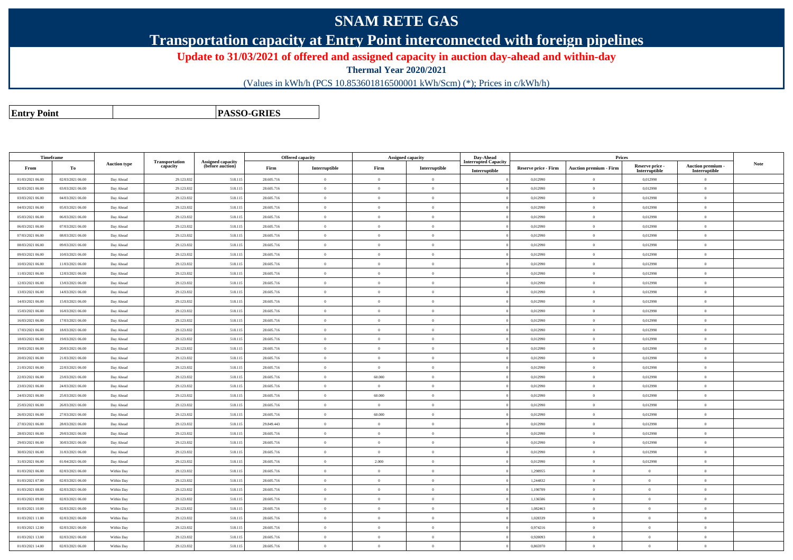## **SNAM RETE GAS**

**Transportation capacity at Entry Point interconnected with foreign pipelines**

**Update to 31/03/2021 of offered and assigned capacity in auction day-ahead and within-day**

**Thermal Year 2020/2021**

(Values in kWh/h (PCS 10.853601816500001 kWh/Scm) (\*); Prices in c/kWh/h)

**Assigned capacity**

**Prices**

**Auction premium - Interruptible Note**

**Entry PointPASSO-GRIES**

**Timeframe**

30/03/2021 06.00

31/03/2021 06.00

01/03/2021 06.00

01/03/2021 07.00

01/03/2021 08.00

01/03/2021 09.00

01/03/2021 10.00

01/03/2021 11.00

01/03/2021 12.00

01/03/2021 13.00

01/03/2021 14.00

**Fromm** | To **Auction typeTransportatio**<br>capacity **Assigned capacity (before auction) Firm Interruptible Firm Interruptible Day-Ahead Interrupted CapacityInterruptibleReserve price - Firm Auction premium - Firm Reserve price - Interruptible**01/03/2021 06.00 02/03/2021 06.00 Day Ahead 29.123.832 518.115 28.605.716 <sup>0</sup> <sup>0</sup> <sup>0</sup> <sup>0</sup> 0,012990 <sup>0</sup> 0,012990 <sup>0</sup> 02/03/2021 06.000 | 03/03/2021 06.00 | Day Ahead | 29.123.832 | 518.115 28.605.716 | 0 | 0 | 0 0 0 0.012990 | 0 0,012990 | 0 0 03/03/2021 06.00 04/03/2021 06.00 Day Ahead 29.123.832 518.115 28.605.716 <sup>0</sup> <sup>0</sup> <sup>0</sup> <sup>0</sup> 0,012990 <sup>0</sup> 0,012990 <sup>0</sup> 04/03/2021 06.00 05/03/2021 06.00 Day Ahead 29.123.832 518.115 28.605.716 <sup>0</sup> <sup>0</sup> <sup>0</sup> <sup>0</sup> 0,012990 <sup>0</sup> 0,012990 <sup>0</sup> 05/03/2021 06.00 06/03/2021 06.00 Day Ahead 29.123.832 518.115 28.605.716 <sup>0</sup> <sup>0</sup> <sup>0</sup> <sup>0</sup> 0,012990 <sup>0</sup> 0,012990 <sup>0</sup> 06/03/2021 06.000 | 07/03/2021 06.00 | Day Ahead | 29.123.832 | SI8.115 | 28.605.716 | 0 | 0 | 0 | 0 | 0,012990 | 0 | 0,012990 | 0 07/03/2021 06.00 08/03/2021 06.00 Day Ahead 29.123.832 518.115 28.605.716 <sup>0</sup> <sup>0</sup> <sup>0</sup> <sup>0</sup> 0,012990 <sup>0</sup> 0,012990 <sup>0</sup> 08/03/2021 06.00 09/03/2021 06.00 Day Ahead 29.123.832 518.115 28.605.716 <sup>0</sup> <sup>0</sup> <sup>0</sup> <sup>0</sup> 0,012990 <sup>0</sup> 0,012990 <sup>0</sup> 09/03/2021 06.000 | 10/03/2021 06.00 | Day Ahead | 29.123.832 | S18.115 | 28.605.716 | 0 | 0 | 0 | 0 | 0,012990 | 0 | 0,012990 | 0 10/03/2021 06.000 | 11/03/2021 06.00 | Day Ahead | 29.123.832 | 518.115 28.605.716 | 0 | 0 | 0 0 0 0.012990 | 0 0,012990 | 0 0 11/03/2021 06.000 | 12/03/2021 06.00 | Day Ahead | 29.123.832 | 518.115 28.605.716 | 0 | 0 | 0 | 0 0 0.012990 | 0 0,012990 | 0 12/03/2021 06.000 | 13/03/2021 06.00 | Day Ahead | 29.123.832 | 518.115 28.605.716 | 0 | 0 | 0 | 0 | 0,012990 | 0 | 0,012990 | 0 13/03/2021 06.000 | 14/03/2021 06.00 | Day Ahead | 29.123.832 | 518.115 28.605.716 | 0 | 0 | 0 | 0 0 0.012990 | 0 0,012990 | 0 14/03/2021 06.000 | 15/03/2021 06.00 | Day Ahead | 29.123.832 | 518.115 28.605.716 | 0 | 0 | 0 | 0 0 0.012990 | 0 0,012990 | 0 15/03/2021 06.000 | 16/03/2021 06.00 | Day Ahead | 29.123.832 | 518.115 28.605.716 | 0 | 0 | 0 | 0 | 0,012990 | 0 | 0,012990 | 0 16/03/2021 06.000 | 17/03/2021 06.00 | Day Ahead | 29.123.832 | 518.115 28.605.716 | 0 | 0 | 0 0 0 0.012990 | 0 0,012990 | 0 0 17/03/2021 06.000 | 18/03/2021 06.00 | Day Ahead | 29.123.832 | 518.115 28.605.716 | 0 | 0 | 0 | 0 0 0.012990 | 0 0,012990 | 0 18/03/2021 06.000 | 19/03/2021 06.00 | Day Ahead | 29.123.832 | 518.115 28.605.716 | 0 | 0 | 0 | 0 | 0,012990 | 0 | 0,012990 | 0 19/03/2021 06.000 | 20/03/2021 06.00 | Day Ahead | 29.123.832 | 518.115 28.605.716 | 0 | 0 | 0 0 0 0.012990 | 0,012990 | 0,012990 | 0,012990 | 0,012990 20/03/2021 06.000 | 21/03/2021 06.00 | Day Ahead | 29.123.832 | 518.115 28.605.716 | 0 | 0 | 0 0 0 0.012990 | 0 0,012990 | 0 0 21/03/2021 06.000 22/03/2021 06.00 Day Ahead | 29.123.832 518.115 28.605.716 | 0 | 0 | 0 | 0 | 0,012990 | 0 | 0,012990 | 0 22/03/2021 06.000 23/03/2021 06.00 Day Ahead | 29.123.832 | 518.115 28.605.716 | 0 | 60.000 | 0 | 0 0 0,012990 | 0 | 0,012990 | 0 23/03/2021 06.000 | 24/03/2021 06.00 | Day Ahead | 29.123.832 | 518.115 28.605.716 | 0 | 0 | 0 0 0 0.012990 | 0 0,012990 | 0 0 24/03/2021 06.000 25/03/2021 06.00 Day Ahead | 29.123.832 518.115 28.605.716 | 0 | 60.000 | 0 | 00.1299 | 0,012990 | 0,012990 | 0 25/03/2021 06.000 | 26/03/2021 06.00 | Day Ahead | 29.123.832 | 518.115 28.605.716 | 0 | 0 | 0 0 0 0.012990 | 0,012990 | 0,012990 | 0,012990 | 0,012990 26/03/2021 06.000 27/03/2021 06.00 Day Ahead | 29.123.832 | 518.115 28.605.716 | 0 | 60.000 | 0 | 0 0 0,012990 | 0 | 0,012990 | 27/03/2021 06.000 28/03/2021 06.00 Day Ahead | 29.123.832 518.115 29.849.443 | 0 | 0 | 0 | 0 | 0,012990 | 0,012990 | 0,012990 | 28/03/2021 06.000 | 29/03/2021 06.00 | Day Ahead | 29.123.832 | 518.115 28.605.716 | 0 | 0 | 0 0 0 0.012990 | 0 0,012990 | 0 0 29/03/2021 06.00

0 | 30/03/2021 06.00 | Day Ahead | 29.123.832 | 518.115 28.605.716 | 0 | 0 | 0 0 0 0.012990 | 0 0,012990 | 0 0

0 31/03/2021 06.00 Day Ahead | 29.123.832 518.115 28.605.716 | 0 | 0 | 0 | 0 | 0,012990 | 0 | 0,012990 | 0

0 | 01/04/2021 06.00 | Day Ahead | 29.123.832 | 518.115 28.605.716 | 0 | 2.000 | 0 | 0.012990 | 0 0,012990 | 0 0,012990 | 0 0,012990 | 0

02/03/2021 06.00 Within Day 29.123.832 518.115 28.605.716 <sup>0</sup> <sup>0</sup> <sup>0</sup> <sup>0</sup> 1,298955 <sup>0</sup> <sup>0</sup> <sup>0</sup>

02/03/2021 06.00 Within Day 29.123.832 518.115 28.605.716 <sup>0</sup> <sup>0</sup> <sup>0</sup> <sup>0</sup> 1,244832 <sup>0</sup> <sup>0</sup> <sup>0</sup>

0 | 02/03/2021 06.00 | Within Day | 29.123.832 | S18.115 | 28.605.716 | 0 | 0 | 0 | 0 | 0 | 1,190709 | 0 | 0 |

0 | 02/03/2021 06.00 | Within Day | 29.123.832 | 518.115 28.605.716 | 0 | 0 | 0 | 0 | 1,136586 | 0 | 0 | 0 |

02/03/2021 06.00 Within Day 29.123.832 518.115 28.605.716 <sup>0</sup> <sup>0</sup> <sup>0</sup> <sup>0</sup> 1,082463 <sup>0</sup> <sup>0</sup> <sup>0</sup>

0 | 02/03/2021 06.00 | Within Day | 29.123.832 | S18.115 | 28.605.716 | 0 | 0 | 0 | 0 | 0 | 1,028339 | 0 | 0 |

0 | 02/03/2021 06.00 | Within Day | 29.123.832 | 518.115 | 28.605.716 | 0 0 0 0<br>0 | 02/03/2021 06.00 | Within Day | 29.123.832 | 518.115 | 28.605.716 | 0 0

02/03/2021 06.00 Within Day 29.123.832 518.115 28.605.716 <sup>0</sup> <sup>0</sup> <sup>0</sup> <sup>0</sup> 0,920093 <sup>0</sup> <sup>0</sup> <sup>0</sup>

0 | 02/03/2021 06.00 | Within Day | 29.123.832 | S18.115 | 28.605.716 | 0 | 0 0 | 0 | 0,865970 | 0,865970 | 0 | 0

**Offered capacity**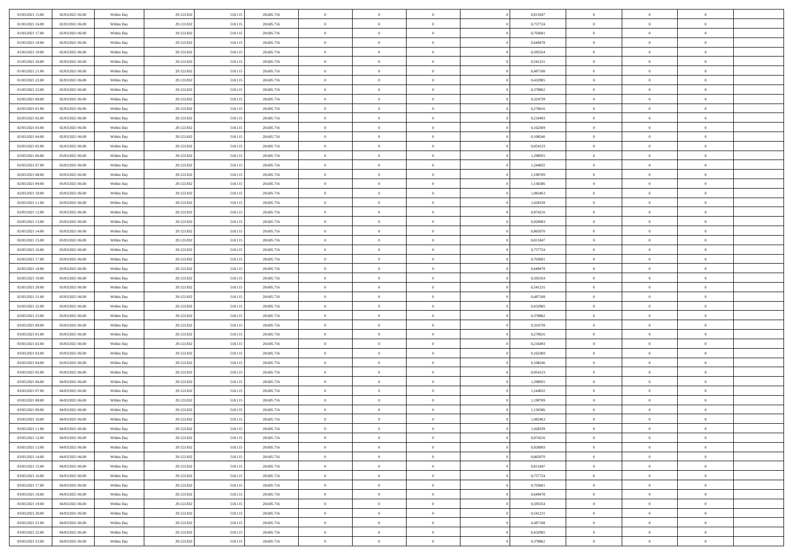| 01/03/2021 15:00 | 02/03/2021 06:00 | Within Day | 29.123.832 | 518.11: | 28.605.716 | $\,0\,$                | $\overline{0}$ | $\overline{0}$ |                | 0,811847 | $\,$ 0 $\,$    | $\overline{0}$ | $\bf{0}$       |  |
|------------------|------------------|------------|------------|---------|------------|------------------------|----------------|----------------|----------------|----------|----------------|----------------|----------------|--|
| 01/03/2021 16:00 | 02/03/2021 06:00 | Within Day | 29.123.832 | 518.11  | 28.605.716 | $\overline{0}$         | $\overline{0}$ | $\overline{0}$ |                | 0,757724 | $\theta$       | $\overline{0}$ | $\theta$       |  |
| 01/03/2021 17:00 | 02/03/2021 06:00 | Within Day | 29.123.832 | 518.115 | 28.605.716 | $\mathbf{0}$           | $\overline{0}$ | $\overline{0}$ |                | 0,703601 | $\theta$       | $\overline{0}$ | $\overline{0}$ |  |
| 01/03/2021 18:00 | 02/03/2021 06:00 | Within Day | 29.123.832 | 518.115 | 28.605.716 | $\bf{0}$               | $\overline{0}$ | $\bf{0}$       |                | 0,649478 | $\bf{0}$       | $\overline{0}$ | $\bf{0}$       |  |
| 01/03/2021 19:00 | 02/03/2021 06:00 | Within Day | 29.123.832 | 518.115 | 28.605.716 | $\bf{0}$               | $\overline{0}$ | $\overline{0}$ |                | 0,595354 | $\bf{0}$       | $\overline{0}$ | $\bf{0}$       |  |
| 01/03/2021 20:00 | 02/03/2021 06:00 | Within Day | 29.123.832 | 518.115 | 28.605.716 | $\overline{0}$         | $\overline{0}$ | $\overline{0}$ |                | 0,541231 | $\theta$       | $\overline{0}$ | $\theta$       |  |
|                  |                  |            |            |         |            | $\,0\,$                | $\overline{0}$ | $\overline{0}$ |                |          | $\bf{0}$       | $\overline{0}$ | $\theta$       |  |
| 01/03/2021 21:00 | 02/03/2021 06:00 | Within Day | 29.123.832 | 518.11: | 28.605.716 |                        |                |                |                | 0,487108 |                |                |                |  |
| 01/03/2021 22:00 | 02/03/2021 06:00 | Within Day | 29.123.832 | 518.115 | 28.605.716 | $\overline{0}$         | $\mathbf{0}$   | $\overline{0}$ |                | 0,432985 | $\,$ 0 $\,$    | $\overline{0}$ | $\theta$       |  |
| 01/03/2021 23:00 | 02/03/2021 06:00 | Within Day | 29.123.832 | 518.115 | 28.605.716 | $\overline{0}$         | $\overline{0}$ | $\overline{0}$ |                | 0,378862 | $\theta$       | $\overline{0}$ | $\overline{0}$ |  |
| 02/03/2021 00:00 | 02/03/2021 06:00 | Within Day | 29.123.832 | 518.115 | 28.605.716 | $\bf{0}$               | $\overline{0}$ | $\overline{0}$ |                | 0,324739 | $\mathbf{0}$   | $\overline{0}$ | $\bf{0}$       |  |
| 02/03/2021 01:00 | 02/03/2021 06:00 | Within Day | 29.123.832 | 518.115 | 28.605.716 | $\bf{0}$               | $\overline{0}$ | $\overline{0}$ |                | 0,270616 | $\bf{0}$       | $\overline{0}$ | $\theta$       |  |
| 02/03/2021 02:00 | 02/03/2021 06:00 | Within Day | 29.123.832 | 518.115 | 28.605.716 | $\mathbf{0}$           | $\overline{0}$ | $\overline{0}$ |                | 0,216493 | $\theta$       | $\overline{0}$ | $\overline{0}$ |  |
| 02/03/2021 03:00 | 02/03/2021 06:00 | Within Day | 29.123.832 | 518.115 | 28.605.716 | $\bf{0}$               | $\overline{0}$ | $\overline{0}$ |                | 0,162369 | $\bf{0}$       | $\overline{0}$ | $\bf{0}$       |  |
| 02/03/2021 04:00 | 02/03/2021 06:00 | Within Day | 29.123.832 | 518.11  | 28.605.716 | $\bf{0}$               | $\overline{0}$ | $\overline{0}$ |                | 0,108246 | $\,$ 0 $\,$    | $\overline{0}$ | $\theta$       |  |
| 02/03/2021 05:00 | 02/03/2021 06:00 | Within Day | 29.123.832 | 518.115 | 28.605.716 | $\overline{0}$         | $\overline{0}$ | $\overline{0}$ |                | 0,054123 | $\theta$       | $\overline{0}$ | $\overline{0}$ |  |
| 02/03/2021 06:00 | 03/03/2021 06:00 | Within Day | 29.123.832 | 518.115 | 28.605.716 | $\,0\,$                | $\overline{0}$ | $\overline{0}$ |                | 1,298955 | $\bf{0}$       | $\overline{0}$ | $\bf{0}$       |  |
| 02/03/2021 07:00 | 03/03/2021 06:00 | Within Day | 29.123.832 | 518.115 | 28.605.716 | $\bf{0}$               | $\overline{0}$ | $\overline{0}$ |                | 1,244832 | $\bf{0}$       | $\overline{0}$ | $\overline{0}$ |  |
| 02/03/2021 08:00 | 03/03/2021 06:00 | Within Day | 29.123.832 | 518.115 | 28.605.716 | $\mathbf{0}$           | $\overline{0}$ | $\overline{0}$ |                | 1,190709 | $\theta$       | $\overline{0}$ | $\overline{0}$ |  |
| 02/03/2021 09:00 | 03/03/2021 06:00 | Within Day | 29.123.832 | 518.115 | 28.605.716 | $\bf{0}$               | $\overline{0}$ | $\bf{0}$       |                | 1,136586 | $\bf{0}$       | $\overline{0}$ | $\bf{0}$       |  |
| 02/03/2021 10:00 | 03/03/2021 06:00 | Within Day | 29.123.832 | 518.115 | 28.605.716 | $\bf{0}$               | $\overline{0}$ | $\overline{0}$ |                | 1,082463 | $\bf{0}$       | $\overline{0}$ | $\bf{0}$       |  |
| 02/03/2021 11:00 | 03/03/2021 06:00 | Within Day | 29.123.832 | 518.115 | 28.605.716 | $\overline{0}$         | $\overline{0}$ | $\overline{0}$ |                | 1,028339 | $\theta$       | $\overline{0}$ | $\overline{0}$ |  |
| 02/03/2021 12:00 | 03/03/2021 06:00 | Within Day | 29.123.832 | 518.115 | 28.605.716 | $\,0\,$                | $\overline{0}$ | $\overline{0}$ |                | 0,974216 | $\bf{0}$       | $\overline{0}$ | $\theta$       |  |
| 02/03/2021 13:00 | 03/03/2021 06:00 | Within Day | 29.123.832 | 518.115 | 28.605.716 | $\bf{0}$               | $\overline{0}$ | $\overline{0}$ |                | 0,920093 | $\,$ 0 $\,$    | $\overline{0}$ | $\overline{0}$ |  |
| 02/03/2021 14:00 | 03/03/2021 06:00 | Within Day | 29.123.832 | 518.115 | 28.605.716 | $\mathbf{0}$           | $\overline{0}$ | $\overline{0}$ |                | 0,865970 | $\theta$       | $\overline{0}$ | $\overline{0}$ |  |
| 02/03/2021 15:00 | 03/03/2021 06:00 | Within Day | 29.123.832 | 518.115 | 28.605.716 | $\bf{0}$               | $\overline{0}$ | $\overline{0}$ |                | 0,811847 | $\bf{0}$       | $\overline{0}$ | $\bf{0}$       |  |
| 02/03/2021 16:00 | 03/03/2021 06:00 | Within Day | 29.123.832 | 518.115 | 28.605.716 | $\bf{0}$               | $\overline{0}$ | $\overline{0}$ |                | 0,757724 | $\,$ 0 $\,$    | $\overline{0}$ | $\bf{0}$       |  |
| 02/03/2021 17:00 | 03/03/2021 06:00 | Within Day | 29.123.832 | 518.115 | 28.605.716 | $\overline{0}$         | $\overline{0}$ | $\overline{0}$ |                | 0,703601 | $\theta$       | $\overline{0}$ | $\overline{0}$ |  |
| 02/03/2021 18:00 | 03/03/2021 06:00 | Within Day | 29.123.832 | 518.115 | 28.605.716 | $\bf{0}$               | $\overline{0}$ | $\bf{0}$       |                | 0,649478 | $\bf{0}$       | $\overline{0}$ | $\bf{0}$       |  |
|                  |                  |            |            |         |            |                        | $\overline{0}$ |                |                |          | $\,$ 0 $\,$    | $\overline{0}$ | $\overline{0}$ |  |
| 02/03/2021 19:00 | 03/03/2021 06:00 | Within Day | 29.123.832 | 518.115 | 28.605.716 | $\overline{0}$         |                | $\overline{0}$ |                | 0,595354 |                |                |                |  |
| 02/03/2021 20:00 | 03/03/2021 06:00 | Within Day | 29.123.832 | 518.115 | 28.605.716 | $\mathbf{0}$           | $\overline{0}$ | $\overline{0}$ |                | 0,541231 | $\theta$       | $\overline{0}$ | $\overline{0}$ |  |
| 02/03/2021 21:00 | 03/03/2021 06:00 | Within Day | 29.123.832 | 518.115 | 28.605.716 | $\mathbf{0}$           | $\overline{0}$ | $\overline{0}$ |                | 0,487108 | $\,$ 0 $\,$    | $\overline{0}$ | $\theta$       |  |
| 02/03/2021 22:00 | 03/03/2021 06:00 | Within Day | 29.123.832 | 518.115 | 28.605.716 | $\bf{0}$               | $\overline{0}$ | $\overline{0}$ |                | 0,432985 | $\bf{0}$       | $\overline{0}$ | $\bf{0}$       |  |
| 02/03/2021 23:00 | 03/03/2021 06:00 | Within Day | 29.123.832 | 518.115 | 28.605.716 | $\mathbf{0}$           | $\overline{0}$ | $\overline{0}$ |                | 0,378862 | $\theta$       | $\overline{0}$ | $\overline{0}$ |  |
| 03/03/2021 00:00 | 03/03/2021 06:00 | Within Day | 29.123.832 | 518.115 | 28.605.716 | $\mathbf{0}$           | $\overline{0}$ | $\overline{0}$ |                | 0,324739 | $\,$ 0 $\,$    | $\overline{0}$ | $\theta$       |  |
| 03/03/2021 01:00 | 03/03/2021 06:00 | Within Day | 29.123.832 | 518.115 | 28.605.716 | $\overline{0}$         | $\overline{0}$ | $\overline{0}$ |                | 0,270616 | $\,$ 0 $\,$    | $\overline{0}$ | $\bf{0}$       |  |
| 03/03/2021 02:00 | 03/03/2021 06:00 | Within Day | 29.123.832 | 518.115 | 28.605.716 | $\mathbf{0}$           | $\overline{0}$ | $\overline{0}$ |                | 0,216493 | $\theta$       | $\overline{0}$ | $\overline{0}$ |  |
| 03/03/2021 03:00 | 03/03/2021 06:00 | Within Day | 29.123.832 | 518.115 | 28.605.716 | $\mathbf{0}$           | $\overline{0}$ | $\theta$       |                | 0,162369 | $\,$ 0 $\,$    | $\overline{0}$ | $\theta$       |  |
| 03/03/2021 04:00 | 03/03/2021 06:00 | Within Day | 29.123.832 | 518.115 | 28.605.716 | $\bf{0}$               | $\overline{0}$ | $\overline{0}$ |                | 0,108246 | $\bf{0}$       | $\overline{0}$ | $\overline{0}$ |  |
| 03/03/2021 05:00 | 03/03/2021 06:00 | Within Day | 29.123.832 | 518.115 | 28.605.716 | $\mathbf{0}$           | $\overline{0}$ | $\overline{0}$ |                | 0,054123 | $\theta$       | $\overline{0}$ | $\overline{0}$ |  |
| 03/03/2021 06:00 | 04/03/2021 06:00 | Within Day | 29.123.832 | 518.115 | 28.605.716 | $\,$ 0 $\,$            | $\overline{0}$ | $\bf{0}$       |                | 1,298955 | $\,$ 0 $\,$    | $\overline{0}$ | $\theta$       |  |
| 03/03/2021 07:00 | 04/03/2021 06:00 | Within Day | 29.123.832 | 518.115 | 28.605.716 | $\bf{0}$               | $\overline{0}$ | $\overline{0}$ |                | 1,244832 | $\bf{0}$       | $\overline{0}$ | $\bf{0}$       |  |
| 03/03/2021 08:00 | 04/03/2021 06:00 | Within Day | 29.123.832 | 518.115 | 28.605.716 | $\mathbf{0}$           | $\overline{0}$ | $\overline{0}$ |                | 1,190709 | $\theta$       | $\overline{0}$ | $\overline{0}$ |  |
| 03/03/2021 09:00 | 04/03/2021 06:00 | Within Day | 29.123.832 | 518.115 | 28.605.716 | $\mathbf{0}$           | $\overline{0}$ | $\overline{0}$ |                | 1,136586 | $\,$ 0 $\,$    | $\overline{0}$ | $\theta$       |  |
| 03/03/2021 10:00 | 04/03/2021 06:00 | Within Day | 29.123.832 | 518.115 | 28.605.716 | $\bf{0}$               | $\overline{0}$ | $\overline{0}$ |                | 1,082463 | $\,$ 0 $\,$    | $\overline{0}$ | $\bf{0}$       |  |
| 03/03/2021 11:00 | 04/03/2021 06:00 | Within Day | 29.123.832 | 518.115 | 28.605.716 | $\bf{0}$               | $\overline{0}$ | $\Omega$       |                | 1,028339 | $\overline{0}$ | $^{\circ}$     | $\theta$       |  |
| 03/03/2021 12:00 | 04/03/2021 06:00 | Within Day | 29.123.832 | 518.115 | 28.605.716 | $\,$ 0 $\,$            | $\overline{0}$ | $\bf{0}$       |                | 0,974216 | $\,$ 0 $\,$    | $\overline{0}$ | $\theta$       |  |
| 03/03/2021 13:00 | 04/03/2021 06:00 | Within Day | 29.123.832 | 518.115 | 28.605.716 | $\bf{0}$               | $\overline{0}$ | $\overline{0}$ |                | 0,920093 | $\overline{0}$ | $\overline{0}$ | $\overline{0}$ |  |
| 03/03/2021 14:00 | 04/03/2021 06:00 | Within Day | 29.123.832 | 518.115 | 28.605.716 | $\mathbf{0}$           | $\overline{0}$ | $\overline{0}$ |                | 0,865970 | $\mathbf{0}$   | $\overline{0}$ | $\mathbf{0}$   |  |
| 03/03/2021 15:00 | 04/03/2021 06:00 | Within Day | 29.123.832 | 518.115 | 28.605.716 | $\,$ 0                 | $\overline{0}$ | $\bf{0}$       | $\overline{0}$ | 0,811847 | $\,$ 0 $\,$    | $\bf{0}$       | $\,$ 0 $\,$    |  |
| 03/03/2021 16:00 | 04/03/2021 06:00 | Within Day | 29.123.832 | 518.115 | 28.605.716 | $\hspace{0.1mm}\bm{0}$ | $\overline{0}$ | $\overline{0}$ |                | 0,757724 | $\,$ 0 $\,$    | $\overline{0}$ | $\overline{0}$ |  |
| 03/03/2021 17:00 | 04/03/2021 06:00 | Within Day | 29.123.832 | 518.115 | 28.605.716 | $\mathbf{0}$           | $\overline{0}$ | $\overline{0}$ |                | 0,703601 | $\overline{0}$ | $\overline{0}$ | $\overline{0}$ |  |
| 03/03/2021 18:00 | 04/03/2021 06:00 | Within Day | 29.123.832 | 518.115 | 28.605.716 | $\,$ 0 $\,$            | $\overline{0}$ | $\overline{0}$ |                | 0,649478 | $\,$ 0 $\,$    | $\overline{0}$ | $\,$ 0 $\,$    |  |
| 03/03/2021 19:00 | 04/03/2021 06:00 | Within Day | 29.123.832 | 518.115 | 28.605.716 | $\overline{0}$         | $\overline{0}$ | $\overline{0}$ |                | 0,595354 | $\overline{0}$ | $\overline{0}$ | $\bf{0}$       |  |
| 03/03/2021 20:00 | 04/03/2021 06:00 | Within Day | 29.123.832 | 518.115 | 28.605.716 | $\mathbf{0}$           | $\overline{0}$ | $\overline{0}$ |                | 0,541231 | $\mathbf{0}$   | $\overline{0}$ | $\mathbf{0}$   |  |
| 03/03/2021 21:00 | 04/03/2021 06:00 | Within Day | 29.123.832 | 518.115 | 28.605.716 | $\,$ 0 $\,$            | $\overline{0}$ | $\overline{0}$ |                | 0,487108 | $\,$ 0 $\,$    | $\bf{0}$       | $\,$ 0 $\,$    |  |
| 03/03/2021 22.00 | 04/03/2021 06:00 | Within Day | 29.123.832 | 518.115 | 28.605.716 | $\bf{0}$               | $\overline{0}$ | $\overline{0}$ |                | 0,432985 | $\,$ 0 $\,$    | $\mathbf{0}$   | $\bf{0}$       |  |
| 03/03/2021 23:00 | 04/03/2021 06:00 | Within Day | 29.123.832 | 518.115 | 28.605.716 | $\mathbf{0}$           | $\overline{0}$ | $\overline{0}$ |                | 0,378862 | $\mathbf{0}$   | $\overline{0}$ | $\overline{0}$ |  |
|                  |                  |            |            |         |            |                        |                |                |                |          |                |                |                |  |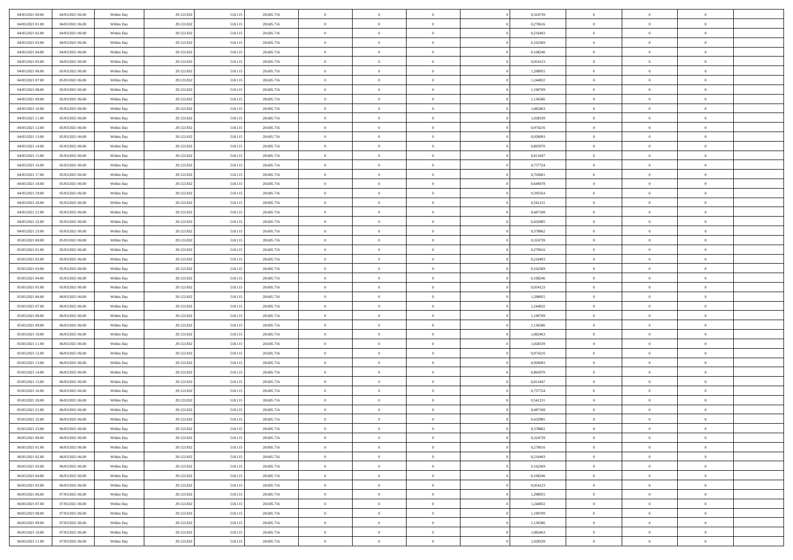| 04/03/2021 00:00 | 04/03/2021 06:00 | Within Day | 29.123.832 | 518.115 | 28.605.716 | $\,$ 0                   | $\bf{0}$       | $\theta$       |          | 0,324739 | $\bf{0}$                 | $\overline{0}$ | $\,0\,$        |  |
|------------------|------------------|------------|------------|---------|------------|--------------------------|----------------|----------------|----------|----------|--------------------------|----------------|----------------|--|
| 04/03/2021 01:00 | 04/03/2021 06:00 | Within Day | 29.123.832 | 518.115 | 28.605.716 | $\overline{0}$           | $\overline{0}$ | $\overline{0}$ |          | 0,270616 | $\overline{0}$           | $\overline{0}$ | $\theta$       |  |
| 04/03/2021 02:00 | 04/03/2021 06:00 | Within Dav | 29.123.832 | 518.115 | 28.605.716 | $\mathbf{0}$             | $\overline{0}$ | $\overline{0}$ |          | 0,216493 | $\mathbf{0}$             | $\overline{0}$ | $\overline{0}$ |  |
| 04/03/2021 03:00 | 04/03/2021 06:00 | Within Day | 29.123.832 | 518.115 | 28.605.716 | $\bf{0}$                 | $\overline{0}$ | $\bf{0}$       |          | 0,162369 | $\bf{0}$                 | $\overline{0}$ | $\bf{0}$       |  |
| 04/03/2021 04:00 | 04/03/2021 06:00 | Within Day | 29.123.832 | 518.115 | 28.605.716 | $\bf{0}$                 | $\bf{0}$       | $\overline{0}$ |          | 0,108246 | $\bf{0}$                 | $\bf{0}$       | $\,0\,$        |  |
| 04/03/2021 05:00 | 04/03/2021 06:00 | Within Dav | 29.123.832 | 518.115 | 28.605.716 | $\mathbf{0}$             | $\overline{0}$ | $\overline{0}$ |          | 0,054123 | $\mathbf{0}$             | $\overline{0}$ | $\overline{0}$ |  |
| 04/03/2021 06:00 | 05/03/2021 06:00 | Within Day | 29.123.832 | 518.115 | 28.605.716 | $\bf{0}$                 | $\bf{0}$       | $\overline{0}$ |          | 1,298955 | $\bf{0}$                 | $\overline{0}$ | $\,0\,$        |  |
| 04/03/2021 07:00 | 05/03/2021 06:00 | Within Day | 29.123.832 | 518.115 | 28.605.716 | $\overline{0}$           | $\overline{0}$ | $\overline{0}$ |          | 1,244832 | $\,$ 0 $\,$              | $\overline{0}$ | $\theta$       |  |
| 04/03/2021 08:00 | 05/03/2021 06:00 | Within Day | 29.123.832 | 518.115 | 28.605.716 | $\mathbf{0}$             | $\overline{0}$ | $\overline{0}$ |          | 1,190709 | $\mathbf{0}$             | $\overline{0}$ | $\overline{0}$ |  |
| 04/03/2021 09:00 | 05/03/2021 06:00 |            |            |         | 28.605.716 | $\bf{0}$                 | $\bf{0}$       | $\overline{0}$ |          | 1,136586 | $\bf{0}$                 | $\overline{0}$ | $\,0\,$        |  |
|                  |                  | Within Day | 29.123.832 | 518.115 |            |                          | $\overline{0}$ |                |          |          |                          | $\overline{0}$ | $\theta$       |  |
| 04/03/2021 10:00 | 05/03/2021 06:00 | Within Day | 29.123.832 | 518.115 | 28.605.716 | $\bf{0}$<br>$\mathbf{0}$ |                | $\overline{0}$ |          | 1,082463 | $\bf{0}$<br>$\mathbf{0}$ |                | $\overline{0}$ |  |
| 04/03/2021 11:00 | 05/03/2021 06:00 | Within Dav | 29.123.832 | 518.115 | 28.605.716 |                          | $\overline{0}$ | $\overline{0}$ |          | 1,028339 |                          | $\overline{0}$ |                |  |
| 04/03/2021 12:00 | 05/03/2021 06:00 | Within Day | 29.123.832 | 518.115 | 28.605.716 | $\bf{0}$                 | $\overline{0}$ | $\bf{0}$       |          | 0,974216 | $\bf{0}$                 | $\overline{0}$ | $\overline{0}$ |  |
| 04/03/2021 13:00 | 05/03/2021 06:00 | Within Day | 29.123.832 | 518.115 | 28.605.716 | $\bf{0}$                 | $\overline{0}$ | $\overline{0}$ |          | 0,920093 | $\bf{0}$                 | $\theta$       | $\,0\,$        |  |
| 04/03/2021 14:00 | 05/03/2021 06:00 | Within Dav | 29.123.832 | 518.115 | 28.605.716 | $\overline{0}$           | $\overline{0}$ | $\overline{0}$ |          | 0,865970 | $\mathbf{0}$             | $\overline{0}$ | $\overline{0}$ |  |
| 04/03/2021 15:00 | 05/03/2021 06:00 | Within Day | 29.123.832 | 518.115 | 28.605.716 | $\bf{0}$                 | $\bf{0}$       | $\overline{0}$ |          | 0,811847 | $\bf{0}$                 | $\overline{0}$ | $\bf{0}$       |  |
| 04/03/2021 16:00 | 05/03/2021 06:00 | Within Day | 29.123.832 | 518.115 | 28.605.716 | $\overline{0}$           | $\overline{0}$ | $\overline{0}$ |          | 0,757724 | $\,$ 0 $\,$              | $\overline{0}$ | $\theta$       |  |
| 04/03/2021 17:00 | 05/03/2021 06:00 | Within Day | 29.123.832 | 518.115 | 28.605.716 | $\mathbf{0}$             | $\overline{0}$ | $\overline{0}$ |          | 0,703601 | $\mathbf{0}$             | $\overline{0}$ | $\overline{0}$ |  |
| 04/03/2021 18:00 | 05/03/2021 06:00 | Within Day | 29.123.832 | 518.115 | 28.605.716 | $\bf{0}$                 | $\bf{0}$       | $\overline{0}$ |          | 0,649478 | $\bf{0}$                 | $\overline{0}$ | $\,0\,$        |  |
| 04/03/2021 19:00 | 05/03/2021 06:00 | Within Day | 29.123.832 | 518.115 | 28.605.716 | $\overline{0}$           | $\overline{0}$ | $\overline{0}$ |          | 0,595354 | $\bf{0}$                 | $\overline{0}$ | $\overline{0}$ |  |
| 04/03/2021 20:00 | 05/03/2021 06:00 | Within Dav | 29.123.832 | 518.115 | 28.605.716 | $\mathbf{0}$             | $\overline{0}$ | $\overline{0}$ |          | 0,541231 | $\mathbf{0}$             | $\overline{0}$ | $\overline{0}$ |  |
| 04/03/2021 21:00 | 05/03/2021 06:00 | Within Day | 29.123.832 | 518.115 | 28.605.716 | $\bf{0}$                 | $\overline{0}$ | $\bf{0}$       |          | 0,487108 | $\bf{0}$                 | $\overline{0}$ | $\bf{0}$       |  |
| 04/03/2021 22:00 | 05/03/2021 06:00 | Within Day | 29.123.832 | 518.115 | 28.605.716 | $\bf{0}$                 | $\bf{0}$       | $\overline{0}$ |          | 0,432985 | $\bf{0}$                 | $\overline{0}$ | $\,0\,$        |  |
| 04/03/2021 23:00 | 05/03/2021 06:00 | Within Dav | 29.123.832 | 518.115 | 28.605.716 | $\mathbf{0}$             | $\overline{0}$ | $\overline{0}$ |          | 0,378862 | $\mathbf{0}$             | $\overline{0}$ | $\overline{0}$ |  |
| 05/03/2021 00:00 | 05/03/2021 06:00 | Within Day | 29.123.832 | 518.115 | 28.605.716 | $\bf{0}$                 | $\bf{0}$       | $\overline{0}$ |          | 0,324739 | $\bf{0}$                 | $\overline{0}$ | $\,0\,$        |  |
| 05/03/2021 01:00 | 05/03/2021 06:00 | Within Day | 29.123.832 | 518.115 | 28.605.716 | $\overline{0}$           | $\overline{0}$ | $\overline{0}$ |          | 0,270616 | $\bf{0}$                 | $\overline{0}$ | $\overline{0}$ |  |
| 05/03/2021 02:00 | 05/03/2021 06:00 | Within Day | 29.123.832 | 518.115 | 28.605.716 | $\mathbf{0}$             | $\overline{0}$ | $\overline{0}$ |          | 0,216493 | $\mathbf{0}$             | $\overline{0}$ | $\overline{0}$ |  |
| 05/03/2021 03:00 | 05/03/2021 06:00 | Within Day | 29.123.832 | 518.115 | 28.605.716 | $\bf{0}$                 | $\bf{0}$       | $\overline{0}$ |          | 0,162369 | $\bf{0}$                 | $\overline{0}$ | $\,0\,$        |  |
| 05/03/2021 04:00 | 05/03/2021 06:00 | Within Day | 29.123.832 | 518.115 | 28.605.716 | $\bf{0}$                 | $\bf{0}$       | $\overline{0}$ |          | 0.108246 | $\bf{0}$                 | $\overline{0}$ | $\bf{0}$       |  |
| 05/03/2021 05:00 | 05/03/2021 06:00 | Within Dav | 29.123.832 | 518.115 | 28.605.716 | $\mathbf{0}$             | $\overline{0}$ | $\overline{0}$ |          | 0,054123 | $\mathbf{0}$             | $\overline{0}$ | $\overline{0}$ |  |
| 05/03/2021 06:00 | 06/03/2021 06:00 | Within Day | 29.123.832 | 518.115 | 28.605.716 | $\bf{0}$                 | $\overline{0}$ | $\theta$       |          | 1,298955 | $\,$ 0                   | $\overline{0}$ | $\theta$       |  |
| 05/03/2021 07:00 | 06/03/2021 06:00 | Within Day | 29.123.832 | 518.115 | 28.605.716 | $\bf{0}$                 | $\bf{0}$       | $\overline{0}$ |          | 1,244832 | $\bf{0}$                 | $\overline{0}$ | $\bf{0}$       |  |
| 05/03/2021 08:00 | 06/03/2021 06:00 | Within Dav | 29.123.832 | 518.115 | 28.605.716 | $\mathbf{0}$             | $\overline{0}$ | $\overline{0}$ |          | 1,190709 | $\mathbf{0}$             | $\overline{0}$ | $\overline{0}$ |  |
| 05/03/2021 09:00 | 06/03/2021 06:00 | Within Day | 29.123.832 | 518.115 | 28.605.716 | $\bf{0}$                 | $\overline{0}$ | $\theta$       |          | 1,136586 | $\,$ 0                   | $\overline{0}$ | $\theta$       |  |
| 05/03/2021 10:00 | 06/03/2021 06:00 | Within Day | 29.123.832 | 518.115 | 28.605.716 | $\bf{0}$                 | $\overline{0}$ | $\overline{0}$ |          | 1,082463 | $\bf{0}$                 | $\overline{0}$ | $\overline{0}$ |  |
| 05/03/2021 11:00 | 06/03/2021 06:00 | Within Day | 29.123.832 | 518.115 | 28.605.716 | $\mathbf{0}$             | $\overline{0}$ | $\overline{0}$ |          | 1,028339 | $\mathbf{0}$             | $\overline{0}$ | $\overline{0}$ |  |
| 05/03/2021 12:00 | 06/03/2021 06:00 | Within Day | 29.123.832 | 518.115 | 28.605.716 | $\bf{0}$                 | $\overline{0}$ | $\theta$       |          | 0,974216 | $\,$ 0                   | $\overline{0}$ | $\theta$       |  |
| 05/03/2021 13:00 | 06/03/2021 06:00 | Within Day | 29.123.832 | 518.115 | 28.605.716 | $\bf{0}$                 | $\overline{0}$ | $\overline{0}$ |          | 0,920093 | $\bf{0}$                 | $\mathbf{0}$   | $\bf{0}$       |  |
| 05/03/2021 14:00 | 06/03/2021 06:00 | Within Dav | 29.123.832 | 518.115 | 28.605.716 | $\mathbf{0}$             | $\overline{0}$ | $\overline{0}$ |          | 0,865970 | $\mathbf{0}$             | $\overline{0}$ | $\overline{0}$ |  |
| 05/03/2021 15:00 | 06/03/2021 06:00 | Within Day | 29.123.832 | 518.115 | 28.605.716 | $\bf{0}$                 | $\overline{0}$ | $\theta$       |          | 0,811847 | $\,$ 0                   | $\overline{0}$ | $\theta$       |  |
| 05/03/2021 16:00 | 06/03/2021 06:00 | Within Day | 29.123.832 | 518.115 | 28.605.716 | $\bf{0}$                 | $\bf{0}$       | $\overline{0}$ |          | 0,757724 | $\bf{0}$                 | $\overline{0}$ | $\bf{0}$       |  |
| 05/03/2021 20:00 | 06/03/2021 06:00 | Within Dav | 29.123.832 | 518.115 | 28.605.716 | $\mathbf{0}$             | $\overline{0}$ | $\overline{0}$ |          | 0,541231 | $\mathbf{0}$             | $\overline{0}$ | $\overline{0}$ |  |
| 05/03/2021 21:00 | 06/03/2021 06:00 | Within Day | 29.123.832 | 518.115 | 28.605.716 | $\bf{0}$                 | $\overline{0}$ | $\theta$       |          | 0,487108 | $\,$ 0                   | $\overline{0}$ | $\theta$       |  |
| 05/03/2021 22:00 | 06/03/2021 06:00 | Within Day | 29.123.832 | 518.115 | 28.605.716 | $\bf{0}$                 | $\overline{0}$ | $\overline{0}$ |          | 0,432985 | $\,$ 0 $\,$              | $\overline{0}$ | $\bf{0}$       |  |
| 05/03/2021 23:00 | 06/03/2021 06:00 | Within Day | 29.123.832 | 518.115 | 28.605.716 | $\bf{0}$                 | $\overline{0}$ |                |          | 0,378862 | $\overline{0}$           | $\theta$       | $\theta$       |  |
| 06/03/2021 00:00 | 06/03/2021 06:00 | Within Day | 29.123.832 | 518.115 | 28.605.716 | $\,0\,$                  | $\overline{0}$ | $\theta$       |          | 0,324739 | $\,$ 0 $\,$              | $\bf{0}$       | $\theta$       |  |
| 06/03/2021 01:00 | 06/03/2021 06:00 | Within Day | 29.123.832 | 518.115 | 28.605.716 | $\overline{0}$           | $\overline{0}$ | $\overline{0}$ |          | 0,270616 | $\overline{0}$           | $\overline{0}$ | $\overline{0}$ |  |
| 06/03/2021 02:00 | 06/03/2021 06:00 | Within Day | 29.123.832 | 518.115 | 28.605.716 | $\bf{0}$                 | $\overline{0}$ | $\overline{0}$ |          | 0,216493 | $\overline{0}$           | $\bf{0}$       | $\mathbf{0}$   |  |
| 06/03/2021 03:00 | 06/03/2021 06:00 | Within Day | 29.123.832 | 518.115 | 28.605.716 | $\bf{0}$                 | $\overline{0}$ | $\overline{0}$ | $\theta$ | 0,162369 | $\,$ 0 $\,$              | $\bf{0}$       | $\,$ 0 $\,$    |  |
| 06/03/2021 04:00 | 06/03/2021 06:00 | Within Day | 29.123.832 | 518.115 | 28.605.716 | $\bf{0}$                 | $\overline{0}$ | $\overline{0}$ |          | 0,108246 | $\,$ 0 $\,$              | $\overline{0}$ | $\overline{0}$ |  |
| 06/03/2021 05:00 | 06/03/2021 06:00 | Within Day | 29.123.832 | 518.115 | 28.605.716 | $\bf{0}$                 | $\overline{0}$ | $\overline{0}$ |          | 0,054123 | $\mathbf{0}$             | $\overline{0}$ | $\overline{0}$ |  |
| 06/03/2021 06:00 | 07/03/2021 06:00 | Within Day | 29.123.832 | 518.115 | 28.605.716 | $\,0\,$                  | $\overline{0}$ | $\overline{0}$ | $\theta$ | 1,298955 | $\,$ 0 $\,$              | $\overline{0}$ | $\overline{0}$ |  |
| 06/03/2021 07:00 | 07/03/2021 06:00 | Within Day | 29.123.832 | 518.115 | 28.605.716 | $\bf{0}$                 | $\overline{0}$ | $\overline{0}$ |          | 1,244832 | $\overline{0}$           | $\overline{0}$ | $\overline{0}$ |  |
| 06/03/2021 08:00 | 07/03/2021 06:00 | Within Day | 29.123.832 | 518.115 | 28.605.716 | $\bf{0}$                 | $\overline{0}$ | $\overline{0}$ |          | 1,190709 | $\mathbf{0}$             | $\overline{0}$ | $\mathbf{0}$   |  |
| 06/03/2021 09:00 | 07/03/2021 06:00 | Within Day | 29.123.832 | 518.115 | 28.605.716 | $\,0\,$                  | $\overline{0}$ | $\overline{0}$ |          | 1,136586 | $\,$ 0 $\,$              | $\mathbf{0}$   | $\theta$       |  |
| 06/03/2021 10:00 | 07/03/2021 06:00 | Within Day |            | 518.115 | 28.605.716 | $\bf{0}$                 | $\overline{0}$ | $\overline{0}$ |          | 1,082463 |                          | $\mathbf{0}$   | $\overline{0}$ |  |
|                  |                  |            | 29.123.832 |         |            |                          |                |                |          |          | $\bf{0}$                 |                |                |  |
| 06/03/2021 11:00 | 07/03/2021 06:00 | Within Day | 29.123.832 | 518.115 | 28.605.716 | $\overline{0}$           | $\overline{0}$ | $\overline{0}$ |          | 1,028339 | $\mathbf{0}$             | $\overline{0}$ | $\overline{0}$ |  |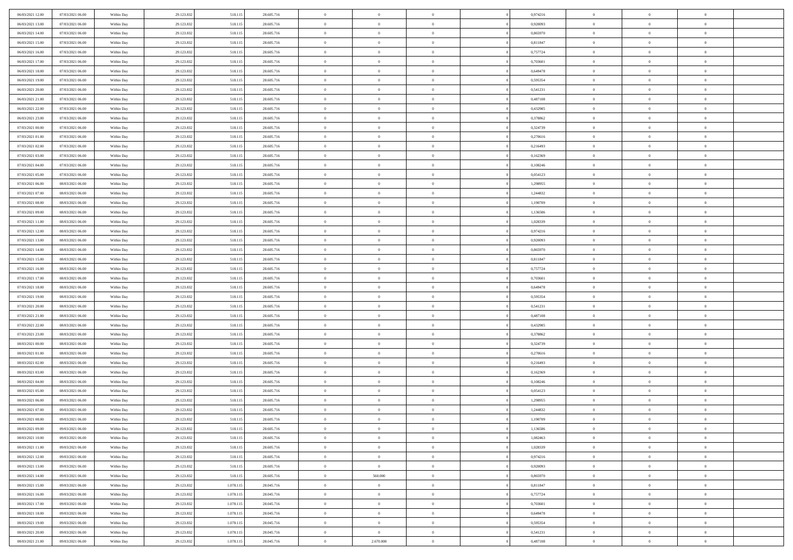| 06/03/2021 12:00 | 07/03/2021 06:00 | Within Day | 29.123.832 | 518.115   | 28.605.716 | $\,$ 0         | $\bf{0}$       | $\theta$       |          | 0,974216 | $\bf{0}$       | $\overline{0}$ | $\,0\,$        |  |
|------------------|------------------|------------|------------|-----------|------------|----------------|----------------|----------------|----------|----------|----------------|----------------|----------------|--|
| 06/03/2021 13:00 | 07/03/2021 06:00 | Within Day | 29.123.832 | 518.115   | 28.605.716 | $\overline{0}$ | $\overline{0}$ | $\overline{0}$ |          | 0,920093 | $\overline{0}$ | $\overline{0}$ | $\theta$       |  |
| 06/03/2021 14:00 | 07/03/2021 06:00 | Within Dav | 29.123.832 | 518.115   | 28.605.716 | $\mathbf{0}$   | $\overline{0}$ | $\overline{0}$ |          | 0,865970 | $\mathbf{0}$   | $\overline{0}$ | $\overline{0}$ |  |
| 06/03/2021 15:00 | 07/03/2021 06:00 | Within Day | 29.123.832 | 518.115   | 28.605.716 | $\bf{0}$       | $\overline{0}$ | $\bf{0}$       |          | 0,811847 | $\bf{0}$       | $\overline{0}$ | $\bf{0}$       |  |
| 06/03/2021 16:00 | 07/03/2021 06:00 | Within Day | 29.123.832 | 518.115   | 28.605.716 | $\bf{0}$       | $\bf{0}$       | $\overline{0}$ |          | 0,757724 | $\bf{0}$       | $\bf{0}$       | $\,0\,$        |  |
| 06/03/2021 17:00 | 07/03/2021 06:00 | Within Dav | 29.123.832 | 518.115   | 28.605.716 | $\overline{0}$ | $\overline{0}$ | $\overline{0}$ |          | 0,703601 | $\mathbf{0}$   | $\overline{0}$ | $\overline{0}$ |  |
| 06/03/2021 18:00 | 07/03/2021 06:00 | Within Day | 29.123.832 | 518.115   | 28.605.716 | $\bf{0}$       | $\bf{0}$       | $\overline{0}$ |          | 0,649478 | $\bf{0}$       | $\overline{0}$ | $\,0\,$        |  |
| 06/03/2021 19:00 | 07/03/2021 06:00 | Within Day | 29.123.832 | 518.115   | 28.605.716 | $\overline{0}$ | $\overline{0}$ | $\overline{0}$ |          | 0,595354 | $\,$ 0 $\,$    | $\overline{0}$ | $\theta$       |  |
| 06/03/2021 20:00 | 07/03/2021 06:00 | Within Day | 29.123.832 | 518.115   | 28.605.716 | $\mathbf{0}$   | $\overline{0}$ | $\overline{0}$ |          | 0,541231 | $\mathbf{0}$   | $\overline{0}$ | $\overline{0}$ |  |
| 06/03/2021 21:00 | 07/03/2021 06:00 | Within Day | 29.123.832 | 518.115   | 28.605.716 | $\bf{0}$       | $\bf{0}$       | $\overline{0}$ |          | 0,487108 | $\bf{0}$       | $\overline{0}$ | $\,0\,$        |  |
| 06/03/2021 22.00 | 07/03/2021 06:00 | Within Day | 29.123.832 | 518.115   | 28.605.716 | $\bf{0}$       | $\overline{0}$ | $\overline{0}$ |          | 0,432985 | $\bf{0}$       | $\overline{0}$ | $\theta$       |  |
| 06/03/2021 23:00 | 07/03/2021 06:00 | Within Dav | 29.123.832 | 518.115   | 28.605.716 | $\mathbf{0}$   | $\overline{0}$ | $\overline{0}$ |          | 0,378862 | $\mathbf{0}$   | $\overline{0}$ | $\overline{0}$ |  |
| 07/03/2021 00:00 | 07/03/2021 06:00 | Within Day | 29.123.832 | 518.115   | 28.605.716 | $\bf{0}$       | $\overline{0}$ | $\bf{0}$       |          | 0,324739 | $\bf{0}$       | $\overline{0}$ | $\bf{0}$       |  |
| 07/03/2021 01:00 | 07/03/2021 06:00 | Within Day | 29.123.832 | 518.115   | 28.605.716 | $\bf{0}$       | $\overline{0}$ | $\overline{0}$ |          | 0,270616 | $\bf{0}$       | $\mathbf{0}$   | $\,0\,$        |  |
| 07/03/2021 02:00 | 07/03/2021 06:00 | Within Dav | 29.123.832 | 518.115   | 28.605.716 | $\overline{0}$ | $\overline{0}$ | $\overline{0}$ |          | 0,216493 | $\mathbf{0}$   | $\overline{0}$ | $\overline{0}$ |  |
| 07/03/2021 03:00 | 07/03/2021 06:00 | Within Day | 29.123.832 | 518.115   | 28.605.716 | $\bf{0}$       | $\bf{0}$       | $\overline{0}$ |          | 0,162369 | $\bf{0}$       | $\overline{0}$ | $\bf{0}$       |  |
| 07/03/2021 04:00 | 07/03/2021 06:00 | Within Day | 29.123.832 | 518.115   | 28.605.716 | $\overline{0}$ | $\overline{0}$ | $\overline{0}$ |          | 0,108246 | $\bf{0}$       | $\overline{0}$ | $\theta$       |  |
| 07/03/2021 05:00 | 07/03/2021 06:00 | Within Day | 29.123.832 | 518.115   | 28.605.716 | $\mathbf{0}$   | $\overline{0}$ | $\overline{0}$ |          | 0,054123 | $\mathbf{0}$   | $\overline{0}$ | $\overline{0}$ |  |
| 07/03/2021 06:00 | 08/03/2021 06:00 | Within Day | 29.123.832 | 518.115   | 28.605.716 | $\bf{0}$       | $\bf{0}$       | $\overline{0}$ |          | 1,298955 | $\bf{0}$       | $\overline{0}$ | $\,0\,$        |  |
| 07/03/2021 07:00 | 08/03/2021 06:00 | Within Day | 29.123.832 | 518.115   | 28.605.716 | $\overline{0}$ | $\overline{0}$ | $\overline{0}$ |          | 1,244832 | $\bf{0}$       | $\overline{0}$ | $\overline{0}$ |  |
| 07/03/2021 08:00 | 08/03/2021 06:00 | Within Dav | 29.123.832 | 518.115   | 28.605.716 | $\mathbf{0}$   | $\overline{0}$ | $\overline{0}$ |          | 1,190709 | $\mathbf{0}$   | $\overline{0}$ | $\overline{0}$ |  |
| 07/03/2021 09:00 | 08/03/2021 06:00 | Within Day | 29.123.832 | 518.115   | 28.605.716 | $\bf{0}$       | $\overline{0}$ | $\bf{0}$       |          | 1,136586 | $\bf{0}$       | $\overline{0}$ | $\bf{0}$       |  |
| 07/03/2021 11:00 | 08/03/2021 06:00 | Within Day | 29.123.832 | 518.115   | 28.605.716 | $\bf{0}$       | $\bf{0}$       | $\overline{0}$ |          | 1,028339 | $\bf{0}$       | $\overline{0}$ | $\,0\,$        |  |
| 07/03/2021 12:00 | 08/03/2021 06:00 | Within Dav | 29.123.832 | 518.115   | 28.605.716 | $\mathbf{0}$   | $\overline{0}$ | $\overline{0}$ |          | 0,974216 | $\mathbf{0}$   | $\overline{0}$ | $\overline{0}$ |  |
| 07/03/2021 13:00 | 08/03/2021 06:00 | Within Day | 29.123.832 | 518.115   | 28.605.716 | $\bf{0}$       | $\bf{0}$       | $\overline{0}$ |          | 0,920093 | $\bf{0}$       | $\overline{0}$ | $\,0\,$        |  |
| 07/03/2021 14:00 | 08/03/2021 06:00 | Within Day | 29.123.832 | 518.115   | 28.605.716 | $\overline{0}$ | $\overline{0}$ | $\overline{0}$ |          | 0,865970 | $\bf{0}$       | $\overline{0}$ | $\overline{0}$ |  |
| 07/03/2021 15:00 | 08/03/2021 06:00 | Within Day | 29.123.832 | 518.115   | 28.605.716 | $\mathbf{0}$   | $\overline{0}$ | $\overline{0}$ |          | 0,811847 | $\mathbf{0}$   | $\overline{0}$ | $\overline{0}$ |  |
| 07/03/2021 16:00 | 08/03/2021 06:00 | Within Day | 29.123.832 | 518.115   | 28.605.716 | $\bf{0}$       | $\bf{0}$       | $\overline{0}$ |          | 0,757724 | $\bf{0}$       | $\overline{0}$ | $\,0\,$        |  |
| 07/03/2021 17:00 | 08/03/2021 06:00 | Within Day | 29.123.832 | 518.115   | 28.605.716 | $\bf{0}$       | $\overline{0}$ | $\overline{0}$ |          | 0.703601 | $\bf{0}$       | $\overline{0}$ | $\overline{0}$ |  |
| 07/03/2021 18:00 | 08/03/2021 06:00 | Within Dav | 29.123.832 | 518.115   | 28.605.716 | $\mathbf{0}$   | $\overline{0}$ | $\overline{0}$ |          | 0,649478 | $\mathbf{0}$   | $\overline{0}$ | $\overline{0}$ |  |
| 07/03/2021 19:00 | 08/03/2021 06:00 | Within Day | 29.123.832 | 518.115   | 28.605.716 | $\bf{0}$       | $\overline{0}$ | $\theta$       |          | 0,595354 | $\,$ 0         | $\overline{0}$ | $\theta$       |  |
| 07/03/2021 20:00 | 08/03/2021 06:00 | Within Day | 29.123.832 | 518.115   | 28.605.716 | $\bf{0}$       | $\bf{0}$       | $\overline{0}$ |          | 0,541231 | $\bf{0}$       | $\overline{0}$ | $\bf{0}$       |  |
| 07/03/2021 21:00 | 08/03/2021 06:00 | Within Dav | 29.123.832 | 518.115   | 28.605.716 | $\mathbf{0}$   | $\overline{0}$ | $\overline{0}$ |          | 0,487108 | $\mathbf{0}$   | $\overline{0}$ | $\overline{0}$ |  |
| 07/03/2021 22:00 | 08/03/2021 06:00 | Within Day | 29.123.832 | 518.115   | 28.605.716 | $\bf{0}$       | $\overline{0}$ | $\theta$       |          | 0,432985 | $\,$ 0         | $\overline{0}$ | $\theta$       |  |
| 07/03/2021 23:00 | 08/03/2021 06:00 | Within Day | 29.123.832 | 518.115   | 28.605.716 | $\bf{0}$       | $\overline{0}$ | $\overline{0}$ |          | 0,378862 | $\bf{0}$       | $\overline{0}$ | $\overline{0}$ |  |
| 08/03/2021 00:00 | 08/03/2021 06:00 | Within Day | 29.123.832 | 518.115   | 28.605.716 | $\mathbf{0}$   | $\overline{0}$ | $\overline{0}$ |          | 0,324739 | $\mathbf{0}$   | $\overline{0}$ | $\overline{0}$ |  |
| 08/03/2021 01:00 | 08/03/2021 06:00 | Within Day | 29.123.832 | 518.115   | 28.605.716 | $\bf{0}$       | $\overline{0}$ | $\theta$       |          | 0,270616 | $\,$ 0         | $\overline{0}$ | $\theta$       |  |
| 08/03/2021 02:00 | 08/03/2021 06:00 | Within Day | 29.123.832 | 518.115   | 28.605.716 | $\bf{0}$       | $\overline{0}$ | $\overline{0}$ |          | 0,216493 | $\bf{0}$       | $\overline{0}$ | $\bf{0}$       |  |
| 08/03/2021 03:00 | 08/03/2021 06:00 | Within Dav | 29.123.832 | 518.115   | 28.605.716 | $\mathbf{0}$   | $\overline{0}$ | $\overline{0}$ |          | 0,162369 | $\mathbf{0}$   | $\overline{0}$ | $\overline{0}$ |  |
| 08/03/2021 04:00 | 08/03/2021 06:00 | Within Day | 29.123.832 | 518.115   | 28.605.716 | $\,0\,$        | $\overline{0}$ | $\theta$       |          | 0,108246 | $\,$ 0         | $\overline{0}$ | $\theta$       |  |
| 08/03/2021 05:00 | 08/03/2021 06:00 | Within Day | 29.123.832 | 518.115   | 28.605.716 | $\bf{0}$       | $\bf{0}$       | $\overline{0}$ |          | 0,054123 | $\bf{0}$       | $\overline{0}$ | $\bf{0}$       |  |
| 08/03/2021 06:00 | 09/03/2021 06:00 | Within Dav | 29.123.832 | 518.115   | 28.605.716 | $\mathbf{0}$   | $\overline{0}$ | $\overline{0}$ |          | 1,298955 | $\mathbf{0}$   | $\overline{0}$ | $\overline{0}$ |  |
| 08/03/2021 07:00 | 09/03/2021 06:00 | Within Day | 29.123.832 | 518.115   | 28.605.716 | $\bf{0}$       | $\overline{0}$ | $\theta$       |          | 1,244832 | $\,$ 0         | $\overline{0}$ | $\theta$       |  |
| 08/03/2021 08:00 | 09/03/2021 06:00 | Within Day | 29.123.832 | 518.115   | 28.605.716 | $\bf{0}$       | $\overline{0}$ | $\overline{0}$ |          | 1,190709 | $\,$ 0 $\,$    | $\overline{0}$ | $\bf{0}$       |  |
| 08/03/2021 09:00 | 09/03/2021 06:00 | Within Day | 29.123.832 | 518.115   | 28.605.716 | $\bf{0}$       | $\overline{0}$ |                |          | 1,136586 | $\overline{0}$ | $\theta$       | $\theta$       |  |
| 08/03/2021 10:00 | 09/03/2021 06:00 | Within Day | 29.123.832 | 518.115   | 28.605.716 | $\,0\,$        | $\overline{0}$ | $\theta$       |          | 1,082463 | $\,$ 0 $\,$    | $\bf{0}$       | $\theta$       |  |
| 08/03/2021 11:00 | 09/03/2021 06:00 | Within Day | 29.123.832 | 518.115   | 28.605.716 | $\overline{0}$ | $\overline{0}$ | $\overline{0}$ |          | 1,028339 | $\overline{0}$ | $\overline{0}$ | $\overline{0}$ |  |
| 08/03/2021 12:00 | 09/03/2021 06:00 | Within Day | 29.123.832 | 518.115   | 28.605.716 | $\bf{0}$       | $\overline{0}$ | $\overline{0}$ |          | 0,974216 | $\overline{0}$ | $\bf{0}$       | $\mathbf{0}$   |  |
| 08/03/2021 13:00 | 09/03/2021 06:00 | Within Day | 29.123.832 | 518.115   | 28.605.716 | $\,$ 0 $\,$    | $\overline{0}$ | $\overline{0}$ | $\theta$ | 0,920093 | $\,$ 0 $\,$    | $\bf{0}$       | $\,$ 0 $\,$    |  |
| 08/03/2021 14:00 | 09/03/2021 06:00 | Within Day | 29.123.832 | 518.115   | 28.605.716 | $\bf{0}$       | 560.000        | $\overline{0}$ |          | 0,865970 | $\,$ 0 $\,$    | $\overline{0}$ | $\overline{0}$ |  |
| 08/03/2021 15:00 | 09/03/2021 06:00 | Within Day | 29.123.832 | 1.078.115 | 28.045.716 | $\bf{0}$       | $\overline{0}$ | $\overline{0}$ |          | 0,811847 | $\mathbf{0}$   | $\overline{0}$ | $\overline{0}$ |  |
| 08/03/2021 16:00 | 09/03/2021 06:00 | Within Day | 29.123.832 | 1.078.115 | 28.045.716 | $\,0\,$        | $\overline{0}$ | $\overline{0}$ | $\theta$ | 0,757724 | $\,$ 0 $\,$    | $\overline{0}$ | $\overline{0}$ |  |
| 08/03/2021 17:00 | 09/03/2021 06:00 | Within Day | 29.123.832 | 1.078.115 | 28.045.716 | $\bf{0}$       | $\overline{0}$ | $\overline{0}$ |          | 0,703601 | $\overline{0}$ | $\overline{0}$ | $\overline{0}$ |  |
| 08/03/2021 18:00 | 09/03/2021 06:00 | Within Day | 29.123.832 | 1.078.115 | 28.045.716 | $\bf{0}$       | $\overline{0}$ | $\overline{0}$ |          | 0,649478 | $\mathbf{0}$   | $\overline{0}$ | $\mathbf{0}$   |  |
| 08/03/2021 19:00 | 09/03/2021 06:00 | Within Day | 29.123.832 | 1.078.115 | 28.045.716 | $\,0\,$        | $\overline{0}$ | $\overline{0}$ |          | 0,595354 | $\,$ 0 $\,$    | $\mathbf{0}$   | $\overline{0}$ |  |
| 08/03/2021 20:00 | 09/03/2021 06:00 | Within Day | 29.123.832 | 1.078.115 | 28.045.716 | $\bf{0}$       | $\overline{0}$ | $\overline{0}$ |          | 0,541231 | $\bf{0}$       | $\mathbf{0}$   | $\overline{0}$ |  |
| 08/03/2021 21:00 | 09/03/2021 06:00 | Within Day | 29.123.832 | 1.078.115 | 28.045.716 | $\overline{0}$ | 2.670.000      | $\overline{0}$ |          | 0,487108 | $\mathbf{0}$   | $\overline{0}$ | $\overline{0}$ |  |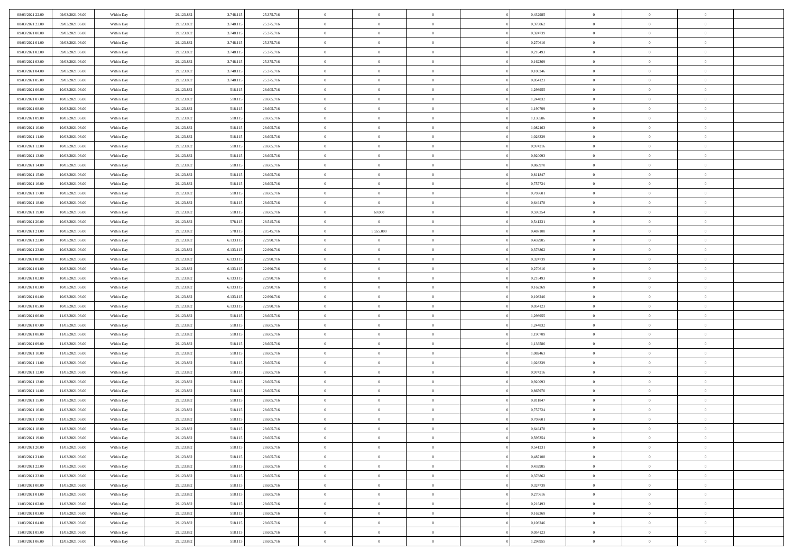| 08/03/2021 22.00 | 09/03/2021 06:00 | Within Day               | 29.123.832 | 3.748.115 | 25.375.716 | $\,$ 0         | $\bf{0}$       | $\theta$       |          | 0,432985 | $\bf{0}$       | $\overline{0}$ | $\,0\,$        |  |
|------------------|------------------|--------------------------|------------|-----------|------------|----------------|----------------|----------------|----------|----------|----------------|----------------|----------------|--|
| 08/03/2021 23:00 | 09/03/2021 06:00 | Within Day               | 29.123.832 | 3.748.115 | 25.375.716 | $\overline{0}$ | $\overline{0}$ | $\overline{0}$ |          | 0.378862 | $\overline{0}$ | $\overline{0}$ | $\theta$       |  |
| 09/03/2021 00:00 | 09/03/2021 06:00 | Within Dav               | 29.123.832 | 3.748.115 | 25.375.716 | $\mathbf{0}$   | $\overline{0}$ | $\overline{0}$ |          | 0,324739 | $\mathbf{0}$   | $\overline{0}$ | $\overline{0}$ |  |
| 09/03/2021 01:00 | 09/03/2021 06:00 | Within Day               | 29.123.832 | 3.748.115 | 25.375.716 | $\bf{0}$       | $\overline{0}$ | $\bf{0}$       |          | 0,270616 | $\bf{0}$       | $\overline{0}$ | $\bf{0}$       |  |
| 09/03/2021 02:00 | 09/03/2021 06:00 |                          | 29.123.832 | 3.748.115 | 25.375.716 | $\bf{0}$       | $\bf{0}$       | $\overline{0}$ |          | 0,216493 | $\bf{0}$       | $\bf{0}$       | $\,0\,$        |  |
| 09/03/2021 03:00 | 09/03/2021 06:00 | Within Day<br>Within Dav | 29.123.832 | 3.748.115 | 25.375.716 | $\overline{0}$ | $\overline{0}$ |                |          | 0,162369 | $\mathbf{0}$   | $\overline{0}$ | $\overline{0}$ |  |
|                  |                  |                          |            |           |            |                |                | $\overline{0}$ |          |          |                |                |                |  |
| 09/03/2021 04:00 | 09/03/2021 06:00 | Within Day               | 29.123.832 | 3.748.115 | 25.375.716 | $\bf{0}$       | $\bf{0}$       | $\overline{0}$ |          | 0,108246 | $\bf{0}$       | $\overline{0}$ | $\,0\,$        |  |
| 09/03/2021 05:00 | 09/03/2021 06:00 | Within Day               | 29.123.832 | 3.748.115 | 25.375.716 | $\overline{0}$ | $\overline{0}$ | $\overline{0}$ |          | 0,054123 | $\,$ 0 $\,$    | $\overline{0}$ | $\overline{0}$ |  |
| 09/03/2021 06:00 | 10/03/2021 06:00 | Within Day               | 29.123.832 | 518.115   | 28.605.716 | $\mathbf{0}$   | $\overline{0}$ | $\overline{0}$ |          | 1,298955 | $\mathbf{0}$   | $\overline{0}$ | $\overline{0}$ |  |
| 09/03/2021 07:00 | 10/03/2021 06:00 | Within Day               | 29.123.832 | 518.115   | 28.605.716 | $\bf{0}$       | $\bf{0}$       | $\overline{0}$ |          | 1,244832 | $\bf{0}$       | $\overline{0}$ | $\,0\,$        |  |
| 09/03/2021 08:00 | 10/03/2021 06:00 | Within Day               | 29.123.832 | 518.115   | 28.605.716 | $\bf{0}$       | $\overline{0}$ | $\overline{0}$ |          | 1,190709 | $\bf{0}$       | $\overline{0}$ | $\theta$       |  |
| 09/03/2021 09:00 | 10/03/2021 06:00 | Within Dav               | 29.123.832 | 518.115   | 28.605.716 | $\mathbf{0}$   | $\overline{0}$ | $\overline{0}$ |          | 1,136586 | $\mathbf{0}$   | $\overline{0}$ | $\overline{0}$ |  |
| 09/03/2021 10:00 | 10/03/2021 06:00 | Within Day               | 29.123.832 | 518.115   | 28.605.716 | $\bf{0}$       | $\overline{0}$ | $\bf{0}$       |          | 1,082463 | $\bf{0}$       | $\overline{0}$ | $\bf{0}$       |  |
| 09/03/2021 11:00 | 10/03/2021 06:00 | Within Day               | 29.123.832 | 518.115   | 28.605.716 | $\bf{0}$       | $\overline{0}$ | $\overline{0}$ |          | 1,028339 | $\bf{0}$       | $\theta$       | $\,0\,$        |  |
| 09/03/2021 12:00 | 10/03/2021 06:00 | Within Dav               | 29.123.832 | 518.115   | 28.605.716 | $\overline{0}$ | $\overline{0}$ | $\overline{0}$ |          | 0,974216 | $\mathbf{0}$   | $\overline{0}$ | $\overline{0}$ |  |
| 09/03/2021 13:00 | 10/03/2021 06:00 | Within Day               | 29.123.832 | 518.115   | 28.605.716 | $\bf{0}$       | $\bf{0}$       | $\overline{0}$ |          | 0,920093 | $\bf{0}$       | $\overline{0}$ | $\bf{0}$       |  |
| 09/03/2021 14:00 | 10/03/2021 06:00 | Within Day               | 29.123.832 | 518.115   | 28.605.716 | $\overline{0}$ | $\overline{0}$ | $\overline{0}$ |          | 0,865970 | $\,$ 0 $\,$    | $\overline{0}$ | $\theta$       |  |
| 09/03/2021 15:00 | 10/03/2021 06:00 | Within Day               | 29.123.832 | 518.115   | 28.605.716 | $\mathbf{0}$   | $\overline{0}$ | $\overline{0}$ |          | 0,811847 | $\mathbf{0}$   | $\overline{0}$ | $\overline{0}$ |  |
| 09/03/2021 16:00 | 10/03/2021 06:00 | Within Day               | 29.123.832 | 518.115   | 28.605.716 | $\bf{0}$       | $\bf{0}$       | $\overline{0}$ |          | 0,757724 | $\bf{0}$       | $\overline{0}$ | $\,0\,$        |  |
| 09/03/2021 17:00 | 10/03/2021 06:00 | Within Day               | 29.123.832 | 518.115   | 28.605.716 | $\bf{0}$       | $\overline{0}$ | $\overline{0}$ |          | 0.703601 | $\bf{0}$       | $\overline{0}$ | $\overline{0}$ |  |
| 09/03/2021 18:00 | 10/03/2021 06:00 | Within Dav               | 29.123.832 | 518.115   | 28.605.716 | $\mathbf{0}$   | $\overline{0}$ | $\overline{0}$ |          | 0,649478 | $\mathbf{0}$   | $\overline{0}$ | $\overline{0}$ |  |
| 09/03/2021 19:00 | 10/03/2021 06:00 | Within Day               | 29.123.832 | 518.115   | 28.605.716 | $\bf{0}$       | 60.000         | $\bf{0}$       |          | 0,595354 | $\bf{0}$       | $\overline{0}$ | $\bf{0}$       |  |
| 09/03/2021 20:00 | 10/03/2021 06:00 | Within Day               | 29.123.832 | 578.115   | 28.545.716 | $\bf{0}$       | $\bf{0}$       | $\overline{0}$ |          | 0,541231 | $\bf{0}$       | $\overline{0}$ | $\,0\,$        |  |
| 09/03/2021 21:00 | 10/03/2021 06:00 | Within Dav               | 29.123.832 | 578.115   | 28.545.716 | $\mathbf{0}$   | 5.555.000      | $\overline{0}$ |          | 0,487108 | $\mathbf{0}$   | $\overline{0}$ | $\overline{0}$ |  |
| 09/03/2021 22.00 | 10/03/2021 06:00 | Within Day               | 29.123.832 | 6.133.115 | 22.990.716 | $\bf{0}$       | $\bf{0}$       | $\overline{0}$ |          | 0,432985 | $\bf{0}$       | $\overline{0}$ | $\,0\,$        |  |
| 09/03/2021 23:00 | 10/03/2021 06:00 | Within Day               | 29.123.832 | 6.133.115 | 22.990.716 | $\bf{0}$       | $\overline{0}$ | $\overline{0}$ |          | 0,378862 | $\bf{0}$       | $\overline{0}$ | $\overline{0}$ |  |
| 10/03/2021 00:00 | 10/03/2021 06:00 | Within Day               | 29.123.832 | 6.133.115 | 22.990.716 | $\mathbf{0}$   | $\overline{0}$ | $\overline{0}$ |          | 0,324739 | $\mathbf{0}$   | $\overline{0}$ | $\overline{0}$ |  |
| 10/03/2021 01:00 | 10/03/2021 06:00 | Within Day               | 29.123.832 | 6.133.115 | 22.990.716 | $\bf{0}$       | $\bf{0}$       | $\overline{0}$ |          | 0,270616 | $\bf{0}$       | $\overline{0}$ | $\,0\,$        |  |
| 10/03/2021 02:00 | 10/03/2021 06:00 | Within Day               | 29.123.832 | 6.133.115 | 22.990.716 | $\bf{0}$       | $\overline{0}$ | $\overline{0}$ |          | 0,216493 | $\bf{0}$       | $\overline{0}$ | $\overline{0}$ |  |
| 10/03/2021 03:00 | 10/03/2021 06:00 | Within Dav               | 29.123.832 | 6.133.115 | 22.990.716 | $\mathbf{0}$   | $\overline{0}$ | $\overline{0}$ |          | 0,162369 | $\mathbf{0}$   | $\overline{0}$ | $\overline{0}$ |  |
| 10/03/2021 04:00 | 10/03/2021 06:00 | Within Day               | 29.123.832 | 6.133.115 | 22.990.716 | $\bf{0}$       | $\overline{0}$ | $\theta$       |          | 0,108246 | $\,$ 0         | $\overline{0}$ | $\theta$       |  |
| 10/03/2021 05:00 | 10/03/2021 06:00 |                          | 29.123.832 | 6.133.115 | 22.990.716 | $\bf{0}$       | $\bf{0}$       | $\overline{0}$ |          | 0,054123 | $\bf{0}$       | $\overline{0}$ | $\bf{0}$       |  |
| 10/03/2021 06:00 | 11/03/2021 06:00 | Within Day<br>Within Dav | 29.123.832 | 518.115   | 28.605.716 | $\overline{0}$ | $\overline{0}$ | $\overline{0}$ |          | 1,298955 | $\mathbf{0}$   | $\overline{0}$ | $\overline{0}$ |  |
|                  |                  |                          |            |           |            | $\bf{0}$       | $\overline{0}$ | $\theta$       |          |          | $\,$ 0         | $\overline{0}$ | $\theta$       |  |
| 10/03/2021 07:00 | 11/03/2021 06:00 | Within Day               | 29.123.832 | 518.115   | 28.605.716 |                | $\overline{0}$ | $\overline{0}$ |          | 1,244832 |                | $\overline{0}$ | $\overline{0}$ |  |
| 10/03/2021 08:00 | 11/03/2021 06:00 | Within Day               | 29.123.832 | 518.115   | 28.605.716 | $\bf{0}$       |                |                |          | 1,190709 | $\bf{0}$       |                |                |  |
| 10/03/2021 09:00 | 11/03/2021 06:00 | Within Day               | 29.123.832 | 518.115   | 28.605.716 | $\mathbf{0}$   | $\overline{0}$ | $\overline{0}$ |          | 1,136586 | $\mathbf{0}$   | $\overline{0}$ | $\overline{0}$ |  |
| 10/03/2021 10:00 | 11/03/2021 06:00 | Within Day               | 29.123.832 | 518.115   | 28.605.716 | $\bf{0}$       | $\overline{0}$ | $\theta$       |          | 1,082463 | $\,$ 0         | $\overline{0}$ | $\theta$       |  |
| 10/03/2021 11:00 | 11/03/2021 06:00 | Within Day               | 29.123.832 | 518.115   | 28.605.716 | $\bf{0}$       | $\overline{0}$ | $\overline{0}$ |          | 1,028339 | $\bf{0}$       | $\overline{0}$ | $\bf{0}$       |  |
| 10/03/2021 12:00 | 11/03/2021 06:00 | Within Dav               | 29.123.832 | 518.115   | 28.605.716 | $\mathbf{0}$   | $\overline{0}$ | $\overline{0}$ |          | 0,974216 | $\mathbf{0}$   | $\overline{0}$ | $\overline{0}$ |  |
| 10/03/2021 13:00 | 11/03/2021 06:00 | Within Day               | 29.123.832 | 518.115   | 28.605.716 | $\bf{0}$       | $\overline{0}$ | $\theta$       |          | 0,920093 | $\,$ 0         | $\overline{0}$ | $\theta$       |  |
| 10/03/2021 14:00 | 11/03/2021 06:00 | Within Day               | 29.123.832 | 518.115   | 28.605.716 | $\bf{0}$       | $\overline{0}$ | $\overline{0}$ |          | 0,865970 | $\bf{0}$       | $\overline{0}$ | $\bf{0}$       |  |
| 10/03/2021 15:00 | 11/03/2021 06:00 | Within Dav               | 29.123.832 | 518.115   | 28.605.716 | $\mathbf{0}$   | $\overline{0}$ | $\overline{0}$ |          | 0,811847 | $\mathbf{0}$   | $\overline{0}$ | $\overline{0}$ |  |
| 10/03/2021 16:00 | 11/03/2021 06:00 | Within Day               | 29.123.832 | 518.115   | 28.605.716 | $\bf{0}$       | $\overline{0}$ | $\theta$       |          | 0,757724 | $\,$ 0         | $\overline{0}$ | $\theta$       |  |
| 10/03/2021 17:00 | 11/03/2021 06:00 | Within Day               | 29.123.832 | 518.115   | 28.605.716 | $\bf{0}$       | $\overline{0}$ | $\overline{0}$ |          | 0,703601 | $\,$ 0 $\,$    | $\overline{0}$ | $\bf{0}$       |  |
| 10/03/2021 18:00 | 11/03/2021 06:00 | Within Day               | 29.123.832 | 518.115   | 28.605.716 | $\bf{0}$       | $\overline{0}$ |                |          | 0,649478 | $\overline{0}$ | $\theta$       | $\theta$       |  |
| 10/03/2021 19:00 | 11/03/2021 06:00 | Within Day               | 29.123.832 | 518.115   | 28.605.716 | $\,0\,$        | $\overline{0}$ | $\theta$       |          | 0,595354 | $\,$ 0 $\,$    | $\bf{0}$       | $\theta$       |  |
| 10/03/2021 20:00 | 11/03/2021 06:00 | Within Day               | 29.123.832 | 518.115   | 28.605.716 | $\overline{0}$ | $\overline{0}$ | $\overline{0}$ |          | 0,541231 | $\overline{0}$ | $\overline{0}$ | $\overline{0}$ |  |
| 10/03/2021 21:00 | 11/03/2021 06:00 | Within Day               | 29.123.832 | 518.115   | 28.605.716 | $\bf{0}$       | $\overline{0}$ | $\overline{0}$ |          | 0,487108 | $\overline{0}$ | $\bf{0}$       | $\mathbf{0}$   |  |
| 10/03/2021 22:00 | 11/03/2021 06:00 | Within Day               | 29.123.832 | 518.115   | 28.605.716 | $\bf{0}$       | $\overline{0}$ | $\overline{0}$ | $\theta$ | 0,432985 | $\,$ 0 $\,$    | $\bf{0}$       | $\,$ 0 $\,$    |  |
| 10/03/2021 23:00 | 11/03/2021 06:00 | Within Day               | 29.123.832 | 518.115   | 28.605.716 | $\bf{0}$       | $\overline{0}$ | $\overline{0}$ |          | 0,378862 | $\,$ 0 $\,$    | $\overline{0}$ | $\overline{0}$ |  |
| 11/03/2021 00:00 | 11/03/2021 06:00 | Within Day               | 29.123.832 | 518.115   | 28.605.716 | $\bf{0}$       | $\overline{0}$ | $\overline{0}$ |          | 0,324739 | $\mathbf{0}$   | $\overline{0}$ | $\overline{0}$ |  |
| 11/03/2021 01:00 | 11/03/2021 06:00 | Within Day               | 29.123.832 | 518.115   | 28.605.716 | $\,0\,$        | $\overline{0}$ | $\overline{0}$ | $\theta$ | 0,270616 | $\,$ 0 $\,$    | $\overline{0}$ | $\,$ 0 $\,$    |  |
| 11/03/2021 02:00 | 11/03/2021 06:00 | Within Day               | 29.123.832 | 518.115   | 28.605.716 | $\bf{0}$       | $\overline{0}$ | $\overline{0}$ |          | 0,216493 | $\overline{0}$ | $\overline{0}$ | $\overline{0}$ |  |
| 11/03/2021 03:00 | 11/03/2021 06:00 | Within Day               | 29.123.832 | 518.115   | 28.605.716 | $\bf{0}$       | $\overline{0}$ | $\overline{0}$ |          | 0,162369 | $\mathbf{0}$   | $\bf{0}$       | $\overline{0}$ |  |
| 11/03/2021 04:00 | 11/03/2021 06:00 | Within Day               | 29.123.832 | 518.115   | 28.605.716 | $\,0\,$        | $\overline{0}$ | $\overline{0}$ |          | 0,108246 | $\,$ 0 $\,$    | $\mathbf{0}$   | $\,$ 0 $\,$    |  |
| 11/03/2021 05:00 | 11/03/2021 06:00 | Within Day               | 29.123.832 | 518.115   | 28.605.716 | $\bf{0}$       | $\overline{0}$ | $\overline{0}$ |          | 0,054123 | $\bf{0}$       | $\mathbf{0}$   | $\overline{0}$ |  |
| 11/03/2021 06:00 | 12/03/2021 06:00 | Within Day               | 29.123.832 | 518.115   | 28.605.716 | $\bf{0}$       | $\overline{0}$ | $\overline{0}$ |          | 1,298955 | $\mathbf{0}$   | $\overline{0}$ | $\overline{0}$ |  |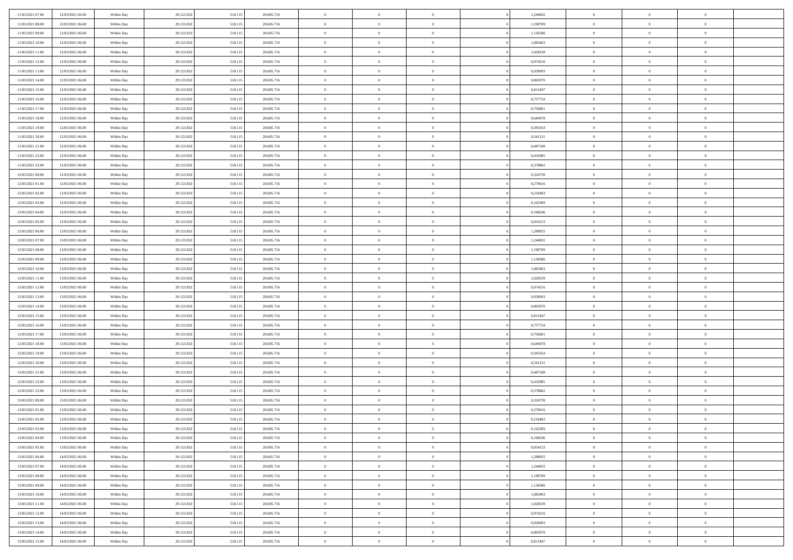| 11/03/2021 07:00 | 12/03/2021 06:00 | Within Day | 29.123.832 | 518.115 | 28.605.716 | $\,$ 0 $\,$    | $\overline{0}$ | $\overline{0}$ |          | 1,244832 | $\bf{0}$       | $\overline{0}$ | $\,0\,$        |  |
|------------------|------------------|------------|------------|---------|------------|----------------|----------------|----------------|----------|----------|----------------|----------------|----------------|--|
| 11/03/2021 08:00 | 12/03/2021 06:00 | Within Day | 29.123.832 | 518.115 | 28.605.716 | $\overline{0}$ | $\overline{0}$ | $\mathbf{0}$   |          | 1,190709 | $\theta$       | $\overline{0}$ | $\theta$       |  |
| 11/03/2021 09:00 | 12/03/2021 06:00 | Within Day | 29.123.832 | 518.115 | 28.605.716 | $\theta$       | $\overline{0}$ | $\overline{0}$ |          | 1,136586 | $\mathbf{0}$   | $\overline{0}$ | $\overline{0}$ |  |
| 11/03/2021 10:00 | 12/03/2021 06:00 | Within Day | 29.123.832 | 518.115 | 28.605.716 | $\,$ 0 $\,$    | $\overline{0}$ | $\overline{0}$ |          | 1,082463 | $\mathbf{0}$   | $\overline{0}$ | $\bf{0}$       |  |
| 11/03/2021 11:00 | 12/03/2021 06:00 | Within Day | 29.123.832 | 518.115 | 28.605.716 | $\,$ 0         | $\overline{0}$ | $\mathbf{0}$   |          | 1,028339 | $\bf{0}$       | $\bf{0}$       | $\,0\,$        |  |
| 11/03/2021 12:00 | 12/03/2021 06:00 | Within Day | 29.123.832 | 518.115 | 28.605.716 | $\theta$       | $\overline{0}$ | $\mathbf{0}$   |          | 0,974216 | $\mathbf{0}$   | $\overline{0}$ | $\overline{0}$ |  |
| 11/03/2021 13:00 | 12/03/2021 06:00 | Within Day | 29.123.832 | 518.115 | 28.605.716 | $\,$ 0 $\,$    | $\overline{0}$ | $\overline{0}$ |          | 0,920093 | $\bf{0}$       | $\overline{0}$ | $\bf{0}$       |  |
| 11/03/2021 14:00 | 12/03/2021 06:00 | Within Day | 29.123.832 | 518.115 | 28.605.716 | $\,$ 0         | $\overline{0}$ | $\mathbf{0}$   |          | 0,865970 | $\,$ 0 $\,$    | $\overline{0}$ | $\overline{0}$ |  |
| 11/03/2021 15:00 | 12/03/2021 06:00 | Within Day | 29.123.832 | 518.115 | 28.605.716 | $\theta$       | $\overline{0}$ | $\mathbf{0}$   |          | 0,811847 | $\mathbf{0}$   | $\overline{0}$ | $\overline{0}$ |  |
| 11/03/2021 16:00 | 12/03/2021 06:00 | Within Day | 29.123.832 | 518.115 | 28.605.716 | $\,$ 0 $\,$    | $\overline{0}$ | $\Omega$       |          | 0,757724 | $\bf{0}$       | $\overline{0}$ | $\bf{0}$       |  |
| 11/03/2021 17:00 | 12/03/2021 06:00 | Within Day | 29.123.832 | 518.115 | 28.605.716 | $\bf{0}$       | $\overline{0}$ | $\mathbf{0}$   |          | 0,703601 | $\bf{0}$       | $\overline{0}$ | $\theta$       |  |
| 11/03/2021 18:00 | 12/03/2021 06:00 | Within Day | 29.123.832 | 518.115 | 28.605.716 | $\theta$       | $\overline{0}$ | $\overline{0}$ |          | 0,649478 | $\mathbf{0}$   | $\overline{0}$ | $\overline{0}$ |  |
| 11/03/2021 19:00 | 12/03/2021 06:00 | Within Day | 29.123.832 | 518.115 | 28.605.716 | $\,$ 0 $\,$    | $\overline{0}$ | $\overline{0}$ |          | 0,595354 | $\bf{0}$       | $\overline{0}$ | $\bf{0}$       |  |
| 11/03/2021 20:00 | 12/03/2021 06:00 | Within Day | 29.123.832 | 518.115 | 28.605.716 | $\,$ 0         | $\overline{0}$ | $\mathbf{0}$   |          | 0,541231 | $\bf{0}$       | $\mathbf{0}$   | $\bf{0}$       |  |
| 11/03/2021 21:00 | 12/03/2021 06:00 | Within Day | 29.123.832 | 518.115 | 28.605.716 | $\overline{0}$ | $\overline{0}$ | $\overline{0}$ |          | 0,487108 | $\mathbf{0}$   | $\overline{0}$ | $\overline{0}$ |  |
| 11/03/2021 22:00 | 12/03/2021 06:00 | Within Day | 29.123.832 | 518.115 | 28.605.716 | $\,$ 0 $\,$    | $\overline{0}$ | $\Omega$       |          | 0,432985 | $\bf{0}$       | $\overline{0}$ | $\bf{0}$       |  |
| 11/03/2021 23:00 | 12/03/2021 06:00 | Within Day | 29.123.832 | 518.115 | 28.605.716 | $\,$ 0 $\,$    | $\overline{0}$ | $\mathbf{0}$   |          | 0,378862 | $\,$ 0 $\,$    | $\overline{0}$ | $\theta$       |  |
| 12/03/2021 00:00 | 12/03/2021 06:00 | Within Day | 29.123.832 | 518.115 | 28.605.716 | $\theta$       | $\overline{0}$ | $\mathbf{0}$   |          | 0,324739 | $\mathbf{0}$   | $\overline{0}$ | $\overline{0}$ |  |
| 12/03/2021 01:00 | 12/03/2021 06:00 | Within Day | 29.123.832 | 518.115 | 28.605.716 | $\,$ 0 $\,$    | $\overline{0}$ | $\overline{0}$ |          | 0,270616 | $\bf{0}$       | $\overline{0}$ | $\bf{0}$       |  |
| 12/03/2021 02:00 | 12/03/2021 06:00 | Within Day | 29.123.832 | 518.115 | 28.605.716 | $\bf{0}$       | $\overline{0}$ | $\mathbf{0}$   |          | 0,216493 | $\bf{0}$       | $\overline{0}$ | $\bf{0}$       |  |
| 12/03/2021 03:00 | 12/03/2021 06:00 | Within Day | 29.123.832 | 518.115 | 28.605.716 | $\theta$       | $\overline{0}$ | $\overline{0}$ |          | 0,162369 | $\mathbf{0}$   | $\overline{0}$ | $\overline{0}$ |  |
| 12/03/2021 04:00 | 12/03/2021 06:00 | Within Day | 29.123.832 | 518.115 | 28.605.716 | $\,$ 0 $\,$    | $\overline{0}$ | $\overline{0}$ |          | 0,108246 | $\bf{0}$       | $\overline{0}$ | $\bf{0}$       |  |
| 12/03/2021 05:00 | 12/03/2021 06:00 | Within Day | 29.123.832 | 518.115 | 28.605.716 | $\,$ 0         | $\overline{0}$ | $\mathbf{0}$   |          | 0,054123 | $\,$ 0 $\,$    | $\bf{0}$       | $\,0\,$        |  |
| 12/03/2021 06:00 | 13/03/2021 06:00 | Within Day | 29.123.832 | 518.115 | 28.605.716 | $\theta$       | $\overline{0}$ | $\mathbf{0}$   |          | 1,298955 | $\mathbf{0}$   | $\overline{0}$ | $\overline{0}$ |  |
| 12/03/2021 07:00 | 13/03/2021 06:00 | Within Day | 29.123.832 | 518.115 | 28.605.716 | $\,$ 0 $\,$    | $\overline{0}$ | $\overline{0}$ |          | 1,244832 | $\bf{0}$       | $\overline{0}$ | $\bf{0}$       |  |
| 12/03/2021 08:00 | 13/03/2021 06:00 | Within Day | 29.123.832 | 518.115 | 28.605.716 | $\,$ 0         | $\overline{0}$ | $\mathbf{0}$   |          | 1,190709 | $\mathbf{0}$   | $\overline{0}$ | $\overline{0}$ |  |
| 12/03/2021 09:00 | 13/03/2021 06:00 | Within Day | 29.123.832 | 518.115 | 28.605.716 | $\theta$       | $\overline{0}$ | $\mathbf{0}$   |          | 1,136586 | $\mathbf{0}$   | $\overline{0}$ | $\overline{0}$ |  |
| 12/03/2021 10:00 | 13/03/2021 06:00 | Within Day | 29.123.832 | 518.115 | 28.605.716 | $\,$ 0 $\,$    | $\overline{0}$ | $\Omega$       |          | 1,082463 | $\bf{0}$       | $\overline{0}$ | $\bf{0}$       |  |
| 12/03/2021 11:00 | 13/03/2021 06:00 | Within Day | 29.123.832 | 518.115 | 28.605.716 | $\bf{0}$       | $\overline{0}$ | $\mathbf{0}$   |          | 1,028339 | $\bf{0}$       | $\mathbf{0}$   | $\overline{0}$ |  |
| 12/03/2021 12:00 | 13/03/2021 06:00 | Within Day | 29.123.832 | 518.115 | 28.605.716 | $\theta$       | $\overline{0}$ | $\overline{0}$ |          | 0,974216 | $\mathbf{0}$   | $\overline{0}$ | $\overline{0}$ |  |
| 12/03/2021 13:00 | 13/03/2021 06:00 | Within Day | 29.123.832 | 518.115 | 28.605.716 | $\,$ 0 $\,$    | $\overline{0}$ | $\overline{0}$ |          | 0,920093 | $\,$ 0         | $\overline{0}$ | $\,$ 0 $\,$    |  |
| 12/03/2021 14:00 | 13/03/2021 06:00 | Within Day | 29.123.832 | 518.115 | 28.605.716 | $\,$ 0         | $\overline{0}$ | $\mathbf{0}$   |          | 0,865970 | $\bf{0}$       | $\bf{0}$       | $\bf{0}$       |  |
| 12/03/2021 15:00 | 13/03/2021 06:00 | Within Day | 29.123.832 | 518.115 | 28.605.716 | $\overline{0}$ | $\overline{0}$ | $\overline{0}$ |          | 0,811847 | $\mathbf{0}$   | $\overline{0}$ | $\overline{0}$ |  |
| 12/03/2021 16:00 | 13/03/2021 06:00 | Within Day | 29.123.832 | 518.115 | 28.605.716 | $\,$ 0 $\,$    | $\overline{0}$ | $\overline{0}$ |          | 0,757724 | $\,$ 0         | $\overline{0}$ | $\theta$       |  |
| 12/03/2021 17:00 | 13/03/2021 06:00 | Within Day | 29.123.832 | 518.115 | 28.605.716 | $\bf{0}$       | $\overline{0}$ | $\mathbf{0}$   |          | 0,703601 | $\mathbf{0}$   | $\overline{0}$ | $\overline{0}$ |  |
| 12/03/2021 18:00 | 13/03/2021 06:00 | Within Day | 29.123.832 | 518.115 | 28.605.716 | $\theta$       | $\overline{0}$ | $\mathbf{0}$   |          | 0,649478 | $\mathbf{0}$   | $\overline{0}$ | $\overline{0}$ |  |
| 12/03/2021 19:00 | 13/03/2021 06:00 | Within Day | 29.123.832 | 518.115 | 28.605.716 | $\theta$       | $\overline{0}$ | $\overline{0}$ |          | 0,595354 | $\,$ 0 $\,$    | $\overline{0}$ | $\theta$       |  |
| 12/03/2021 20:00 | 13/03/2021 06:00 | Within Day | 29.123.832 | 518.115 | 28.605.716 | $\bf{0}$       | $\overline{0}$ | $\mathbf{0}$   |          | 0,541231 | $\bf{0}$       | $\bf{0}$       | $\bf{0}$       |  |
| 12/03/2021 21:00 | 13/03/2021 06:00 | Within Day | 29.123.832 | 518.115 | 28.605.716 | $\theta$       | $\overline{0}$ | $\overline{0}$ |          | 0,487108 | $\mathbf{0}$   | $\overline{0}$ | $\overline{0}$ |  |
| 12/03/2021 22:00 | 13/03/2021 06:00 | Within Day | 29.123.832 | 518.115 | 28.605.716 | $\,$ 0 $\,$    | $\overline{0}$ | $\overline{0}$ |          | 0,432985 | $\,$ 0         | $\overline{0}$ | $\,$ 0 $\,$    |  |
| 12/03/2021 23:00 | 13/03/2021 06:00 | Within Day | 29.123.832 | 518.115 | 28.605.716 | $\,$ 0 $\,$    | $\,$ 0 $\,$    | $\overline{0}$ |          | 0,378862 | $\,$ 0 $\,$    | $\overline{0}$ | $\bf{0}$       |  |
| 13/03/2021 00:00 | 13/03/2021 06:00 | Within Day | 29.123.832 | 518.115 | 28.605.716 | $\theta$       | $\overline{0}$ | $\mathbf{0}$   |          | 0,324739 | $\mathbf{0}$   | $\overline{0}$ | $\overline{0}$ |  |
| 13/03/2021 01:00 | 13/03/2021 06:00 | Within Day | 29.123.832 | 518.115 | 28.605.716 | $\theta$       | $\overline{0}$ | $\overline{0}$ |          | 0,270616 | $\,$ 0         | $\overline{0}$ | $\theta$       |  |
| 13/03/2021 02:00 | 13/03/2021 06:00 | Within Day | 29.123.832 | 518.115 | 28.605.716 | $\,$ 0         | $\,$ 0 $\,$    | $\mathbf{0}$   |          | 0,216493 | $\,$ 0 $\,$    | $\overline{0}$ | $\bf{0}$       |  |
| 13/03/2021 03:00 | 13/03/2021 06:00 | Within Day | 29.123.832 | 518.115 | 28.605.716 | $\overline{0}$ | $\theta$       |                |          | 0,162369 | $\overline{0}$ | $\theta$       | $\theta$       |  |
| 13/03/2021 04:00 | 13/03/2021 06:00 | Within Day | 29.123.832 | 518.115 | 28.605.716 | $\,$ 0 $\,$    | $\overline{0}$ | $\overline{0}$ |          | 0,108246 | $\,$ 0 $\,$    | $\bf{0}$       | $\theta$       |  |
| 13/03/2021 05:00 | 13/03/2021 06:00 | Within Day | 29.123.832 | 518.115 | 28.605.716 | $\bf{0}$       | $\,$ 0 $\,$    | $\overline{0}$ |          | 0,054123 | $\,$ 0 $\,$    | $\overline{0}$ | $\overline{0}$ |  |
| 13/03/2021 06:00 | 14/03/2021 06:00 | Within Day | 29.123.832 | 518.115 | 28.605.716 | $\mathbf{0}$   | $\overline{0}$ | $\overline{0}$ |          | 1,298955 | $\,$ 0 $\,$    | $\bf{0}$       | $\mathbf{0}$   |  |
| 13/03/2021 07:00 | 14/03/2021 06:00 | Within Day | 29.123.832 | 518.115 | 28.605.716 | $\,$ 0 $\,$    | $\overline{0}$ | $\overline{0}$ | $\theta$ | 1,244832 | $\,$ 0 $\,$    | $\bf{0}$       | $\,$ 0 $\,$    |  |
| 13/03/2021 08:00 | 14/03/2021 06:00 | Within Day | 29.123.832 | 518.115 | 28.605.716 | $\,$ 0 $\,$    | $\,$ 0 $\,$    | $\overline{0}$ |          | 1,190709 | $\,$ 0 $\,$    | $\overline{0}$ | $\overline{0}$ |  |
| 13/03/2021 09:00 | 14/03/2021 06:00 | Within Day | 29.123.832 | 518.115 | 28.605.716 | $\mathbf{0}$   | $\overline{0}$ | $\overline{0}$ |          | 1,136586 | $\mathbf{0}$   | $\overline{0}$ | $\overline{0}$ |  |
| 13/03/2021 10:00 | 14/03/2021 06:00 | Within Day | 29.123.832 | 518.115 | 28.605.716 | $\,$ 0 $\,$    | $\overline{0}$ | $\overline{0}$ |          | 1,082463 | $\,$ 0 $\,$    | $\overline{0}$ | $\,$ 0 $\,$    |  |
| 13/03/2021 11:00 | 14/03/2021 06:00 | Within Day | 29.123.832 | 518.115 | 28.605.716 | $\overline{0}$ | $\overline{0}$ | $\overline{0}$ |          | 1,028339 | $\,$ 0 $\,$    | $\overline{0}$ | $\overline{0}$ |  |
| 13/03/2021 12:00 | 14/03/2021 06:00 | Within Day | 29.123.832 | 518.115 | 28.605.716 | $\mathbf{0}$   | $\overline{0}$ | $\overline{0}$ |          | 0,974216 | $\mathbf{0}$   | $\bf{0}$       | $\overline{0}$ |  |
| 13/03/2021 13:00 | 14/03/2021 06:00 | Within Day | 29.123.832 | 518.115 | 28.605.716 | $\,$ 0 $\,$    | $\overline{0}$ | $\overline{0}$ |          | 0,920093 | $\,$ 0 $\,$    | $\mathbf{0}$   | $\,$ 0 $\,$    |  |
| 13/03/2021 14:00 | 14/03/2021 06:00 | Within Day | 29.123.832 | 518.115 | 28.605.716 | $\,$ 0 $\,$    | $\,$ 0 $\,$    | $\overline{0}$ |          | 0,865970 | $\,$ 0 $\,$    | $\overline{0}$ | $\overline{0}$ |  |
| 13/03/2021 15:00 | 14/03/2021 06:00 | Within Day | 29.123.832 | 518.115 | 28.605.716 | $\theta$       | $\overline{0}$ | $\overline{0}$ |          | 0,811847 | $\mathbf{0}$   | $\overline{0}$ | $\overline{0}$ |  |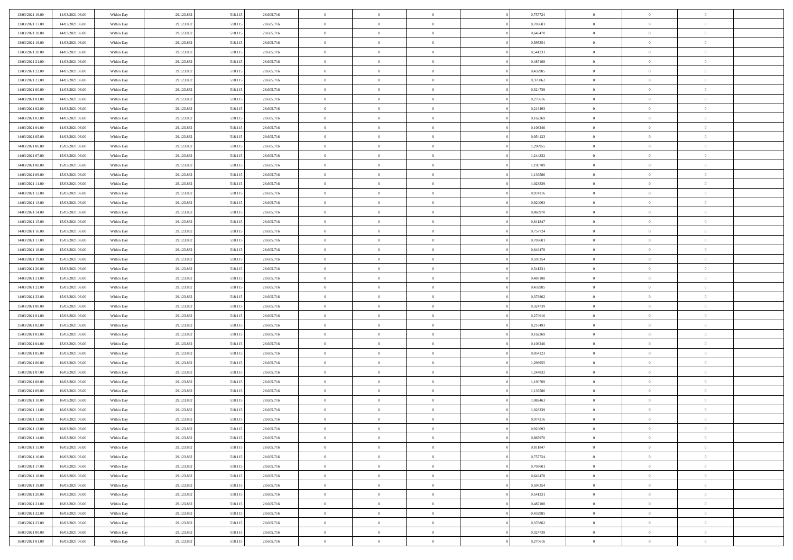| 13/03/2021 16:00 | 14/03/2021 06:00 | Within Day | 29.123.832 | 518.115 | 28.605.716 | $\bf{0}$       | $\bf{0}$       | $\theta$       |          | 0,757724 | $\bf{0}$       | $\overline{0}$ | $\,0\,$        |  |
|------------------|------------------|------------|------------|---------|------------|----------------|----------------|----------------|----------|----------|----------------|----------------|----------------|--|
| 13/03/2021 17:00 | 14/03/2021 06:00 | Within Day | 29.123.832 | 518.115 | 28.605.716 | $\overline{0}$ | $\overline{0}$ | $\overline{0}$ |          | 0.703601 | $\overline{0}$ | $\overline{0}$ | $\theta$       |  |
| 13/03/2021 18:00 | 14/03/2021 06:00 | Within Dav | 29.123.832 | 518.115 | 28.605.716 | $\mathbf{0}$   | $\overline{0}$ | $\overline{0}$ |          | 0,649478 | $\mathbf{0}$   | $\overline{0}$ | $\overline{0}$ |  |
| 13/03/2021 19:00 | 14/03/2021 06:00 | Within Day | 29.123.832 | 518.115 | 28.605.716 | $\bf{0}$       | $\overline{0}$ | $\overline{0}$ |          | 0,595354 | $\bf{0}$       | $\overline{0}$ | $\bf{0}$       |  |
| 13/03/2021 20:00 | 14/03/2021 06:00 | Within Day | 29.123.832 | 518.115 | 28.605.716 | $\bf{0}$       | $\bf{0}$       | $\overline{0}$ |          | 0,541231 | $\bf{0}$       | $\bf{0}$       | $\,0\,$        |  |
| 13/03/2021 21:00 | 14/03/2021 06:00 | Within Dav | 29.123.832 | 518.115 | 28.605.716 | $\overline{0}$ | $\overline{0}$ | $\overline{0}$ |          | 0,487108 | $\mathbf{0}$   | $\overline{0}$ | $\overline{0}$ |  |
| 13/03/2021 22.00 | 14/03/2021 06:00 | Within Day | 29.123.832 | 518.115 | 28.605.716 | $\bf{0}$       | $\bf{0}$       | $\overline{0}$ |          | 0,432985 | $\bf{0}$       | $\overline{0}$ | $\,0\,$        |  |
| 13/03/2021 23:00 | 14/03/2021 06:00 | Within Day | 29.123.832 | 518.115 | 28.605.716 | $\overline{0}$ | $\overline{0}$ | $\overline{0}$ |          | 0,378862 | $\,$ 0 $\,$    | $\overline{0}$ | $\overline{0}$ |  |
| 14/03/2021 00:00 | 14/03/2021 06:00 | Within Day | 29.123.832 | 518.115 | 28.605.716 | $\mathbf{0}$   | $\overline{0}$ | $\overline{0}$ |          | 0,324739 | $\mathbf{0}$   | $\overline{0}$ | $\overline{0}$ |  |
| 14/03/2021 01:00 | 14/03/2021 06:00 | Within Day | 29.123.832 | 518.115 | 28.605.716 | $\bf{0}$       | $\bf{0}$       | $\overline{0}$ |          | 0,270616 | $\bf{0}$       | $\overline{0}$ | $\,0\,$        |  |
| 14/03/2021 02:00 | 14/03/2021 06:00 | Within Day | 29.123.832 | 518.115 | 28.605.716 | $\bf{0}$       | $\overline{0}$ | $\overline{0}$ |          | 0,216493 | $\bf{0}$       | $\overline{0}$ | $\theta$       |  |
| 14/03/2021 03:00 | 14/03/2021 06:00 | Within Dav | 29.123.832 | 518.115 | 28.605.716 | $\mathbf{0}$   | $\overline{0}$ | $\overline{0}$ |          | 0,162369 | $\mathbf{0}$   | $\overline{0}$ | $\overline{0}$ |  |
| 14/03/2021 04:00 | 14/03/2021 06:00 | Within Day | 29.123.832 | 518.115 | 28.605.716 | $\bf{0}$       | $\overline{0}$ | $\bf{0}$       |          | 0,108246 | $\bf{0}$       | $\overline{0}$ | $\bf{0}$       |  |
| 14/03/2021 05:00 | 14/03/2021 06:00 | Within Day | 29.123.832 | 518.115 | 28.605.716 | $\bf{0}$       | $\overline{0}$ | $\overline{0}$ |          | 0,054123 | $\bf{0}$       | $\mathbf{0}$   | $\,0\,$        |  |
| 14/03/2021 06:00 | 15/03/2021 06:00 | Within Dav | 29.123.832 | 518.115 | 28.605.716 | $\overline{0}$ | $\overline{0}$ | $\overline{0}$ |          | 1,298955 | $\mathbf{0}$   | $\overline{0}$ | $\overline{0}$ |  |
| 14/03/2021 07:00 | 15/03/2021 06:00 | Within Day | 29.123.832 | 518.115 | 28.605.716 | $\bf{0}$       | $\bf{0}$       | $\overline{0}$ |          | 1,244832 | $\bf{0}$       | $\overline{0}$ | $\bf{0}$       |  |
| 14/03/2021 08:00 | 15/03/2021 06:00 | Within Day | 29.123.832 | 518.115 | 28.605.716 | $\bf{0}$       | $\overline{0}$ | $\overline{0}$ |          | 1,190709 | $\,$ 0 $\,$    | $\overline{0}$ | $\theta$       |  |
| 14/03/2021 09:00 | 15/03/2021 06:00 | Within Day | 29.123.832 | 518.115 | 28.605.716 | $\mathbf{0}$   | $\overline{0}$ | $\overline{0}$ |          | 1,136586 | $\mathbf{0}$   | $\overline{0}$ | $\overline{0}$ |  |
| 14/03/2021 11:00 | 15/03/2021 06:00 | Within Day | 29.123.832 | 518.115 | 28.605.716 | $\bf{0}$       | $\bf{0}$       | $\overline{0}$ |          | 1,028339 | $\bf{0}$       | $\overline{0}$ | $\,0\,$        |  |
| 14/03/2021 12:00 | 15/03/2021 06:00 | Within Day | 29.123.832 | 518.115 | 28.605.716 | $\bf{0}$       | $\overline{0}$ | $\overline{0}$ |          | 0,974216 | $\bf{0}$       | $\overline{0}$ | $\overline{0}$ |  |
| 14/03/2021 13:00 | 15/03/2021 06:00 | Within Dav | 29.123.832 | 518.115 | 28.605.716 | $\mathbf{0}$   | $\overline{0}$ | $\overline{0}$ |          | 0,920093 | $\mathbf{0}$   | $\overline{0}$ | $\overline{0}$ |  |
| 14/03/2021 14:00 | 15/03/2021 06:00 | Within Day | 29.123.832 | 518.115 | 28.605.716 | $\bf{0}$       | $\overline{0}$ | $\overline{0}$ |          | 0,865970 | $\bf{0}$       | $\overline{0}$ | $\bf{0}$       |  |
| 14/03/2021 15:00 | 15/03/2021 06:00 | Within Day | 29.123.832 | 518.115 | 28.605.716 | $\bf{0}$       | $\bf{0}$       | $\overline{0}$ |          | 0,811847 | $\bf{0}$       | $\overline{0}$ | $\,0\,$        |  |
| 14/03/2021 16:00 | 15/03/2021 06:00 | Within Dav | 29.123.832 | 518.115 | 28.605.716 | $\mathbf{0}$   | $\overline{0}$ | $\overline{0}$ |          | 0,757724 | $\mathbf{0}$   | $\overline{0}$ | $\overline{0}$ |  |
| 14/03/2021 17:00 | 15/03/2021 06:00 | Within Day | 29.123.832 | 518.115 | 28.605.716 | $\bf{0}$       | $\bf{0}$       | $\overline{0}$ |          | 0,703601 | $\bf{0}$       | $\overline{0}$ | $\bf{0}$       |  |
| 14/03/2021 18:00 | 15/03/2021 06:00 | Within Day | 29.123.832 | 518.115 | 28.605.716 | $\bf{0}$       | $\overline{0}$ | $\overline{0}$ |          | 0,649478 | $\bf{0}$       | $\mathbf{0}$   | $\overline{0}$ |  |
| 14/03/2021 19:00 | 15/03/2021 06:00 | Within Day | 29.123.832 | 518.115 | 28.605.716 | $\mathbf{0}$   | $\overline{0}$ | $\overline{0}$ |          | 0,595354 | $\mathbf{0}$   | $\overline{0}$ | $\overline{0}$ |  |
| 14/03/2021 20:00 | 15/03/2021 06:00 | Within Day | 29.123.832 | 518.115 | 28.605.716 | $\bf{0}$       | $\bf{0}$       | $\overline{0}$ |          | 0,541231 | $\bf{0}$       | $\overline{0}$ | $\,0\,$        |  |
| 14/03/2021 21:00 | 15/03/2021 06:00 | Within Day | 29.123.832 | 518.115 | 28.605.716 | $\bf{0}$       | $\overline{0}$ | $\overline{0}$ |          | 0,487108 | $\bf{0}$       | $\bf{0}$       | $\bf{0}$       |  |
| 14/03/2021 22:00 | 15/03/2021 06:00 | Within Dav | 29.123.832 | 518.115 | 28.605.716 | $\mathbf{0}$   | $\overline{0}$ | $\overline{0}$ |          | 0,432985 | $\mathbf{0}$   | $\overline{0}$ | $\overline{0}$ |  |
| 14/03/2021 23:00 | 15/03/2021 06:00 | Within Day | 29.123.832 | 518.115 | 28.605.716 | $\bf{0}$       | $\overline{0}$ | $\theta$       |          | 0,378862 | $\,$ 0         | $\overline{0}$ | $\theta$       |  |
| 15/03/2021 00:00 | 15/03/2021 06:00 | Within Day | 29.123.832 | 518.115 | 28.605.716 | $\bf{0}$       | $\bf{0}$       | $\overline{0}$ |          | 0,324739 | $\bf{0}$       | $\overline{0}$ | $\bf{0}$       |  |
| 15/03/2021 01:00 | 15/03/2021 06:00 | Within Dav | 29.123.832 | 518.115 | 28.605.716 | $\overline{0}$ | $\overline{0}$ | $\overline{0}$ |          | 0,270616 | $\mathbf{0}$   | $\overline{0}$ | $\overline{0}$ |  |
| 15/03/2021 02:00 | 15/03/2021 06:00 | Within Day | 29.123.832 | 518.115 | 28.605.716 | $\bf{0}$       | $\overline{0}$ | $\theta$       |          | 0,216493 | $\,$ 0         | $\overline{0}$ | $\theta$       |  |
| 15/03/2021 03:00 | 15/03/2021 06:00 | Within Day | 29.123.832 | 518.115 | 28.605.716 | $\overline{0}$ | $\overline{0}$ | $\overline{0}$ |          | 0,162369 | $\bf{0}$       | $\overline{0}$ | $\overline{0}$ |  |
| 15/03/2021 04:00 | 15/03/2021 06:00 | Within Day | 29.123.832 | 518.115 | 28.605.716 | $\mathbf{0}$   | $\overline{0}$ | $\overline{0}$ |          | 0,108246 | $\mathbf{0}$   | $\overline{0}$ | $\overline{0}$ |  |
| 15/03/2021 05:00 | 15/03/2021 06:00 | Within Day | 29.123.832 | 518.115 | 28.605.716 | $\bf{0}$       | $\overline{0}$ | $\theta$       |          | 0,054123 | $\,$ 0         | $\overline{0}$ | $\theta$       |  |
| 15/03/2021 06:00 | 16/03/2021 06:00 | Within Day | 29.123.832 | 518.115 | 28.605.716 | $\bf{0}$       | $\overline{0}$ | $\overline{0}$ |          | 1,298955 | $\bf{0}$       | $\overline{0}$ | $\bf{0}$       |  |
| 15/03/2021 07:00 | 16/03/2021 06:00 | Within Dav | 29.123.832 | 518.115 | 28.605.716 | $\mathbf{0}$   | $\overline{0}$ | $\overline{0}$ |          | 1,244832 | $\mathbf{0}$   | $\overline{0}$ | $\overline{0}$ |  |
| 15/03/2021 08:00 | 16/03/2021 06:00 | Within Day | 29.123.832 | 518.115 | 28.605.716 | $\,0\,$        | $\overline{0}$ | $\theta$       |          | 1,190709 | $\,$ 0         | $\overline{0}$ | $\theta$       |  |
| 15/03/2021 09:00 | 16/03/2021 06:00 | Within Day | 29.123.832 | 518.115 | 28.605.716 | $\bf{0}$       | $\overline{0}$ | $\overline{0}$ |          | 1,136586 | $\bf{0}$       | $\overline{0}$ | $\bf{0}$       |  |
| 15/03/2021 10:00 | 16/03/2021 06:00 | Within Dav | 29.123.832 | 518.115 | 28.605.716 | $\mathbf{0}$   | $\overline{0}$ | $\overline{0}$ |          | 1,082463 | $\mathbf{0}$   | $\overline{0}$ | $\overline{0}$ |  |
| 15/03/2021 11:00 | 16/03/2021 06:00 | Within Day | 29.123.832 | 518.115 | 28.605.716 | $\bf{0}$       | $\overline{0}$ | $\theta$       |          | 1,028339 | $\,$ 0         | $\overline{0}$ | $\theta$       |  |
| 15/03/2021 12:00 | 16/03/2021 06:00 | Within Day | 29.123.832 | 518.115 | 28.605.716 | $\bf{0}$       | $\overline{0}$ | $\overline{0}$ |          | 0,974216 | $\bf{0}$       | $\overline{0}$ | $\bf{0}$       |  |
| 15/03/2021 13:00 | 16/03/2021 06:00 | Within Day | 29.123.832 | 518.115 | 28.605.716 | $\bf{0}$       | $\overline{0}$ |                |          | 0,920093 | $\overline{0}$ | $\theta$       | $\theta$       |  |
| 15/03/2021 14:00 | 16/03/2021 06:00 | Within Day | 29.123.832 | 518.115 | 28.605.716 | $\,0\,$        | $\overline{0}$ | $\theta$       |          | 0,865970 | $\,$ 0 $\,$    | $\bf{0}$       | $\theta$       |  |
| 15/03/2021 15:00 | 16/03/2021 06:00 | Within Day | 29.123.832 | 518.115 | 28.605.716 | $\overline{0}$ | $\overline{0}$ | $\overline{0}$ |          | 0,811847 | $\overline{0}$ | $\overline{0}$ | $\overline{0}$ |  |
| 15/03/2021 16:00 | 16/03/2021 06:00 | Within Day | 29.123.832 | 518.115 | 28.605.716 | $\bf{0}$       | $\overline{0}$ | $\overline{0}$ |          | 0,757724 | $\overline{0}$ | $\bf{0}$       | $\mathbf{0}$   |  |
| 15/03/2021 17:00 | 16/03/2021 06:00 | Within Day | 29.123.832 | 518.115 | 28.605.716 | $\bf{0}$       | $\overline{0}$ | $\overline{0}$ | $\theta$ | 0,703601 | $\,$ 0 $\,$    | $\bf{0}$       | $\,$ 0 $\,$    |  |
| 15/03/2021 18:00 | 16/03/2021 06:00 | Within Day | 29.123.832 | 518.115 | 28.605.716 | $\bf{0}$       | $\overline{0}$ | $\overline{0}$ |          | 0,649478 | $\,$ 0 $\,$    | $\overline{0}$ | $\overline{0}$ |  |
| 15/03/2021 19:00 | 16/03/2021 06:00 | Within Day | 29.123.832 | 518.115 | 28.605.716 | $\bf{0}$       | $\overline{0}$ | $\overline{0}$ |          | 0,595354 | $\mathbf{0}$   | $\overline{0}$ | $\overline{0}$ |  |
| 15/03/2021 20:00 | 16/03/2021 06:00 | Within Day | 29.123.832 | 518.115 | 28.605.716 | $\,0\,$        | $\overline{0}$ | $\overline{0}$ | $\theta$ | 0,541231 | $\,$ 0 $\,$    | $\overline{0}$ | $\,$ 0 $\,$    |  |
| 15/03/2021 21:00 | 16/03/2021 06:00 | Within Day | 29.123.832 | 518.115 | 28.605.716 | $\bf{0}$       | $\overline{0}$ | $\overline{0}$ |          | 0,487108 | $\overline{0}$ | $\overline{0}$ | $\overline{0}$ |  |
| 15/03/2021 22:00 | 16/03/2021 06:00 | Within Day | 29.123.832 | 518.115 | 28.605.716 | $\bf{0}$       | $\overline{0}$ | $\overline{0}$ |          | 0,432985 | $\mathbf{0}$   | $\overline{0}$ | $\overline{0}$ |  |
| 15/03/2021 23:00 | 16/03/2021 06:00 | Within Day | 29.123.832 | 518.115 | 28.605.716 | $\,0\,$        | $\overline{0}$ | $\overline{0}$ |          | 0,378862 | $\,$ 0 $\,$    | $\mathbf{0}$   | $\,$ 0 $\,$    |  |
| 16/03/2021 00:00 | 16/03/2021 06:00 | Within Day | 29.123.832 | 518.115 | 28.605.716 | $\bf{0}$       | $\overline{0}$ | $\overline{0}$ |          | 0,324739 | $\mathbf{0}$   | $\mathbf{0}$   | $\overline{0}$ |  |
| 16/03/2021 01:00 | 16/03/2021 06:00 | Within Day | 29.123.832 | 518.115 | 28.605.716 | $\bf{0}$       | $\overline{0}$ | $\overline{0}$ |          | 0,270616 | $\mathbf{0}$   | $\overline{0}$ | $\overline{0}$ |  |
|                  |                  |            |            |         |            |                |                |                |          |          |                |                |                |  |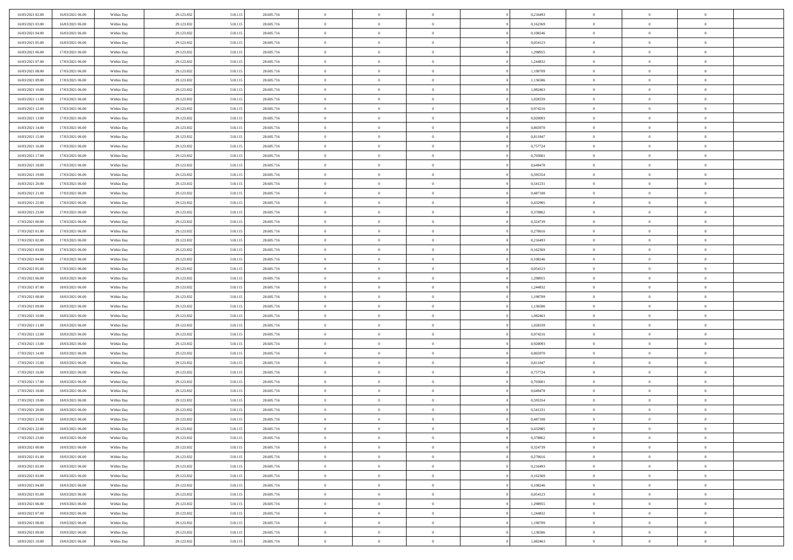| 16/03/2021 02:00 | 16/03/2021 06:00 | Within Day | 29.123.832 | 518.115 | 28.605.716 | $\,$ 0         | $\bf{0}$       | $\theta$       |          | 0,216493 | $\bf{0}$       | $\overline{0}$ | $\,0\,$        |  |
|------------------|------------------|------------|------------|---------|------------|----------------|----------------|----------------|----------|----------|----------------|----------------|----------------|--|
| 16/03/2021 03:00 | 16/03/2021 06:00 | Within Day | 29.123.832 | 518.115 | 28.605.716 | $\overline{0}$ | $\overline{0}$ | $\overline{0}$ |          | 0,162369 | $\overline{0}$ | $\overline{0}$ | $\theta$       |  |
| 16/03/2021 04:00 | 16/03/2021 06:00 | Within Dav | 29.123.832 | 518.115 | 28.605.716 | $\mathbf{0}$   | $\overline{0}$ | $\overline{0}$ |          | 0,108246 | $\mathbf{0}$   | $\overline{0}$ | $\overline{0}$ |  |
| 16/03/2021 05:00 | 16/03/2021 06:00 | Within Day | 29.123.832 | 518.115 | 28.605.716 | $\bf{0}$       | $\overline{0}$ | $\overline{0}$ |          | 0,054123 | $\bf{0}$       | $\overline{0}$ | $\bf{0}$       |  |
| 16/03/2021 06:00 | 17/03/2021 06:00 | Within Day | 29.123.832 | 518.115 | 28.605.716 | $\bf{0}$       | $\bf{0}$       | $\overline{0}$ |          | 1,298955 | $\bf{0}$       | $\bf{0}$       | $\,0\,$        |  |
| 16/03/2021 07:00 | 17/03/2021 06:00 | Within Dav | 29.123.832 | 518.115 | 28.605.716 | $\overline{0}$ | $\overline{0}$ | $\overline{0}$ |          | 1,244832 | $\mathbf{0}$   | $\overline{0}$ | $\overline{0}$ |  |
| 16/03/2021 08:00 | 17/03/2021 06:00 | Within Day | 29.123.832 | 518.115 | 28.605.716 | $\bf{0}$       | $\bf{0}$       | $\overline{0}$ |          | 1,190709 | $\bf{0}$       | $\overline{0}$ | $\,0\,$        |  |
| 16/03/2021 09:00 | 17/03/2021 06:00 | Within Day | 29.123.832 | 518.115 | 28.605.716 | $\overline{0}$ | $\overline{0}$ | $\overline{0}$ |          | 1,136586 | $\,$ 0 $\,$    | $\overline{0}$ | $\overline{0}$ |  |
| 16/03/2021 10:00 | 17/03/2021 06:00 | Within Day | 29.123.832 | 518.115 | 28.605.716 | $\mathbf{0}$   | $\overline{0}$ | $\overline{0}$ |          | 1,082463 | $\mathbf{0}$   | $\overline{0}$ | $\overline{0}$ |  |
| 16/03/2021 11:00 | 17/03/2021 06:00 | Within Day | 29.123.832 | 518.115 | 28.605.716 | $\bf{0}$       | $\bf{0}$       | $\overline{0}$ |          | 1,028339 | $\bf{0}$       | $\overline{0}$ | $\,0\,$        |  |
| 16/03/2021 12:00 | 17/03/2021 06:00 | Within Day | 29.123.832 | 518.115 | 28.605.716 | $\bf{0}$       | $\overline{0}$ | $\overline{0}$ |          | 0,974216 | $\bf{0}$       | $\overline{0}$ | $\theta$       |  |
| 16/03/2021 13:00 | 17/03/2021 06:00 | Within Dav | 29.123.832 | 518.115 | 28.605.716 | $\mathbf{0}$   | $\overline{0}$ | $\overline{0}$ |          | 0,920093 | $\mathbf{0}$   | $\overline{0}$ | $\overline{0}$ |  |
| 16/03/2021 14:00 | 17/03/2021 06:00 | Within Day | 29.123.832 | 518.115 | 28.605.716 | $\bf{0}$       | $\overline{0}$ | $\bf{0}$       |          | 0,865970 | $\bf{0}$       | $\overline{0}$ | $\overline{0}$ |  |
| 16/03/2021 15:00 | 17/03/2021 06:00 | Within Day | 29.123.832 | 518.115 | 28.605.716 | $\bf{0}$       | $\overline{0}$ | $\overline{0}$ |          | 0,811847 | $\bf{0}$       | $\mathbf{0}$   | $\,0\,$        |  |
| 16/03/2021 16:00 | 17/03/2021 06:00 | Within Dav | 29.123.832 | 518.115 | 28.605.716 | $\overline{0}$ | $\overline{0}$ | $\overline{0}$ |          | 0,757724 | $\mathbf{0}$   | $\overline{0}$ | $\overline{0}$ |  |
| 16/03/2021 17:00 | 17/03/2021 06:00 | Within Day | 29.123.832 | 518.115 | 28.605.716 | $\bf{0}$       | $\bf{0}$       | $\overline{0}$ |          | 0,703601 | $\bf{0}$       | $\overline{0}$ | $\bf{0}$       |  |
| 16/03/2021 18:00 | 17/03/2021 06:00 | Within Day | 29.123.832 | 518.115 | 28.605.716 | $\bf{0}$       | $\overline{0}$ | $\overline{0}$ |          | 0,649478 | $\,$ 0 $\,$    | $\overline{0}$ | $\theta$       |  |
| 16/03/2021 19:00 | 17/03/2021 06:00 | Within Day | 29.123.832 | 518.115 | 28.605.716 | $\mathbf{0}$   | $\overline{0}$ | $\overline{0}$ |          | 0,595354 | $\mathbf{0}$   | $\overline{0}$ | $\overline{0}$ |  |
| 16/03/2021 20:00 | 17/03/2021 06:00 | Within Day | 29.123.832 | 518.115 | 28.605.716 | $\bf{0}$       | $\bf{0}$       | $\overline{0}$ |          | 0,541231 | $\bf{0}$       | $\overline{0}$ | $\,0\,$        |  |
| 16/03/2021 21:00 | 17/03/2021 06:00 | Within Day | 29.123.832 | 518.115 | 28.605.716 | $\bf{0}$       | $\overline{0}$ | $\overline{0}$ |          | 0,487108 | $\bf{0}$       | $\overline{0}$ | $\bf{0}$       |  |
| 16/03/2021 22:00 | 17/03/2021 06:00 | Within Dav | 29.123.832 | 518.115 | 28.605.716 | $\overline{0}$ | $\overline{0}$ | $\overline{0}$ |          | 0,432985 | $\mathbf{0}$   | $\overline{0}$ | $\overline{0}$ |  |
| 16/03/2021 23:00 | 17/03/2021 06:00 | Within Day | 29.123.832 | 518.115 | 28.605.716 | $\bf{0}$       | $\overline{0}$ | $\overline{0}$ |          | 0,378862 | $\bf{0}$       | $\overline{0}$ | $\bf{0}$       |  |
| 17/03/2021 00:00 | 17/03/2021 06:00 | Within Day | 29.123.832 | 518.115 | 28.605.716 | $\bf{0}$       | $\bf{0}$       | $\overline{0}$ |          | 0,324739 | $\bf{0}$       | $\overline{0}$ | $\,0\,$        |  |
| 17/03/2021 01:00 | 17/03/2021 06:00 | Within Dav | 29.123.832 | 518.115 | 28.605.716 | $\mathbf{0}$   | $\overline{0}$ | $\overline{0}$ |          | 0,270616 | $\mathbf{0}$   | $\overline{0}$ | $\overline{0}$ |  |
| 17/03/2021 02:00 | 17/03/2021 06:00 | Within Day | 29.123.832 | 518.115 | 28.605.716 | $\bf{0}$       | $\bf{0}$       | $\overline{0}$ |          | 0,216493 | $\bf{0}$       | $\overline{0}$ | $\bf{0}$       |  |
| 17/03/2021 03:00 | 17/03/2021 06:00 | Within Day | 29.123.832 | 518.115 | 28.605.716 | $\bf{0}$       | $\overline{0}$ | $\overline{0}$ |          | 0,162369 | $\bf{0}$       | $\mathbf{0}$   | $\overline{0}$ |  |
| 17/03/2021 04:00 | 17/03/2021 06:00 | Within Day | 29.123.832 | 518.115 | 28.605.716 | $\overline{0}$ | $\overline{0}$ | $\overline{0}$ |          | 0,108246 | $\mathbf{0}$   | $\overline{0}$ | $\overline{0}$ |  |
| 17/03/2021 05:00 | 17/03/2021 06:00 | Within Day | 29.123.832 | 518.115 | 28.605.716 | $\bf{0}$       | $\bf{0}$       | $\overline{0}$ |          | 0,054123 | $\bf{0}$       | $\overline{0}$ | $\,0\,$        |  |
| 17/03/2021 06:00 | 18/03/2021 06:00 | Within Day | 29.123.832 | 518.115 | 28.605.716 | $\bf{0}$       | $\overline{0}$ | $\overline{0}$ |          | 1,298955 | $\bf{0}$       | $\overline{0}$ | $\bf{0}$       |  |
| 17/03/2021 07:00 | 18/03/2021 06:00 | Within Dav | 29.123.832 | 518.115 | 28.605.716 | $\mathbf{0}$   | $\overline{0}$ | $\overline{0}$ |          | 1,244832 | $\mathbf{0}$   | $\overline{0}$ | $\overline{0}$ |  |
| 17/03/2021 08:00 | 18/03/2021 06:00 | Within Day | 29.123.832 | 518.115 | 28.605.716 | $\bf{0}$       | $\overline{0}$ | $\theta$       |          | 1,190709 | $\,$ 0         | $\overline{0}$ | $\theta$       |  |
| 17/03/2021 09:00 | 18/03/2021 06:00 | Within Day | 29.123.832 | 518.115 | 28.605.716 | $\bf{0}$       | $\bf{0}$       | $\overline{0}$ |          | 1,136586 | $\bf{0}$       | $\overline{0}$ | $\bf{0}$       |  |
| 17/03/2021 10:00 | 18/03/2021 06:00 | Within Dav | 29.123.832 | 518.115 | 28.605.716 | $\overline{0}$ | $\overline{0}$ | $\overline{0}$ |          | 1,082463 | $\mathbf{0}$   | $\overline{0}$ | $\overline{0}$ |  |
| 17/03/2021 11:00 | 18/03/2021 06:00 | Within Day | 29.123.832 | 518.115 | 28.605.716 | $\bf{0}$       | $\overline{0}$ | $\theta$       |          | 1,028339 | $\,$ 0         | $\overline{0}$ | $\theta$       |  |
| 17/03/2021 12:00 | 18/03/2021 06:00 | Within Day | 29.123.832 | 518.115 | 28.605.716 | $\overline{0}$ | $\overline{0}$ | $\overline{0}$ |          | 0,974216 | $\bf{0}$       | $\overline{0}$ | $\overline{0}$ |  |
| 17/03/2021 13:00 | 18/03/2021 06:00 | Within Day | 29.123.832 | 518.115 | 28.605.716 | $\mathbf{0}$   | $\overline{0}$ | $\overline{0}$ |          | 0,920093 | $\mathbf{0}$   | $\overline{0}$ | $\overline{0}$ |  |
| 17/03/2021 14:00 | 18/03/2021 06:00 | Within Day | 29.123.832 | 518.115 | 28.605.716 | $\bf{0}$       | $\overline{0}$ | $\theta$       |          | 0,865970 | $\,$ 0         | $\overline{0}$ | $\theta$       |  |
| 17/03/2021 15:00 | 18/03/2021 06:00 | Within Day | 29.123.832 | 518.115 | 28.605.716 | $\bf{0}$       | $\overline{0}$ | $\overline{0}$ |          | 0,811847 | $\bf{0}$       | $\overline{0}$ | $\bf{0}$       |  |
| 17/03/2021 16:00 | 18/03/2021 06:00 | Within Dav | 29.123.832 | 518.115 | 28.605.716 | $\mathbf{0}$   | $\overline{0}$ | $\overline{0}$ |          | 0,757724 | $\mathbf{0}$   | $\overline{0}$ | $\overline{0}$ |  |
| 17/03/2021 17:00 | 18/03/2021 06:00 | Within Day | 29.123.832 | 518.115 | 28.605.716 | $\,0\,$        | $\overline{0}$ | $\theta$       |          | 0,703601 | $\,$ 0         | $\overline{0}$ | $\theta$       |  |
| 17/03/2021 18:00 | 18/03/2021 06:00 | Within Day | 29.123.832 | 518.115 | 28.605.716 | $\bf{0}$       | $\overline{0}$ | $\overline{0}$ |          | 0,649478 | $\bf{0}$       | $\overline{0}$ | $\bf{0}$       |  |
| 17/03/2021 19:00 | 18/03/2021 06:00 | Within Dav | 29.123.832 | 518.115 | 28.605.716 | $\mathbf{0}$   | $\overline{0}$ | $\overline{0}$ |          | 0,595354 | $\mathbf{0}$   | $\overline{0}$ | $\overline{0}$ |  |
| 17/03/2021 20:00 | 18/03/2021 06:00 | Within Day | 29.123.832 | 518.115 | 28.605.716 | $\bf{0}$       | $\overline{0}$ | $\theta$       |          | 0,541231 | $\,$ 0         | $\overline{0}$ | $\theta$       |  |
| 17/03/2021 21:00 | 18/03/2021 06:00 | Within Day | 29.123.832 | 518.115 | 28.605.716 | $\bf{0}$       | $\overline{0}$ | $\overline{0}$ |          | 0,487108 | $\bf{0}$       | $\overline{0}$ | $\bf{0}$       |  |
| 17/03/2021 22:00 | 18/03/2021 06:00 | Within Day | 29.123.832 | 518.115 | 28.605.716 | $\bf{0}$       | $\overline{0}$ |                |          | 0,432985 | $\overline{0}$ | $\theta$       | $\theta$       |  |
| 17/03/2021 23:00 | 18/03/2021 06:00 | Within Day | 29.123.832 | 518.115 | 28.605.716 | $\,0\,$        | $\overline{0}$ | $\theta$       |          | 0,378862 | $\,$ 0 $\,$    | $\bf{0}$       | $\theta$       |  |
| 18/03/2021 00:00 | 18/03/2021 06:00 | Within Day | 29.123.832 | 518.115 | 28.605.716 | $\overline{0}$ | $\overline{0}$ | $\overline{0}$ |          | 0,324739 | $\overline{0}$ | $\overline{0}$ | $\overline{0}$ |  |
| 18/03/2021 01:00 | 18/03/2021 06:00 | Within Day | 29.123.832 | 518.115 | 28.605.716 | $\bf{0}$       | $\overline{0}$ | $\overline{0}$ |          | 0,270616 | $\overline{0}$ | $\bf{0}$       | $\mathbf{0}$   |  |
| 18/03/2021 02:00 | 18/03/2021 06:00 | Within Day | 29.123.832 | 518.115 | 28.605.716 | $\bf{0}$       | $\overline{0}$ | $\overline{0}$ | $\theta$ | 0,216493 | $\,$ 0 $\,$    | $\bf{0}$       | $\,$ 0 $\,$    |  |
| 18/03/2021 03:00 | 18/03/2021 06:00 | Within Day | 29.123.832 | 518.115 | 28.605.716 | $\bf{0}$       | $\overline{0}$ | $\overline{0}$ |          | 0,162369 | $\,$ 0 $\,$    | $\overline{0}$ | $\overline{0}$ |  |
| 18/03/2021 04:00 | 18/03/2021 06:00 | Within Day | 29.123.832 | 518.115 | 28.605.716 | $\bf{0}$       | $\overline{0}$ | $\overline{0}$ |          | 0,108246 | $\mathbf{0}$   | $\overline{0}$ | $\overline{0}$ |  |
| 18/03/2021 05:00 | 18/03/2021 06:00 | Within Day | 29.123.832 | 518.115 | 28.605.716 | $\,0\,$        | $\overline{0}$ | $\overline{0}$ | $\theta$ | 0,054123 | $\,$ 0 $\,$    | $\overline{0}$ | $\,$ 0 $\,$    |  |
| 18/03/2021 06:00 | 19/03/2021 06:00 | Within Day | 29.123.832 | 518.115 | 28.605.716 | $\bf{0}$       | $\overline{0}$ | $\overline{0}$ |          | 1,298955 | $\overline{0}$ | $\overline{0}$ | $\overline{0}$ |  |
| 18/03/2021 07:00 | 19/03/2021 06:00 | Within Day | 29.123.832 | 518.115 | 28.605.716 | $\bf{0}$       | $\overline{0}$ | $\overline{0}$ |          | 1,244832 | $\mathbf{0}$   | $\overline{0}$ | $\overline{0}$ |  |
| 18/03/2021 08:00 | 19/03/2021 06:00 | Within Day | 29.123.832 | 518.115 | 28.605.716 | $\,0\,$        | $\overline{0}$ | $\overline{0}$ |          | 1,190709 | $\,$ 0 $\,$    | $\mathbf{0}$   | $\,$ 0 $\,$    |  |
| 18/03/2021 09:00 | 19/03/2021 06:00 | Within Day | 29.123.832 | 518.115 | 28.605.716 | $\bf{0}$       | $\overline{0}$ | $\overline{0}$ |          | 1,136586 | $\bf{0}$       | $\mathbf{0}$   | $\overline{0}$ |  |
| 18/03/2021 10:00 | 19/03/2021 06:00 | Within Day | 29.123.832 | 518.115 | 28.605.716 | $\mathbf{0}$   | $\overline{0}$ | $\overline{0}$ |          | 1,082463 | $\mathbf{0}$   | $\overline{0}$ | $\overline{0}$ |  |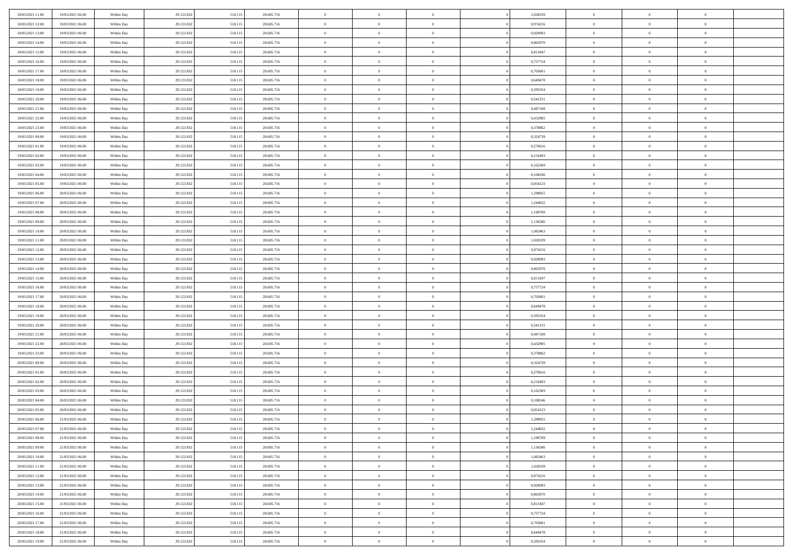| 18/03/2021 11:00                     | 19/03/2021 06:00                     | Within Day               | 29.123.832               | 518.115            | 28.605.716               | $\bf{0}$             | $\bf{0}$                         | $\theta$                   |          | 1,028339             | $\bf{0}$              | $\overline{0}$                   | $\,0\,$                    |  |
|--------------------------------------|--------------------------------------|--------------------------|--------------------------|--------------------|--------------------------|----------------------|----------------------------------|----------------------------|----------|----------------------|-----------------------|----------------------------------|----------------------------|--|
| 18/03/2021 12:00                     | 19/03/2021 06:00                     | Within Day               | 29.123.832               | 518.115            | 28.605.716               | $\overline{0}$       | $\overline{0}$                   | $\overline{0}$             |          | 0,974216             | $\overline{0}$        | $\overline{0}$                   | $\theta$                   |  |
| 18/03/2021 13:00                     | 19/03/2021 06:00                     | Within Dav               | 29.123.832               | 518.115            | 28.605.716               | $\mathbf{0}$         | $\overline{0}$                   | $\overline{0}$             |          | 0,920093             | $\mathbf{0}$          | $\overline{0}$                   | $\overline{0}$             |  |
| 18/03/2021 14:00                     | 19/03/2021 06:00                     | Within Day               | 29.123.832               | 518.115            | 28.605.716               | $\bf{0}$             | $\overline{0}$                   | $\overline{0}$             |          | 0,865970             | $\bf{0}$              | $\overline{0}$                   | $\bf{0}$                   |  |
| 18/03/2021 15:00                     | 19/03/2021 06:00                     | Within Day               | 29.123.832               | 518.115            | 28.605.716               | $\bf{0}$             | $\bf{0}$                         | $\overline{0}$             |          | 0,811847             | $\bf{0}$              | $\bf{0}$                         | $\,0\,$                    |  |
| 18/03/2021 16:00                     | 19/03/2021 06:00                     | Within Dav               | 29.123.832               | 518.115            | 28.605.716               | $\overline{0}$       | $\overline{0}$                   | $\overline{0}$             |          | 0,757724             | $\mathbf{0}$          | $\overline{0}$                   | $\overline{0}$             |  |
| 18/03/2021 17:00                     | 19/03/2021 06:00                     | Within Day               | 29.123.832               | 518.115            | 28.605.716               | $\bf{0}$             | $\bf{0}$                         | $\overline{0}$             |          | 0,703601             | $\bf{0}$              | $\overline{0}$                   | $\,0\,$                    |  |
| 18/03/2021 18:00                     | 19/03/2021 06:00                     | Within Day               | 29.123.832               | 518.115            | 28.605.716               | $\overline{0}$       | $\overline{0}$                   | $\overline{0}$             |          | 0,649478             | $\,$ 0 $\,$           | $\overline{0}$                   | $\overline{0}$             |  |
| 18/03/2021 19:00                     | 19/03/2021 06:00                     | Within Day               | 29.123.832               | 518.115            | 28.605.716               | $\mathbf{0}$         | $\overline{0}$                   | $\overline{0}$             |          | 0,595354             | $\mathbf{0}$          | $\overline{0}$                   | $\overline{0}$             |  |
| 18/03/2021 20:00                     | 19/03/2021 06:00                     | Within Day               | 29.123.832               | 518.115            | 28.605.716               | $\bf{0}$             | $\bf{0}$                         | $\overline{0}$             |          | 0,541231             | $\bf{0}$              | $\overline{0}$                   | $\,0\,$                    |  |
| 18/03/2021 21:00                     | 19/03/2021 06:00                     | Within Day               | 29.123.832               | 518.115            | 28.605.716               | $\bf{0}$             | $\overline{0}$                   | $\overline{0}$             |          | 0,487108             | $\bf{0}$              | $\overline{0}$                   | $\theta$                   |  |
| 18/03/2021 22:00                     | 19/03/2021 06:00                     | Within Dav               | 29.123.832               | 518.115            | 28.605.716               | $\mathbf{0}$         | $\overline{0}$                   | $\overline{0}$             |          | 0,432985             | $\mathbf{0}$          | $\overline{0}$                   | $\overline{0}$             |  |
| 18/03/2021 23:00                     | 19/03/2021 06:00                     | Within Day               | 29.123.832               | 518.115            | 28.605.716               | $\bf{0}$             | $\overline{0}$                   | $\bf{0}$                   |          | 0,378862             | $\bf{0}$              | $\overline{0}$                   | $\bf{0}$                   |  |
| 19/03/2021 00:00                     | 19/03/2021 06:00                     | Within Day               | 29.123.832               | 518.115            | 28.605.716               | $\bf{0}$             | $\overline{0}$                   | $\overline{0}$             |          | 0,324739             | $\bf{0}$              | $\mathbf{0}$                     | $\,0\,$                    |  |
| 19/03/2021 01:00                     | 19/03/2021 06:00                     | Within Dav               | 29.123.832               | 518.115            | 28.605.716               | $\overline{0}$       | $\overline{0}$                   | $\overline{0}$             |          | 0,270616             | $\mathbf{0}$          | $\overline{0}$                   | $\overline{0}$             |  |
| 19/03/2021 02:00                     | 19/03/2021 06:00                     | Within Day               | 29.123.832               | 518.115            | 28.605.716               | $\bf{0}$             | $\bf{0}$                         | $\overline{0}$             |          | 0,216493             | $\bf{0}$              | $\overline{0}$                   | $\bf{0}$                   |  |
| 19/03/2021 03:00                     | 19/03/2021 06:00                     | Within Day               | 29.123.832               | 518.115            | 28.605.716               | $\bf{0}$             | $\overline{0}$                   | $\overline{0}$             |          | 0,162369             | $\,$ 0 $\,$           | $\overline{0}$                   | $\theta$                   |  |
| 19/03/2021 04:00                     | 19/03/2021 06:00                     | Within Day               | 29.123.832               | 518.115            | 28.605.716               | $\mathbf{0}$         | $\overline{0}$                   | $\overline{0}$             |          | 0,108246             | $\mathbf{0}$          | $\overline{0}$                   | $\overline{0}$             |  |
| 19/03/2021 05:00                     | 19/03/2021 06:00                     | Within Day               | 29.123.832               | 518.115            | 28.605.716               | $\bf{0}$             | $\bf{0}$                         | $\overline{0}$             |          | 0,054123             | $\bf{0}$              | $\overline{0}$                   | $\,0\,$                    |  |
| 19/03/2021 06:00                     | 20/03/2021 06:00                     | Within Day               | 29.123.832               | 518.115            | 28.605.716               | $\bf{0}$             | $\overline{0}$                   | $\overline{0}$             |          | 1,298955             | $\bf{0}$              | $\overline{0}$                   | $\overline{0}$             |  |
| 19/03/2021 07:00                     | 20/03/2021 06:00                     | Within Dav               | 29.123.832               | 518.115            | 28.605.716               | $\mathbf{0}$         | $\overline{0}$                   | $\overline{0}$             |          | 1,244832             | $\mathbf{0}$          | $\overline{0}$                   | $\overline{0}$             |  |
| 19/03/2021 08:00                     | 20/03/2021 06:00                     | Within Day               | 29.123.832               | 518.115            | 28.605.716               | $\bf{0}$             | $\overline{0}$                   | $\overline{0}$             |          | 1,190709             | $\bf{0}$              | $\overline{0}$                   | $\bf{0}$                   |  |
| 19/03/2021 09:00                     | 20/03/2021 06:00                     | Within Day               | 29.123.832               | 518.115            | 28.605.716               | $\bf{0}$             | $\bf{0}$                         | $\overline{0}$             |          | 1,136586             | $\bf{0}$              | $\overline{0}$                   | $\,0\,$                    |  |
| 19/03/2021 10:00                     | 20/03/2021 06:00                     | Within Dav               | 29.123.832               | 518.115            | 28.605.716               | $\mathbf{0}$         | $\overline{0}$                   | $\overline{0}$             |          | 1,082463             | $\mathbf{0}$          | $\overline{0}$                   | $\overline{0}$             |  |
| 19/03/2021 11:00                     | 20/03/2021 06:00                     | Within Day               | 29.123.832               | 518.115            | 28.605.716               | $\bf{0}$             | $\bf{0}$                         | $\overline{0}$             |          | 1,028339             | $\bf{0}$              | $\overline{0}$                   | $\bf{0}$                   |  |
| 19/03/2021 12:00                     | 20/03/2021 06:00                     | Within Day               | 29.123.832               | 518.115            | 28.605.716               | $\bf{0}$             | $\overline{0}$                   | $\overline{0}$             |          | 0,974216             | $\bf{0}$              | $\mathbf{0}$                     | $\overline{0}$             |  |
| 19/03/2021 13:00                     | 20/03/2021 06:00                     | Within Day               | 29.123.832               | 518.115            | 28.605.716               | $\mathbf{0}$         | $\overline{0}$                   | $\overline{0}$             |          | 0,920093             | $\mathbf{0}$          | $\overline{0}$                   | $\overline{0}$             |  |
| 19/03/2021 14:00                     | 20/03/2021 06:00                     | Within Day               | 29.123.832               | 518.115            | 28.605.716               | $\bf{0}$             | $\bf{0}$                         | $\overline{0}$             |          | 0,865970             | $\bf{0}$              | $\overline{0}$                   | $\,0\,$                    |  |
| 19/03/2021 15:00                     | 20/03/2021 06:00                     | Within Day               | 29.123.832               | 518.115            | 28.605.716               | $\bf{0}$             | $\overline{0}$                   | $\overline{0}$             |          | 0,811847             | $\bf{0}$              | $\overline{0}$                   | $\overline{0}$             |  |
| 19/03/2021 16:00                     | 20/03/2021 06:00                     | Within Dav               | 29.123.832               | 518.115            | 28.605.716               | $\mathbf{0}$         | $\overline{0}$                   | $\overline{0}$             |          | 0,757724             | $\mathbf{0}$          | $\overline{0}$                   | $\overline{0}$             |  |
| 19/03/2021 17:00                     | 20/03/2021 06:00                     | Within Day               | 29.123.832               | 518.115            | 28.605.716               | $\bf{0}$             | $\overline{0}$                   | $\theta$                   |          | 0,703601             | $\,$ 0                | $\overline{0}$                   | $\theta$                   |  |
| 19/03/2021 18:00                     | 20/03/2021 06:00                     | Within Day               | 29.123.832               | 518.115            | 28.605.716               | $\bf{0}$             | $\bf{0}$                         | $\overline{0}$             |          | 0,649478             | $\bf{0}$              | $\overline{0}$                   | $\bf{0}$                   |  |
| 19/03/2021 19:00                     | 20/03/2021 06:00                     | Within Dav               | 29.123.832               | 518.115            | 28.605.716               | $\overline{0}$       | $\overline{0}$                   | $\overline{0}$             |          | 0,595354             | $\mathbf{0}$          | $\overline{0}$                   | $\overline{0}$             |  |
| 19/03/2021 20:00                     | 20/03/2021 06:00                     | Within Day               | 29.123.832               | 518.115            | 28.605.716               | $\bf{0}$             | $\overline{0}$                   | $\theta$                   |          | 0,541231             | $\,$ 0                | $\overline{0}$                   | $\theta$                   |  |
| 19/03/2021 21:00                     | 20/03/2021 06:00                     | Within Day               | 29.123.832               | 518.115            | 28.605.716               | $\overline{0}$       | $\overline{0}$                   | $\overline{0}$             |          | 0,487108             | $\bf{0}$              | $\overline{0}$                   | $\overline{0}$             |  |
| 19/03/2021 22:00                     | 20/03/2021 06:00                     | Within Day               | 29.123.832               | 518.115            | 28.605.716               | $\mathbf{0}$         | $\overline{0}$                   | $\overline{0}$             |          | 0,432985             | $\mathbf{0}$          | $\overline{0}$                   | $\overline{0}$             |  |
| 19/03/2021 23:00                     | 20/03/2021 06:00                     | Within Day               | 29.123.832               | 518.115            | 28.605.716               | $\bf{0}$             | $\overline{0}$                   | $\theta$                   |          | 0,378862             | $\,$ 0                | $\overline{0}$                   | $\theta$                   |  |
| 20/03/2021 00:00                     | 20/03/2021 06:00                     | Within Day               | 29.123.832               | 518.115            | 28.605.716               | $\bf{0}$             | $\overline{0}$                   | $\overline{0}$             |          | 0,324739             | $\bf{0}$              | $\overline{0}$                   | $\bf{0}$                   |  |
| 20/03/2021 01:00                     | 20/03/2021 06:00                     | Within Dav               | 29.123.832               | 518.115            | 28.605.716               | $\mathbf{0}$         | $\overline{0}$                   | $\overline{0}$             |          | 0,270616             | $\mathbf{0}$          | $\overline{0}$                   | $\overline{0}$             |  |
| 20/03/2021 02:00                     | 20/03/2021 06:00                     | Within Day               | 29.123.832               | 518.115            | 28.605.716               | $\,0\,$              | $\overline{0}$                   | $\theta$                   |          | 0,216493             | $\,$ 0                | $\overline{0}$                   | $\theta$                   |  |
| 20/03/2021 03:00                     | 20/03/2021 06:00                     | Within Day               | 29.123.832               | 518.115            | 28.605.716               | $\bf{0}$             | $\overline{0}$                   | $\overline{0}$             |          | 0,162369             | $\bf{0}$              | $\overline{0}$                   | $\bf{0}$                   |  |
| 20/03/2021 04:00                     | 20/03/2021 06:00                     | Within Dav               | 29.123.832               | 518.115            | 28.605.716               | $\mathbf{0}$         | $\overline{0}$                   | $\overline{0}$             |          | 0,108246             | $\mathbf{0}$          | $\overline{0}$                   | $\overline{0}$             |  |
| 20/03/2021 05:00                     | 20/03/2021 06:00                     | Within Day               | 29.123.832               | 518.115            | 28.605.716               | $\bf{0}$             | $\overline{0}$                   | $\theta$<br>$\overline{0}$ |          | 0,054123             | $\,$ 0<br>$\,$ 0 $\,$ | $\overline{0}$<br>$\overline{0}$ | $\theta$                   |  |
| 20/03/2021 06:00<br>20/03/2021 07:00 | 21/03/2021 06:00<br>21/03/2021 06:00 | Within Day<br>Within Day | 29.123.832<br>29.123.832 | 518.115<br>518.115 | 28.605.716<br>28.605.716 | $\bf{0}$<br>$\bf{0}$ | $\overline{0}$<br>$\overline{0}$ |                            |          | 1,298955<br>1,244832 | $\overline{0}$        | $\theta$                         | $\overline{0}$<br>$\theta$ |  |
|                                      |                                      |                          |                          |                    |                          | $\,0\,$              |                                  | $\theta$                   |          |                      | $\,$ 0 $\,$           | $\bf{0}$                         | $\theta$                   |  |
| 20/03/2021 08:00<br>20/03/2021 09:00 | 21/03/2021 06:00<br>21/03/2021 06:00 | Within Day               | 29.123.832<br>29.123.832 | 518.115<br>518.115 | 28.605.716<br>28.605.716 | $\overline{0}$       | $\overline{0}$<br>$\overline{0}$ | $\overline{0}$             |          | 1,190709<br>1,136586 | $\overline{0}$        | $\overline{0}$                   | $\overline{0}$             |  |
| 20/03/2021 10:00                     | 21/03/2021 06:00                     | Within Day               | 29.123.832               | 518.115            | 28.605.716               | $\bf{0}$             | $\overline{0}$                   | $\overline{0}$             |          | 1,082463             | $\overline{0}$        | $\bf{0}$                         | $\mathbf{0}$               |  |
| 20/03/2021 11:00                     | 21/03/2021 06:00                     | Within Day<br>Within Day | 29.123.832               | 518.115            | 28.605.716               | $\bf{0}$             | $\overline{0}$                   | $\overline{0}$             | $\theta$ | 1,028339             | $\mathbf{0}$          | $\bf{0}$                         | $\,$ 0 $\,$                |  |
| 20/03/2021 12:00                     | 21/03/2021 06:00                     | Within Day               | 29.123.832               | 518.115            | 28.605.716               | $\bf{0}$             | $\overline{0}$                   | $\overline{0}$             |          | 0,974216             | $\,$ 0 $\,$           | $\overline{0}$                   | $\overline{0}$             |  |
| 20/03/2021 13:00                     | 21/03/2021 06:00                     | Within Day               | 29.123.832               | 518.115            | 28.605.716               | $\bf{0}$             | $\overline{0}$                   | $\overline{0}$             |          | 0,920093             | $\mathbf{0}$          | $\overline{0}$                   | $\overline{0}$             |  |
| 20/03/2021 14:00                     | 21/03/2021 06:00                     | Within Day               | 29.123.832               | 518.115            | 28.605.716               | $\,0\,$              | $\overline{0}$                   | $\overline{0}$             | $\theta$ | 0,865970             | $\,$ 0 $\,$           | $\overline{0}$                   | $\,$ 0 $\,$                |  |
| 20/03/2021 15:00                     | 21/03/2021 06:00                     | Within Day               | 29.123.832               | 518.115            | 28.605.716               | $\bf{0}$             | $\overline{0}$                   | $\overline{0}$             |          | 0,811847             | $\overline{0}$        | $\overline{0}$                   | $\overline{0}$             |  |
| 20/03/2021 16:00                     | 21/03/2021 06:00                     | Within Day               | 29.123.832               | 518.115            | 28.605.716               | $\bf{0}$             | $\overline{0}$                   | $\overline{0}$             |          | 0,757724             | $\mathbf{0}$          | $\bf{0}$                         | $\overline{0}$             |  |
| 20/03/2021 17:00                     | 21/03/2021 06:00                     | Within Day               | 29.123.832               | 518.115            | 28.605.716               | $\,0\,$              | $\overline{0}$                   | $\overline{0}$             |          | 0,703601             | $\,$ 0 $\,$           | $\mathbf{0}$                     | $\,$ 0 $\,$                |  |
| 20/03/2021 18:00                     | 21/03/2021 06:00                     | Within Day               | 29.123.832               | 518.115            | 28.605.716               | $\bf{0}$             | $\overline{0}$                   | $\overline{0}$             |          | 0,649478             | $\mathbf{0}$          | $\mathbf{0}$                     | $\overline{0}$             |  |
| 20/03/2021 19:00                     | 21/03/2021 06:00                     | Within Day               | 29.123.832               | 518.115            | 28.605.716               | $\mathbf{0}$         | $\overline{0}$                   | $\overline{0}$             |          | 0,595354             | $\mathbf{0}$          | $\overline{0}$                   | $\overline{0}$             |  |
|                                      |                                      |                          |                          |                    |                          |                      |                                  |                            |          |                      |                       |                                  |                            |  |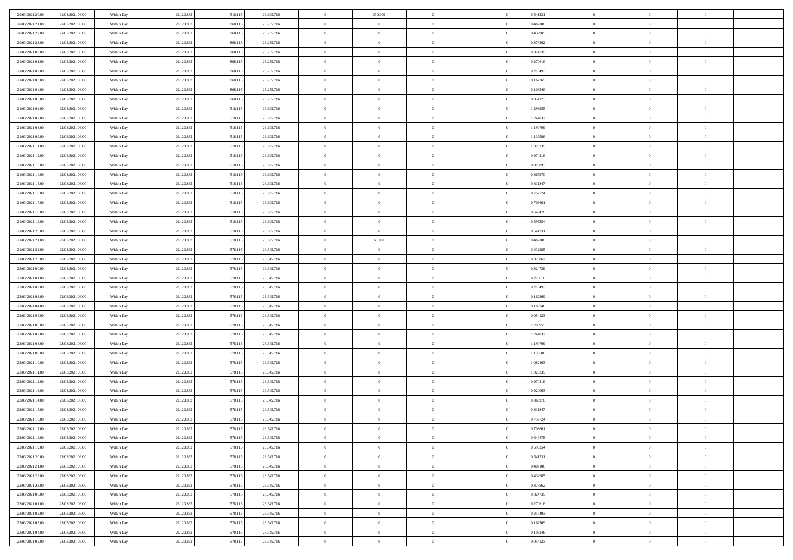| 20/03/2021 20:00 | 21/03/2021 06:00 | Within Day | 29.123.832 | 518.11: | 28.605.716 | $\,0\,$                        | 350.000        | $\bf{0}$       |                | 0,541231 | $\,$ 0 $\,$    | $\overline{0}$ | $\bf{0}$       |  |
|------------------|------------------|------------|------------|---------|------------|--------------------------------|----------------|----------------|----------------|----------|----------------|----------------|----------------|--|
| 20/03/2021 21:00 | 21/03/2021 06:00 | Within Day | 29.123.832 | 868.11: | 28.255.716 | $\overline{0}$                 | $\overline{0}$ | $\overline{0}$ |                | 0,487108 | $\theta$       | $\overline{0}$ | $\theta$       |  |
| 20/03/2021 22:00 | 21/03/2021 06:00 | Within Day | 29.123.832 | 868.115 | 28.255.716 | $\mathbf{0}$                   | $\overline{0}$ | $\overline{0}$ |                | 0,432985 | $\theta$       | $\overline{0}$ | $\overline{0}$ |  |
| 20/03/2021 23:00 | 21/03/2021 06:00 | Within Day | 29.123.832 | 868.115 | 28.255.716 | $\bf{0}$                       | $\overline{0}$ | $\overline{0}$ |                | 0,378862 | $\bf{0}$       | $\overline{0}$ | $\bf{0}$       |  |
| 21/03/2021 00:00 | 21/03/2021 06:00 | Within Day | 29.123.832 | 868.11: | 28.255.716 | $\overline{0}$                 | $\overline{0}$ | $\overline{0}$ |                | 0,324739 | $\bf{0}$       | $\overline{0}$ | $\bf{0}$       |  |
| 21/03/2021 01:00 | 21/03/2021 06:00 | Within Day | 29.123.832 | 868.115 | 28.255.716 | $\overline{0}$                 | $\overline{0}$ | $\overline{0}$ |                | 0,270616 | $\theta$       | $\overline{0}$ | $\overline{0}$ |  |
| 21/03/2021 02:00 |                  |            |            |         |            | $\,0\,$                        | $\overline{0}$ | $\overline{0}$ |                |          | $\bf{0}$       | $\overline{0}$ | $\bf{0}$       |  |
|                  | 21/03/2021 06:00 | Within Day | 29.123.832 | 868.11: | 28.255.716 |                                |                |                |                | 0,216493 |                |                |                |  |
| 21/03/2021 03:00 | 21/03/2021 06:00 | Within Day | 29.123.832 | 868.11: | 28.255.716 | $\bf{0}$                       | $\overline{0}$ | $\overline{0}$ |                | 0,162369 | $\,$ 0 $\,$    | $\overline{0}$ | $\theta$       |  |
| 21/03/2021 04:00 | 21/03/2021 06:00 | Within Day | 29.123.832 | 868.115 | 28.255.716 | $\mathbf{0}$                   | $\overline{0}$ | $\overline{0}$ |                | 0,108246 | $\theta$       | $\overline{0}$ | $\overline{0}$ |  |
| 21/03/2021 05:00 | 21/03/2021 06:00 | Within Day | 29.123.832 | 868.115 | 28.255.716 | $\bf{0}$                       | $\overline{0}$ | $\overline{0}$ |                | 0,054123 | $\mathbf{0}$   | $\overline{0}$ | $\bf{0}$       |  |
| 21/03/2021 06:00 | 22/03/2021 06:00 | Within Day | 29.123.832 | 518.115 | 28.605.716 | $\bf{0}$                       | $\overline{0}$ | $\overline{0}$ |                | 1,298955 | $\bf{0}$       | $\bf{0}$       | $\theta$       |  |
| 21/03/2021 07:00 | 22/03/2021 06:00 | Within Day | 29.123.832 | 518.115 | 28.605.716 | $\mathbf{0}$                   | $\overline{0}$ | $\overline{0}$ |                | 1,244832 | $\theta$       | $\overline{0}$ | $\overline{0}$ |  |
| 21/03/2021 08:00 | 22/03/2021 06:00 | Within Day | 29.123.832 | 518.115 | 28.605.716 | $\bf{0}$                       | $\overline{0}$ | $\overline{0}$ |                | 1,190709 | $\bf{0}$       | $\overline{0}$ | $\bf{0}$       |  |
| 21/03/2021 09:00 | 22/03/2021 06:00 | Within Day | 29.123.832 | 518.115 | 28.605.716 | $\bf{0}$                       | $\overline{0}$ | $\overline{0}$ |                | 1,136586 | $\,$ 0 $\,$    | $\overline{0}$ | $\theta$       |  |
| 21/03/2021 11:00 | 22/03/2021 06:00 | Within Day | 29.123.832 | 518.115 | 28.605.716 | $\mathbf{0}$                   | $\overline{0}$ | $\overline{0}$ |                | 1,028339 | $\theta$       | $\overline{0}$ | $\overline{0}$ |  |
| 21/03/2021 12:00 | 22/03/2021 06:00 | Within Day | 29.123.832 | 518.115 | 28.605.716 | $\,0\,$                        | $\overline{0}$ | $\overline{0}$ |                | 0,974216 | $\bf{0}$       | $\overline{0}$ | $\bf{0}$       |  |
| 21/03/2021 13:00 | 22/03/2021 06:00 | Within Day | 29.123.832 | 518.115 | 28.605.716 | $\bf{0}$                       | $\overline{0}$ | $\overline{0}$ |                | 0,920093 | $\bf{0}$       | $\overline{0}$ | $\bf{0}$       |  |
| 21/03/2021 14:00 | 22/03/2021 06:00 | Within Day | 29.123.832 | 518.115 | 28.605.716 | $\mathbf{0}$                   | $\overline{0}$ | $\overline{0}$ |                | 0,865970 | $\theta$       | $\overline{0}$ | $\overline{0}$ |  |
| 21/03/2021 15:00 | 22/03/2021 06:00 | Within Day | 29.123.832 | 518.115 | 28.605.716 | $\bf{0}$                       | $\overline{0}$ | $\bf{0}$       |                | 0,811847 | $\bf{0}$       | $\overline{0}$ | $\bf{0}$       |  |
| 21/03/2021 16:00 | 22/03/2021 06:00 | Within Day | 29.123.832 | 518.115 | 28.605.716 | $\bf{0}$                       | $\overline{0}$ | $\overline{0}$ |                | 0,757724 | $\,$ 0 $\,$    | $\overline{0}$ | $\bf{0}$       |  |
| 21/03/2021 17:00 | 22/03/2021 06:00 | Within Day | 29.123.832 | 518.115 | 28.605.716 | $\overline{0}$                 | $\overline{0}$ | $\overline{0}$ |                | 0,703601 | $\theta$       | $\bf{0}$       | $\overline{0}$ |  |
| 21/03/2021 18:00 | 22/03/2021 06:00 | Within Day | 29.123.832 | 518.115 | 28.605.716 | $\,0\,$                        | $\overline{0}$ | $\overline{0}$ |                | 0,649478 | $\bf{0}$       | $\overline{0}$ | $\theta$       |  |
| 21/03/2021 19:00 | 22/03/2021 06:00 | Within Day | 29.123.832 | 518.115 | 28.605.716 | $\bf{0}$                       | $\overline{0}$ | $\overline{0}$ |                | 0.595354 | $\,$ 0 $\,$    | $\overline{0}$ | $\overline{0}$ |  |
| 21/03/2021 20:00 | 22/03/2021 06:00 | Within Day | 29.123.832 | 518.115 | 28.605.716 | $\mathbf{0}$                   | $\overline{0}$ | $\overline{0}$ |                | 0,541231 | $\theta$       | $\overline{0}$ | $\overline{0}$ |  |
| 21/03/2021 21:00 | 22/03/2021 06:00 | Within Day | 29.123.832 | 518.115 | 28.605.716 | $\bf{0}$                       | 60.000         | $\overline{0}$ |                | 0,487108 | $\bf{0}$       | $\overline{0}$ | $\bf{0}$       |  |
| 21/03/2021 22:00 | 22/03/2021 06:00 | Within Day | 29.123.832 | 578.115 | 28.545.716 | $\bf{0}$                       | $\overline{0}$ | $\overline{0}$ |                | 0,432985 | $\,$ 0 $\,$    | $\overline{0}$ | $\bf{0}$       |  |
| 21/03/2021 23:00 | 22/03/2021 06:00 | Within Day | 29.123.832 | 578.115 | 28.545.716 | $\overline{0}$                 | $\overline{0}$ | $\overline{0}$ |                | 0,378862 | $\theta$       | $\overline{0}$ | $\overline{0}$ |  |
| 22/03/2021 00:00 | 22/03/2021 06:00 | Within Day | 29.123.832 | 578.115 | 28.545.716 | $\,0\,$                        | $\overline{0}$ | $\bf{0}$       |                | 0,324739 | $\bf{0}$       | $\overline{0}$ | $\bf{0}$       |  |
|                  |                  |            |            |         |            |                                | $\overline{0}$ |                |                |          | $\,$ 0 $\,$    | $\overline{0}$ | $\overline{0}$ |  |
| 22/03/2021 01:00 | 22/03/2021 06:00 | Within Day | 29.123.832 | 578.115 | 28.545.716 | $\overline{0}$<br>$\mathbf{0}$ |                | $\overline{0}$ |                | 0,270616 | $\theta$       |                | $\overline{0}$ |  |
| 22/03/2021 02:00 | 22/03/2021 06:00 | Within Day | 29.123.832 | 578.115 | 28.545.716 |                                | $\overline{0}$ | $\overline{0}$ |                | 0,216493 |                | $\overline{0}$ |                |  |
| 22/03/2021 03:00 | 22/03/2021 06:00 | Within Day | 29.123.832 | 578.115 | 28.545.716 | $\mathbf{0}$                   | $\overline{0}$ | $\overline{0}$ |                | 0,162369 | $\,$ 0 $\,$    | $\overline{0}$ | $\theta$       |  |
| 22/03/2021 04:00 | 22/03/2021 06:00 | Within Day | 29.123.832 | 578.115 | 28.545.716 | $\bf{0}$                       | $\overline{0}$ | $\overline{0}$ |                | 0,108246 | $\bf{0}$       | $\overline{0}$ | $\bf{0}$       |  |
| 22/03/2021 05:00 | 22/03/2021 06:00 | Within Day | 29.123.832 | 578.115 | 28.545.716 | $\mathbf{0}$                   | $\overline{0}$ | $\overline{0}$ |                | 0,054123 | $\theta$       | $\overline{0}$ | $\overline{0}$ |  |
| 22/03/2021 06:00 | 23/03/2021 06:00 | Within Day | 29.123.832 | 578.115 | 28.545.716 | $\mathbf{0}$                   | $\overline{0}$ | $\overline{0}$ |                | 1,298955 | $\,$ 0 $\,$    | $\overline{0}$ | $\theta$       |  |
| 22/03/2021 07:00 | 23/03/2021 06:00 | Within Day | 29.123.832 | 578.115 | 28.545.716 | $\bf{0}$                       | $\overline{0}$ | $\overline{0}$ |                | 1,244832 | $\,$ 0 $\,$    | $\overline{0}$ | $\bf{0}$       |  |
| 22/03/2021 08:00 | 23/03/2021 06:00 | Within Day | 29.123.832 | 578.115 | 28.545.716 | $\mathbf{0}$                   | $\overline{0}$ | $\overline{0}$ |                | 1,190709 | $\theta$       | $\overline{0}$ | $\overline{0}$ |  |
| 22/03/2021 09:00 | 23/03/2021 06:00 | Within Day | 29.123.832 | 578.115 | 28.545.716 | $\mathbf{0}$                   | $\overline{0}$ | $\theta$       |                | 1,136586 | $\,$ 0 $\,$    | $\overline{0}$ | $\theta$       |  |
| 22/03/2021 10:00 | 23/03/2021 06:00 | Within Day | 29.123.832 | 578.115 | 28.545.716 | $\bf{0}$                       | $\overline{0}$ | $\overline{0}$ |                | 1,082463 | $\bf{0}$       | $\overline{0}$ | $\overline{0}$ |  |
| 22/03/2021 11:00 | 23/03/2021 06:00 | Within Day | 29.123.832 | 578.115 | 28.545.716 | $\mathbf{0}$                   | $\overline{0}$ | $\overline{0}$ |                | 1,028339 | $\theta$       | $\overline{0}$ | $\overline{0}$ |  |
| 22/03/2021 12:00 | 23/03/2021 06:00 | Within Day | 29.123.832 | 578.115 | 28.545.716 | $\,$ 0 $\,$                    | $\overline{0}$ | $\bf{0}$       |                | 0,974216 | $\,$ 0 $\,$    | $\overline{0}$ | $\theta$       |  |
| 22/03/2021 13:00 | 23/03/2021 06:00 | Within Day | 29.123.832 | 578.115 | 28.545.716 | $\bf{0}$                       | $\overline{0}$ | $\overline{0}$ |                | 0,920093 | $\bf{0}$       | $\overline{0}$ | $\bf{0}$       |  |
| 22/03/2021 14:00 | 23/03/2021 06:00 | Within Day | 29.123.832 | 578.115 | 28.545.716 | $\mathbf{0}$                   | $\overline{0}$ | $\overline{0}$ |                | 0,865970 | $\theta$       | $\overline{0}$ | $\overline{0}$ |  |
| 22/03/2021 15:00 | 23/03/2021 06:00 | Within Day | 29.123.832 | 578.115 | 28.545.716 | $\mathbf{0}$                   | $\overline{0}$ | $\overline{0}$ |                | 0,811847 | $\,$ 0 $\,$    | $\overline{0}$ | $\theta$       |  |
| 22/03/2021 16:00 | 23/03/2021 06:00 | Within Day | 29.123.832 | 578.115 | 28.545.716 | $\bf{0}$                       | $\overline{0}$ | $\overline{0}$ |                | 0,757724 | $\,$ 0 $\,$    | $\overline{0}$ | $\overline{0}$ |  |
| 22/03/2021 17:00 | 23/03/2021 06:00 | Within Day | 29.123.832 | 578.115 | 28.545.716 | $\bf{0}$                       | $\overline{0}$ | $\Omega$       |                | 0,703601 | $\overline{0}$ | $^{\circ}$     | $\theta$       |  |
| 22/03/2021 18:00 | 23/03/2021 06:00 | Within Day | 29.123.832 | 578.115 | 28.545.716 | $\,$ 0 $\,$                    | $\overline{0}$ | $\bf{0}$       |                | 0,649478 | $\,$ 0 $\,$    | $\bf{0}$       | $\theta$       |  |
| 22/03/2021 19:00 | 23/03/2021 06:00 | Within Day | 29.123.832 | 578.115 | 28.545.716 | $\bf{0}$                       | $\overline{0}$ | $\overline{0}$ |                | 0,595354 | $\,$ 0 $\,$    | $\overline{0}$ | $\overline{0}$ |  |
| 22/03/2021 20:00 | 23/03/2021 06:00 | Within Day | 29.123.832 | 578.115 | 28.545.716 | $\mathbf{0}$                   | $\overline{0}$ | $\overline{0}$ |                | 0,541231 | $\mathbf{0}$   | $\overline{0}$ | $\mathbf{0}$   |  |
| 22/03/2021 21:00 | 23/03/2021 06:00 | Within Day | 29.123.832 | 578.115 | 28.545.716 | $\,$ 0                         | $\overline{0}$ | $\overline{0}$ | $\overline{0}$ | 0,487108 | $\,$ 0 $\,$    | $\bf{0}$       | $\,$ 0 $\,$    |  |
| 22/03/2021 22:00 | 23/03/2021 06:00 | Within Day | 29.123.832 | 578.115 | 28.545.716 | $\hspace{0.1mm}\bm{0}$         | $\overline{0}$ | $\overline{0}$ |                | 0,432985 | $\,$ 0 $\,$    | $\overline{0}$ | $\overline{0}$ |  |
| 22/03/2021 23:00 | 23/03/2021 06:00 | Within Day | 29.123.832 | 578.115 | 28.545.716 | $\mathbf{0}$                   | $\overline{0}$ | $\overline{0}$ |                | 0,378862 | $\overline{0}$ | $\overline{0}$ | $\overline{0}$ |  |
| 23/03/2021 00:00 | 23/03/2021 06:00 | Within Day | 29.123.832 | 578.115 | 28.545.716 | $\,$ 0 $\,$                    | $\overline{0}$ | $\overline{0}$ |                | 0,324739 | $\,$ 0 $\,$    | $\overline{0}$ | $\,$ 0 $\,$    |  |
| 23/03/2021 01:00 | 23/03/2021 06:00 | Within Day | 29.123.832 | 578.115 | 28.545.716 | $\overline{0}$                 | $\overline{0}$ | $\overline{0}$ |                | 0,270616 | $\overline{0}$ | $\overline{0}$ | $\overline{0}$ |  |
| 23/03/2021 02:00 | 23/03/2021 06:00 | Within Day | 29.123.832 | 578.115 | 28.545.716 | $\mathbf{0}$                   | $\overline{0}$ | $\overline{0}$ |                | 0,216493 | $\mathbf{0}$   | $\overline{0}$ | $\mathbf{0}$   |  |
| 23/03/2021 03:00 | 23/03/2021 06:00 | Within Day | 29.123.832 | 578.115 | 28.545.716 | $\,$ 0 $\,$                    | $\overline{0}$ | $\overline{0}$ |                | 0,162369 | $\,$ 0 $\,$    | $\bf{0}$       | $\,$ 0 $\,$    |  |
| 23/03/2021 04:00 | 23/03/2021 06:00 | Within Day | 29.123.832 | 578.115 | 28.545.716 | $\bf{0}$                       | $\overline{0}$ | $\overline{0}$ |                | 0,108246 | $\,$ 0 $\,$    | $\mathbf{0}$   | $\overline{0}$ |  |
| 23/03/2021 05:00 | 23/03/2021 06:00 | Within Day | 29.123.832 | 578.115 | 28.545.716 | $\mathbf{0}$                   | $\overline{0}$ | $\overline{0}$ |                | 0,054123 | $\mathbf{0}$   | $\overline{0}$ | $\overline{0}$ |  |
|                  |                  |            |            |         |            |                                |                |                |                |          |                |                |                |  |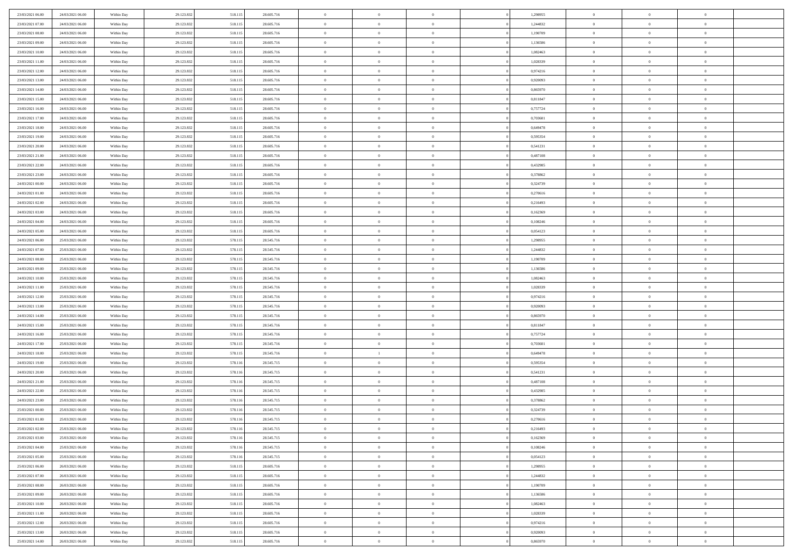| 23/03/2021 06:00                     | 24/03/2021 06:00                     | Within Day               | 29.123.832               | 518.115            | 28.605.716               | $\,$ 0                   | $\bf{0}$                   | $\theta$                         |          | 1,298955             | $\bf{0}$                 | $\overline{0}$                   | $\,0\,$                    |  |
|--------------------------------------|--------------------------------------|--------------------------|--------------------------|--------------------|--------------------------|--------------------------|----------------------------|----------------------------------|----------|----------------------|--------------------------|----------------------------------|----------------------------|--|
| 23/03/2021 07:00                     | 24/03/2021 06:00                     | Within Day               | 29.123.832               | 518.115            | 28.605.716               | $\overline{0}$           | $\overline{0}$             | $\overline{0}$                   |          | 1,244832             | $\overline{0}$           | $\overline{0}$                   | $\theta$                   |  |
| 23/03/2021 08:00                     | 24/03/2021 06:00                     | Within Dav               | 29.123.832               | 518.115            | 28.605.716               | $\mathbf{0}$             | $\overline{0}$             | $\overline{0}$                   |          | 1,190709             | $\mathbf{0}$             | $\overline{0}$                   | $\overline{0}$             |  |
| 23/03/2021 09:00                     | 24/03/2021 06:00                     | Within Day               | 29.123.832               | 518.115            | 28.605.716               | $\bf{0}$                 | $\overline{0}$             | $\bf{0}$                         |          | 1,136586             | $\bf{0}$                 | $\overline{0}$                   | $\bf{0}$                   |  |
| 23/03/2021 10:00                     | 24/03/2021 06:00                     | Within Day               | 29.123.832               | 518.115            | 28.605.716               | $\bf{0}$                 | $\bf{0}$                   | $\overline{0}$                   |          | 1,082463             | $\bf{0}$                 | $\bf{0}$                         | $\,0\,$                    |  |
| 23/03/2021 11:00                     | 24/03/2021 06:00                     | Within Dav               | 29.123.832               | 518.115            | 28.605.716               | $\overline{0}$           | $\overline{0}$             | $\overline{0}$                   |          | 1,028339             | $\mathbf{0}$             | $\overline{0}$                   | $\overline{0}$             |  |
| 23/03/2021 12:00                     | 24/03/2021 06:00                     | Within Day               | 29.123.832               | 518.115            | 28.605.716               | $\bf{0}$                 | $\bf{0}$                   | $\overline{0}$                   |          | 0,974216             | $\bf{0}$                 | $\overline{0}$                   | $\,0\,$                    |  |
| 23/03/2021 13:00                     | 24/03/2021 06:00                     | Within Day               | 29.123.832               | 518.115            | 28.605.716               | $\overline{0}$           | $\overline{0}$             | $\overline{0}$                   |          | 0,920093             | $\,$ 0 $\,$              | $\overline{0}$                   | $\theta$                   |  |
| 23/03/2021 14:00                     | 24/03/2021 06:00                     | Within Dav               | 29.123.832               | 518.115            | 28.605.716               | $\mathbf{0}$             | $\overline{0}$             | $\overline{0}$                   |          | 0,865970             | $\mathbf{0}$             | $\overline{0}$                   | $\overline{0}$             |  |
| 23/03/2021 15:00                     | 24/03/2021 06:00                     | Within Day               | 29.123.832               | 518.115            | 28.605.716               | $\bf{0}$                 | $\bf{0}$                   | $\overline{0}$                   |          | 0,811847             | $\bf{0}$                 | $\overline{0}$                   | $\,0\,$                    |  |
| 23/03/2021 16:00                     | 24/03/2021 06:00                     | Within Day               | 29.123.832               | 518.115            | 28.605.716               | $\bf{0}$                 | $\overline{0}$             | $\overline{0}$                   |          | 0,757724             | $\bf{0}$                 | $\overline{0}$                   | $\theta$                   |  |
| 23/03/2021 17:00                     | 24/03/2021 06:00                     | Within Day               | 29.123.832               | 518.115            | 28.605.716               | $\mathbf{0}$             | $\overline{0}$             | $\overline{0}$                   |          | 0,703601             | $\mathbf{0}$             | $\overline{0}$                   | $\overline{0}$             |  |
| 23/03/2021 18:00                     | 24/03/2021 06:00                     | Within Day               | 29.123.832               | 518.115            | 28.605.716               | $\bf{0}$                 | $\overline{0}$             | $\bf{0}$                         |          | 0,649478             | $\bf{0}$                 | $\overline{0}$                   | $\bf{0}$                   |  |
| 23/03/2021 19:00                     | 24/03/2021 06:00                     | Within Day               | 29.123.832               | 518.115            | 28.605.716               | $\bf{0}$                 | $\overline{0}$             | $\overline{0}$                   |          | 0,595354             | $\bf{0}$                 | $\mathbf{0}$                     | $\,0\,$                    |  |
| 23/03/2021 20:00                     | 24/03/2021 06:00                     | Within Dav               | 29.123.832               | 518.115            | 28.605.716               | $\overline{0}$           | $\overline{0}$             | $\overline{0}$                   |          | 0,541231             | $\mathbf{0}$             | $\overline{0}$                   | $\overline{0}$             |  |
| 23/03/2021 21:00                     | 24/03/2021 06:00                     | Within Day               | 29.123.832               | 518.115            | 28.605.716               | $\bf{0}$                 | $\bf{0}$                   | $\overline{0}$                   |          | 0,487108             | $\bf{0}$                 | $\overline{0}$                   | $\bf{0}$                   |  |
| 23/03/2021 22:00                     | 24/03/2021 06:00                     | Within Day               | 29.123.832               | 518.115            | 28.605.716               | $\bf{0}$                 | $\overline{0}$             | $\overline{0}$                   |          | 0,432985             | $\,$ 0 $\,$              | $\overline{0}$                   | $\theta$                   |  |
| 23/03/2021 23:00                     | 24/03/2021 06:00                     | Within Day               | 29.123.832               | 518.115            | 28.605.716               | $\mathbf{0}$             | $\overline{0}$             | $\overline{0}$                   |          | 0,378862             | $\mathbf{0}$             | $\overline{0}$                   | $\overline{0}$             |  |
| 24/03/2021 00:00                     | 24/03/2021 06:00                     | Within Day               | 29.123.832               | 518.115            | 28.605.716               | $\bf{0}$                 | $\bf{0}$                   | $\overline{0}$                   |          | 0,324739             | $\bf{0}$                 | $\overline{0}$                   | $\,0\,$                    |  |
| 24/03/2021 01:00                     | 24/03/2021 06:00                     | Within Day               | 29.123.832               | 518.115            | 28.605.716               | $\bf{0}$                 | $\overline{0}$             | $\overline{0}$                   |          | 0,270616             | $\bf{0}$                 | $\overline{0}$                   | $\overline{0}$             |  |
| 24/03/2021 02:00                     | 24/03/2021 06:00                     | Within Day               | 29.123.832               | 518.115            | 28.605.716               | $\mathbf{0}$             | $\overline{0}$             | $\overline{0}$                   |          | 0,216493             | $\mathbf{0}$             | $\overline{0}$                   | $\overline{0}$             |  |
| 24/03/2021 03:00                     | 24/03/2021 06:00                     | Within Day               | 29.123.832               | 518.115            | 28.605.716               | $\bf{0}$                 | $\bf{0}$                   | $\bf{0}$                         |          | 0,162369             | $\bf{0}$                 | $\overline{0}$                   | $\bf{0}$                   |  |
|                                      | 24/03/2021 06:00                     |                          |                          |                    | 28.605.716               | $\bf{0}$                 | $\bf{0}$                   | $\overline{0}$                   |          | 0,108246             | $\,$ 0 $\,$              | $\overline{0}$                   | $\,0\,$                    |  |
| 24/03/2021 04:00<br>24/03/2021 05:00 | 24/03/2021 06:00                     | Within Day<br>Within Dav | 29.123.832<br>29.123.832 | 518.115<br>518.115 | 28.605.716               | $\mathbf{0}$             | $\overline{0}$             | $\overline{0}$                   |          | 0,054123             | $\mathbf{0}$             | $\overline{0}$                   | $\theta$                   |  |
| 24/03/2021 06:00                     | 25/03/2021 06:00                     | Within Day               |                          |                    | 28.545.716               | $\bf{0}$                 | $\bf{0}$                   | $\overline{0}$                   |          | 1,298955             | $\bf{0}$                 | $\overline{0}$                   | $\,0\,$                    |  |
|                                      |                                      |                          | 29.123.832               | 578.115            |                          | $\bf{0}$                 | $\overline{0}$             | $\overline{0}$                   |          |                      |                          | $\overline{0}$                   | $\overline{0}$             |  |
| 24/03/2021 07:00<br>24/03/2021 08:00 | 25/03/2021 06:00                     | Within Day               | 29.123.832               | 578.115            | 28.545.716               | $\mathbf{0}$             |                            |                                  |          | 1,244832             | $\bf{0}$<br>$\mathbf{0}$ |                                  | $\overline{0}$             |  |
|                                      | 25/03/2021 06:00<br>25/03/2021 06:00 | Within Dav               | 29.123.832               | 578.115            | 28.545.716               |                          | $\overline{0}$             | $\overline{0}$<br>$\overline{0}$ |          | 1,190709             |                          | $\overline{0}$<br>$\overline{0}$ |                            |  |
| 24/03/2021 09:00                     |                                      | Within Day               | 29.123.832               | 578.115            | 28.545.716               | $\bf{0}$                 | $\bf{0}$                   |                                  |          | 1,136586             | $\bf{0}$                 |                                  | $\,0\,$                    |  |
| 24/03/2021 10:00<br>24/03/2021 11:00 | 25/03/2021 06:00<br>25/03/2021 06:00 | Within Day               | 29.123.832<br>29.123.832 | 578.115<br>578.115 | 28.545.716<br>28.545.716 | $\bf{0}$<br>$\mathbf{0}$ | $\bf{0}$<br>$\overline{0}$ | $\overline{0}$<br>$\overline{0}$ |          | 1,082463<br>1,028339 | $\bf{0}$<br>$\mathbf{0}$ | $\overline{0}$<br>$\overline{0}$ | $\bf{0}$<br>$\overline{0}$ |  |
|                                      |                                      | Within Day               |                          |                    |                          | $\bf{0}$                 |                            | $\theta$                         |          |                      | $\,$ 0                   | $\overline{0}$                   | $\theta$                   |  |
| 24/03/2021 12:00                     | 25/03/2021 06:00<br>25/03/2021 06:00 | Within Day               | 29.123.832<br>29.123.832 | 578.115<br>578.115 | 28.545.716               | $\bf{0}$                 | $\overline{0}$<br>$\bf{0}$ | $\overline{0}$                   |          | 0,974216             | $\bf{0}$                 | $\overline{0}$                   | $\bf{0}$                   |  |
| 24/03/2021 13:00<br>24/03/2021 14:00 | 25/03/2021 06:00                     | Within Day<br>Within Dav | 29.123.832               | 578.115            | 28.545.716<br>28.545.716 | $\overline{0}$           | $\overline{0}$             | $\overline{0}$                   |          | 0,920093<br>0,865970 | $\mathbf{0}$             | $\overline{0}$                   | $\overline{0}$             |  |
| 24/03/2021 15:00                     | 25/03/2021 06:00                     | Within Day               | 29.123.832               | 578.115            | 28.545.716               | $\bf{0}$                 | $\overline{0}$             | $\theta$                         |          | 0,811847             | $\,$ 0                   | $\overline{0}$                   | $\theta$                   |  |
| 24/03/2021 16:00                     | 25/03/2021 06:00                     |                          | 29.123.832               | 578.115            | 28.545.716               | $\bf{0}$                 | $\overline{0}$             | $\overline{0}$                   |          | 0,757724             | $\bf{0}$                 | $\overline{0}$                   | $\overline{0}$             |  |
| 24/03/2021 17:00                     | 25/03/2021 06:00                     | Within Day<br>Within Day | 29.123.832               | 578.115            | 28.545.716               | $\mathbf{0}$             | $\overline{0}$             | $\overline{0}$                   |          | 0,703601             | $\mathbf{0}$             | $\overline{0}$                   | $\overline{0}$             |  |
| 24/03/2021 18:00                     | 25/03/2021 06:00                     | Within Day               | 29.123.832               | 578.115            | 28.545.716               | $\bf{0}$                 | $\mathbf{1}$               | $\theta$                         |          | 0,649478             | $\,$ 0                   | $\overline{0}$                   | $\theta$                   |  |
| 24/03/2021 19:00                     | 25/03/2021 06:00                     | Within Day               | 29.123.832               | 578.116            | 28.545.715               | $\bf{0}$                 | $\overline{0}$             | $\overline{0}$                   |          | 0,595354             | $\bf{0}$                 | $\overline{0}$                   | $\bf{0}$                   |  |
| 24/03/2021 20:00                     | 25/03/2021 06:00                     | Within Day               | 29.123.832               | 578.116            | 28.545.715               | $\mathbf{0}$             | $\overline{0}$             | $\overline{0}$                   |          | 0,541231             | $\mathbf{0}$             | $\overline{0}$                   | $\overline{0}$             |  |
| 24/03/2021 21:00                     | 25/03/2021 06:00                     | Within Day               | 29.123.832               | 578.116            | 28.545.715               | $\,0\,$                  | $\overline{0}$             | $\theta$                         |          | 0,487108             | $\,$ 0                   | $\overline{0}$                   | $\theta$                   |  |
| 24/03/2021 22:00                     | 25/03/2021 06:00                     | Within Day               | 29.123.832               | 578.116            | 28.545.715               | $\bf{0}$                 | $\overline{0}$             | $\overline{0}$                   |          | 0,432985             | $\bf{0}$                 | $\overline{0}$                   | $\overline{0}$             |  |
| 24/03/2021 23:00                     | 25/03/2021 06:00                     | Within Dav               | 29.123.832               | 578.116            | 28.545.715               | $\mathbf{0}$             | $\overline{0}$             | $\overline{0}$                   |          | 0,378862             | $\mathbf{0}$             | $\overline{0}$                   | $\theta$                   |  |
| 25/03/2021 00:00                     | 25/03/2021 06:00                     | Within Day               | 29.123.832               | 578.116            | 28.545.715               | $\bf{0}$                 | $\overline{0}$             | $\theta$                         |          | 0,324739             | $\,$ 0                   | $\overline{0}$                   | $\theta$                   |  |
| 25/03/2021 01:00                     | 25/03/2021 06:00                     | Within Day               | 29.123.832               | 578.116            | 28.545.715               | $\bf{0}$                 | $\overline{0}$             | $\overline{0}$                   |          | 0,270616             | $\bf{0}$                 | $\overline{0}$                   | $\overline{0}$             |  |
| 25/03/2021 02:00                     | 25/03/2021 06:00                     | Within Day               | 29.123.832               | 578.116            | 28.545.715               | $\overline{0}$           | $\overline{0}$             |                                  |          | 0,216493             | $\overline{0}$           | $\theta$                         | $\theta$                   |  |
| 25/03/2021 03:00                     | 25/03/2021 06:00                     | Within Day               | 29.123.832               | 578.116            | 28.545.715               | $\,0\,$                  | $\overline{0}$             | $\theta$                         |          | 0,162369             | $\,$ 0 $\,$              | $\bf{0}$                         | $\theta$                   |  |
| 25/03/2021 04:00                     | 25/03/2021 06:00                     | Within Day               | 29.123.832               | 578.116            | 28.545.715               | $\overline{0}$           | $\overline{0}$             | $\overline{0}$                   |          | 0,108246             | $\overline{0}$           | $\overline{0}$                   | $\overline{0}$             |  |
| 25/03/2021 05:00                     | 25/03/2021 06:00                     | Within Day               | 29.123.832               | 578.116            | 28.545.715               | $\bf{0}$                 | $\overline{0}$             | $\overline{0}$                   |          | 0,054123             | $\overline{0}$           | $\bf{0}$                         | $\mathbf{0}$               |  |
| 25/03/2021 06:00                     | 26/03/2021 06:00                     | Within Day               | 29.123.832               | 518.115            | 28.605.716               | $\bf{0}$                 | $\overline{0}$             | $\overline{0}$                   | $\theta$ | 1,298955             | $\,$ 0 $\,$              | $\bf{0}$                         | $\,$ 0 $\,$                |  |
| 25/03/2021 07:00                     | 26/03/2021 06:00                     | Within Day               | 29.123.832               | 518.115            | 28.605.716               | $\bf{0}$                 | $\overline{0}$             | $\overline{0}$                   |          | 1,244832             | $\,$ 0 $\,$              | $\overline{0}$                   | $\overline{0}$             |  |
| 25/03/2021 08:00                     | 26/03/2021 06:00                     | Within Day               | 29.123.832               | 518.115            | 28.605.716               | $\bf{0}$                 | $\overline{0}$             | $\overline{0}$                   |          | 1,190709             | $\mathbf{0}$             | $\overline{0}$                   | $\overline{0}$             |  |
| 25/03/2021 09:00                     | 26/03/2021 06:00                     | Within Day               | 29.123.832               | 518.115            | 28.605.716               | $\,0\,$                  | $\overline{0}$             | $\overline{0}$                   | $\theta$ | 1,136586             | $\,$ 0 $\,$              | $\overline{0}$                   | $\,$ 0 $\,$                |  |
| 25/03/2021 10:00                     | 26/03/2021 06:00                     | Within Day               | 29.123.832               | 518.115            | 28.605.716               | $\bf{0}$                 | $\overline{0}$             | $\overline{0}$                   |          | 1,082463             | $\overline{0}$           | $\overline{0}$                   | $\overline{0}$             |  |
| 25/03/2021 11:00                     | 26/03/2021 06:00                     | Within Day               | 29.123.832               | 518.115            | 28.605.716               | $\bf{0}$                 | $\overline{0}$             | $\overline{0}$                   |          | 1,028339             | $\mathbf{0}$             | $\overline{0}$                   | $\overline{0}$             |  |
| 25/03/2021 12:00                     | 26/03/2021 06:00                     | Within Day               | 29.123.832               | 518.115            | 28.605.716               | $\,0\,$                  | $\overline{0}$             | $\overline{0}$                   |          | 0,974216             | $\,$ 0 $\,$              | $\overline{0}$                   | $\,$ 0 $\,$                |  |
| 25/03/2021 13:00                     | 26/03/2021 06:00                     | Within Day               | 29.123.832               | 518.115            | 28.605.716               | $\bf{0}$                 | $\overline{0}$             | $\overline{0}$                   |          | 0,920093             | $\bf{0}$                 | $\mathbf{0}$                     | $\overline{0}$             |  |
| 25/03/2021 14:00                     | 26/03/2021 06:00                     | Within Day               | 29.123.832               | 518.115            | 28.605.716               | $\mathbf{0}$             | $\overline{0}$             | $\overline{0}$                   |          | 0,865970             | $\mathbf{0}$             | $\overline{0}$                   | $\overline{0}$             |  |
|                                      |                                      |                          |                          |                    |                          |                          |                            |                                  |          |                      |                          |                                  |                            |  |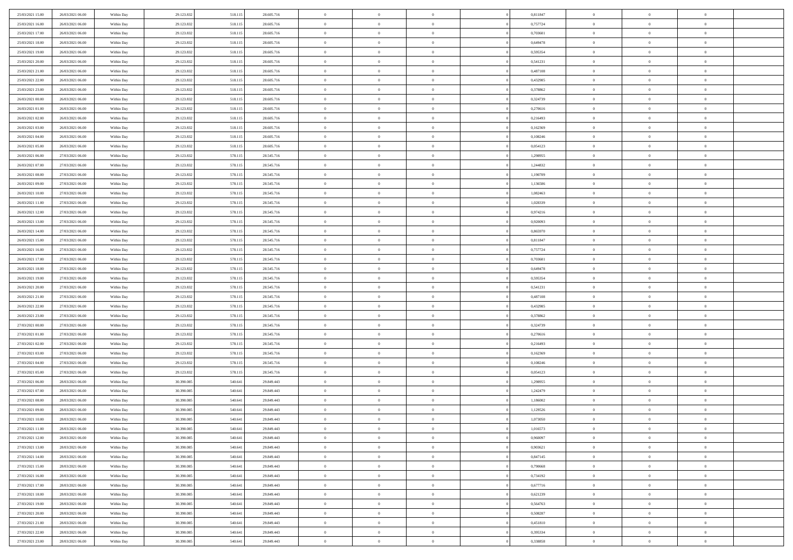| 25/03/2021 15:00                     | 26/03/2021 06:00 | Within Day | 29.123.832 | 518.11: | 28.605.716 | $\,0\,$                  | $\overline{0}$ | $\overline{0}$ |                | 0,811847 | $\,$ 0 $\,$          | $\overline{0}$ | $\bf{0}$                   |  |
|--------------------------------------|------------------|------------|------------|---------|------------|--------------------------|----------------|----------------|----------------|----------|----------------------|----------------|----------------------------|--|
| 25/03/2021 16:00                     | 26/03/2021 06:00 | Within Day | 29.123.832 | 518.11  | 28.605.716 | $\overline{0}$           | $\overline{0}$ | $\overline{0}$ |                | 0,757724 | $\theta$             | $\overline{0}$ | $\theta$                   |  |
| 25/03/2021 17:00                     | 26/03/2021 06:00 | Within Day | 29.123.832 | 518.115 | 28.605.716 | $\mathbf{0}$             | $\overline{0}$ | $\overline{0}$ |                | 0,703601 | $\theta$             | $\overline{0}$ | $\overline{0}$             |  |
| 25/03/2021 18:00                     | 26/03/2021 06:00 | Within Day | 29.123.832 | 518.115 | 28.605.716 | $\bf{0}$                 | $\overline{0}$ | $\overline{0}$ |                | 0,649478 | $\bf{0}$             | $\overline{0}$ | $\bf{0}$                   |  |
| 25/03/2021 19:00                     | 26/03/2021 06:00 | Within Day | 29.123.832 | 518.115 | 28.605.716 | $\overline{0}$           | $\overline{0}$ | $\overline{0}$ |                | 0,595354 | $\bf{0}$             | $\overline{0}$ | $\bf{0}$                   |  |
| 25/03/2021 20:00                     | 26/03/2021 06:00 | Within Day | 29.123.832 | 518.115 | 28.605.716 | $\overline{0}$           | $\overline{0}$ | $\overline{0}$ |                | 0,541231 | $\theta$             | $\overline{0}$ | $\theta$                   |  |
| 25/03/2021 21:00                     | 26/03/2021 06:00 | Within Day | 29.123.832 | 518.11: | 28.605.716 | $\,0\,$                  | $\overline{0}$ | $\overline{0}$ |                | 0,487108 | $\bf{0}$             | $\overline{0}$ | $\bf{0}$                   |  |
| 25/03/2021 22:00                     | 26/03/2021 06:00 | Within Day | 29.123.832 | 518.115 | 28.605.716 | $\bf{0}$                 | $\overline{0}$ | $\overline{0}$ |                | 0,432985 | $\,$ 0 $\,$          | $\overline{0}$ | $\theta$                   |  |
| 25/03/2021 23:00                     | 26/03/2021 06:00 | Within Day | 29.123.832 | 518.115 | 28.605.716 | $\mathbf{0}$             | $\overline{0}$ | $\overline{0}$ |                | 0,378862 | $\theta$             | $\overline{0}$ | $\overline{0}$             |  |
| 26/03/2021 00:00                     | 26/03/2021 06:00 |            | 29.123.832 |         | 28.605.716 | $\bf{0}$                 | $\overline{0}$ | $\overline{0}$ |                | 0,324739 | $\mathbf{0}$         | $\overline{0}$ | $\bf{0}$                   |  |
|                                      |                  | Within Day |            | 518.115 |            |                          | $\overline{0}$ |                |                |          |                      |                |                            |  |
| 26/03/2021 01:00<br>26/03/2021 02:00 | 26/03/2021 06:00 | Within Day | 29.123.832 | 518.115 | 28.605.716 | $\bf{0}$<br>$\mathbf{0}$ |                | $\overline{0}$ |                | 0,270616 | $\bf{0}$<br>$\theta$ | $\bf{0}$       | $\bf{0}$<br>$\overline{0}$ |  |
|                                      | 26/03/2021 06:00 | Within Day | 29.123.832 | 518.115 | 28.605.716 |                          | $\overline{0}$ | $\overline{0}$ |                | 0,216493 |                      | $\overline{0}$ |                            |  |
| 26/03/2021 03:00                     | 26/03/2021 06:00 | Within Day | 29.123.832 | 518.115 | 28.605.716 | $\bf{0}$                 | $\overline{0}$ | $\overline{0}$ |                | 0,162369 | $\bf{0}$             | $\overline{0}$ | $\bf{0}$                   |  |
| 26/03/2021 04:00                     | 26/03/2021 06:00 | Within Day | 29.123.832 | 518.115 | 28.605.716 | $\bf{0}$                 | $\overline{0}$ | $\overline{0}$ |                | 0,108246 | $\,$ 0 $\,$          | $\overline{0}$ | $\theta$                   |  |
| 26/03/2021 05:00                     | 26/03/2021 06:00 | Within Day | 29.123.832 | 518.115 | 28.605.716 | $\overline{0}$           | $\overline{0}$ | $\overline{0}$ |                | 0,054123 | $\theta$             | $\overline{0}$ | $\overline{0}$             |  |
| 26/03/2021 06:00                     | 27/03/2021 06:00 | Within Day | 29.123.832 | 578.115 | 28.545.716 | $\,0\,$                  | $\overline{0}$ | $\overline{0}$ |                | 1,298955 | $\bf{0}$             | $\overline{0}$ | $\bf{0}$                   |  |
| 26/03/2021 07:00                     | 27/03/2021 06:00 | Within Day | 29.123.832 | 578.115 | 28.545.716 | $\bf{0}$                 | $\overline{0}$ | $\overline{0}$ |                | 1,244832 | $\bf{0}$             | $\overline{0}$ | $\overline{0}$             |  |
| 26/03/2021 08:00                     | 27/03/2021 06:00 | Within Day | 29.123.832 | 578.115 | 28.545.716 | $\mathbf{0}$             | $\overline{0}$ | $\overline{0}$ |                | 1,190709 | $\theta$             | $\overline{0}$ | $\overline{0}$             |  |
| 26/03/2021 09:00                     | 27/03/2021 06:00 | Within Day | 29.123.832 | 578.115 | 28.545.716 | $\bf{0}$                 | $\overline{0}$ | $\overline{0}$ |                | 1,136586 | $\bf{0}$             | $\overline{0}$ | $\bf{0}$                   |  |
| 26/03/2021 10:00                     | 27/03/2021 06:00 | Within Day | 29.123.832 | 578.115 | 28.545.716 | $\bf{0}$                 | $\overline{0}$ | $\overline{0}$ |                | 1,082463 | $\,$ 0 $\,$          | $\overline{0}$ | $\bf{0}$                   |  |
| 26/03/2021 11:00                     | 27/03/2021 06:00 | Within Day | 29.123.832 | 578.115 | 28.545.716 | $\overline{0}$           | $\overline{0}$ | $\overline{0}$ |                | 1,028339 | $\theta$             | $\bf{0}$       | $\overline{0}$             |  |
| 26/03/2021 12:00                     | 27/03/2021 06:00 | Within Day | 29.123.832 | 578.115 | 28.545.716 | $\,0\,$                  | $\overline{0}$ | $\overline{0}$ |                | 0,974216 | $\bf{0}$             | $\overline{0}$ | $\theta$                   |  |
| 26/03/2021 13:00                     | 27/03/2021 06:00 | Within Day | 29.123.832 | 578.115 | 28.545.716 | $\bf{0}$                 | $\overline{0}$ | $\overline{0}$ |                | 0,920093 | $\,$ 0 $\,$          | $\overline{0}$ | $\overline{0}$             |  |
| 26/03/2021 14:00                     | 27/03/2021 06:00 | Within Day | 29.123.832 | 578.115 | 28.545.716 | $\mathbf{0}$             | $\overline{0}$ | $\overline{0}$ |                | 0,865970 | $\theta$             | $\overline{0}$ | $\overline{0}$             |  |
| 26/03/2021 15:00                     | 27/03/2021 06:00 | Within Day | 29.123.832 | 578.115 | 28.545.716 | $\bf{0}$                 | $\overline{0}$ | $\overline{0}$ |                | 0,811847 | $\bf{0}$             | $\overline{0}$ | $\bf{0}$                   |  |
| 26/03/2021 16:00                     | 27/03/2021 06:00 | Within Day | 29.123.832 | 578.115 | 28.545.716 | $\bf{0}$                 | $\overline{0}$ | $\overline{0}$ |                | 0,757724 | $\,$ 0 $\,$          | $\overline{0}$ | $\bf{0}$                   |  |
| 26/03/2021 17:00                     | 27/03/2021 06:00 | Within Day | 29.123.832 | 578.115 | 28.545.716 | $\overline{0}$           | $\overline{0}$ | $\overline{0}$ |                | 0,703601 | $\theta$             | $\overline{0}$ | $\overline{0}$             |  |
| 26/03/2021 18:00                     | 27/03/2021 06:00 | Within Day | 29.123.832 | 578.115 | 28.545.716 | $\bf{0}$                 | $\overline{0}$ | $\bf{0}$       |                | 0,649478 | $\bf{0}$             | $\overline{0}$ | $\bf{0}$                   |  |
| 26/03/2021 19:00                     | 27/03/2021 06:00 | Within Day | 29.123.832 | 578.115 | 28.545.716 | $\overline{0}$           | $\overline{0}$ | $\overline{0}$ |                | 0,595354 | $\,$ 0 $\,$          | $\overline{0}$ | $\overline{0}$             |  |
| 26/03/2021 20:00                     | 27/03/2021 06:00 | Within Day | 29.123.832 | 578.115 | 28.545.716 | $\mathbf{0}$             | $\overline{0}$ | $\overline{0}$ |                | 0,541231 | $\theta$             | $\overline{0}$ | $\overline{0}$             |  |
| 26/03/2021 21:00                     | 27/03/2021 06:00 | Within Day | 29.123.832 | 578.115 | 28.545.716 | $\mathbf{0}$             | $\overline{0}$ | $\overline{0}$ |                | 0,487108 | $\,$ 0 $\,$          | $\overline{0}$ | $\theta$                   |  |
| 26/03/2021 22:00                     | 27/03/2021 06:00 | Within Day | 29.123.832 | 578.115 | 28.545.716 | $\bf{0}$                 | $\overline{0}$ | $\overline{0}$ |                | 0,432985 | $\bf{0}$             | $\overline{0}$ | $\bf{0}$                   |  |
| 26/03/2021 23:00                     | 27/03/2021 06:00 | Within Day | 29.123.832 | 578.115 | 28.545.716 | $\mathbf{0}$             | $\overline{0}$ | $\overline{0}$ |                | 0,378862 | $\theta$             | $\overline{0}$ | $\overline{0}$             |  |
| 27/03/2021 00:00                     | 27/03/2021 06:00 | Within Day | 29.123.832 | 578.115 | 28.545.716 | $\,$ 0 $\,$              | $\overline{0}$ | $\overline{0}$ |                | 0,324739 | $\,$ 0 $\,$          | $\overline{0}$ | $\theta$                   |  |
| 27/03/2021 01:00                     | 27/03/2021 06:00 | Within Day | 29.123.832 | 578.115 | 28.545.716 | $\bf{0}$                 | $\overline{0}$ | $\overline{0}$ |                | 0,270616 | $\,$ 0 $\,$          | $\overline{0}$ | $\bf{0}$                   |  |
| 27/03/2021 02:00                     | 27/03/2021 06:00 | Within Day | 29.123.832 | 578.115 | 28.545.716 | $\mathbf{0}$             | $\overline{0}$ | $\overline{0}$ |                | 0,216493 | $\theta$             | $\overline{0}$ | $\overline{0}$             |  |
| 27/03/2021 03:00                     | 27/03/2021 06:00 | Within Day | 29.123.832 | 578.115 | 28.545.716 | $\mathbf{0}$             | $\overline{0}$ | $\theta$       |                | 0,162369 | $\,$ 0 $\,$          | $\overline{0}$ | $\theta$                   |  |
| 27/03/2021 04:00                     | 27/03/2021 06:00 | Within Day | 29.123.832 | 578.115 | 28.545.716 | $\bf{0}$                 | $\overline{0}$ | $\overline{0}$ |                | 0,108246 | $\bf{0}$             | $\overline{0}$ | $\overline{0}$             |  |
| 27/03/2021 05:00                     | 27/03/2021 06:00 | Within Day | 29.123.832 | 578.115 | 28.545.716 | $\mathbf{0}$             | $\overline{0}$ | $\overline{0}$ |                | 0,054123 | $\theta$             | $\overline{0}$ | $\overline{0}$             |  |
| 27/03/2021 06:00                     | 28/03/2021 06:00 | Within Day | 30.390.085 | 540.641 | 29.849.443 | $\,$ 0 $\,$              | $\overline{0}$ | $\bf{0}$       |                | 1,298955 | $\,$ 0 $\,$          | $\overline{0}$ | $\theta$                   |  |
| 27/03/2021 07:00                     | 28/03/2021 06:00 | Within Day | 30.390.085 | 540.641 | 29.849.443 | $\bf{0}$                 | $\overline{0}$ | $\overline{0}$ |                | 1,242479 | $\bf{0}$             | $\overline{0}$ | $\bf{0}$                   |  |
| 27/03/2021 08:00                     | 28/03/2021 06:00 | Within Day | 30.390.085 | 540.641 | 29.849.443 | $\mathbf{0}$             | $\overline{0}$ | $\overline{0}$ |                | 1,186002 | $\theta$             | $\overline{0}$ | $\overline{0}$             |  |
| 27/03/2021 09:00                     | 28/03/2021 06:00 | Within Day | 30.390.085 | 540.641 | 29.849.443 | $\mathbf{0}$             | $\overline{0}$ | $\overline{0}$ |                | 1,129526 | $\,$ 0 $\,$          | $\overline{0}$ | $\theta$                   |  |
| 27/03/2021 10:00                     | 28/03/2021 06:00 | Within Day | 30.390.085 | 540.641 | 29.849.443 | $\bf{0}$                 | $\overline{0}$ | $\overline{0}$ |                | 1,073050 | $\,$ 0 $\,$          | $\overline{0}$ | $\bf{0}$                   |  |
| 27/03/2021 11:00                     | 28/03/2021 06:00 | Within Day | 30.390.085 | 540.641 | 29.849.443 | $\bf{0}$                 | $\overline{0}$ | $\overline{0}$ |                | 1,016573 | $\overline{0}$       | $\theta$       | $\theta$                   |  |
| 27/03/2021 12:00                     | 28/03/2021 06:00 | Within Day | 30.390.085 | 540.641 | 29.849.443 | $\,$ 0 $\,$              | $\overline{0}$ | $\bf{0}$       |                | 0,960097 | $\,$ 0 $\,$          | $\overline{0}$ | $\theta$                   |  |
| 27/03/2021 13:00                     | 28/03/2021 06:00 | Within Day | 30.390.085 | 540.641 | 29.849.443 | $\mathbf{0}$             | $\overline{0}$ | $\overline{0}$ |                | 0,903621 | $\,$ 0 $\,$          | $\overline{0}$ | $\overline{0}$             |  |
| 27/03/2021 14:00                     | 28/03/2021 06:00 | Within Day | 30.390.085 | 540.641 | 29.849.443 | $\mathbf{0}$             | $\overline{0}$ | $\overline{0}$ |                | 0,847145 | $\mathbf{0}$         | $\overline{0}$ | $\mathbf{0}$               |  |
| 27/03/2021 15:00                     | 28/03/2021 06:00 | Within Day | 30.390.085 | 540.641 | 29.849.443 | $\,$ 0                   | $\overline{0}$ | $\overline{0}$ | $\overline{0}$ | 0,790668 | $\,$ 0 $\,$          | $\bf{0}$       | $\,$ 0 $\,$                |  |
| 27/03/2021 16:00                     | 28/03/2021 06:00 | Within Day | 30.390.085 | 540.641 | 29.849.443 | $\hspace{0.1mm}\bm{0}$   | $\overline{0}$ | $\overline{0}$ |                | 0,734192 | $\,$ 0 $\,$          | $\overline{0}$ | $\overline{0}$             |  |
| 27/03/2021 17:00                     | 28/03/2021 06:00 | Within Day | 30.390.085 | 540.641 | 29.849.443 | $\mathbf{0}$             | $\overline{0}$ | $\overline{0}$ |                | 0,677716 | $\overline{0}$       | $\overline{0}$ | $\overline{0}$             |  |
| 27/03/2021 18:00                     | 28/03/2021 06:00 | Within Day | 30.390.085 | 540.641 | 29.849.443 | $\,$ 0 $\,$              | $\overline{0}$ | $\overline{0}$ |                | 0,621239 | $\,$ 0 $\,$          | $\overline{0}$ | $\,$ 0 $\,$                |  |
| 27/03/2021 19:00                     | 28/03/2021 06:00 | Within Day | 30.390.085 | 540.641 | 29.849.443 | $\overline{0}$           | $\overline{0}$ | $\overline{0}$ |                | 0,564763 | $\overline{0}$       | $\overline{0}$ | $\overline{0}$             |  |
| 27/03/2021 20:00                     | 28/03/2021 06:00 | Within Day | 30.390.085 | 540.641 | 29.849.443 | $\mathbf{0}$             | $\overline{0}$ | $\overline{0}$ |                | 0,508287 | $\mathbf{0}$         | $\overline{0}$ | $\mathbf{0}$               |  |
| 27/03/2021 21:00                     | 28/03/2021 06:00 | Within Day | 30.390.085 | 540.641 | 29.849.443 | $\,$ 0 $\,$              | $\overline{0}$ | $\overline{0}$ | $\overline{0}$ | 0,451810 | $\,$ 0 $\,$          | $\bf{0}$       | $\,$ 0 $\,$                |  |
| 27/03/2021 22:00                     | 28/03/2021 06:00 | Within Day | 30.390.085 | 540.641 | 29.849.443 | $\bf{0}$                 | $\overline{0}$ | $\overline{0}$ |                | 0,395334 | $\,$ 0 $\,$          | $\mathbf{0}$   | $\overline{0}$             |  |
| 27/03/2021 23:00                     | 28/03/2021 06:00 | Within Day | 30.390.085 | 540.641 | 29.849.443 | $\mathbf{0}$             | $\overline{0}$ | $\overline{0}$ |                | 0,338858 | $\mathbf{0}$         | $\overline{0}$ | $\overline{0}$             |  |
|                                      |                  |            |            |         |            |                          |                |                |                |          |                      |                |                            |  |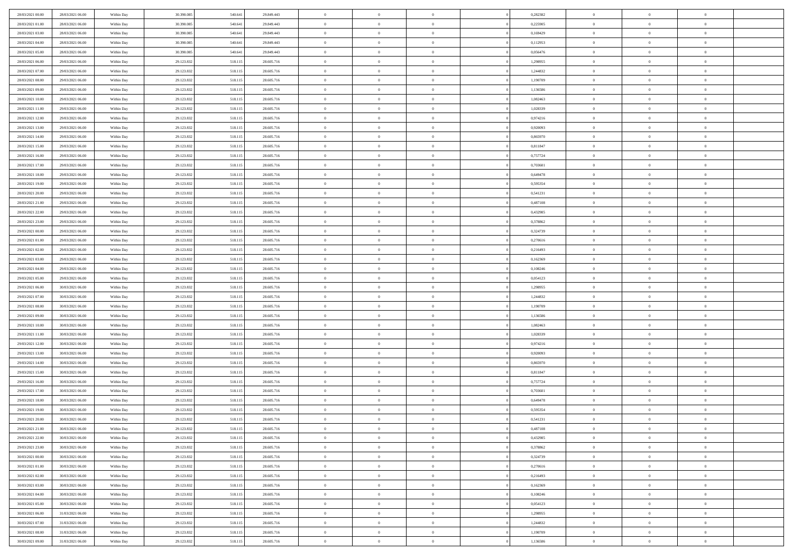| 28/03/2021 00:00 | 28/03/2021 06:00 | Within Day | 30,390,085 | 540.641 | 29.849.443 | $\overline{0}$ | $\overline{0}$ | $\Omega$       |          | 0,282382 | $\bf{0}$       | $\mathbf{0}$   | $\bf{0}$       |  |
|------------------|------------------|------------|------------|---------|------------|----------------|----------------|----------------|----------|----------|----------------|----------------|----------------|--|
| 28/03/2021 01:00 | 28/03/2021 06:00 | Within Day | 30.390.085 | 540.641 | 29.849.443 | $\mathbf{0}$   | $\overline{0}$ | $\overline{0}$ |          | 0,225905 | $\mathbf{0}$   | $\overline{0}$ | $\overline{0}$ |  |
| 28/03/2021 03:00 | 28/03/2021 06:00 | Within Day | 30.390.085 | 540.641 | 29.849.443 | $\,$ 0         | $\overline{0}$ | $\bf{0}$       |          | 0,169429 | $\,$ 0         | $\overline{0}$ | $\,$ 0 $\,$    |  |
| 28/03/2021 04:00 | 28/03/2021 06:00 | Within Day | 30.390.085 | 540.641 | 29.849.443 | $\bf{0}$       | $\overline{0}$ | $\Omega$       |          | 0,112953 | $\bf{0}$       | $\mathbf{0}$   | $\theta$       |  |
| 28/03/2021 05:00 | 28/03/2021 06:00 | Within Day | 30.390.085 | 540.641 | 29.849.443 | $\bf{0}$       | $\overline{0}$ | $\overline{0}$ |          | 0,056476 | $\mathbf{0}$   | $\bf{0}$       | $\overline{0}$ |  |
| 28/03/2021 06:00 | 29/03/2021 06:00 | Within Day | 29.123.832 | 518.115 | 28.605.716 | $\bf{0}$       | $\overline{0}$ | $\bf{0}$       |          | 1,298955 | $\,$ 0         | $\overline{0}$ | $\,$ 0 $\,$    |  |
| 28/03/2021 07:00 | 29/03/2021 06:00 | Within Day | 29.123.832 | 518.115 | 28.605.716 | $\bf{0}$       | $\overline{0}$ | $\Omega$       |          | 1,244832 | $\theta$       | $\overline{0}$ | $\theta$       |  |
| 28/03/2021 08:00 | 29/03/2021 06:00 | Within Day | 29.123.832 | 518.115 | 28.605.716 | $\overline{0}$ | $\overline{0}$ | $\overline{0}$ |          | 1,190709 | $\mathbf{0}$   | $\overline{0}$ | $\overline{0}$ |  |
| 28/03/2021 09:00 | 29/03/2021 06:00 | Within Day | 29.123.832 | 518.115 | 28.605.716 | $\bf{0}$       | $\overline{0}$ | $\bf{0}$       |          | 1,136586 | $\,$ 0         | $\overline{0}$ | $\,$ 0 $\,$    |  |
| 28/03/2021 10:00 | 29/03/2021 06:00 | Within Day | 29.123.832 | 518.115 | 28.605.716 | $\bf{0}$       | $\overline{0}$ | $\Omega$       |          | 1.082463 | $\theta$       | $\mathbf{0}$   | $\theta$       |  |
| 28/03/2021 11:00 | 29/03/2021 06:00 | Within Day | 29.123.832 | 518.115 | 28.605.716 | $\overline{0}$ | $\overline{0}$ | $\overline{0}$ |          | 1,028339 | $\mathbf{0}$   | $\overline{0}$ | $\overline{0}$ |  |
| 28/03/2021 12:00 | 29/03/2021 06:00 | Within Day | 29.123.832 | 518.115 | 28.605.716 | $\bf{0}$       | $\overline{0}$ | $\bf{0}$       |          | 0,974216 | $\,$ 0         | $\overline{0}$ | $\,$ 0 $\,$    |  |
| 28/03/2021 13:00 | 29/03/2021 06:00 | Within Day | 29.123.832 | 518.115 | 28.605.716 | $\bf{0}$       | $\overline{0}$ | $\Omega$       |          | 0.920093 | $\bf{0}$       | $\mathbf{0}$   | $\theta$       |  |
| 28/03/2021 14:00 | 29/03/2021 06:00 | Within Day | 29.123.832 | 518.115 | 28.605.716 | $\overline{0}$ | $\overline{0}$ | $\overline{0}$ |          | 0,865970 | $\mathbf{0}$   | $\overline{0}$ | $\overline{0}$ |  |
| 28/03/2021 15:00 | 29/03/2021 06:00 | Within Day | 29.123.832 | 518.115 | 28.605.716 | $\bf{0}$       | $\overline{0}$ | $\bf{0}$       |          | 0,811847 | $\,$ 0         | $\overline{0}$ | $\,$ 0 $\,$    |  |
| 28/03/2021 16:00 | 29/03/2021 06:00 | Within Day | 29.123.832 | 518.115 | 28.605.716 | $\bf{0}$       | $\overline{0}$ | $\overline{0}$ |          | 0,757724 | $\bf{0}$       | $\overline{0}$ | $\bf{0}$       |  |
| 28/03/2021 17:00 | 29/03/2021 06:00 | Within Day | 29.123.832 | 518.115 | 28.605.716 | $\overline{0}$ | $\overline{0}$ | $\overline{0}$ |          | 0,703601 | $\mathbf{0}$   | $\overline{0}$ | $\overline{0}$ |  |
| 28/03/2021 18:00 | 29/03/2021 06:00 | Within Day | 29.123.832 | 518.115 | 28.605.716 | $\bf{0}$       | $\overline{0}$ | $\bf{0}$       |          | 0,649478 | $\,$ 0         | $\overline{0}$ | $\,$ 0 $\,$    |  |
| 28/03/2021 19:00 | 29/03/2021 06:00 | Within Day | 29.123.832 | 518.115 | 28.605.716 | $\bf{0}$       | $\overline{0}$ | $\Omega$       |          | 0.595354 | $\theta$       | $\mathbf{0}$   | $\theta$       |  |
| 28/03/2021 20:00 | 29/03/2021 06:00 | Within Day | 29.123.832 | 518.115 | 28.605.716 | $\overline{0}$ | $\overline{0}$ | $\overline{0}$ |          | 0,541231 | $\mathbf{0}$   | $\overline{0}$ | $\overline{0}$ |  |
| 28/03/2021 21:00 | 29/03/2021 06:00 | Within Day | 29.123.832 | 518.115 | 28.605.716 | $\bf{0}$       | $\overline{0}$ | $\bf{0}$       |          | 0,487108 | $\,$ 0         | $\overline{0}$ | $\,$ 0 $\,$    |  |
| 28/03/2021 22:00 | 29/03/2021 06:00 | Within Day | 29.123.832 | 518.115 | 28.605.716 | $\bf{0}$       | $\overline{0}$ | $\Omega$       |          | 0,432985 | $\bf{0}$       | $\mathbf{0}$   | $\theta$       |  |
| 28/03/2021 23:00 | 29/03/2021 06:00 | Within Day | 29.123.832 | 518.115 | 28.605.716 | $\overline{0}$ | $\overline{0}$ | $\overline{0}$ |          | 0,378862 | $\mathbf{0}$   | $\overline{0}$ | $\overline{0}$ |  |
| 29/03/2021 00:00 | 29/03/2021 06:00 | Within Day | 29.123.832 | 518.115 | 28.605.716 | $\bf{0}$       | $\overline{0}$ | $\bf{0}$       |          | 0,324739 | $\,$ 0         | $\overline{0}$ | $\,$ 0 $\,$    |  |
| 29/03/2021 01:00 | 29/03/2021 06:00 | Within Day | 29.123.832 | 518.115 | 28.605.716 | $\bf{0}$       | $\overline{0}$ | $\overline{0}$ |          | 0,270616 | $\bf{0}$       | $\overline{0}$ | $\bf{0}$       |  |
| 29/03/2021 02:00 | 29/03/2021 06:00 | Within Day | 29.123.832 | 518.115 | 28.605.716 | $\overline{0}$ | $\overline{0}$ | $\overline{0}$ |          | 0,216493 | $\mathbf{0}$   | $\overline{0}$ | $\overline{0}$ |  |
| 29/03/2021 03:00 | 29/03/2021 06:00 | Within Day | 29.123.832 | 518.115 | 28.605.716 | $\bf{0}$       | $\overline{0}$ | $\bf{0}$       |          | 0,162369 | $\,$ 0         | $\overline{0}$ | $\,$ 0 $\,$    |  |
| 29/03/2021 04:00 | 29/03/2021 06:00 | Within Day | 29.123.832 | 518.115 | 28,605,716 | $\bf{0}$       | $\overline{0}$ | $\Omega$       |          | 0.108246 | $\theta$       | $\mathbf{0}$   | $\theta$       |  |
| 29/03/2021 05:00 | 29/03/2021 06:00 | Within Day | 29.123.832 | 518.115 | 28.605.716 | $\overline{0}$ | $\overline{0}$ | $\overline{0}$ |          | 0,054123 | $\mathbf{0}$   | $\overline{0}$ | $\overline{0}$ |  |
| 29/03/2021 06:00 | 30/03/2021 06:00 | Within Day | 29.123.832 | 518.115 | 28.605.716 | $\bf{0}$       | $\overline{0}$ | $\bf{0}$       |          | 1,298955 | $\,$ 0         | $\overline{0}$ | $\,$ 0 $\,$    |  |
| 29/03/2021 07:00 | 30/03/2021 06:00 | Within Day | 29.123.832 | 518.115 | 28.605.716 | $\bf{0}$       | $\bf{0}$       | $\overline{0}$ |          | 1,244832 | $\bf{0}$       | $\overline{0}$ | $\,0\,$        |  |
| 29/03/2021 08:00 | 30/03/2021 06:00 | Within Day | 29.123.832 | 518.115 | 28.605.716 | $\overline{0}$ | $\overline{0}$ | $\overline{0}$ |          | 1,190709 | $\mathbf{0}$   | $\overline{0}$ | $\overline{0}$ |  |
| 29/03/2021 09:00 | 30/03/2021 06:00 | Within Day | 29.123.832 | 518.115 | 28.605.716 | $\bf{0}$       | $\overline{0}$ | $\bf{0}$       |          | 1,136586 | $\,$ 0         | $\overline{0}$ | $\,$ 0 $\,$    |  |
| 29/03/2021 10:00 | 30/03/2021 06:00 | Within Day | 29.123.832 | 518.115 | 28.605.716 | $\bf{0}$       | $\overline{0}$ | $\bf{0}$       |          | 1,082463 | $\bf{0}$       | $\overline{0}$ | $\,0\,$        |  |
| 29/03/2021 11:00 | 30/03/2021 06:00 | Within Day | 29.123.832 | 518.115 | 28.605.716 | $\overline{0}$ | $\overline{0}$ | $\overline{0}$ |          | 1,028339 | $\mathbf{0}$   | $\overline{0}$ | $\overline{0}$ |  |
| 29/03/2021 12:00 | 30/03/2021 06:00 | Within Day | 29.123.832 | 518.115 | 28.605.716 | $\bf{0}$       | $\overline{0}$ | $\bf{0}$       |          | 0,974216 | $\,$ 0         | $\overline{0}$ | $\,$ 0 $\,$    |  |
| 29/03/2021 13:00 | 30/03/2021 06:00 | Within Day | 29.123.832 | 518.115 | 28.605.716 | $\bf{0}$       | $\bf{0}$       | $\overline{0}$ |          | 0,920093 | $\bf{0}$       | $\overline{0}$ | $\,0\,$        |  |
| 29/03/2021 14:00 | 30/03/2021 06:00 | Within Day | 29.123.832 | 518.115 | 28.605.716 | $\overline{0}$ | $\overline{0}$ | $\overline{0}$ |          | 0,865970 | $\mathbf{0}$   | $\overline{0}$ | $\overline{0}$ |  |
| 29/03/2021 15:00 | 30/03/2021 06:00 | Within Day | 29.123.832 | 518.115 | 28.605.716 | $\bf{0}$       | $\overline{0}$ | $\bf{0}$       |          | 0,811847 | $\,$ 0         | $\overline{0}$ | $\,$ 0 $\,$    |  |
| 29/03/2021 16:00 | 30/03/2021 06:00 | Within Day | 29.123.832 | 518.115 | 28.605.716 | $\bf{0}$       | $\bf{0}$       | $\overline{0}$ |          | 0,757724 | $\bf{0}$       | $\overline{0}$ | $\,0\,$        |  |
| 29/03/2021 17:00 | 30/03/2021 06:00 | Within Day | 29.123.832 | 518.115 | 28.605.716 | $\overline{0}$ | $\overline{0}$ | $\overline{0}$ |          | 0,703601 | $\overline{0}$ | $\overline{0}$ | $\overline{0}$ |  |
| 29/03/2021 18:00 | 30/03/2021 06:00 | Within Day | 29.123.832 | 518.115 | 28.605.716 | $\bf{0}$       | $\overline{0}$ | $\bf{0}$       |          | 0,649478 | $\,$ 0         | $\overline{0}$ | $\,$ 0 $\,$    |  |
| 29/03/2021 19:00 | 30/03/2021 06:00 | Within Day | 29.123.832 | 518.115 | 28.605.716 | $\bf{0}$       | $\bf{0}$       | $\bf{0}$       |          | 0,595354 | $\bf{0}$       | $\overline{0}$ | $\,0\,$        |  |
| 29/03/2021 20:00 | 30/03/2021 06:00 | Within Dav | 29.123.832 | 518.115 | 28.605.716 | $\mathbf{0}$   | $\overline{0}$ | $\overline{0}$ |          | 0,541231 | $\mathbf{0}$   | $\overline{0}$ | $\overline{0}$ |  |
| 29/03/2021 21:00 | 30/03/2021 06:00 | Within Day | 29.123.832 | 518.115 | 28.605.716 | $\bf{0}$       | $\overline{0}$ | $\theta$       |          | 0,487108 | $\overline{0}$ | $\overline{0}$ | $\theta$       |  |
| 29/03/2021 22:00 | 30/03/2021 06:00 | Within Day | 29.123.832 | 518.115 | 28.605.716 | $\bf{0}$       | $\bf{0}$       | $\bf{0}$       |          | 0,432985 | $\bf{0}$       | $\overline{0}$ | $\,0\,$        |  |
| 29/03/2021 23:00 | 30/03/2021 06:00 | Within Day | 29.123.832 | 518.115 | 28.605.716 | $\overline{0}$ | $\overline{0}$ | $\overline{0}$ |          | 0,378862 | $\overline{0}$ | $\bf{0}$       | $\overline{0}$ |  |
| 30/03/2021 00:00 | 30/03/2021 06:00 | Within Day | 29.123.832 | 518.115 | 28.605.716 | $\,$ 0 $\,$    | $\overline{0}$ | $\overline{0}$ |          | 0,324739 | $\mathbf{0}$   | $\,$ 0 $\,$    | $\,$ 0 $\,$    |  |
| 30/03/2021 01:00 | 30/03/2021 06:00 | Within Day | 29.123.832 | 518.115 | 28.605.716 | $\bf{0}$       | $\bf{0}$       | $\overline{0}$ |          | 0,270616 | $\bf{0}$       | $\overline{0}$ | $\bf{0}$       |  |
| 30/03/2021 02:00 | 30/03/2021 06:00 | Within Day | 29.123.832 | 518.115 | 28.605.716 | $\overline{0}$ | $\overline{0}$ | $\overline{0}$ |          | 0,216493 | $\overline{0}$ | $\bf{0}$       | $\overline{0}$ |  |
| 30/03/2021 03:00 | 30/03/2021 06:00 | Within Day | 29.123.832 | 518.115 | 28.605.716 | $\,$ 0 $\,$    | $\overline{0}$ | $\overline{0}$ |          | 0,162369 | $\,$ 0 $\,$    | $\overline{0}$ | $\,$ 0 $\,$    |  |
| 30/03/2021 04:00 | 30/03/2021 06:00 | Within Day | 29.123.832 | 518.115 | 28.605.716 | $\overline{0}$ | $\overline{0}$ | $\overline{0}$ | $\Omega$ | 0,108246 | $\bf{0}$       | $\overline{0}$ | $\overline{0}$ |  |
| 30/03/2021 05:00 | 30/03/2021 06:00 | Within Day | 29.123.832 | 518.115 | 28.605.716 | $\overline{0}$ | $\overline{0}$ | $\overline{0}$ |          | 0,054123 | $\overline{0}$ | $\bf{0}$       | $\overline{0}$ |  |
| 30/03/2021 06:00 | 31/03/2021 06:00 | Within Day | 29.123.832 | 518.115 | 28.605.716 | $\,$ 0 $\,$    | $\overline{0}$ | $\overline{0}$ |          | 1,298955 | $\,$ 0 $\,$    | $\,$ 0 $\,$    | $\,$ 0 $\,$    |  |
| 30/03/2021 07:00 | 31/03/2021 06:00 | Within Day | 29.123.832 | 518.115 | 28.605.716 | $\bf{0}$       | $\bf{0}$       | $\overline{0}$ |          | 1,244832 | $\mathbf{0}$   | $\overline{0}$ | $\bf{0}$       |  |
| 30/03/2021 08:00 | 31/03/2021 06:00 | Within Day | 29.123.832 | 518.115 | 28.605.716 | $\overline{0}$ | $\overline{0}$ | $\overline{0}$ |          | 1,190709 | $\mathbf{0}$   | $\bf{0}$       | $\overline{0}$ |  |
| 30/03/2021 09:00 | 31/03/2021 06:00 | Within Day | 29.123.832 | 518.115 | 28.605.716 | $\,0\,$        | $\overline{0}$ | $\overline{0}$ |          | 1,136586 | $\,$ 0         | $\overline{0}$ | $\,$ 0 $\,$    |  |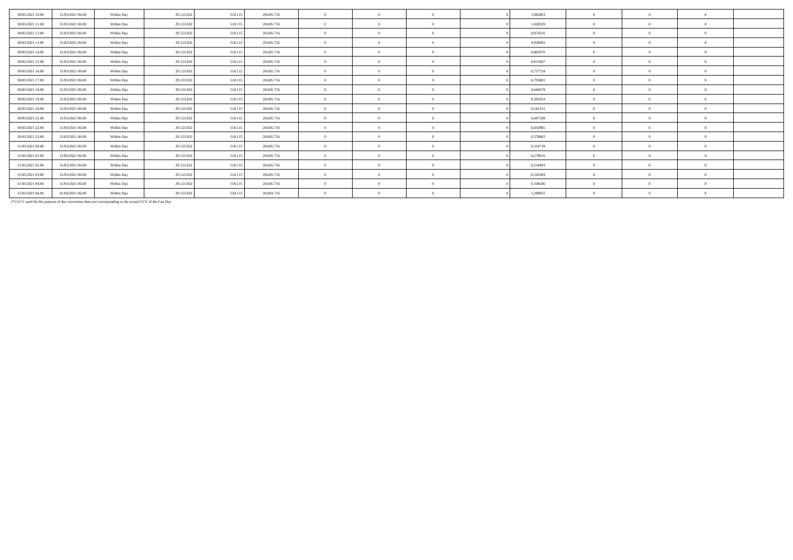| 30/03/2021 10:00 | 31/03/2021 06:00 | Within Day | 29.123.832 | 518.115 | 28.605.716 | $\theta$       | $\Omega$       | 1,082463 | $\theta$       | $\Omega$ |          |  |
|------------------|------------------|------------|------------|---------|------------|----------------|----------------|----------|----------------|----------|----------|--|
| 30/03/2021 11:00 | 31/03/2021 06:00 | Within Day | 29.123.83  | 518.115 | 28.605.716 | $\theta$       | $\Omega$       | 1,028339 | $\Omega$       | $\Omega$ |          |  |
| 30/03/2021 12:00 | 31/03/2021 06:00 | Within Day | 29.123.832 | 518.115 | 28.605.716 | $\theta$       | $\Omega$       | 0,974216 | $\theta$       | 0        |          |  |
| 30/03/2021 13:00 | 31/03/2021 06:00 | Within Day | 29.123.832 | 518.115 | 28.605.716 | $\theta$       | $\Omega$       | 0,920093 | $\theta$       | $\Omega$ |          |  |
| 30/03/2021 14:00 | 31/03/2021 06:00 | Within Day | 29.123.832 | 518,115 | 28.605.716 | $\theta$       | $\Omega$       | 0.865970 | $\Omega$       | $\Omega$ |          |  |
| 30/03/2021 15:00 | 31/03/2021 06:00 | Within Day | 29.123.832 | 518.115 | 28.605.716 | $\theta$       | $\Omega$       | 0,811847 | $\theta$       |          |          |  |
| 30/03/2021 16:00 | 31/03/2021 06:00 | Within Day | 29.123.832 | 518.115 | 28.605.716 | $\theta$       | $\overline{0}$ | 0,757724 | $\overline{0}$ | $\Omega$ | $\Omega$ |  |
| 30/03/2021 17:00 | 31/03/2021 06:00 | Within Day | 29.123.83  | 518.115 | 28.605.716 | $\theta$       | $\Omega$       | 0,703601 | $\theta$       | $\Omega$ |          |  |
| 30/03/2021 18:00 | 31/03/2021 06:00 | Within Day | 29.123.832 | 518.115 | 28.605.716 | $\theta$       | $\Omega$       | 0.649478 | $\Omega$       |          |          |  |
| 30/03/2021 19:00 | 31/03/2021 06:00 | Within Day | 29.123.832 | 518.115 | 28.605.716 | $\theta$       | $\Omega$       | 0,595354 | $\theta$       |          |          |  |
| 30/03/2021 20:00 | 31/03/2021 06:00 | Within Day | 29.123.832 | 518,115 | 28.605.716 | $\mathbf{0}$   | $\Omega$       | 0.541231 | $\theta$       |          |          |  |
| 30/03/2021 21:00 | 31/03/2021 06:00 | Within Day | 29.123.832 | 518,115 | 28.605.716 | $\mathbf{0}$   | $\Omega$       | 0,487108 | $\overline{0}$ | $\Omega$ |          |  |
| 30/03/2021 22.00 | 31/03/2021 06:00 | Within Day | 29.123.832 | 518.115 | 28.605.716 | $\overline{0}$ | $\Omega$       | 0,432985 | $\overline{0}$ | $\Omega$ |          |  |
| 30/03/2021 23:00 | 31/03/2021 06:00 | Within Day | 29.123.832 | 518.115 | 28.605.716 | $\mathbf{0}$   | $\Omega$       | 0,378862 | $\theta$       | $\Omega$ | $\Omega$ |  |
| 31/03/2021 00:00 | 31/03/2021 06:00 | Within Day | 29.123.832 | 518.115 | 28.605.716 | $\mathbf{0}$   | $\Omega$       | 0,324739 | $\Omega$       |          |          |  |
| 31/03/2021 01:00 | 31/03/2021 06:00 | Within Day | 29.123.832 | 518.115 | 28.605.716 | $\overline{0}$ | $\Omega$       | 0,270616 | $\Omega$       |          |          |  |
| 31/03/2021 02:00 | 31/03/2021 06:00 | Within Day | 29.123.832 | 518,115 | 28.605.716 | $\mathbf{0}$   | $\Omega$       | 0.216493 | $\Omega$       |          |          |  |
| 31/03/2021 03:00 | 31/03/2021 06:00 | Within Day | 29.123.832 | 518.115 | 28.605.716 | $\mathbf{0}$   | $\Omega$       | 0,162369 | $\Omega$       | $\Omega$ |          |  |
| 31/03/2021 04:00 | 31/03/2021 06:00 | Within Day | 29.123.832 | 518.115 | 28.605.716 | $\mathbf{0}$   | $\Omega$       | 0,108246 | $\theta$       | $\Omega$ |          |  |
| 31/03/2021 06:00 | 01/04/2021 06:00 | Within Day | 29.123.832 | 520.115 | 28.603.716 | $\mathbf{0}$   | $\Omega$       | 1,298955 | $\Omega$       | $\Omega$ |          |  |
|                  |                  |            |            |         |            |                |                |          |                |          |          |  |

(\*) GCV used for the purpose of the conversion does not corresponding to the actual GCV of the Gas Day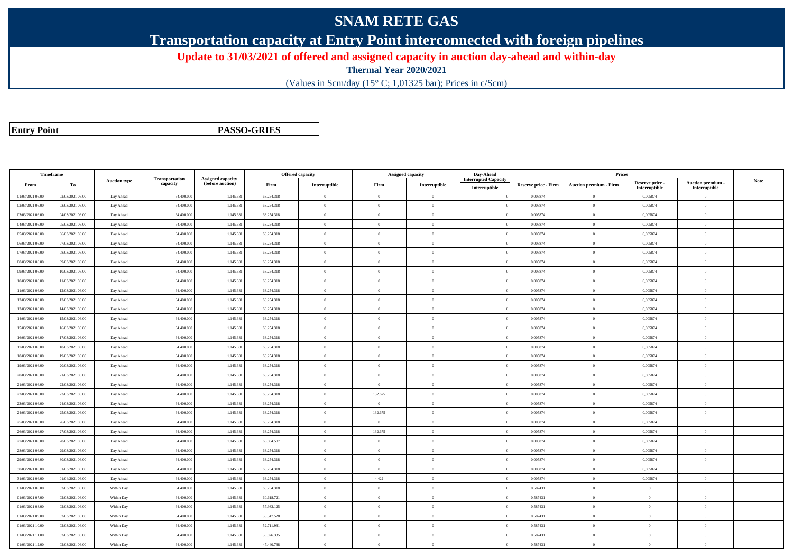## **SNAM RETE GAS**

**Transportation capacity at Entry Point interconnected with foreign pipelines**

**Update to 31/03/2021 of offered and assigned capacity in auction day-ahead and within-day**

**Thermal Year 2020/2021**

(Values in Scm/day (15° C; 1,01325 bar); Prices in c/Scm)

| <b>Entry Point</b> |  |
|--------------------|--|
|--------------------|--|

**PASSO-GRIES**

| Timeframe        |                  |                     |                            |                                              |            | Offered capacity |                | Assigned capacity | Day-Ahead                                    |                             | Prices                        |                           |                           |      |
|------------------|------------------|---------------------|----------------------------|----------------------------------------------|------------|------------------|----------------|-------------------|----------------------------------------------|-----------------------------|-------------------------------|---------------------------|---------------------------|------|
| From             | To               | <b>Auction type</b> | Transportation<br>capacity | <b>Assigned capacity</b><br>(before auction) | Firm       | Interruptible    | Firm           | Interruptible     | <b>Interrupted Capacity</b><br>Interruptible | <b>Reserve price - Firm</b> | <b>Auction premium - Firm</b> | Reserve price -           | <b>Auction premium -</b>  | Note |
| 01/03/2021 06:00 | 02/03/2021 06:00 | Day Ahead           | 64.400.000                 | 1.145.68                                     | 63.254.318 | $\mathbf{0}$     | $\overline{0}$ | $\overline{0}$    |                                              | 0,005874                    | $\Omega$                      | Interruptible<br>0,005874 | Interruptible<br>$\Omega$ |      |
| 02/03/2021 06:00 | 03/03/2021 06:00 | Day Ahead           | 64.400.00                  | 1.145.68                                     | 63.254.318 | $\Omega$         | $\overline{0}$ | $\overline{0}$    |                                              | 0,005874                    | $\theta$                      | 0,005874                  | $\Omega$                  |      |
| 03/03/2021 06:00 | 04/03/2021 06:00 | Day Ahead           | 64.400.000                 | 1.145.68                                     | 63.254.318 | $\overline{0}$   | $\overline{0}$ | $\overline{0}$    |                                              | 0,005874                    | $\overline{0}$                | 0,005874                  | $\overline{0}$            |      |
| 04/03/2021 06:00 | 05/03/2021 06:00 | Day Ahead           | 64,400,000                 | 1.145.68                                     | 63.254.318 | $\mathbf{0}$     | $\theta$       | $\overline{0}$    |                                              | 0.005874                    | $\theta$                      | 0.005874                  | $\theta$                  |      |
| 05/03/2021 06:00 | 06/03/2021 06:00 | Day Ahead           | 64.400.00                  | 1.145.68                                     | 63.254.318 | $\theta$         | $\overline{0}$ | $\overline{0}$    |                                              | 0,005874                    | $\overline{0}$                | 0,005874                  | $\overline{0}$            |      |
| 06/03/2021 06:00 | 07/03/2021 06:00 | Day Ahead           | 64.400.000                 | 1.145.68                                     | 63.254.318 | $\Omega$         | $\overline{0}$ | $\overline{0}$    |                                              | 0,005874                    | $\theta$                      | 0,005874                  | $\overline{0}$            |      |
| 07/03/2021 06:00 | 08/03/2021 06:00 | Day Ahead           | 64,400,000                 | 1.145.68                                     | 63.254.318 | $\theta$         | $\theta$       | $\theta$          |                                              | 0.005874                    | $\theta$                      | 0.005874                  | $\theta$                  |      |
| 08/03/2021 06:00 | 09/03/2021 06:00 | Day Ahead           | 64.400.00                  | 1.145.68                                     | 63.254.318 | $\theta$         | $\overline{0}$ | $\overline{0}$    |                                              | 0,005874                    | $\theta$                      | 0,005874                  | $\Omega$                  |      |
| 09/03/2021 06:00 | 10/03/2021 06:00 | Day Ahead           | 64.400.00                  | 1.145.68                                     | 63.254.318 | $\theta$         | $\overline{0}$ | $\overline{0}$    |                                              | 0,005874                    | $\overline{0}$                | 0,005874                  | $\overline{0}$            |      |
| 10/03/2021 06:00 | 11/03/2021 06:00 | Day Ahead           | 64,400,000                 | 1.145.68                                     | 63.254.318 | $\Omega$         | $\theta$       | $\theta$          |                                              | 0.005874                    | $\theta$                      | 0.005874                  | $\overline{0}$            |      |
| 11/03/2021 06:00 | 12/03/2021 06:00 | Day Ahead           | 64.400.000                 | 1.145.68                                     | 63.254.318 | $\Omega$         | $\overline{0}$ | $\overline{0}$    |                                              | 0,005874                    | $\Omega$                      | 0,005874                  | $\theta$                  |      |
| 12/03/2021 06:00 | 13/03/2021 06:00 | Day Ahead           | 64.400.000                 | 1.145.68                                     | 63.254.318 | $\Omega$         | $\theta$       | $\theta$          |                                              | 0,005874                    | $\theta$                      | 0,005874                  | $\overline{0}$            |      |
| 13/03/2021 06:00 | 14/03/2021 06:00 | Day Ahead           | 64.400.00                  | 1.145.68                                     | 63.254.318 |                  | $\overline{0}$ | $\Omega$          |                                              | 0,005874                    | $\Omega$                      | 0,005874                  | $\Omega$                  |      |
| 14/03/2021 06:00 | 15/03/2021 06:00 | Day Ahead           | 64,400,000                 | 1.145.68                                     | 63.254.318 | $\theta$         | $\overline{0}$ | $\overline{0}$    |                                              | 0,005874                    | $\overline{0}$                | 0.005874                  | $\theta$                  |      |
| 15/03/2021 06:00 | 16/03/2021 06:00 | Day Ahead           | 64.400.00                  | 1.145.68                                     | 63.254.318 | $\theta$         | $\overline{0}$ | $\overline{0}$    |                                              | 0,005874                    | $\overline{0}$                | 0,005874                  | $\overline{0}$            |      |
| 16/03/2021 06:00 | 17/03/2021 06:00 | Day Ahead           | 64.400.00                  | 1.145.68                                     | 63.254.318 | $\theta$         | $\overline{0}$ | $\overline{0}$    |                                              | 0,005874                    | $\overline{0}$                | 0,005874                  | $\overline{0}$            |      |
| 17/03/2021 06:00 | 18/03/2021 06:00 | Day Ahead           | 64.400.000                 | 1.145.68                                     | 63.254.318 | $\Omega$         | $\theta$       | $\overline{0}$    |                                              | 0.005874                    | $\theta$                      | 0,005874                  | $\overline{0}$            |      |
| 18/03/2021 06:00 | 19/03/2021 06:00 | Day Ahead           | 64.400.000                 | 1.145.68                                     | 63.254.318 | $\theta$         | $\overline{0}$ | $\overline{0}$    |                                              | 0,005874                    | $\theta$                      | 0,005874                  | $\overline{0}$            |      |
| 19/03/2021 06:00 | 20/03/2021 06:00 | Day Ahead           | 64.400.00                  | 1.145.68                                     | 63.254.318 | $\Omega$         | $\overline{0}$ | $\overline{0}$    |                                              | 0,005874                    | $\theta$                      | 0,005874                  | $\Omega$                  |      |
| 20/03/2021 06:00 | 21/03/2021 06:00 | Day Ahead           | 64.400.000                 | 1.145.68                                     | 63.254.318 | $\theta$         | $\overline{0}$ | $\overline{0}$    |                                              | 0,005874                    | $\overline{0}$                | 0,005874                  | $\overline{0}$            |      |
| 21/03/2021 06:00 | 22/03/2021 06:00 | Day Ahead           | 64,400,000                 | 1.145.68                                     | 63.254.318 | $\mathbf{0}$     | $\overline{0}$ | $\overline{0}$    |                                              | 0.005874                    | $\mathbf{0}$                  | 0,005874                  | $\theta$                  |      |
| 22/03/2021 06:00 | 23/03/2021 06:00 | Day Ahead           | 64.400.000                 | 1.145.68                                     | 63.254.318 | $\Omega$         | 132.675        | $\overline{0}$    |                                              | 0,005874                    | $\theta$                      | 0,005874                  | $\Omega$                  |      |
| 23/03/2021 06:00 | 24/03/2021 06:00 | Day Ahead           | 64.400.000                 | 1.145.68                                     | 63.254.318 | $\Omega$         | $\overline{0}$ | $\mathbf{0}$      |                                              | 0,005874                    | $\theta$                      | 0,005874                  | $\overline{0}$            |      |
| 24/03/2021 06:00 | 25/03/2021 06:00 | Day Ahead           | 64,400,000                 | 1.145.68                                     | 63.254.318 | $\Omega$         | 132.675        | $\Omega$          |                                              | 0.005874                    | $\theta$                      | 0.005874                  | $\theta$                  |      |
| 25/03/2021 06:00 | 26/03/2021 06:00 | Day Ahead           | 64,400,000                 | 1.145.68                                     | 63.254.318 | $\Omega$         | $\overline{0}$ | $\theta$          |                                              | 0.005874                    | $\theta$                      | 0,005874                  | $\Omega$                  |      |
| 26/03/2021 06:00 | 27/03/2021 06:00 | Day Ahead           | 64.400.00                  | 1.145.68                                     | 63.254.318 | $\theta$         | 132.675        | $\overline{0}$    |                                              | 0,005874                    | $\overline{0}$                | 0,005874                  | $\overline{0}$            |      |
| 27/03/2021 06:00 | 28/03/2021 06:00 | Day Ahead           | 64,400,000                 | 1.145.68                                     | 66.004.507 | $\Omega$         | $\theta$       | $\theta$          |                                              | 0.005874                    | $\theta$                      | 0.005874                  | $\theta$                  |      |
| 28/03/2021 06:00 | 29/03/2021 06:00 | Day Ahead           | 64.400.000                 | 1.145.68                                     | 63.254.318 | $\theta$         | $\overline{0}$ | $\overline{0}$    |                                              | 0.005874                    | $\overline{0}$                | 0,005874                  | $\overline{0}$            |      |
| 29/03/2021 06:00 | 30/03/2021 06:00 | Day Ahead           | 64.400.000                 | 1.145.68                                     | 63.254.318 | $\theta$         | $\overline{0}$ | $\overline{0}$    |                                              | 0,005874                    | $\theta$                      | 0,005874                  | $\theta$                  |      |
| 30/03/2021 06:00 | 31/03/2021 06:00 | Day Ahead           | 64.400.000                 | 1.145.68                                     | 63.254.318 | $\theta$         | $\overline{0}$ | $\overline{0}$    |                                              | 0,005874                    | $\theta$                      | 0,005874                  | $\Omega$                  |      |
| 31/03/2021 06:00 | 01/04/2021 06:00 | Day Ahead           | 64,400,000                 | 1.145.68                                     | 63.254.318 | $\theta$         | 4.422          | $\theta$          |                                              | 0.005874                    | $\overline{0}$                | 0.005874                  | $\overline{0}$            |      |
| 01/03/2021 06:00 | 02/03/2021 06:00 | Within Day          | 64.400.000                 | 1.145.68                                     | 63.254.318 | $\bf{0}$         | $\overline{0}$ | $\overline{0}$    |                                              | 0,587431                    | $\overline{0}$                | $\overline{0}$            | $\overline{0}$            |      |
| 01/03/2021 07:00 | 02/03/2021 06:00 | Within Day          | 64.400.00                  | 1.145.68                                     | 60.618.721 | $\Omega$         | $\overline{0}$ | $\overline{0}$    |                                              | 0,587431                    | $\theta$                      | $\theta$                  | $\Omega$                  |      |
| 01/03/2021 08:00 | 02/03/2021 06:00 | Within Day          | 64.400.000                 | 1.145.68                                     | 57.983.125 | $\Omega$         | $\overline{0}$ | $\overline{0}$    |                                              | 0,587431                    | $\theta$                      | $\mathbf{0}$              | $\overline{0}$            |      |
| 01/03/2021 09:00 | 02/03/2021 06:00 | Within Day          | 64,400,000                 | 1.145.68                                     | 55.347.528 | $\theta$         | $\theta$       | $\Omega$          |                                              | 0.587431                    | $\theta$                      | $\theta$                  | $\theta$                  |      |
| 01/03/2021 10:00 | 02/03/2021 06:00 | Within Day          | 64.400.00                  | 1.145.68                                     | 52.711.931 | $\Omega$         | $\overline{0}$ | $\overline{0}$    |                                              | 0,587431                    | $\overline{0}$                | $\mathbf{0}$              | $\overline{0}$            |      |
| 01/03/2021 11:00 | 02/03/2021 06:00 | Within Day          | 64.400.00                  | 1.145.68                                     | 50.076.335 | $\theta$         | $\overline{0}$ | $\overline{0}$    |                                              | 0,587431                    | $\overline{0}$                | $\mathbf{0}$              | $\overline{0}$            |      |
| 01/03/2021 12:00 | 02/03/2021 06:00 | Within Day          | 64,400,000                 | 1.145.68                                     | 47,440.738 | $\theta$         | $\theta$       | $\overline{0}$    |                                              | 0.587431                    | $\theta$                      | $\Omega$                  | $\overline{0}$            |      |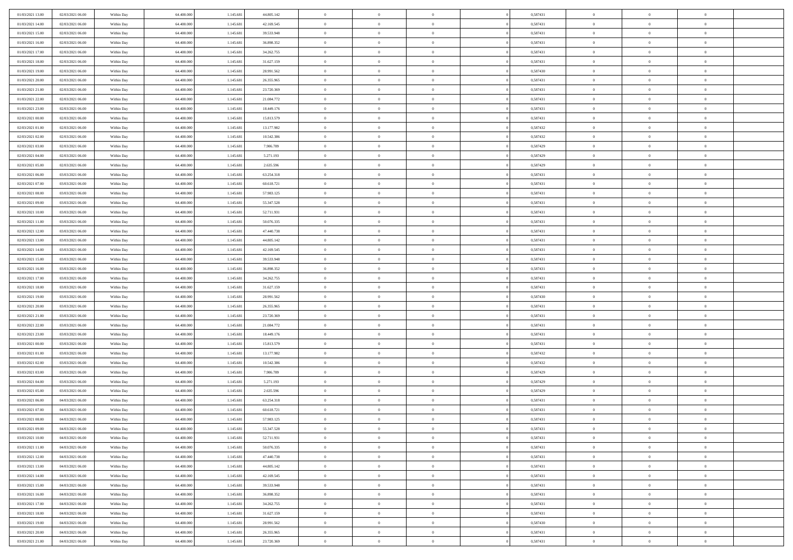| 01/03/2021 13:00 | 02/03/2021 06:00 | Within Day | 64,400,000 | 1.145.681 | 44.805.142 | $\overline{0}$ | $\overline{0}$ | $\Omega$       | 0,587431 | $\bf{0}$       | $\mathbf{0}$   | $\bf{0}$       |  |
|------------------|------------------|------------|------------|-----------|------------|----------------|----------------|----------------|----------|----------------|----------------|----------------|--|
| 01/03/2021 14:00 | 02/03/2021 06:00 | Within Day | 64.400.000 | 1.145.681 | 42.169.545 | $\mathbf{0}$   | $\overline{0}$ | $\overline{0}$ | 0,587431 | $\overline{0}$ | $\overline{0}$ | $\theta$       |  |
| 01/03/2021 15:00 | 02/03/2021 06:00 | Within Day | 64.400.000 | 1.145.681 | 39.533.948 | $\,$ 0         | $\overline{0}$ | $\bf{0}$       | 0,587431 | $\,$ 0         | $\overline{0}$ | $\,$ 0 $\,$    |  |
| 01/03/2021 16:00 | 02/03/2021 06:00 | Within Day | 64,400,000 | 1.145.681 | 36.898.352 | $\bf{0}$       | $\overline{0}$ | $\Omega$       | 0.587431 | $\bf{0}$       | $\mathbf{0}$   | $\theta$       |  |
| 01/03/2021 17:00 | 02/03/2021 06:00 | Within Day | 64.400.000 | 1.145.681 | 34.262.755 | $\bf{0}$       | $\overline{0}$ | $\overline{0}$ | 0,587431 | $\mathbf{0}$   | $\overline{0}$ | $\overline{0}$ |  |
| 01/03/2021 18:00 | 02/03/2021 06:00 | Within Day | 64.400.000 | 1.145.681 | 31.627.159 | $\bf{0}$       | $\overline{0}$ | $\bf{0}$       | 0,587431 | $\,$ 0         | $\overline{0}$ | $\,$ 0 $\,$    |  |
| 01/03/2021 19:00 | 02/03/2021 06:00 | Within Day | 64,400,000 | 1.145.681 | 28.991.562 | $\bf{0}$       | $\overline{0}$ | $\Omega$       | 0.587430 | $\theta$       | $\mathbf{0}$   | $\theta$       |  |
| 01/03/2021 20:00 | 02/03/2021 06:00 | Within Day | 64.400.000 | 1.145.681 | 26.355.965 | $\overline{0}$ | $\overline{0}$ | $\overline{0}$ | 0,587431 | $\mathbf{0}$   | $\overline{0}$ | $\overline{0}$ |  |
| 01/03/2021 21:00 | 02/03/2021 06:00 | Within Day | 64.400.000 | 1.145.681 | 23.720.369 | $\bf{0}$       | $\overline{0}$ | $\bf{0}$       | 0,587431 | $\,$ 0         | $\overline{0}$ | $\,$ 0 $\,$    |  |
| 01/03/2021 22:00 | 02/03/2021 06:00 | Within Day | 64,400,000 | 1.145.681 | 21.084.772 | $\bf{0}$       | $\overline{0}$ | $\Omega$       | 0.587431 | $\theta$       | $\mathbf{0}$   | $\theta$       |  |
| 01/03/2021 23:00 | 02/03/2021 06:00 | Within Day | 64.400.000 | 1.145.681 | 18.449.176 | $\overline{0}$ | $\overline{0}$ | $\overline{0}$ | 0,587431 | $\overline{0}$ | $\overline{0}$ | $\overline{0}$ |  |
| 02/03/2021 00:00 | 02/03/2021 06:00 | Within Day | 64.400.000 | 1.145.681 | 15.813.579 | $\,$ 0         | $\overline{0}$ | $\bf{0}$       | 0,587431 | $\,$ 0         | $\overline{0}$ | $\,$ 0 $\,$    |  |
| 02/03/2021 01:00 | 02/03/2021 06:00 | Within Day | 64.400.000 | 1.145.681 | 13.177.982 | $\bf{0}$       | $\overline{0}$ | $\Omega$       | 0,587432 | $\overline{0}$ | $\mathbf{0}$   | $\theta$       |  |
| 02/03/2021 02:00 | 02/03/2021 06:00 | Within Dav | 64.400.000 | 1.145.681 | 10.542.386 | $\overline{0}$ | $\overline{0}$ | $\overline{0}$ | 0,587432 | $\mathbf{0}$   | $\overline{0}$ | $\overline{0}$ |  |
| 02/03/2021 03:00 | 02/03/2021 06:00 | Within Day | 64.400.000 | 1.145.681 | 7.906.789  | $\bf{0}$       | $\overline{0}$ | $\bf{0}$       | 0,587429 | $\,$ 0         | $\overline{0}$ | $\,$ 0 $\,$    |  |
| 02/03/2021 04:00 | 02/03/2021 06:00 | Within Day | 64,400,000 | 1.145.681 | 5.271.193  | $\bf{0}$       | $\overline{0}$ | $\overline{0}$ | 0,587429 | $\bf{0}$       | $\mathbf{0}$   | $\bf{0}$       |  |
| 02/03/2021 05:00 | 02/03/2021 06:00 | Within Day | 64.400.000 | 1.145.681 | 2.635.596  | $\overline{0}$ | $\overline{0}$ | $\overline{0}$ | 0,587429 | $\mathbf{0}$   | $\overline{0}$ | $\overline{0}$ |  |
| 02/03/2021 06:00 | 03/03/2021 06:00 | Within Day | 64.400.000 | 1.145.681 | 63.254.318 | $\bf{0}$       | $\overline{0}$ | $\bf{0}$       | 0,587431 | $\,$ 0         | $\overline{0}$ | $\,$ 0 $\,$    |  |
| 02/03/2021 07:00 | 03/03/2021 06:00 | Within Day | 64,400,000 | 1.145.681 | 60.618.721 | $\bf{0}$       | $\overline{0}$ | $\Omega$       | 0.587431 | $\theta$       | $\mathbf{0}$   | $\theta$       |  |
| 02/03/2021 08:00 | 03/03/2021 06:00 | Within Day | 64.400.000 | 1.145.681 | 57.983.125 | $\overline{0}$ | $\overline{0}$ | $\overline{0}$ | 0,587431 | $\mathbf{0}$   | $\overline{0}$ | $\overline{0}$ |  |
| 02/03/2021 09:00 | 03/03/2021 06:00 | Within Day | 64.400.000 | 1.145.681 | 55.347.528 | $\bf{0}$       | $\overline{0}$ | $\bf{0}$       | 0,587431 | $\,$ 0         | $\overline{0}$ | $\,$ 0 $\,$    |  |
| 02/03/2021 10:00 | 03/03/2021 06:00 | Within Day | 64,400,000 | 1.145.681 | 52.711.931 | $\bf{0}$       | $\overline{0}$ | $\Omega$       | 0.587431 | $\bf{0}$       | $\theta$       | $\theta$       |  |
| 02/03/2021 11:00 | 03/03/2021 06:00 | Within Dav | 64.400.000 | 1.145.681 | 50.076.335 | $\overline{0}$ | $\overline{0}$ | $\overline{0}$ | 0,587431 | $\mathbf{0}$   | $\overline{0}$ | $\overline{0}$ |  |
| 02/03/2021 12:00 | 03/03/2021 06:00 | Within Day | 64.400.000 | 1.145.681 | 47.440.738 | $\bf{0}$       | $\overline{0}$ | $\bf{0}$       | 0,587431 | $\,$ 0         | $\overline{0}$ | $\,$ 0 $\,$    |  |
| 02/03/2021 13:00 | 03/03/2021 06:00 | Within Day | 64,400,000 | 1.145.681 | 44.805.142 | $\bf{0}$       | $\overline{0}$ | $\overline{0}$ | 0,587431 | $\bf{0}$       | $\overline{0}$ | $\bf{0}$       |  |
| 02/03/2021 14:00 | 03/03/2021 06:00 | Within Day | 64.400.000 | 1.145.681 | 42.169.545 | $\overline{0}$ | $\overline{0}$ | $\overline{0}$ | 0,587431 | $\overline{0}$ | $\overline{0}$ | $\overline{0}$ |  |
| 02/03/2021 15:00 | 03/03/2021 06:00 | Within Day | 64.400.000 | 1.145.681 | 39.533.948 | $\bf{0}$       | $\overline{0}$ | $\bf{0}$       | 0,587431 | $\,$ 0         | $\overline{0}$ | $\,$ 0 $\,$    |  |
| 02/03/2021 16:00 | 03/03/2021 06:00 | Within Day | 64,400,000 | 1.145.681 | 36,898,352 | $\bf{0}$       | $\overline{0}$ | $\Omega$       | 0.587431 | $\theta$       | $\mathbf{0}$   | $\theta$       |  |
| 02/03/2021 17:00 | 03/03/2021 06:00 | Within Day | 64.400.000 | 1.145.681 | 34.262.755 | $\overline{0}$ | $\overline{0}$ | $\overline{0}$ | 0,587431 | $\mathbf{0}$   | $\overline{0}$ | $\overline{0}$ |  |
| 02/03/2021 18:00 | 03/03/2021 06:00 | Within Day | 64.400.000 | 1.145.681 | 31.627.159 | $\bf{0}$       | $\overline{0}$ | $\bf{0}$       | 0,587431 | $\,$ 0         | $\overline{0}$ | $\,$ 0 $\,$    |  |
| 02/03/2021 19:00 | 03/03/2021 06:00 | Within Day | 64.400.000 | 1.145.681 | 28.991.562 | $\,$ 0         | $\bf{0}$       | $\overline{0}$ | 0,587430 | $\bf{0}$       | $\overline{0}$ | $\,0\,$        |  |
| 02/03/2021 20:00 | 03/03/2021 06:00 | Within Dav | 64.400.000 | 1.145.681 | 26.355.965 | $\overline{0}$ | $\overline{0}$ | $\overline{0}$ | 0,587431 | $\mathbf{0}$   | $\overline{0}$ | $\overline{0}$ |  |
| 02/03/2021 21:00 | 03/03/2021 06:00 | Within Day | 64.400.000 | 1.145.681 | 23.720.369 | $\bf{0}$       | $\overline{0}$ | $\bf{0}$       | 0,587431 | $\,$ 0         | $\overline{0}$ | $\,$ 0 $\,$    |  |
| 02/03/2021 22.00 | 03/03/2021 06:00 | Within Day | 64.400.000 | 1.145.681 | 21.084.772 | $\bf{0}$       | $\bf{0}$       | $\bf{0}$       | 0,587431 | $\bf{0}$       | $\overline{0}$ | $\,0\,$        |  |
| 02/03/2021 23:00 | 03/03/2021 06:00 | Within Day | 64.400.000 | 1.145.681 | 18.449.176 | $\overline{0}$ | $\overline{0}$ | $\overline{0}$ | 0,587431 | $\overline{0}$ | $\overline{0}$ | $\overline{0}$ |  |
| 03/03/2021 00:00 | 03/03/2021 06:00 | Within Day | 64.400.000 | 1.145.681 | 15.813.579 | $\bf{0}$       | $\overline{0}$ | $\bf{0}$       | 0,587431 | $\,$ 0         | $\overline{0}$ | $\,$ 0 $\,$    |  |
| 03/03/2021 01:00 | 03/03/2021 06:00 | Within Day | 64.400.000 | 1.145.681 | 13.177.982 | $\,$ 0         | $\bf{0}$       | $\overline{0}$ | 0,587432 | $\bf{0}$       | $\overline{0}$ | $\,0\,$        |  |
| 03/03/2021 02:00 | 03/03/2021 06:00 | Within Day | 64.400.000 | 1.145.681 | 10.542.386 | $\overline{0}$ | $\overline{0}$ | $\overline{0}$ | 0,587432 | $\mathbf{0}$   | $\overline{0}$ | $\overline{0}$ |  |
| 03/03/2021 03:00 | 03/03/2021 06:00 | Within Day | 64.400.000 | 1.145.681 | 7.906.789  | $\bf{0}$       | $\overline{0}$ | $\bf{0}$       | 0,587429 | $\,$ 0         | $\overline{0}$ | $\,$ 0 $\,$    |  |
| 03/03/2021 04:00 | 03/03/2021 06:00 | Within Day | 64.400.000 | 1.145.681 | 5.271.193  | $\bf{0}$       | $\bf{0}$       | $\overline{0}$ | 0,587429 | $\bf{0}$       | $\overline{0}$ | $\,0\,$        |  |
| 03/03/2021 05:00 | 03/03/2021 06:00 | Within Dav | 64.400.000 | 1.145.681 | 2.635.596  | $\overline{0}$ | $\overline{0}$ | $\overline{0}$ | 0,587429 | $\overline{0}$ | $\overline{0}$ | $\overline{0}$ |  |
| 03/03/2021 06:00 | 04/03/2021 06:00 | Within Day | 64.400.000 | 1.145.681 | 63.254.318 | $\bf{0}$       | $\overline{0}$ | $\bf{0}$       | 0,587431 | $\,$ 0         | $\overline{0}$ | $\,$ 0 $\,$    |  |
| 03/03/2021 07:00 | 04/03/2021 06:00 | Within Day | 64.400.000 | 1.145.681 | 60.618.721 | $\bf{0}$       | $\bf{0}$       | $\bf{0}$       | 0,587431 | $\bf{0}$       | $\overline{0}$ | $\,0\,$        |  |
| 03/03/2021 08:00 | 04/03/2021 06:00 | Within Day | 64.400.000 | 1.145.681 | 57.983.125 | $\mathbf{0}$   | $\overline{0}$ | $\overline{0}$ | 0,587431 | $\overline{0}$ | $\overline{0}$ | $\overline{0}$ |  |
| 03/03/2021 09:00 | 04/03/2021 06:00 | Within Day | 64.400.000 | 1.145.681 | 55.347.528 | $\bf{0}$       | $\overline{0}$ | $\theta$       | 0,587431 | $\overline{0}$ | $\theta$       | $\theta$       |  |
| 03/03/2021 10:00 | 04/03/2021 06:00 | Within Day | 64.400.000 | 1.145.681 | 52.711.931 | $\bf{0}$       | $\bf{0}$       | $\bf{0}$       | 0,587431 | $\bf{0}$       | $\overline{0}$ | $\,0\,$        |  |
| 03/03/2021 11:00 | 04/03/2021 06:00 | Within Day | 64.400.000 | 1.145.681 | 50.076.335 | $\overline{0}$ | $\overline{0}$ | $\overline{0}$ | 0,587431 | $\overline{0}$ | $\bf{0}$       | $\overline{0}$ |  |
| 03/03/2021 12:00 | 04/03/2021 06:00 | Within Day | 64.400.000 | 1.145.681 | 47.440.738 | $\,$ 0 $\,$    | $\overline{0}$ | $\overline{0}$ | 0,587431 | $\,$ 0 $\,$    | $\,$ 0 $\,$    | $\,$ 0 $\,$    |  |
| 03/03/2021 13:00 | 04/03/2021 06:00 | Within Day | 64.400.000 | 1.145.681 | 44.805.142 | $\bf{0}$       | $\bf{0}$       | $\overline{0}$ | 0,587431 | $\bf{0}$       | $\overline{0}$ | $\bf{0}$       |  |
| 03/03/2021 14:00 | 04/03/2021 06:00 | Within Day | 64.400.000 | 1.145.681 | 42.169.545 | $\bf{0}$       | $\overline{0}$ | $\overline{0}$ | 0,587431 | $\overline{0}$ | $\overline{0}$ | $\overline{0}$ |  |
| 03/03/2021 15:00 | 04/03/2021 06:00 | Within Day | 64.400.000 | 1.145.681 | 39.533.948 | $\,$ 0 $\,$    | $\overline{0}$ | $\overline{0}$ | 0,587431 | $\,$ 0 $\,$    | $\overline{0}$ | $\,$ 0 $\,$    |  |
| 03/03/2021 16:00 | 04/03/2021 06:00 | Within Day | 64.400.000 | 1.145.681 | 36.898.352 | $\bf{0}$       | $\overline{0}$ | $\overline{0}$ | 0,587431 | $\bf{0}$       | $\overline{0}$ | $\overline{0}$ |  |
| 03/03/2021 17:00 | 04/03/2021 06:00 | Within Day | 64.400.000 | 1.145.681 | 34.262.755 | $\overline{0}$ | $\overline{0}$ | $\overline{0}$ | 0,587431 | $\overline{0}$ | $\bf{0}$       | $\overline{0}$ |  |
| 03/03/2021 18:00 | 04/03/2021 06:00 | Within Day | 64.400.000 | 1.145.681 | 31.627.159 | $\,$ 0 $\,$    | $\overline{0}$ | $\overline{0}$ | 0,587431 | $\,$ 0 $\,$    | $\,$ 0 $\,$    | $\,$ 0 $\,$    |  |
| 03/03/2021 19:00 | 04/03/2021 06:00 | Within Day | 64.400.000 | 1.145.681 | 28.991.562 | $\bf{0}$       | $\bf{0}$       | $\overline{0}$ | 0,587430 | $\mathbf{0}$   | $\overline{0}$ | $\bf{0}$       |  |
| 03/03/2021 20:00 | 04/03/2021 06:00 | Within Day | 64.400.000 | 1.145.681 | 26.355.965 | $\bf{0}$       | $\overline{0}$ | $\overline{0}$ | 0,587431 | $\mathbf{0}$   | $\bf{0}$       | $\overline{0}$ |  |
| 03/03/2021 21:00 | 04/03/2021 06:00 | Within Day | 64.400.000 | 1.145.681 | 23.720.369 | $\,0\,$        | $\overline{0}$ | $\overline{0}$ | 0,587431 | $\,$ 0         | $\overline{0}$ | $\,$ 0 $\,$    |  |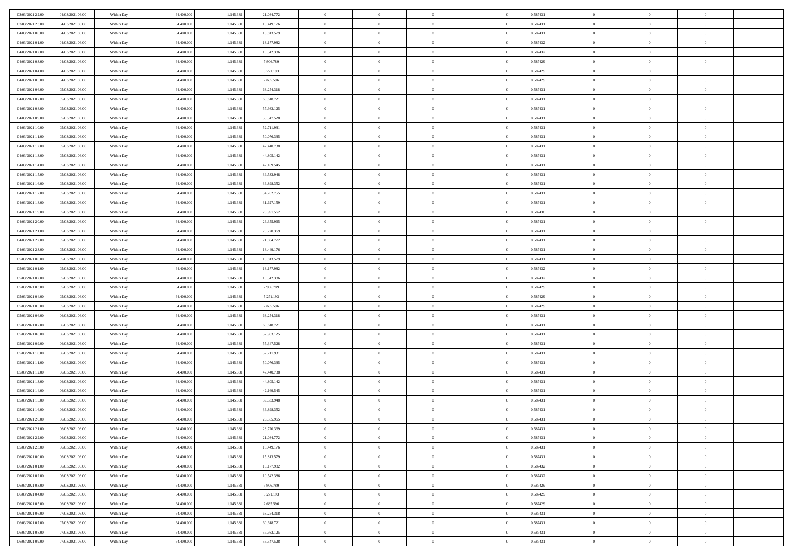| 03/03/2021 22:00 | 04/03/2021 06:00 | Within Day | 64,400,000 | 1.145.681 | 21.084.772 | $\overline{0}$ | $\overline{0}$ | $\Omega$       | 0,587431 | $\bf{0}$       | $\mathbf{0}$   | $\bf{0}$       |  |
|------------------|------------------|------------|------------|-----------|------------|----------------|----------------|----------------|----------|----------------|----------------|----------------|--|
| 03/03/2021 23:00 | 04/03/2021 06:00 | Within Day | 64.400.000 | 1.145.681 | 18.449.176 | $\mathbf{0}$   | $\overline{0}$ | $\overline{0}$ | 0,587431 | $\overline{0}$ | $\overline{0}$ | $\theta$       |  |
| 04/03/2021 00:00 | 04/03/2021 06:00 | Within Day | 64.400.000 | 1.145.681 | 15.813.579 | $\,$ 0         | $\overline{0}$ | $\bf{0}$       | 0,587431 | $\,$ 0         | $\overline{0}$ | $\,$ 0 $\,$    |  |
| 04/03/2021 01:00 | 04/03/2021 06:00 | Within Day | 64,400,000 | 1.145.681 | 13.177.982 | $\bf{0}$       | $\overline{0}$ | $\Omega$       | 0,587432 | $\bf{0}$       | $\mathbf{0}$   | $\theta$       |  |
| 04/03/2021 02:00 | 04/03/2021 06:00 | Within Day | 64.400.000 | 1.145.681 | 10.542.386 | $\bf{0}$       | $\overline{0}$ | $\overline{0}$ | 0,587432 | $\mathbf{0}$   | $\overline{0}$ | $\overline{0}$ |  |
| 04/03/2021 03:00 | 04/03/2021 06:00 | Within Day | 64.400.000 | 1.145.681 | 7.906.789  | $\bf{0}$       | $\overline{0}$ | $\bf{0}$       | 0,587429 | $\,$ 0         | $\overline{0}$ | $\,$ 0 $\,$    |  |
| 04/03/2021 04:00 | 04/03/2021 06:00 | Within Day | 64,400,000 | 1.145.681 | 5.271.193  | $\bf{0}$       | $\overline{0}$ | $\Omega$       | 0,587429 | $\theta$       | $\mathbf{0}$   | $\theta$       |  |
| 04/03/2021 05:00 | 04/03/2021 06:00 | Within Day | 64.400.000 | 1.145.681 | 2.635.596  | $\overline{0}$ | $\overline{0}$ | $\overline{0}$ | 0,587429 | $\mathbf{0}$   | $\overline{0}$ | $\overline{0}$ |  |
| 04/03/2021 06:00 | 05/03/2021 06:00 | Within Day | 64.400.000 | 1.145.681 | 63.254.318 | $\bf{0}$       | $\overline{0}$ | $\bf{0}$       | 0,587431 | $\,$ 0         | $\overline{0}$ | $\,$ 0 $\,$    |  |
| 04/03/2021 07:00 | 05/03/2021 06:00 | Within Day | 64,400,000 | 1.145.681 | 60.618.721 | $\bf{0}$       | $\overline{0}$ | $\Omega$       | 0.587431 | $\theta$       | $\mathbf{0}$   | $\theta$       |  |
| 04/03/2021 08:00 | 05/03/2021 06:00 | Within Day | 64.400.000 | 1.145.681 | 57.983.125 | $\overline{0}$ | $\overline{0}$ | $\overline{0}$ | 0,587431 | $\overline{0}$ | $\overline{0}$ | $\overline{0}$ |  |
| 04/03/2021 09:00 | 05/03/2021 06:00 | Within Day | 64.400.000 | 1.145.681 | 55.347.528 | $\bf{0}$       | $\overline{0}$ | $\bf{0}$       | 0,587431 | $\,$ 0         | $\overline{0}$ | $\,$ 0 $\,$    |  |
| 04/03/2021 10:00 | 05/03/2021 06:00 | Within Day | 64.400.000 | 1.145.681 | 52.711.931 | $\bf{0}$       | $\overline{0}$ | $\Omega$       | 0.587431 | $\overline{0}$ | $\mathbf{0}$   | $\theta$       |  |
| 04/03/2021 11:00 | 05/03/2021 06:00 | Within Day | 64.400.000 | 1.145.681 | 50.076.335 | $\overline{0}$ | $\overline{0}$ | $\overline{0}$ | 0,587431 | $\mathbf{0}$   | $\overline{0}$ | $\overline{0}$ |  |
| 04/03/2021 12:00 | 05/03/2021 06:00 | Within Day | 64.400.000 | 1.145.681 | 47.440.738 | $\bf{0}$       | $\overline{0}$ | $\bf{0}$       | 0,587431 | $\,$ 0         | $\overline{0}$ | $\,$ 0 $\,$    |  |
| 04/03/2021 13:00 | 05/03/2021 06:00 | Within Day | 64,400,000 | 1.145.681 | 44.805.142 | $\bf{0}$       | $\overline{0}$ | $\overline{0}$ | 0.587431 | $\theta$       | $\mathbf{0}$   | $\bf{0}$       |  |
| 04/03/2021 14:00 | 05/03/2021 06:00 | Within Day | 64.400.000 | 1.145.681 | 42.169.545 | $\overline{0}$ | $\overline{0}$ | $\overline{0}$ | 0,587431 | $\mathbf{0}$   | $\overline{0}$ | $\overline{0}$ |  |
| 04/03/2021 15:00 | 05/03/2021 06:00 | Within Day | 64.400.000 | 1.145.681 | 39.533.948 | $\bf{0}$       | $\overline{0}$ | $\bf{0}$       | 0,587431 | $\,$ 0         | $\overline{0}$ | $\,$ 0 $\,$    |  |
| 04/03/2021 16:00 | 05/03/2021 06:00 | Within Day | 64,400,000 | 1.145.681 | 36.898.352 | $\bf{0}$       | $\overline{0}$ | $\Omega$       | 0.587431 | $\theta$       | $\mathbf{0}$   | $\theta$       |  |
| 04/03/2021 17:00 | 05/03/2021 06:00 | Within Day | 64.400.000 | 1.145.681 | 34.262.755 | $\overline{0}$ | $\overline{0}$ | $\overline{0}$ | 0,587431 | $\mathbf{0}$   | $\overline{0}$ | $\overline{0}$ |  |
| 04/03/2021 18:00 | 05/03/2021 06:00 | Within Day | 64.400.000 | 1.145.681 | 31.627.159 | $\bf{0}$       | $\overline{0}$ | $\bf{0}$       | 0,587431 | $\,$ 0         | $\overline{0}$ | $\,$ 0 $\,$    |  |
| 04/03/2021 19:00 | 05/03/2021 06:00 | Within Day | 64,400,000 | 1.145.681 | 28.991.562 | $\bf{0}$       | $\overline{0}$ | $\Omega$       | 0,587430 | $\bf{0}$       | $\mathbf{0}$   | $\theta$       |  |
| 04/03/2021 20:00 | 05/03/2021 06:00 | Within Day | 64.400.000 | 1.145.681 | 26.355.965 | $\overline{0}$ | $\overline{0}$ | $\overline{0}$ | 0,587431 | $\mathbf{0}$   | $\overline{0}$ | $\overline{0}$ |  |
| 04/03/2021 21:00 | 05/03/2021 06:00 | Within Day | 64.400.000 | 1.145.681 | 23.720.369 | $\bf{0}$       | $\overline{0}$ | $\bf{0}$       | 0,587431 | $\,$ 0         | $\overline{0}$ | $\,$ 0 $\,$    |  |
| 04/03/2021 22.00 | 05/03/2021 06:00 | Within Day | 64,400,000 | 1.145.681 | 21.084.772 | $\bf{0}$       | $\overline{0}$ | $\overline{0}$ | 0,587431 | $\bf{0}$       | $\overline{0}$ | $\bf{0}$       |  |
| 04/03/2021 23:00 | 05/03/2021 06:00 | Within Day | 64.400.000 | 1.145.681 | 18.449.176 | $\overline{0}$ | $\overline{0}$ | $\overline{0}$ | 0,587431 | $\overline{0}$ | $\overline{0}$ | $\overline{0}$ |  |
| 05/03/2021 00:00 | 05/03/2021 06:00 | Within Day | 64.400.000 | 1.145.681 | 15.813.579 | $\bf{0}$       | $\overline{0}$ | $\bf{0}$       | 0,587431 | $\,$ 0         | $\overline{0}$ | $\,$ 0 $\,$    |  |
| 05/03/2021 01:00 | 05/03/2021 06:00 | Within Day | 64,400,000 | 1.145.681 | 13.177.982 | $\bf{0}$       | $\overline{0}$ | $\Omega$       | 0.587432 | $\theta$       | $\mathbf{0}$   | $\theta$       |  |
| 05/03/2021 02:00 | 05/03/2021 06:00 | Within Day | 64.400.000 | 1.145.681 | 10.542.386 | $\overline{0}$ | $\overline{0}$ | $\overline{0}$ | 0,587432 | $\mathbf{0}$   | $\overline{0}$ | $\overline{0}$ |  |
| 05/03/2021 03:00 | 05/03/2021 06:00 | Within Day | 64.400.000 | 1.145.681 | 7.906.789  | $\bf{0}$       | $\overline{0}$ | $\bf{0}$       | 0,587429 | $\,$ 0         | $\overline{0}$ | $\,$ 0 $\,$    |  |
| 05/03/2021 04:00 | 05/03/2021 06:00 | Within Day | 64.400.000 | 1.145.681 | 5.271.193  | $\,$ 0         | $\overline{0}$ | $\overline{0}$ | 0,587429 | $\bf{0}$       | $\overline{0}$ | $\,0\,$        |  |
| 05/03/2021 05:00 | 05/03/2021 06:00 | Within Dav | 64.400.000 | 1.145.681 | 2.635.596  | $\overline{0}$ | $\overline{0}$ | $\overline{0}$ | 0,587429 | $\mathbf{0}$   | $\overline{0}$ | $\overline{0}$ |  |
| 05/03/2021 06:00 | 06/03/2021 06:00 | Within Day | 64.400.000 | 1.145.681 | 63.254.318 | $\bf{0}$       | $\overline{0}$ | $\bf{0}$       | 0,587431 | $\,$ 0         | $\overline{0}$ | $\,$ 0 $\,$    |  |
| 05/03/2021 07:00 | 06/03/2021 06:00 | Within Day | 64.400.000 | 1.145.681 | 60.618.721 | $\bf{0}$       | $\bf{0}$       | $\bf{0}$       | 0,587431 | $\bf{0}$       | $\overline{0}$ | $\,0\,$        |  |
| 05/03/2021 08:00 | 06/03/2021 06:00 | Within Day | 64.400.000 | 1.145.681 | 57.983.125 | $\overline{0}$ | $\overline{0}$ | $\overline{0}$ | 0,587431 | $\overline{0}$ | $\overline{0}$ | $\overline{0}$ |  |
| 05/03/2021 09:00 | 06/03/2021 06:00 | Within Day | 64.400.000 | 1.145.681 | 55.347.528 | $\bf{0}$       | $\overline{0}$ | $\bf{0}$       | 0,587431 | $\,$ 0         | $\overline{0}$ | $\,$ 0 $\,$    |  |
| 05/03/2021 10:00 | 06/03/2021 06:00 | Within Day | 64.400.000 | 1.145.681 | 52.711.931 | $\bf{0}$       | $\bf{0}$       | $\overline{0}$ | 0,587431 | $\bf{0}$       | $\overline{0}$ | $\,0\,$        |  |
| 05/03/2021 11:00 | 06/03/2021 06:00 | Within Day | 64.400.000 | 1.145.681 | 50.076.335 | $\overline{0}$ | $\overline{0}$ | $\overline{0}$ | 0,587431 | $\mathbf{0}$   | $\overline{0}$ | $\overline{0}$ |  |
| 05/03/2021 12:00 | 06/03/2021 06:00 | Within Day | 64.400.000 | 1.145.681 | 47.440.738 | $\bf{0}$       | $\overline{0}$ | $\bf{0}$       | 0,587431 | $\,$ 0         | $\overline{0}$ | $\,$ 0 $\,$    |  |
| 05/03/2021 13:00 | 06/03/2021 06:00 | Within Day | 64.400.000 | 1.145.681 | 44.805.142 | $\bf{0}$       | $\bf{0}$       | $\overline{0}$ | 0,587431 | $\bf{0}$       | $\overline{0}$ | $\,0\,$        |  |
| 05/03/2021 14:00 | 06/03/2021 06:00 | Within Day | 64.400.000 | 1.145.681 | 42.169.545 | $\overline{0}$ | $\overline{0}$ | $\overline{0}$ | 0,587431 | $\overline{0}$ | $\overline{0}$ | $\overline{0}$ |  |
| 05/03/2021 15:00 | 06/03/2021 06:00 | Within Day | 64.400.000 | 1.145.681 | 39.533.948 | $\bf{0}$       | $\overline{0}$ | $\bf{0}$       | 0,587431 | $\,$ 0         | $\overline{0}$ | $\,$ 0 $\,$    |  |
| 05/03/2021 16:00 | 06/03/2021 06:00 | Within Day | 64.400.000 | 1.145.681 | 36.898.352 | $\bf{0}$       | $\bf{0}$       | $\bf{0}$       | 0,587431 | $\bf{0}$       | $\overline{0}$ | $\,0\,$        |  |
| 05/03/2021 20:00 | 06/03/2021 06:00 | Within Day | 64.400.000 | 1.145.681 | 26.355.965 | $\mathbf{0}$   | $\overline{0}$ | $\overline{0}$ | 0,587431 | $\overline{0}$ | $\overline{0}$ | $\overline{0}$ |  |
| 05/03/2021 21:00 | 06/03/2021 06:00 | Within Day | 64.400.000 | 1.145.681 | 23.720.369 | $\bf{0}$       | $\overline{0}$ | $\overline{0}$ | 0,587431 | $\overline{0}$ | $\theta$       | $\theta$       |  |
| 05/03/2021 22.00 | 06/03/2021 06:00 | Within Day | 64.400.000 | 1.145.681 | 21.084.772 | $\bf{0}$       | $\bf{0}$       | $\bf{0}$       | 0,587431 | $\bf{0}$       | $\overline{0}$ | $\,0\,$        |  |
| 05/03/2021 23:00 | 06/03/2021 06:00 | Within Day | 64.400.000 | 1.145.681 | 18.449.176 | $\overline{0}$ | $\overline{0}$ | $\overline{0}$ | 0,587431 | $\overline{0}$ | $\bf{0}$       | $\overline{0}$ |  |
| 06/03/2021 00:00 | 06/03/2021 06:00 | Within Day | 64.400.000 | 1.145.681 | 15.813.579 | $\,$ 0 $\,$    | $\overline{0}$ | $\overline{0}$ | 0,587431 | $\,$ 0 $\,$    | $\,$ 0 $\,$    | $\,$ 0 $\,$    |  |
| 06/03/2021 01:00 | 06/03/2021 06:00 | Within Day | 64.400.000 | 1.145.681 | 13.177.982 | $\bf{0}$       | $\bf{0}$       | $\overline{0}$ | 0,587432 | $\bf{0}$       | $\overline{0}$ | $\bf{0}$       |  |
| 06/03/2021 02:00 | 06/03/2021 06:00 | Within Day | 64.400.000 | 1.145.681 | 10.542.386 | $\bf{0}$       | $\overline{0}$ | $\overline{0}$ | 0,587432 | $\overline{0}$ | $\overline{0}$ | $\overline{0}$ |  |
| 06/03/2021 03:00 | 06/03/2021 06:00 | Within Day | 64.400.000 | 1.145.681 | 7.906.789  | $\,$ 0 $\,$    | $\overline{0}$ | $\overline{0}$ | 0,587429 | $\,$ 0 $\,$    | $\overline{0}$ | $\,$ 0 $\,$    |  |
| 06/03/2021 04:00 | 06/03/2021 06:00 | Within Day | 64.400.000 | 1.145.681 | 5.271.193  | $\bf{0}$       | $\overline{0}$ | $\overline{0}$ | 0,587429 | $\bf{0}$       | $\overline{0}$ | $\overline{0}$ |  |
| 06/03/2021 05:00 | 06/03/2021 06:00 | Within Day | 64.400.000 | 1.145.681 | 2.635.596  | $\overline{0}$ | $\overline{0}$ | $\overline{0}$ | 0,587429 | $\overline{0}$ | $\bf{0}$       | $\overline{0}$ |  |
| 06/03/2021 06:00 | 07/03/2021 06:00 | Within Day | 64.400.000 | 1.145.681 | 63.254.318 | $\,$ 0 $\,$    | $\overline{0}$ | $\overline{0}$ | 0,587431 | $\,$ 0 $\,$    | $\overline{0}$ | $\,$ 0 $\,$    |  |
| 06/03/2021 07:00 | 07/03/2021 06:00 | Within Day | 64.400.000 | 1.145.681 | 60.618.721 | $\bf{0}$       | $\bf{0}$       | $\overline{0}$ | 0,587431 | $\mathbf{0}$   | $\overline{0}$ | $\bf{0}$       |  |
| 06/03/2021 08:00 | 07/03/2021 06:00 | Within Day | 64.400.000 | 1.145.681 | 57.983.125 | $\bf{0}$       | $\overline{0}$ | $\overline{0}$ | 0,587431 | $\mathbf{0}$   | $\bf{0}$       | $\overline{0}$ |  |
| 06/03/2021 09:00 | 07/03/2021 06:00 | Within Day | 64.400.000 | 1.145.681 | 55.347.528 | $\,0\,$        | $\overline{0}$ | $\overline{0}$ | 0,587431 | $\,$ 0         | $\overline{0}$ | $\,$ 0 $\,$    |  |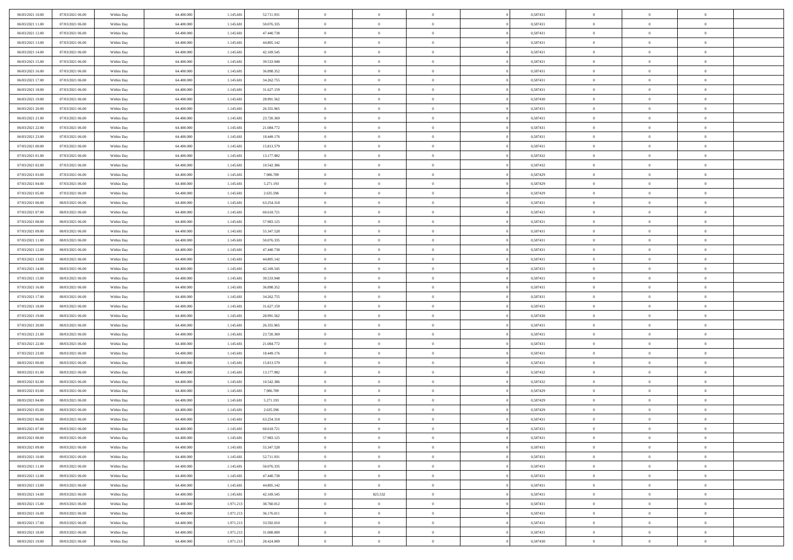| 06/03/2021 10:00 | 07/03/2021 06:00 | Within Day | 64,400,000 | 1.145.681 | 52.711.931 | $\overline{0}$ | $\overline{0}$ | $\Omega$       | 0,587431 | $\bf{0}$       | $\mathbf{0}$   | $\bf{0}$       |  |
|------------------|------------------|------------|------------|-----------|------------|----------------|----------------|----------------|----------|----------------|----------------|----------------|--|
| 06/03/2021 11:00 | 07/03/2021 06:00 | Within Day | 64.400.000 | 1.145.681 | 50.076.335 | $\mathbf{0}$   | $\overline{0}$ | $\overline{0}$ | 0,587431 | $\overline{0}$ | $\overline{0}$ | $\theta$       |  |
| 06/03/2021 12:00 | 07/03/2021 06:00 | Within Day | 64.400.000 | 1.145.681 | 47.440.738 | $\,$ 0         | $\overline{0}$ | $\bf{0}$       | 0,587431 | $\,$ 0         | $\overline{0}$ | $\,$ 0 $\,$    |  |
| 06/03/2021 13:00 | 07/03/2021 06:00 | Within Day | 64,400,000 | 1.145.681 | 44.805.142 | $\bf{0}$       | $\overline{0}$ | $\Omega$       | 0.587431 | $\bf{0}$       | $\mathbf{0}$   | $\theta$       |  |
| 06/03/2021 14:00 | 07/03/2021 06:00 | Within Day | 64.400.000 | 1.145.681 | 42.169.545 | $\bf{0}$       | $\overline{0}$ | $\overline{0}$ | 0,587431 | $\mathbf{0}$   | $\overline{0}$ | $\overline{0}$ |  |
| 06/03/2021 15:00 | 07/03/2021 06:00 | Within Day | 64.400.000 | 1.145.681 | 39.533.948 | $\bf{0}$       | $\overline{0}$ | $\bf{0}$       | 0,587431 | $\,$ 0         | $\overline{0}$ | $\,$ 0 $\,$    |  |
| 06/03/2021 16:00 | 07/03/2021 06:00 | Within Day | 64,400,000 | 1.145.681 | 36.898.352 | $\bf{0}$       | $\overline{0}$ | $\Omega$       | 0.587431 | $\theta$       | $\mathbf{0}$   | $\theta$       |  |
| 06/03/2021 17:00 | 07/03/2021 06:00 | Within Day | 64.400.000 | 1.145.681 | 34.262.755 | $\overline{0}$ | $\overline{0}$ | $\overline{0}$ | 0,587431 | $\mathbf{0}$   | $\overline{0}$ | $\overline{0}$ |  |
| 06/03/2021 18:00 | 07/03/2021 06:00 | Within Day | 64.400.000 | 1.145.681 | 31.627.159 | $\bf{0}$       | $\overline{0}$ | $\bf{0}$       | 0,587431 | $\,$ 0         | $\overline{0}$ | $\,$ 0 $\,$    |  |
| 06/03/2021 19:00 | 07/03/2021 06:00 | Within Day | 64,400,000 | 1.145.681 | 28.991.562 | $\bf{0}$       | $\overline{0}$ | $\Omega$       | 0.587430 | $\theta$       | $\mathbf{0}$   | $\theta$       |  |
| 06/03/2021 20:00 | 07/03/2021 06:00 | Within Day | 64.400.000 | 1.145.681 | 26.355.965 | $\overline{0}$ | $\overline{0}$ | $\overline{0}$ | 0,587431 | $\overline{0}$ | $\overline{0}$ | $\overline{0}$ |  |
| 06/03/2021 21:00 | 07/03/2021 06:00 | Within Day | 64.400.000 | 1.145.681 | 23.720.369 | $\bf{0}$       | $\overline{0}$ | $\bf{0}$       | 0,587431 | $\,$ 0         | $\overline{0}$ | $\,$ 0 $\,$    |  |
| 06/03/2021 22.00 | 07/03/2021 06:00 | Within Day | 64.400.000 | 1.145.681 | 21.084.772 | $\bf{0}$       | $\overline{0}$ | $\Omega$       | 0.587431 | $\overline{0}$ | $\mathbf{0}$   | $\theta$       |  |
| 06/03/2021 23:00 | 07/03/2021 06:00 | Within Dav | 64.400.000 | 1.145.681 | 18.449.176 | $\overline{0}$ | $\overline{0}$ | $\overline{0}$ | 0,587431 | $\mathbf{0}$   | $\overline{0}$ | $\overline{0}$ |  |
| 07/03/2021 00:00 | 07/03/2021 06:00 | Within Day | 64.400.000 | 1.145.681 | 15.813.579 | $\bf{0}$       | $\overline{0}$ | $\bf{0}$       | 0,587431 | $\,$ 0         | $\overline{0}$ | $\,$ 0 $\,$    |  |
| 07/03/2021 01:00 | 07/03/2021 06:00 | Within Day | 64,400,000 | 1.145.681 | 13.177.982 | $\bf{0}$       | $\overline{0}$ | $\overline{0}$ | 0,587432 | $\bf{0}$       | $\mathbf{0}$   | $\bf{0}$       |  |
| 07/03/2021 02:00 | 07/03/2021 06:00 | Within Day | 64.400.000 | 1.145.681 | 10.542.386 | $\overline{0}$ | $\overline{0}$ | $\overline{0}$ | 0,587432 | $\mathbf{0}$   | $\overline{0}$ | $\overline{0}$ |  |
| 07/03/2021 03:00 | 07/03/2021 06:00 | Within Day | 64.400.000 | 1.145.681 | 7.906.789  | $\bf{0}$       | $\overline{0}$ | $\bf{0}$       | 0,587429 | $\,$ 0         | $\overline{0}$ | $\,$ 0 $\,$    |  |
| 07/03/2021 04:00 | 07/03/2021 06:00 | Within Day | 64,400,000 | 1.145.681 | 5.271.193  | $\bf{0}$       | $\overline{0}$ | $\Omega$       | 0.587429 | $\overline{0}$ | $\mathbf{0}$   | $\theta$       |  |
| 07/03/2021 05:00 | 07/03/2021 06:00 | Within Day | 64.400.000 | 1.145.681 | 2.635.596  | $\overline{0}$ | $\overline{0}$ | $\overline{0}$ | 0,587429 | $\mathbf{0}$   | $\overline{0}$ | $\overline{0}$ |  |
| 07/03/2021 06:00 | 08/03/2021 06:00 | Within Day | 64.400.000 | 1.145.681 | 63.254.318 | $\bf{0}$       | $\overline{0}$ | $\bf{0}$       | 0,587431 | $\,$ 0         | $\overline{0}$ | $\,$ 0 $\,$    |  |
| 07/03/2021 07:00 | 08/03/2021 06:00 | Within Day | 64,400,000 | 1.145.681 | 60.618.721 | $\bf{0}$       | $\overline{0}$ | $\Omega$       | 0.587431 | $\bf{0}$       | $\theta$       | $\theta$       |  |
| 07/03/2021 08:00 | 08/03/2021 06:00 | Within Dav | 64.400.000 | 1.145.681 | 57.983.125 | $\overline{0}$ | $\overline{0}$ | $\overline{0}$ | 0,587431 | $\mathbf{0}$   | $\overline{0}$ | $\overline{0}$ |  |
| 07/03/2021 09:00 | 08/03/2021 06:00 | Within Day | 64.400.000 | 1.145.681 | 55.347.528 | $\bf{0}$       | $\overline{0}$ | $\bf{0}$       | 0,587431 | $\,$ 0         | $\overline{0}$ | $\,$ 0 $\,$    |  |
| 07/03/2021 11:00 | 08/03/2021 06:00 | Within Day | 64,400,000 | 1.145.681 | 50.076.335 | $\bf{0}$       | $\overline{0}$ | $\overline{0}$ | 0,587431 | $\bf{0}$       | $\overline{0}$ | $\bf{0}$       |  |
| 07/03/2021 12:00 | 08/03/2021 06:00 | Within Day | 64.400.000 | 1.145.681 | 47.440.738 | $\overline{0}$ | $\overline{0}$ | $\overline{0}$ | 0,587431 | $\overline{0}$ | $\overline{0}$ | $\overline{0}$ |  |
| 07/03/2021 13:00 | 08/03/2021 06:00 | Within Day | 64.400.000 | 1.145.681 | 44.805.142 | $\bf{0}$       | $\overline{0}$ | $\bf{0}$       | 0,587431 | $\,$ 0         | $\overline{0}$ | $\,$ 0 $\,$    |  |
| 07/03/2021 14:00 | 08/03/2021 06:00 | Within Day | 64,400,000 | 1.145.681 | 42.169.545 | $\bf{0}$       | $\overline{0}$ | $\Omega$       | 0.587431 | $\theta$       | $\mathbf{0}$   | $\theta$       |  |
| 07/03/2021 15:00 | 08/03/2021 06:00 | Within Day | 64.400.000 | 1.145.681 | 39.533.948 | $\overline{0}$ | $\overline{0}$ | $\overline{0}$ | 0,587431 | $\mathbf{0}$   | $\overline{0}$ | $\overline{0}$ |  |
| 07/03/2021 16:00 | 08/03/2021 06:00 | Within Day | 64.400.000 | 1.145.681 | 36.898.352 | $\bf{0}$       | $\overline{0}$ | $\bf{0}$       | 0,587431 | $\,$ 0         | $\overline{0}$ | $\,$ 0 $\,$    |  |
| 07/03/2021 17:00 | 08/03/2021 06:00 | Within Day | 64.400.000 | 1.145.681 | 34.262.755 | $\,$ 0         | $\bf{0}$       | $\overline{0}$ | 0,587431 | $\bf{0}$       | $\overline{0}$ | $\,0\,$        |  |
| 07/03/2021 18:00 | 08/03/2021 06:00 | Within Dav | 64.400.000 | 1.145.681 | 31.627.159 | $\overline{0}$ | $\overline{0}$ | $\overline{0}$ | 0,587431 | $\mathbf{0}$   | $\overline{0}$ | $\overline{0}$ |  |
| 07/03/2021 19:00 | 08/03/2021 06:00 | Within Day | 64.400.000 | 1.145.681 | 28.991.562 | $\bf{0}$       | $\overline{0}$ | $\bf{0}$       | 0,587430 | $\,$ 0         | $\overline{0}$ | $\,$ 0 $\,$    |  |
| 07/03/2021 20:00 | 08/03/2021 06:00 | Within Day | 64.400.000 | 1.145.681 | 26.355.965 | $\bf{0}$       | $\bf{0}$       | $\bf{0}$       | 0,587431 | $\bf{0}$       | $\overline{0}$ | $\,0\,$        |  |
| 07/03/2021 21:00 | 08/03/2021 06:00 | Within Day | 64.400.000 | 1.145.681 | 23.720.369 | $\overline{0}$ | $\overline{0}$ | $\overline{0}$ | 0,587431 | $\overline{0}$ | $\overline{0}$ | $\overline{0}$ |  |
| 07/03/2021 22.00 | 08/03/2021 06:00 | Within Day | 64.400.000 | 1.145.681 | 21.084.772 | $\bf{0}$       | $\overline{0}$ | $\bf{0}$       | 0,587431 | $\,$ 0         | $\overline{0}$ | $\,$ 0 $\,$    |  |
| 07/03/2021 23.00 | 08/03/2021 06:00 | Within Day | 64.400.000 | 1.145.681 | 18.449.176 | $\bf{0}$       | $\bf{0}$       | $\overline{0}$ | 0,587431 | $\bf{0}$       | $\overline{0}$ | $\,0\,$        |  |
| 08/03/2021 00:00 | 08/03/2021 06:00 | Within Day | 64.400.000 | 1.145.681 | 15.813.579 | $\overline{0}$ | $\overline{0}$ | $\overline{0}$ | 0,587431 | $\mathbf{0}$   | $\overline{0}$ | $\overline{0}$ |  |
| 08/03/2021 01:00 | 08/03/2021 06:00 | Within Day | 64.400.000 | 1.145.681 | 13.177.982 | $\bf{0}$       | $\overline{0}$ | $\bf{0}$       | 0,587432 | $\,$ 0         | $\overline{0}$ | $\,$ 0 $\,$    |  |
| 08/03/2021 02:00 | 08/03/2021 06:00 | Within Day | 64.400.000 | 1.145.681 | 10.542.386 | $\bf{0}$       | $\bf{0}$       | $\overline{0}$ | 0,587432 | $\bf{0}$       | $\overline{0}$ | $\,0\,$        |  |
| 08/03/2021 03:00 | 08/03/2021 06:00 | Within Dav | 64.400.000 | 1.145.681 | 7.906.789  | $\overline{0}$ | $\overline{0}$ | $\overline{0}$ | 0,587429 | $\overline{0}$ | $\overline{0}$ | $\overline{0}$ |  |
| 08/03/2021 04:00 | 08/03/2021 06:00 | Within Day | 64.400.000 | 1.145.681 | 5.271.193  | $\bf{0}$       | $\overline{0}$ | $\bf{0}$       | 0,587429 | $\,$ 0         | $\overline{0}$ | $\,$ 0 $\,$    |  |
| 08/03/2021 05:00 | 08/03/2021 06:00 | Within Day | 64.400.000 | 1.145.681 | 2.635.596  | $\bf{0}$       | $\bf{0}$       | $\bf{0}$       | 0,587429 | $\bf{0}$       | $\overline{0}$ | $\,0\,$        |  |
| 08/03/2021 06:00 | 09/03/2021 06:00 | Within Day | 64.400.000 | 1.145.681 | 63.254.318 | $\mathbf{0}$   | $\overline{0}$ | $\overline{0}$ | 0,587431 | $\overline{0}$ | $\overline{0}$ | $\overline{0}$ |  |
| 08/03/2021 07:00 | 09/03/2021 06:00 | Within Day | 64.400.000 | 1.145.681 | 60.618.721 | $\bf{0}$       | $\overline{0}$ | $\theta$       | 0,587431 | $\overline{0}$ | $\theta$       | $\theta$       |  |
| 08/03/2021 08:00 | 09/03/2021 06:00 | Within Day | 64.400.000 | 1.145.681 | 57.983.125 | $\bf{0}$       | $\bf{0}$       | $\bf{0}$       | 0,587431 | $\bf{0}$       | $\overline{0}$ | $\,0\,$        |  |
| 08/03/2021 09:00 | 09/03/2021 06:00 | Within Day | 64.400.000 | 1.145.681 | 55.347.528 | $\overline{0}$ | $\overline{0}$ | $\overline{0}$ | 0,587431 | $\overline{0}$ | $\bf{0}$       | $\overline{0}$ |  |
| 08/03/2021 10:00 | 09/03/2021 06:00 | Within Day | 64.400.000 | 1.145.681 | 52.711.931 | $\,$ 0 $\,$    | $\overline{0}$ | $\overline{0}$ | 0,587431 | $\,$ 0 $\,$    | $\,$ 0 $\,$    | $\,$ 0 $\,$    |  |
| 08/03/2021 11:00 | 09/03/2021 06:00 | Within Day | 64.400.000 | 1.145.681 | 50.076.335 | $\bf{0}$       | $\bf{0}$       | $\overline{0}$ | 0,587431 | $\bf{0}$       | $\overline{0}$ | $\bf{0}$       |  |
| 08/03/2021 12:00 | 09/03/2021 06:00 | Within Day | 64.400.000 | 1.145.681 | 47.440.738 | $\bf{0}$       | $\overline{0}$ | $\overline{0}$ | 0,587431 | $\overline{0}$ | $\overline{0}$ | $\overline{0}$ |  |
| 08/03/2021 13:00 | 09/03/2021 06:00 | Within Day | 64.400.000 | 1.145.681 | 44.805.142 | $\,$ 0 $\,$    | $\overline{0}$ | $\overline{0}$ | 0,587431 | $\,$ 0 $\,$    | $\overline{0}$ | $\,$ 0 $\,$    |  |
| 08/03/2021 14:00 | 09/03/2021 06:00 | Within Day | 64.400.000 | 1.145.681 | 42.169.545 | $\bf{0}$       | 825.532        | $\overline{0}$ | 0,587431 | $\bf{0}$       | $\overline{0}$ | $\overline{0}$ |  |
| 08/03/2021 15:00 | 09/03/2021 06:00 | Within Day | 64.400.000 | 1.971.213 | 38.760.012 | $\overline{0}$ | $\overline{0}$ | $\overline{0}$ | 0,587431 | $\overline{0}$ | $\bf{0}$       | $\overline{0}$ |  |
| 08/03/2021 16:00 | 09/03/2021 06:00 | Within Day | 64.400.000 | 1.971.213 | 36.176.011 | $\,$ 0 $\,$    | $\overline{0}$ | $\overline{0}$ | 0,587431 | $\,$ 0 $\,$    | $\overline{0}$ | $\,$ 0 $\,$    |  |
| 08/03/2021 17:00 | 09/03/2021 06:00 | Within Day | 64.400.000 | 1.971.213 | 33.592.010 | $\bf{0}$       | $\bf{0}$       | $\overline{0}$ | 0,587431 | $\mathbf{0}$   | $\overline{0}$ | $\bf{0}$       |  |
| 08/03/2021 18:00 | 09/03/2021 06:00 | Within Day | 64.400.000 | 1.971.213 | 31.008.009 | $\bf{0}$       | $\overline{0}$ | $\overline{0}$ | 0,587431 | $\overline{0}$ | $\bf{0}$       | $\overline{0}$ |  |
| 08/03/2021 19:00 | 09/03/2021 06:00 | Within Day | 64.400.000 | 1.971.213 | 28.424.009 | $\,0\,$        | $\overline{0}$ | $\bf{0}$       | 0,587430 | $\,$ 0         | $\overline{0}$ | $\,$ 0 $\,$    |  |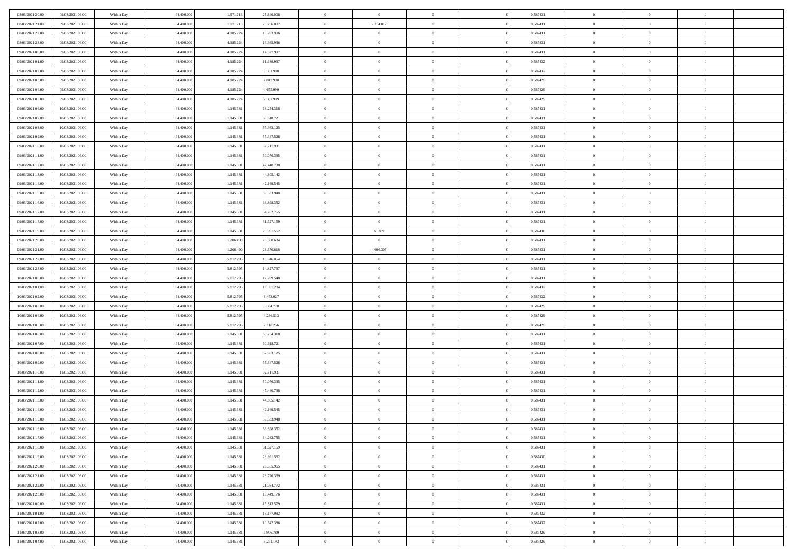| 08/03/2021 20:00 | 09/03/2021 06:00 | Within Day | 64.400.000 | 1.971.213 | 25.840.008 | $\,$ 0         | $\bf{0}$       | $\overline{0}$ |          | 0,587431 | $\bf{0}$       | $\overline{0}$ | $\,0\,$        |  |
|------------------|------------------|------------|------------|-----------|------------|----------------|----------------|----------------|----------|----------|----------------|----------------|----------------|--|
| 08/03/2021 21:00 | 09/03/2021 06:00 | Within Day | 64,400,000 | 1.971.213 | 23.256.007 | $\overline{0}$ | 2.214.012      | $\overline{0}$ |          | 0,587431 | $\overline{0}$ | $\overline{0}$ | $\theta$       |  |
| 08/03/2021 22:00 | 09/03/2021 06:00 | Within Dav | 64.400.000 | 4.185.224 | 18.703.996 | $\mathbf{0}$   | $\overline{0}$ | $\overline{0}$ |          | 0,587431 | $\mathbf{0}$   | $\overline{0}$ | $\overline{0}$ |  |
| 08/03/2021 23:00 | 09/03/2021 06:00 | Within Day | 64.400.000 | 4.185.224 | 16.365.996 | $\bf{0}$       | $\overline{0}$ | $\bf{0}$       |          | 0,587431 | $\bf{0}$       | $\overline{0}$ | $\bf{0}$       |  |
| 09/03/2021 00:00 | 09/03/2021 06:00 | Within Day | 64,400,000 | 4.185.224 | 14.027.997 | $\bf{0}$       | $\bf{0}$       | $\overline{0}$ |          | 0,587431 | $\bf{0}$       | $\bf{0}$       | $\,0\,$        |  |
| 09/03/2021 01:00 | 09/03/2021 06:00 | Within Dav | 64.400.000 | 4.185.224 | 11.689.997 | $\overline{0}$ | $\overline{0}$ | $\overline{0}$ |          | 0,587432 | $\mathbf{0}$   | $\overline{0}$ | $\overline{0}$ |  |
| 09/03/2021 02:00 | 09/03/2021 06:00 | Within Day | 64.400.000 | 4.185.224 | 9.351.998  | $\bf{0}$       | $\bf{0}$       | $\overline{0}$ |          | 0,587432 | $\bf{0}$       | $\overline{0}$ | $\,0\,$        |  |
| 09/03/2021 03:00 | 09/03/2021 06:00 | Within Day | 64.400.000 | 4.185.224 | 7.013.998  | $\overline{0}$ | $\overline{0}$ | $\overline{0}$ |          | 0,587429 | $\,$ 0 $\,$    | $\overline{0}$ | $\overline{0}$ |  |
| 09/03/2021 04:00 | 09/03/2021 06:00 | Within Day | 64.400.000 | 4.185.224 | 4.675.999  | $\mathbf{0}$   | $\overline{0}$ | $\overline{0}$ |          | 0,587429 | $\mathbf{0}$   | $\overline{0}$ | $\overline{0}$ |  |
| 09/03/2021 05:00 | 09/03/2021 06:00 | Within Day | 64.400.000 | 4.185.224 | 2.337.999  | $\bf{0}$       | $\bf{0}$       | $\overline{0}$ |          | 0,587429 | $\bf{0}$       | $\overline{0}$ | $\,0\,$        |  |
| 09/03/2021 06:00 | 10/03/2021 06:00 | Within Day | 64,400,000 | 1.145.681 | 63.254.318 | $\bf{0}$       | $\overline{0}$ | $\overline{0}$ |          | 0,587431 | $\bf{0}$       | $\overline{0}$ | $\theta$       |  |
| 09/03/2021 07:00 | 10/03/2021 06:00 | Within Dav | 64.400.000 | 1.145.681 | 60.618.721 | $\mathbf{0}$   | $\overline{0}$ | $\overline{0}$ |          | 0,587431 | $\mathbf{0}$   | $\overline{0}$ | $\overline{0}$ |  |
| 09/03/2021 08:00 | 10/03/2021 06:00 | Within Day | 64.400.000 | 1.145.681 | 57.983.125 | $\bf{0}$       | $\overline{0}$ | $\bf{0}$       |          | 0,587431 | $\bf{0}$       | $\overline{0}$ | $\bf{0}$       |  |
| 09/03/2021 09:00 | 10/03/2021 06:00 | Within Day | 64.400.000 | 1.145.681 | 55.347.528 | $\bf{0}$       | $\overline{0}$ | $\overline{0}$ |          | 0,587431 | $\bf{0}$       | $\mathbf{0}$   | $\,0\,$        |  |
| 09/03/2021 10:00 | 10/03/2021 06:00 | Within Dav | 64.400.000 | 1.145.681 | 52.711.931 | $\overline{0}$ | $\overline{0}$ | $\overline{0}$ |          | 0,587431 | $\mathbf{0}$   | $\overline{0}$ | $\overline{0}$ |  |
| 09/03/2021 11:00 | 10/03/2021 06:00 | Within Day | 64.400.000 | 1.145.681 | 50.076.335 | $\bf{0}$       | $\bf{0}$       | $\overline{0}$ |          | 0,587431 | $\bf{0}$       | $\overline{0}$ | $\bf{0}$       |  |
| 09/03/2021 12:00 | 10/03/2021 06:00 | Within Day | 64,400,000 | 1.145.681 | 47.440.738 | $\overline{0}$ | $\overline{0}$ | $\overline{0}$ |          | 0,587431 | $\,$ 0 $\,$    | $\overline{0}$ | $\theta$       |  |
| 09/03/2021 13:00 | 10/03/2021 06:00 | Within Day | 64.400.000 | 1.145.681 | 44.805.142 | $\mathbf{0}$   | $\overline{0}$ | $\overline{0}$ |          | 0,587431 | $\mathbf{0}$   | $\overline{0}$ | $\overline{0}$ |  |
| 09/03/2021 14:00 | 10/03/2021 06:00 | Within Day | 64.400.000 | 1.145.681 | 42.169.545 | $\bf{0}$       | $\bf{0}$       | $\overline{0}$ |          | 0,587431 | $\bf{0}$       | $\overline{0}$ | $\,0\,$        |  |
| 09/03/2021 15:00 | 10/03/2021 06:00 | Within Day | 64.400.000 | 1.145.681 | 39.533.948 | $\bf{0}$       | $\overline{0}$ | $\overline{0}$ |          | 0,587431 | $\bf{0}$       | $\overline{0}$ | $\overline{0}$ |  |
| 09/03/2021 16:00 | 10/03/2021 06:00 | Within Dav | 64.400.000 | 1.145.681 | 36.898.352 | $\overline{0}$ | $\overline{0}$ | $\overline{0}$ |          | 0,587431 | $\mathbf{0}$   | $\overline{0}$ | $\overline{0}$ |  |
| 09/03/2021 17:00 | 10/03/2021 06:00 | Within Day | 64.400.000 | 1.145.681 | 34.262.755 | $\bf{0}$       | $\overline{0}$ | $\bf{0}$       |          | 0,587431 | $\bf{0}$       | $\overline{0}$ | $\bf{0}$       |  |
| 09/03/2021 18:00 | 10/03/2021 06:00 | Within Day | 64,400,000 | 1.145.681 | 31.627.159 | $\bf{0}$       | $\bf{0}$       | $\overline{0}$ |          | 0,587431 | $\bf{0}$       | $\overline{0}$ | $\,0\,$        |  |
| 09/03/2021 19:00 | 10/03/2021 06:00 | Within Dav | 64.400.000 | 1.145.681 | 28.991.562 | $\overline{0}$ | 60.809         | $\overline{0}$ |          | 0,587430 | $\mathbf{0}$   | $\overline{0}$ | $\overline{0}$ |  |
| 09/03/2021 20:00 | 10/03/2021 06:00 | Within Day | 64.400.000 | 1.206.490 | 26.300.684 | $\bf{0}$       | $\overline{0}$ | $\overline{0}$ |          | 0,587431 | $\bf{0}$       | $\overline{0}$ | $\,0\,$        |  |
| 09/03/2021 21:00 | 10/03/2021 06:00 | Within Day | 64.400.000 | 1.206.490 | 23.670.616 | $\bf{0}$       | 4.606.305      | $\overline{0}$ |          | 0,587431 | $\bf{0}$       | $\overline{0}$ | $\overline{0}$ |  |
| 09/03/2021 22:00 | 10/03/2021 06:00 | Within Day | 64.400.000 | 5.812.795 | 16.946.054 | $\overline{0}$ | $\overline{0}$ | $\overline{0}$ |          | 0,587431 | $\mathbf{0}$   | $\overline{0}$ | $\overline{0}$ |  |
| 09/03/2021 23.00 | 10/03/2021 06:00 | Within Day | 64.400.000 | 5.812.795 | 14.827.797 | $\bf{0}$       | $\bf{0}$       | $\overline{0}$ |          | 0,587431 | $\bf{0}$       | $\overline{0}$ | $\,0\,$        |  |
| 10/03/2021 00:00 | 10/03/2021 06:00 | Within Day | 64,400,000 | 5.812.795 | 12.709.540 | $\bf{0}$       | $\bf{0}$       | $\overline{0}$ |          | 0,587431 | $\bf{0}$       | $\overline{0}$ | $\overline{0}$ |  |
| 10/03/2021 01:00 | 10/03/2021 06:00 | Within Dav | 64.400.000 | 5.812.795 | 10.591.284 | $\mathbf{0}$   | $\overline{0}$ | $\overline{0}$ |          | 0,587432 | $\mathbf{0}$   | $\overline{0}$ | $\overline{0}$ |  |
| 10/03/2021 02:00 | 10/03/2021 06:00 | Within Day | 64.400.000 | 5.812.795 | 8.473.027  | $\bf{0}$       | $\overline{0}$ | $\overline{0}$ |          | 0,587432 | $\,$ 0         | $\overline{0}$ | $\theta$       |  |
| 10/03/2021 03:00 | 10/03/2021 06:00 | Within Day | 64.400.000 | 5.812.795 | 6.354.770  | $\bf{0}$       | $\bf{0}$       | $\overline{0}$ |          | 0,587429 | $\bf{0}$       | $\overline{0}$ | $\bf{0}$       |  |
| 10/03/2021 04:00 | 10/03/2021 06:00 | Within Dav | 64.400.000 | 5.812.795 | 4.236.513  | $\overline{0}$ | $\overline{0}$ | $\overline{0}$ |          | 0,587429 | $\mathbf{0}$   | $\overline{0}$ | $\overline{0}$ |  |
| 10/03/2021 05:00 | 10/03/2021 06:00 | Within Day | 64.400.000 | 5.812.795 | 2.118.256  | $\bf{0}$       | $\overline{0}$ | $\overline{0}$ |          | 0,587429 | $\,$ 0         | $\overline{0}$ | $\theta$       |  |
| 10/03/2021 06:00 | 11/03/2021 06:00 | Within Day | 64,400,000 | 1.145.681 | 63.254.318 | $\overline{0}$ | $\overline{0}$ | $\overline{0}$ |          | 0,587431 | $\bf{0}$       | $\overline{0}$ | $\overline{0}$ |  |
| 10/03/2021 07:00 | 11/03/2021 06:00 | Within Day | 64.400.000 | 1.145.681 | 60.618.721 | $\mathbf{0}$   | $\overline{0}$ | $\overline{0}$ |          | 0,587431 | $\mathbf{0}$   | $\overline{0}$ | $\overline{0}$ |  |
| 10/03/2021 08:00 | 11/03/2021 06:00 | Within Day | 64.400.000 | 1.145.681 | 57.983.125 | $\bf{0}$       | $\overline{0}$ | $\overline{0}$ |          | 0,587431 | $\,$ 0         | $\overline{0}$ | $\theta$       |  |
| 10/03/2021 09:00 | 11/03/2021 06:00 | Within Day | 64.400.000 | 1.145.681 | 55.347.528 | $\bf{0}$       | $\overline{0}$ | $\overline{0}$ |          | 0,587431 | $\bf{0}$       | $\overline{0}$ | $\bf{0}$       |  |
| 10/03/2021 10:00 | 11/03/2021 06:00 | Within Dav | 64.400.000 | 1.145.681 | 52.711.931 | $\mathbf{0}$   | $\overline{0}$ | $\overline{0}$ |          | 0,587431 | $\mathbf{0}$   | $\overline{0}$ | $\overline{0}$ |  |
| 10/03/2021 11:00 | 11/03/2021 06:00 | Within Day | 64.400.000 | 1.145.681 | 50.076.335 | $\,0\,$        | $\overline{0}$ | $\overline{0}$ |          | 0,587431 | $\,$ 0         | $\overline{0}$ | $\theta$       |  |
| 10/03/2021 12:00 | 11/03/2021 06:00 | Within Day | 64,400,000 | 1.145.681 | 47.440.738 | $\bf{0}$       | $\overline{0}$ | $\overline{0}$ |          | 0,587431 | $\bf{0}$       | $\overline{0}$ | $\bf{0}$       |  |
| 10/03/2021 13:00 | 11/03/2021 06:00 | Within Dav | 64.400.000 | 1.145.681 | 44.805.142 | $\mathbf{0}$   | $\overline{0}$ | $\overline{0}$ |          | 0,587431 | $\mathbf{0}$   | $\overline{0}$ | $\overline{0}$ |  |
| 10/03/2021 14:00 | 11/03/2021 06:00 | Within Day | 64.400.000 | 1.145.681 | 42.169.545 | $\bf{0}$       | $\overline{0}$ | $\overline{0}$ |          | 0,587431 | $\,$ 0         | $\overline{0}$ | $\theta$       |  |
| 10/03/2021 15:00 | 11/03/2021 06:00 | Within Day | 64.400.000 | 1.145.681 | 39.533.948 | $\bf{0}$       | $\overline{0}$ | $\overline{0}$ |          | 0,587431 | $\,$ 0 $\,$    | $\overline{0}$ | $\bf{0}$       |  |
| 10/03/2021 16:00 | 11/03/2021 06:00 | Within Day | 64.400.000 | 1.145.681 | 36.898.352 | $\bf{0}$       | $\overline{0}$ |                |          | 0,587431 | $\overline{0}$ | $\theta$       | $\theta$       |  |
| 10/03/2021 17:00 | 11/03/2021 06:00 | Within Day | 64.400.000 | 1.145.681 | 34.262.755 | $\,0\,$        | $\overline{0}$ | $\overline{0}$ |          | 0,587431 | $\,$ 0 $\,$    | $\bf{0}$       | $\theta$       |  |
| 10/03/2021 18:00 | 11/03/2021 06:00 | Within Day | 64.400.000 | 1.145.681 | 31.627.159 | $\overline{0}$ | $\overline{0}$ | $\overline{0}$ |          | 0,587431 | $\overline{0}$ | $\overline{0}$ | $\overline{0}$ |  |
| 10/03/2021 19:00 | 11/03/2021 06:00 | Within Day | 64.400.000 | 1.145.681 | 28.991.562 | $\bf{0}$       | $\overline{0}$ | $\overline{0}$ |          | 0,587430 | $\overline{0}$ | $\bf{0}$       | $\mathbf{0}$   |  |
| 10/03/2021 20:00 | 11/03/2021 06:00 | Within Day | 64.400.000 | 1.145.681 | 26.355.965 | $\bf{0}$       | $\overline{0}$ | $\overline{0}$ | $\theta$ | 0,587431 | $\,$ 0 $\,$    | $\bf{0}$       | $\,$ 0 $\,$    |  |
| 10/03/2021 21:00 | 11/03/2021 06:00 | Within Day | 64.400.000 | 1.145.681 | 23.720.369 | $\bf{0}$       | $\overline{0}$ | $\overline{0}$ |          | 0,587431 | $\,$ 0 $\,$    | $\overline{0}$ | $\overline{0}$ |  |
| 10/03/2021 22:00 | 11/03/2021 06:00 | Within Day | 64.400.000 | 1.145.681 | 21.084.772 | $\bf{0}$       | $\overline{0}$ | $\overline{0}$ |          | 0,587431 | $\mathbf{0}$   | $\overline{0}$ | $\overline{0}$ |  |
| 10/03/2021 23:00 | 11/03/2021 06:00 | Within Day | 64.400.000 | 1.145.681 | 18.449.176 | $\,0\,$        | $\overline{0}$ | $\overline{0}$ | $\theta$ | 0,587431 | $\,$ 0 $\,$    | $\overline{0}$ | $\,$ 0 $\,$    |  |
| 11/03/2021 00:00 | 11/03/2021 06:00 | Within Day | 64.400.000 | 1.145.681 | 15.813.579 | $\bf{0}$       | $\overline{0}$ | $\overline{0}$ |          | 0,587431 | $\overline{0}$ | $\overline{0}$ | $\overline{0}$ |  |
| 11/03/2021 01:00 | 11/03/2021 06:00 | Within Day | 64.400.000 | 1.145.681 | 13.177.982 | $\bf{0}$       | $\overline{0}$ | $\overline{0}$ |          | 0,587432 | $\mathbf{0}$   | $\overline{0}$ | $\overline{0}$ |  |
| 11/03/2021 02:00 | 11/03/2021 06:00 | Within Day | 64.400.000 | 1.145.681 | 10.542.386 | $\,0\,$        | $\overline{0}$ | $\overline{0}$ |          | 0,587432 | $\,$ 0 $\,$    | $\mathbf{0}$   | $\,$ 0 $\,$    |  |
| 11/03/2021 03:00 | 11/03/2021 06:00 | Within Day | 64.400.000 | 1.145.681 | 7.906.789  | $\overline{0}$ | $\overline{0}$ | $\overline{0}$ |          | 0,587429 | $\mathbf{0}$   | $\mathbf{0}$   | $\overline{0}$ |  |
| 11/03/2021 04:00 | 11/03/2021 06:00 | Within Day | 64.400.000 | 1.145.681 | 5.271.193  | $\mathbf{0}$   | $\overline{0}$ | $\overline{0}$ |          | 0,587429 | $\mathbf{0}$   | $\overline{0}$ | $\overline{0}$ |  |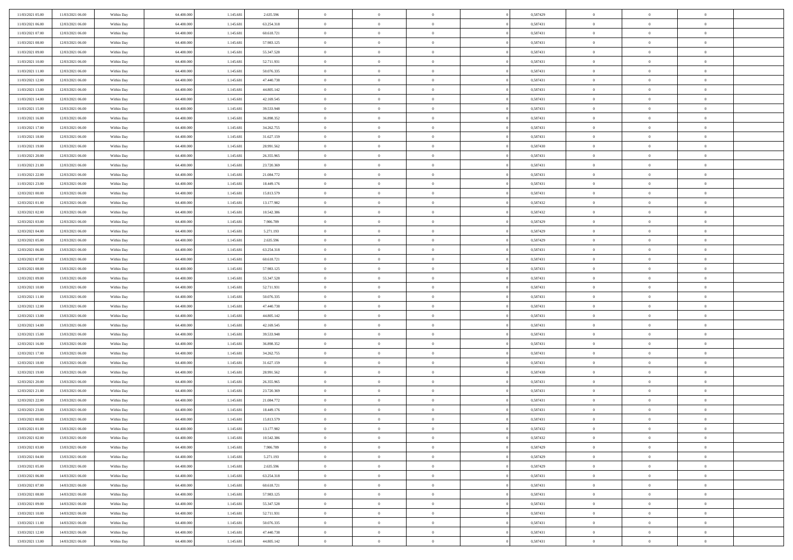| 11/03/2021 05:00 | 11/03/2021 06:00 | Within Day | 64.400.000 | 1.145.68  | 2.635.596  | $\bf{0}$                    | $\overline{0}$                   | $\Omega$       | 0,587429 | $\bf{0}$       | $\overline{0}$ | $\bf{0}$       |  |
|------------------|------------------|------------|------------|-----------|------------|-----------------------------|----------------------------------|----------------|----------|----------------|----------------|----------------|--|
| 11/03/2021 06:00 | 12/03/2021 06:00 | Within Day | 64,400,000 | 1.145.68  | 63.254.318 | $\overline{0}$              | $\overline{0}$                   | $\Omega$       | 0,587431 | $\overline{0}$ | $\theta$       | $\theta$       |  |
| 11/03/2021 07:00 | 12/03/2021 06:00 | Within Day | 64.400.000 | 1.145.681 | 60.618.721 | $\overline{0}$              | $\overline{0}$                   | $\overline{0}$ | 0,587431 | $\mathbf{0}$   | $\overline{0}$ | $\theta$       |  |
| 11/03/2021 08:00 | 12/03/2021 06:00 | Within Day | 64.400.000 | 1.145.681 | 57.983.125 | $\bf{0}$                    | $\overline{0}$                   | $\overline{0}$ | 0,587431 | $\mathbf{0}$   | $\overline{0}$ | $\bf{0}$       |  |
| 11/03/2021 09:00 | 12/03/2021 06:00 | Within Day | 64,400,000 | 1.145.681 | 55.347.528 | $\bf{0}$                    | $\overline{0}$                   | $\overline{0}$ | 0,587431 | $\bf{0}$       | $\overline{0}$ | $\bf{0}$       |  |
| 11/03/2021 10:00 | 12/03/2021 06:00 | Within Day | 64.400.000 | 1.145.681 | 52.711.931 | $\overline{0}$              | $\overline{0}$                   | $\overline{0}$ | 0,587431 | $\mathbf{0}$   | $\overline{0}$ | $\theta$       |  |
| 11/03/2021 11:00 | 12/03/2021 06:00 | Within Day | 64.400.000 | 1.145.681 | 50.076.335 | $\bf{0}$                    | $\overline{0}$                   | $\overline{0}$ | 0,587431 | $\mathbf{0}$   | $\overline{0}$ | $\bf{0}$       |  |
| 11/03/2021 12:00 | 12/03/2021 06:00 | Within Day | 64,400,000 | 1.145.681 | 47.440.738 | $\overline{0}$              | $\overline{0}$                   | $\overline{0}$ | 0,587431 | $\mathbf{0}$   | $\theta$       | $\theta$       |  |
| 11/03/2021 13:00 | 12/03/2021 06:00 | Within Day | 64.400.000 | 1.145.681 | 44.805.142 | $\overline{0}$              | $\overline{0}$                   | $\overline{0}$ | 0,587431 | $\mathbf{0}$   | $\overline{0}$ | $\theta$       |  |
| 11/03/2021 14:00 | 12/03/2021 06:00 |            | 64.400.000 | 1.145.681 | 42.169.545 | $\bf{0}$                    | $\overline{0}$                   | $\Omega$       | 0,587431 | $\mathbf{0}$   | $\overline{0}$ | $\bf{0}$       |  |
|                  |                  | Within Day | 64,400,000 |           |            |                             |                                  |                |          |                | $\theta$       | $\overline{0}$ |  |
| 11/03/2021 15:00 | 12/03/2021 06:00 | Within Day |            | 1.145.681 | 39.533.948 | $\bf{0}$<br>$\overline{0}$  | $\overline{0}$<br>$\overline{0}$ | $\overline{0}$ | 0,587431 | $\mathbf{0}$   |                | $\theta$       |  |
| 11/03/2021 16:00 | 12/03/2021 06:00 | Within Day | 64.400.000 | 1.145.681 | 36.898.352 |                             |                                  | $\overline{0}$ | 0,587431 | $\mathbf{0}$   | $\overline{0}$ |                |  |
| 11/03/2021 17:00 | 12/03/2021 06:00 | Within Day | 64.400.000 | 1.145.68  | 34.262.755 | $\bf{0}$                    | $\overline{0}$                   | $\overline{0}$ | 0,587431 | $\mathbf{0}$   | $\overline{0}$ | $\bf{0}$       |  |
| 11/03/2021 18:00 | 12/03/2021 06:00 | Within Day | 64.400.000 | 1.145.681 | 31.627.159 | $\bf{0}$                    | $\overline{0}$                   | $\overline{0}$ | 0,587431 | $\bf{0}$       | $\theta$       | $\bf{0}$       |  |
| 11/03/2021 19:00 | 12/03/2021 06:00 | Within Day | 64.400.000 | 1.145.681 | 28.991.562 | $\overline{0}$              | $\overline{0}$                   | $\overline{0}$ | 0,587430 | $\mathbf{0}$   | $\overline{0}$ | $\theta$       |  |
| 11/03/2021 20:00 | 12/03/2021 06:00 | Within Day | 64.400.000 | 1.145.681 | 26.355.965 | $\bf{0}$                    | $\overline{0}$                   | $\Omega$       | 0,587431 | $\mathbf{0}$   | $\overline{0}$ | $\bf{0}$       |  |
| 11/03/2021 21:00 | 12/03/2021 06:00 | Within Day | 64,400,000 | 1.145.681 | 23.720.369 | $\,$ 0 $\,$                 | $\overline{0}$                   | $\overline{0}$ | 0,587431 | $\mathbf{0}$   | $\theta$       | $\overline{0}$ |  |
| 11/03/2021 22:00 | 12/03/2021 06:00 | Within Day | 64.400.000 | 1.145.681 | 21.084.772 | $\overline{0}$              | $\overline{0}$                   | $\overline{0}$ | 0,587431 | $\mathbf{0}$   | $\overline{0}$ | $\theta$       |  |
| 11/03/2021 23:00 | 12/03/2021 06:00 | Within Day | 64.400.000 | 1.145.681 | 18.449.176 | $\bf{0}$                    | $\overline{0}$                   | $\Omega$       | 0,587431 | $\bf{0}$       | $\overline{0}$ | $\bf{0}$       |  |
| 12/03/2021 00:00 | 12/03/2021 06:00 | Within Day | 64,400,000 | 1.145.681 | 15.813.579 | $\bf{0}$                    | $\overline{0}$                   | $\overline{0}$ | 0,587431 | $\mathbf{0}$   | $\overline{0}$ | $\overline{0}$ |  |
| 12/03/2021 01:00 | 12/03/2021 06:00 | Within Day | 64.400.000 | 1.145.681 | 13.177.982 | $\overline{0}$              | $\overline{0}$                   | $\overline{0}$ | 0,587432 | $\mathbf{0}$   | $\overline{0}$ | $\theta$       |  |
| 12/03/2021 02:00 | 12/03/2021 06:00 | Within Day | 64.400.000 | 1.145.681 | 10.542.386 | $\bf{0}$                    | $\overline{0}$                   | $\overline{0}$ | 0,587432 | $\mathbf{0}$   | $\overline{0}$ | $\bf{0}$       |  |
| 12/03/2021 03:00 | 12/03/2021 06:00 | Within Day | 64,400,000 | 1.145.681 | 7.906.789  | $\,$ 0 $\,$                 | $\overline{0}$                   | $\overline{0}$ | 0,587429 | $\,$ 0 $\,$    | $\overline{0}$ | $\bf{0}$       |  |
| 12/03/2021 04:00 | 12/03/2021 06:00 | Within Day | 64.400.000 | 1.145.681 | 5.271.193  | $\overline{0}$              | $\overline{0}$                   | $\overline{0}$ | 0,587429 | $\mathbf{0}$   | $\overline{0}$ | $\theta$       |  |
| 12/03/2021 05:00 | 12/03/2021 06:00 | Within Day | 64.400.000 | 1.145.681 | 2.635.596  | $\bf{0}$                    | $\overline{0}$                   | $\overline{0}$ | 0,587429 | $\bf{0}$       | $\overline{0}$ | $\bf{0}$       |  |
| 12/03/2021 06:00 | 13/03/2021 06:00 | Within Day | 64,400,000 | 1.145.681 | 63.254.318 | $\,$ 0 $\,$                 | $\overline{0}$                   | $\overline{0}$ | 0,587431 | $\mathbf{0}$   | $\overline{0}$ | $\overline{0}$ |  |
| 12/03/2021 07:00 | 13/03/2021 06:00 | Within Day | 64.400.000 | 1.145.681 | 60.618.721 | $\overline{0}$              | $\overline{0}$                   | $\overline{0}$ | 0,587431 | $\mathbf{0}$   | $\overline{0}$ | $\theta$       |  |
| 12/03/2021 08:00 | 13/03/2021 06:00 | Within Day | 64.400.000 | 1.145.681 | 57.983.125 | $\bf{0}$                    | $\overline{0}$                   | $\Omega$       | 0,587431 | $\mathbf{0}$   | $\overline{0}$ | $\bf{0}$       |  |
| 12/03/2021 09:00 | 13/03/2021 06:00 | Within Day | 64,400,000 | 1.145.681 | 55.347.528 | $\bf{0}$                    | $\overline{0}$                   | $\overline{0}$ | 0,587431 | $\mathbf{0}$   | $\theta$       | $\overline{0}$ |  |
| 12/03/2021 10:00 | 13/03/2021 06:00 | Within Day | 64.400.000 | 1.145.681 | 52.711.931 | $\overline{0}$              | $\overline{0}$                   | $\overline{0}$ | 0,587431 | $\mathbf{0}$   | $\overline{0}$ | $\theta$       |  |
| 12/03/2021 11:00 | 13/03/2021 06:00 | Within Day | 64.400.000 | 1.145.681 | 50.076.335 | $\,$ 0                      | $\overline{0}$                   | $\overline{0}$ | 0,587431 | $\,$ 0 $\,$    | $\overline{0}$ | $\,0\,$        |  |
| 12/03/2021 12:00 | 13/03/2021 06:00 | Within Day | 64,400,000 | 1.145.681 | 47.440.738 | $\bf{0}$                    | $\overline{0}$                   | $\overline{0}$ | 0,587431 | $\mathbf{0}$   | $\overline{0}$ | $\overline{0}$ |  |
| 12/03/2021 13:00 | 13/03/2021 06:00 | Within Day | 64.400.000 | 1.145.681 | 44.805.142 | $\overline{0}$              | $\overline{0}$                   | $\overline{0}$ | 0,587431 | $\mathbf{0}$   | $\overline{0}$ | $\theta$       |  |
| 12/03/2021 14:00 | 13/03/2021 06:00 | Within Day | 64.400.000 | 1.145.681 | 42.169.545 | $\,$ 0                      | $\overline{0}$                   | $\theta$       | 0,587431 | $\,$ 0 $\,$    | $\overline{0}$ | $\mathbf{0}$   |  |
| 12/03/2021 15:00 | 13/03/2021 06:00 | Within Day | 64,400,000 | 1.145.681 | 39.533.948 | $\bf{0}$                    | $\overline{0}$                   | $\overline{0}$ | 0,587431 | $\mathbf{0}$   | $\overline{0}$ | $\overline{0}$ |  |
| 12/03/2021 16:00 | 13/03/2021 06:00 | Within Day | 64.400.000 | 1.145.681 | 36.898.352 | $\overline{0}$              | $\overline{0}$                   | $\overline{0}$ | 0,587431 | $\mathbf{0}$   | $\overline{0}$ | $\theta$       |  |
| 12/03/2021 17:00 | 13/03/2021 06:00 | Within Day | 64.400.000 | 1.145.681 | 34.262.755 | $\,$ 0                      | $\overline{0}$                   | $\overline{0}$ | 0,587431 | $\,$ 0 $\,$    | $\overline{0}$ | $\mathbf{0}$   |  |
| 12/03/2021 18:00 | 13/03/2021 06:00 | Within Day | 64,400,000 | 1.145.681 | 31.627.159 | $\bf{0}$                    | $\overline{0}$                   | $\overline{0}$ | 0,587431 | $\mathbf{0}$   | $\overline{0}$ | $\overline{0}$ |  |
| 12/03/2021 19:00 | 13/03/2021 06:00 | Within Day | 64.400.000 | 1.145.681 | 28.991.562 | $\overline{0}$              | $\overline{0}$                   | $\overline{0}$ | 0,587430 | $\mathbf{0}$   | $\overline{0}$ | $\theta$       |  |
| 12/03/2021 20:00 | 13/03/2021 06:00 | Within Day | 64.400.000 | 1.145.681 | 26.355.965 | $\,$ 0                      | $\overline{0}$                   | $\overline{0}$ | 0,587431 | $\,$ 0 $\,$    | $\overline{0}$ | $\,0\,$        |  |
| 12/03/2021 21:00 | 13/03/2021 06:00 | Within Day | 64,400,000 | 1.145.681 | 23.720.369 | $\,$ 0 $\,$                 | $\,$ 0 $\,$                      | $\overline{0}$ | 0,587431 | $\,$ 0 $\,$    | $\overline{0}$ | $\overline{0}$ |  |
| 12/03/2021 22:00 | 13/03/2021 06:00 | Within Day | 64.400.000 | 1.145.681 | 21.084.772 | $\overline{0}$              | $\overline{0}$                   | $\overline{0}$ | 0,587431 | $\mathbf{0}$   | $\overline{0}$ | $\theta$       |  |
| 12/03/2021 23:00 | 13/03/2021 06:00 | Within Day | 64.400.000 | 1.145.681 | 18.449.176 | $\overline{0}$              | $\overline{0}$                   | $\overline{0}$ | 0,587431 | $\,$ 0         | $\overline{0}$ | $\mathbf{0}$   |  |
| 13/03/2021 00:00 | 13/03/2021 06:00 | Within Day | 64,400,000 | 1.145.681 | 15.813.579 | $\bf{0}$                    | $\overline{0}$                   | $\overline{0}$ | 0,587431 | $\mathbf{0}$   | $\overline{0}$ | $\bf{0}$       |  |
| 13/03/2021 01:00 | 13/03/2021 06:00 | Within Day | 64.400.000 | 1.145.681 | 13.177.982 | $\overline{0}$              | $\theta$                         |                | 0,587432 | $\overline{0}$ | $\Omega$       | $\overline{0}$ |  |
| 13/03/2021 02:00 | 13/03/2021 06:00 | Within Day | 64.400.000 | 1.145.681 | 10.542.386 | $\,$ 0 $\,$                 | $\overline{0}$                   | $\overline{0}$ | 0,587432 | $\,$ 0 $\,$    | $\bf{0}$       | $\mathbf{0}$   |  |
| 13/03/2021 03:00 | 13/03/2021 06:00 | Within Day | 64.400.000 | 1.145.681 | 7.906.789  | $\mathbf{0}$                | $\overline{0}$                   | $\overline{0}$ | 0,587429 | $\,$ 0 $\,$    | $\overline{0}$ | $\overline{0}$ |  |
| 13/03/2021 04:00 | 13/03/2021 06:00 | Within Day | 64.400.000 | 1.145.681 | 5.271.193  | $\mathbf{0}$                | $\overline{0}$                   | $\overline{0}$ | 0,587429 | $\mathbf{0}$   | $\bf{0}$       | $\overline{0}$ |  |
| 13/03/2021 05:00 | 13/03/2021 06:00 | Within Day | 64.400.000 | 1.145.681 | 2.635.596  | $\,$ 0 $\,$                 | $\overline{0}$                   | $\overline{0}$ | 0,587429 | $\,$ 0 $\,$    | $\bf{0}$       | $\theta$       |  |
|                  |                  |            | 64.400.000 | 1.145.681 | 63.254.318 |                             |                                  |                | 0,587431 |                | $\overline{0}$ |                |  |
| 13/03/2021 06:00 | 14/03/2021 06:00 | Within Day |            |           |            | $\,$ 0 $\,$<br>$\mathbf{0}$ | $\,$ 0 $\,$                      | $\overline{0}$ |          | $\,$ 0 $\,$    |                | $\overline{0}$ |  |
| 13/03/2021 07:00 | 14/03/2021 06:00 | Within Day | 64.400.000 | 1.145.681 | 60.618.721 |                             | $\overline{0}$                   | $\overline{0}$ | 0,587431 | $\mathbf{0}$   | $\bf{0}$       | $\overline{0}$ |  |
| 13/03/2021 08:00 | 14/03/2021 06:00 | Within Day | 64.400.000 | 1.145.681 | 57.983.125 | $\,$ 0 $\,$                 | $\overline{0}$                   | $\overline{0}$ | 0,587431 | $\,$ 0 $\,$    | $\mathbf{0}$   | $\theta$       |  |
| 13/03/2021 09:00 | 14/03/2021 06:00 | Within Day | 64,400,000 | 1.145.681 | 55.347.528 | $\mathbf{0}$                | $\overline{0}$                   | $\overline{0}$ | 0,587431 | $\,$ 0 $\,$    | $\overline{0}$ | $\overline{0}$ |  |
| 13/03/2021 10:00 | 14/03/2021 06:00 | Within Day | 64.400.000 | 1.145.681 | 52.711.931 | $\mathbf{0}$                | $\overline{0}$                   | $\overline{0}$ | 0,587431 | $\mathbf{0}$   | $\bf{0}$       | $\overline{0}$ |  |
| 13/03/2021 11:00 | 14/03/2021 06:00 | Within Day | 64.400.000 | 1.145.681 | 50.076.335 | $\,$ 0 $\,$                 | $\overline{0}$                   | $\overline{0}$ | 0,587431 | $\,$ 0 $\,$    | $\overline{0}$ | $\theta$       |  |
| 13/03/2021 12:00 | 14/03/2021 06:00 | Within Day | 64,400,000 | 1.145.681 | 47.440.738 | $\mathbf{0}$                | $\overline{0}$                   | $\overline{0}$ | 0,587431 | $\,$ 0 $\,$    | $\overline{0}$ | $\overline{0}$ |  |
| 13/03/2021 13:00 | 14/03/2021 06:00 | Within Day | 64.400.000 | 1.145.681 | 44.805.142 | $\overline{0}$              | $\overline{0}$                   | $\overline{0}$ | 0,587431 | $\mathbf{0}$   | $\overline{0}$ | $\overline{0}$ |  |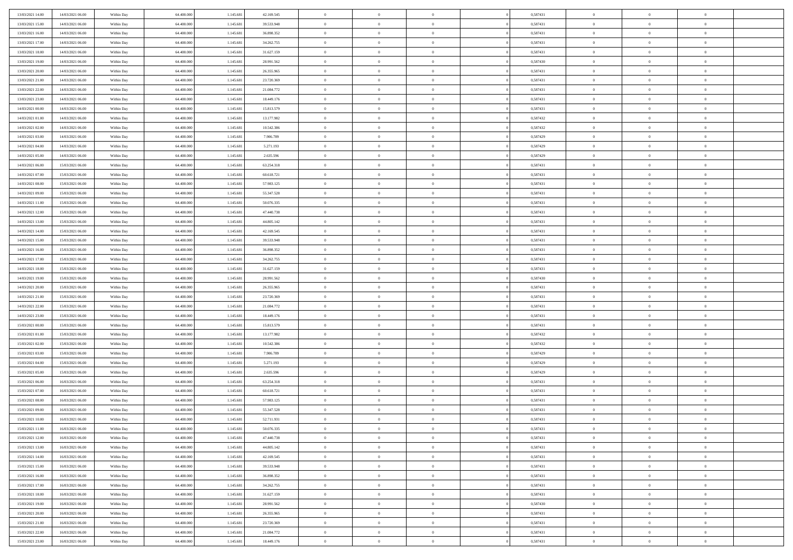| 13/03/2021 14:00 | 14/03/2021 06:00 | Within Day | 64,400,000 | 1.145.681 | 42.169.545 | $\bf{0}$       | $\overline{0}$ | $\Omega$       | 0,587431 | $\bf{0}$       | $\overline{0}$ | $\overline{0}$ |  |
|------------------|------------------|------------|------------|-----------|------------|----------------|----------------|----------------|----------|----------------|----------------|----------------|--|
| 13/03/2021 15:00 | 14/03/2021 06:00 | Within Day | 64.400.000 | 1.145.681 | 39.533.948 | $\mathbf{0}$   | $\overline{0}$ | $\overline{0}$ | 0,587431 | $\theta$       | $\bf{0}$       | $\theta$       |  |
| 13/03/2021 16:00 | 14/03/2021 06:00 | Within Day | 64.400.000 | 1.145.681 | 36.898.352 | $\,$ 0         | $\overline{0}$ | $\bf{0}$       | 0,587431 | $\,0\,$        | $\overline{0}$ | $\,$ 0 $\,$    |  |
| 13/03/2021 17:00 | 14/03/2021 06:00 | Within Day | 64,400,000 | 1.145.681 | 34.262.755 | $\bf{0}$       | $\overline{0}$ | $\overline{0}$ | 0,587431 | $\overline{0}$ | $\theta$       | $\theta$       |  |
| 13/03/2021 18:00 | 14/03/2021 06:00 | Within Day | 64.400.000 | 1.145.681 | 31.627.159 | $\overline{0}$ | $\overline{0}$ | $\overline{0}$ | 0,587431 | $\overline{0}$ | $\bf{0}$       | $\overline{0}$ |  |
| 13/03/2021 19:00 | 14/03/2021 06:00 | Within Day | 64.400.000 | 1.145.681 | 28.991.562 | $\bf{0}$       | $\overline{0}$ | $\bf{0}$       | 0,587430 | $\,0\,$        | $\overline{0}$ | $\,$ 0 $\,$    |  |
| 13/03/2021 20:00 | 14/03/2021 06:00 | Within Day | 64,400,000 | 1.145.681 | 26.355.965 | $\bf{0}$       | $\overline{0}$ | $\overline{0}$ | 0,587431 | $\bf{0}$       | $\overline{0}$ | $\theta$       |  |
| 13/03/2021 21:00 | 14/03/2021 06:00 | Within Day | 64.400.000 | 1.145.681 | 23.720.369 | $\overline{0}$ | $\overline{0}$ | $\overline{0}$ | 0,587431 | $\overline{0}$ | $\overline{0}$ | $\theta$       |  |
| 13/03/2021 22:00 | 14/03/2021 06:00 | Within Day | 64.400.000 | 1.145.681 | 21.084.772 | $\bf{0}$       | $\overline{0}$ | $\bf{0}$       | 0,587431 | $\,0\,$        | $\overline{0}$ | $\,$ 0 $\,$    |  |
| 13/03/2021 23:00 | 14/03/2021 06:00 | Within Day | 64,400,000 | 1.145.681 | 18.449.176 | $\bf{0}$       | $\overline{0}$ | $\overline{0}$ | 0,587431 | $\theta$       | $\overline{0}$ | $\overline{0}$ |  |
| 14/03/2021 00:00 | 14/03/2021 06:00 | Within Dav | 64.400.000 | 1.145.681 | 15.813.579 | $\overline{0}$ | $\overline{0}$ | $\overline{0}$ | 0,587431 | $\overline{0}$ | $\bf{0}$       | $\overline{0}$ |  |
| 14/03/2021 01:00 | 14/03/2021 06:00 | Within Day | 64.400.000 | 1.145.681 | 13.177.982 | $\bf{0}$       | $\overline{0}$ | $\bf{0}$       | 0,587432 | $\,0\,$        | $\overline{0}$ | $\,$ 0 $\,$    |  |
| 14/03/2021 02:00 | 14/03/2021 06:00 | Within Day | 64,400,000 | 1.145.681 | 10.542.386 | $\bf{0}$       | $\overline{0}$ | $\Omega$       | 0,587432 | $\theta$       | $\theta$       | $\theta$       |  |
| 14/03/2021 03:00 | 14/03/2021 06:00 | Within Dav | 64.400.000 | 1.145.681 | 7.906.789  | $\overline{0}$ | $\overline{0}$ | $\overline{0}$ | 0,587429 | $\overline{0}$ | $\overline{0}$ | $\overline{0}$ |  |
| 14/03/2021 04:00 | 14/03/2021 06:00 | Within Day | 64.400.000 | 1.145.681 | 5.271.193  | $\bf{0}$       | $\overline{0}$ | $\bf{0}$       | 0,587429 | $\,0\,$        | $\overline{0}$ | $\,$ 0 $\,$    |  |
| 14/03/2021 05:00 | 14/03/2021 06:00 | Within Day | 64,400,000 | 1.145.681 | 2.635.596  | $\bf{0}$       | $\overline{0}$ | $\overline{0}$ | 0,587429 | $\bf{0}$       | $\overline{0}$ | $\bf{0}$       |  |
| 14/03/2021 06:00 | 15/03/2021 06:00 | Within Dav | 64.400.000 | 1.145.681 | 63.254.318 | $\overline{0}$ | $\overline{0}$ | $\overline{0}$ | 0,587431 | $\overline{0}$ | $\overline{0}$ | $\theta$       |  |
| 14/03/2021 07:00 | 15/03/2021 06:00 | Within Day | 64.400.000 | 1.145.681 | 60.618.721 | $\bf{0}$       | $\overline{0}$ | $\bf{0}$       | 0,587431 | $\,0\,$        | $\overline{0}$ | $\,$ 0 $\,$    |  |
| 14/03/2021 08:00 | 15/03/2021 06:00 | Within Day | 64,400,000 | 1.145.681 | 57.983.125 | $\bf{0}$       | $\overline{0}$ | $\overline{0}$ | 0,587431 | $\theta$       | $\theta$       | $\overline{0}$ |  |
| 14/03/2021 09:00 | 15/03/2021 06:00 | Within Dav | 64.400.000 | 1.145.681 | 55.347.528 | $\overline{0}$ | $\overline{0}$ | $\overline{0}$ | 0,587431 | $\mathbf{0}$   | $\overline{0}$ | $\theta$       |  |
| 14/03/2021 11:00 | 15/03/2021 06:00 | Within Day | 64.400.000 | 1.145.681 | 50.076.335 | $\bf{0}$       | $\overline{0}$ | $\bf{0}$       | 0,587431 | $\,0\,$        | $\overline{0}$ | $\,$ 0 $\,$    |  |
| 14/03/2021 12:00 | 15/03/2021 06:00 | Within Day | 64.400.000 | 1.145.681 | 47.440.738 | $\bf{0}$       | $\overline{0}$ | $\Omega$       | 0.587431 | $\theta$       | $\theta$       | $\theta$       |  |
| 14/03/2021 13:00 | 15/03/2021 06:00 | Within Dav | 64.400.000 | 1.145.681 | 44.805.142 | $\overline{0}$ | $\overline{0}$ | $\overline{0}$ | 0,587431 | $\mathbf{0}$   | $\overline{0}$ | $\overline{0}$ |  |
| 14/03/2021 14:00 | 15/03/2021 06:00 | Within Day | 64.400.000 | 1.145.681 | 42.169.545 | $\bf{0}$       | $\overline{0}$ | $\bf{0}$       | 0,587431 | $\,0\,$        | $\overline{0}$ | $\,$ 0 $\,$    |  |
| 14/03/2021 15:00 | 15/03/2021 06:00 | Within Day | 64,400,000 | 1.145.681 | 39.533.948 | $\bf{0}$       | $\overline{0}$ | $\overline{0}$ | 0,587431 | $\bf{0}$       | $\overline{0}$ | $\bf{0}$       |  |
| 14/03/2021 16:00 | 15/03/2021 06:00 | Within Dav | 64.400.000 | 1.145.681 | 36.898.352 | $\overline{0}$ | $\overline{0}$ | $\overline{0}$ | 0,587431 | $\mathbf{0}$   | $\overline{0}$ | $\theta$       |  |
| 14/03/2021 17:00 | 15/03/2021 06:00 | Within Day | 64.400.000 | 1.145.681 | 34.262.755 | $\bf{0}$       | $\overline{0}$ | $\bf{0}$       | 0,587431 | $\,0\,$        | $\overline{0}$ | $\,$ 0 $\,$    |  |
| 14/03/2021 18:00 | 15/03/2021 06:00 | Within Day | 64,400,000 | 1.145.681 | 31.627.159 | $\bf{0}$       | $\overline{0}$ | $\overline{0}$ | 0.587431 | $\theta$       | $\theta$       | $\overline{0}$ |  |
| 14/03/2021 19:00 | 15/03/2021 06:00 | Within Dav | 64.400.000 | 1.145.681 | 28.991.562 | $\overline{0}$ | $\overline{0}$ | $\overline{0}$ | 0,587430 | $\mathbf{0}$   | $\bf{0}$       | $\overline{0}$ |  |
| 14/03/2021 20:00 | 15/03/2021 06:00 | Within Day | 64.400.000 | 1.145.681 | 26.355.965 | $\bf{0}$       | $\overline{0}$ | $\bf{0}$       | 0,587431 | $\,0\,$        | $\overline{0}$ | $\,$ 0         |  |
| 14/03/2021 21:00 | 15/03/2021 06:00 | Within Day | 64.400.000 | 1.145.681 | 23.720.369 | $\bf{0}$       | $\bf{0}$       | $\overline{0}$ | 0,587431 | $\bf{0}$       | $\overline{0}$ | $\theta$       |  |
| 14/03/2021 22:00 | 15/03/2021 06:00 | Within Dav | 64.400.000 | 1.145.681 | 21.084.772 | $\overline{0}$ | $\overline{0}$ | $\overline{0}$ | 0,587431 | $\overline{0}$ | $\overline{0}$ | $\overline{0}$ |  |
| 14/03/2021 23:00 | 15/03/2021 06:00 | Within Day | 64.400.000 | 1.145.681 | 18.449.176 | $\bf{0}$       | $\overline{0}$ | $\bf{0}$       | 0,587431 | $\,0\,$        | $\overline{0}$ | $\,$ 0 $\,$    |  |
| 15/03/2021 00:00 | 15/03/2021 06:00 | Within Day | 64.400.000 | 1.145.681 | 15.813.579 | $\bf{0}$       | $\overline{0}$ | $\bf{0}$       | 0,587431 | $\bf{0}$       | $\overline{0}$ | $\bf{0}$       |  |
| 15/03/2021 01:00 | 15/03/2021 06:00 | Within Dav | 64.400.000 | 1.145.681 | 13.177.982 | $\overline{0}$ | $\overline{0}$ | $\overline{0}$ | 0,587432 | $\overline{0}$ | $\overline{0}$ | $\theta$       |  |
| 15/03/2021 02:00 | 15/03/2021 06:00 | Within Day | 64.400.000 | 1.145.681 | 10.542.386 | $\bf{0}$       | $\overline{0}$ | $\bf{0}$       | 0,587432 | $\,0\,$        | $\overline{0}$ | $\bf{0}$       |  |
| 15/03/2021 03:00 | 15/03/2021 06:00 | Within Day | 64.400.000 | 1.145.681 | 7.906.789  | $\bf{0}$       | $\overline{0}$ | $\overline{0}$ | 0,587429 | $\bf{0}$       | $\overline{0}$ | $\theta$       |  |
| 15/03/2021 04:00 | 15/03/2021 06:00 | Within Dav | 64.400.000 | 1.145.681 | 5.271.193  | $\overline{0}$ | $\overline{0}$ | $\overline{0}$ | 0,587429 | $\overline{0}$ | $\bf{0}$       | $\overline{0}$ |  |
| 15/03/2021 05:00 | 15/03/2021 06:00 | Within Day | 64.400.000 | 1.145.681 | 2.635.596  | $\bf{0}$       | $\overline{0}$ | $\bf{0}$       | 0,587429 | $\,0\,$        | $\overline{0}$ | $\,$ 0 $\,$    |  |
| 15/03/2021 06:00 | 16/03/2021 06:00 | Within Day | 64.400.000 | 1.145.681 | 63.254.318 | $\bf{0}$       | $\overline{0}$ | $\overline{0}$ | 0,587431 | $\bf{0}$       | $\overline{0}$ | $\theta$       |  |
| 15/03/2021 07:00 | 16/03/2021 06:00 | Within Day | 64.400.000 | 1.145.681 | 60.618.721 | $\overline{0}$ | $\overline{0}$ | $\overline{0}$ | 0,587431 | $\theta$       | $\overline{0}$ | $\theta$       |  |
| 15/03/2021 08:00 | 16/03/2021 06:00 | Within Day | 64.400.000 | 1.145.681 | 57.983.125 | $\bf{0}$       | $\overline{0}$ | $\bf{0}$       | 0,587431 | $\,0\,$        | $\overline{0}$ | $\theta$       |  |
| 15/03/2021 09:00 | 16/03/2021 06:00 | Within Day | 64.400.000 | 1.145.681 | 55.347.528 | $\bf{0}$       | $\overline{0}$ | $\bf{0}$       | 0,587431 | $\bf{0}$       | $\overline{0}$ | $\bf{0}$       |  |
| 15/03/2021 10:00 | 16/03/2021 06:00 | Within Dav | 64.400.000 | 1.145.681 | 52.711.931 | $\mathbf{0}$   | $\overline{0}$ | $\overline{0}$ | 0,587431 | $\theta$       | $\bf{0}$       | $\theta$       |  |
| 15/03/2021 11:00 | 16/03/2021 06:00 | Within Day | 64.400.000 | 1.145.681 | 50.076.335 | $\bf{0}$       | $\overline{0}$ | $\overline{0}$ | 0,587431 | $\bf{0}$       | $\overline{0}$ | $\theta$       |  |
| 15/03/2021 12:00 | 16/03/2021 06:00 | Within Day | 64.400.000 | 1.145.681 | 47.440.738 | $\bf{0}$       | $\overline{0}$ | $\bf{0}$       | 0,587431 | $\bf{0}$       | $\overline{0}$ | $\bf{0}$       |  |
| 15/03/2021 13:00 | 16/03/2021 06:00 | Within Day | 64.400.000 | 1.145.681 | 44.805.142 | $\overline{0}$ | $\overline{0}$ | $\overline{0}$ | 0,587431 | $\overline{0}$ | $\overline{0}$ | $\overline{0}$ |  |
| 15/03/2021 14:00 | 16/03/2021 06:00 | Within Day | 64.400.000 | 1.145.681 | 42.169.545 | $\,$ 0 $\,$    | $\overline{0}$ | $\overline{0}$ | 0,587431 | $\,$ 0 $\,$    | $\,$ 0 $\,$    | $\,0\,$        |  |
| 15/03/2021 15:00 | 16/03/2021 06:00 | Within Day | 64.400.000 | 1.145.681 | 39.533.948 | $\bf{0}$       | $\overline{0}$ | $\overline{0}$ | 0,587431 | $\mathbf{0}$   | $\overline{0}$ | $\bf{0}$       |  |
| 15/03/2021 16:00 | 16/03/2021 06:00 | Within Day | 64.400.000 | 1.145.681 | 36.898.352 | $\,$ 0 $\,$    | $\overline{0}$ | $\overline{0}$ | 0,587431 | $\mathbf{0}$   | $\bf{0}$       | $\overline{0}$ |  |
| 15/03/2021 17:00 | 16/03/2021 06:00 | Within Day | 64.400.000 | 1.145.681 | 34.262.755 | $\,$ 0 $\,$    | $\overline{0}$ | $\overline{0}$ | 0,587431 | $\,$ 0 $\,$    | $\overline{0}$ | $\,$ 0         |  |
| 15/03/2021 18:00 | 16/03/2021 06:00 | Within Day | 64.400.000 | 1.145.681 | 31.627.159 | $\bf{0}$       | $\overline{0}$ | $\overline{0}$ | 0,587431 | $\overline{0}$ | $\overline{0}$ | $\bf{0}$       |  |
| 15/03/2021 19:00 | 16/03/2021 06:00 | Within Day | 64.400.000 | 1.145.681 | 28.991.562 | $\,$ 0 $\,$    | $\overline{0}$ | $\overline{0}$ | 0,587430 | $\overline{0}$ | $\bf{0}$       | $\overline{0}$ |  |
| 15/03/2021 20:00 | 16/03/2021 06:00 | Within Day | 64.400.000 | 1.145.681 | 26.355.965 | $\,$ 0 $\,$    | $\overline{0}$ | $\overline{0}$ | 0,587431 | $\,$ 0 $\,$    | $\bf{0}$       | $\,$ 0         |  |
| 15/03/2021 21:00 | 16/03/2021 06:00 | Within Day | 64.400.000 | 1.145.681 | 23.720.369 | $\bf{0}$       | $\bf{0}$       | $\overline{0}$ | 0,587431 | $\mathbf{0}$   | $\overline{0}$ | $\bf{0}$       |  |
| 15/03/2021 22:00 | 16/03/2021 06:00 | Within Day | 64.400.000 | 1.145.681 | 21.084.772 | $\,$ 0 $\,$    | $\overline{0}$ | $\overline{0}$ | 0,587431 | $\overline{0}$ | $\overline{0}$ | $\overline{0}$ |  |
| 15/03/2021 23:00 | 16/03/2021 06:00 | Within Day | 64.400.000 | 1.145.681 | 18.449.176 | $\,0\,$        | $\overline{0}$ | $\bf{0}$       | 0,587431 | $\,0\,$        | $\overline{0}$ | $\,0\,$        |  |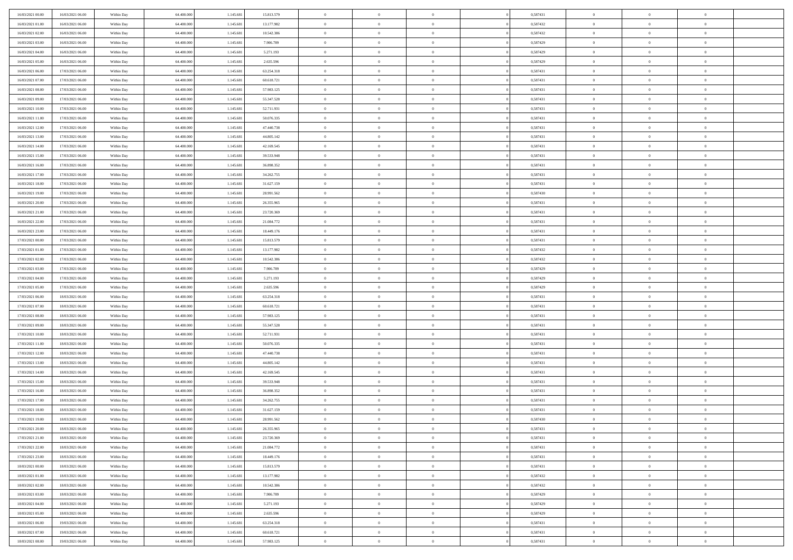| 16/03/2021 00:00 | 16/03/2021 06:00 | Within Day               | 64.400.000               | 1.145.681 | 15.813.579 | $\,$ 0                   | $\bf{0}$       | $\theta$       |                | 0,587431 | $\bf{0}$             | $\overline{0}$ | $\theta$       |  |
|------------------|------------------|--------------------------|--------------------------|-----------|------------|--------------------------|----------------|----------------|----------------|----------|----------------------|----------------|----------------|--|
| 16/03/2021 01:00 | 16/03/2021 06:00 | Within Day               | 64,400,000               | 1.145.681 | 13.177.982 | $\overline{0}$           | $\overline{0}$ | $\overline{0}$ |                | 0,587432 | $\theta$             | $\theta$       | $\overline{0}$ |  |
| 16/03/2021 02:00 | 16/03/2021 06:00 | Within Day               | 64.400.000               | 1.145.681 | 10.542.386 | $\mathbf{0}$             | $\overline{0}$ | $\overline{0}$ |                | 0,587432 | $\theta$             | $\overline{0}$ | $\theta$       |  |
| 16/03/2021 03:00 | 16/03/2021 06:00 | Within Day               | 64.400.000               | 1.145.681 | 7.906.789  | $\bf{0}$                 | $\overline{0}$ | $\bf{0}$       |                | 0,587429 | $\bf{0}$             | $\overline{0}$ | $\bf{0}$       |  |
| 16/03/2021 04:00 | 16/03/2021 06:00 |                          | 64,400,000               | 1.145.681 | 5.271.193  | $\bf{0}$                 | $\bf{0}$       | $\overline{0}$ |                | 0,587429 | $\bf{0}$             | $\Omega$       | $\bf{0}$       |  |
| 16/03/2021 05:00 | 16/03/2021 06:00 | Within Day<br>Within Day | 64.400.000               | 1.145.681 | 2.635.596  | $\mathbf{0}$             | $\overline{0}$ |                |                | 0,587429 | $\theta$             |                | $\theta$       |  |
|                  |                  |                          |                          |           |            |                          |                | $\overline{0}$ |                |          |                      | $\overline{0}$ |                |  |
| 16/03/2021 06:00 | 17/03/2021 06:00 | Within Day               | 64.400.000               | 1.145.681 | 63.254.318 | $\bf{0}$                 | $\bf{0}$       | $\overline{0}$ |                | 0,587431 | $\bf{0}$             | $\overline{0}$ | $\theta$       |  |
| 16/03/2021 07:00 | 17/03/2021 06:00 | Within Day               | 64,400,000               | 1.145.681 | 60.618.721 | $\overline{0}$           | $\overline{0}$ | $\overline{0}$ |                | 0,587431 | $\,$ 0 $\,$          | $\overline{0}$ | $\overline{0}$ |  |
| 16/03/2021 08:00 | 17/03/2021 06:00 | Within Day               | 64.400.000               | 1.145.681 | 57.983.125 | $\mathbf{0}$             | $\overline{0}$ | $\overline{0}$ |                | 0,587431 | $\theta$             | $\overline{0}$ | $\theta$       |  |
| 16/03/2021 09:00 | 17/03/2021 06:00 | Within Day               | 64.400.000               | 1.145.681 | 55.347.528 | $\bf{0}$                 | $\bf{0}$       | $\overline{0}$ |                | 0,587431 | $\bf{0}$             | $\overline{0}$ | $\theta$       |  |
| 16/03/2021 10:00 | 17/03/2021 06:00 | Within Day               | 64,400,000               | 1.145.681 | 52.711.931 | $\bf{0}$                 | $\overline{0}$ | $\overline{0}$ |                | 0,587431 | $\bf{0}$             | $\theta$       | $\overline{0}$ |  |
| 16/03/2021 11:00 | 17/03/2021 06:00 | Within Day               | 64.400.000               | 1.145.681 | 50.076.335 | $\mathbf{0}$             | $\overline{0}$ | $\overline{0}$ |                | 0,587431 | $\theta$             | $\overline{0}$ | $\theta$       |  |
| 16/03/2021 12:00 | 17/03/2021 06:00 | Within Day               | 64.400.000               | 1.145.681 | 47.440.738 | $\bf{0}$                 | $\overline{0}$ | $\bf{0}$       |                | 0,587431 | $\bf{0}$             | $\overline{0}$ | $\bf{0}$       |  |
| 16/03/2021 13:00 | 17/03/2021 06:00 | Within Day               | 64.400.000               | 1.145.681 | 44.805.142 | $\bf{0}$                 | $\overline{0}$ | $\overline{0}$ |                | 0,587431 | $\bf{0}$             | $\Omega$       | $\bf{0}$       |  |
| 16/03/2021 14:00 | 17/03/2021 06:00 | Within Day               | 64.400.000               | 1.145.681 | 42.169.545 | $\overline{0}$           | $\overline{0}$ | $\overline{0}$ |                | 0,587431 | $\theta$             | $\overline{0}$ | $\theta$       |  |
| 16/03/2021 15:00 | 17/03/2021 06:00 | Within Day               | 64.400.000               | 1.145.681 | 39.533.948 | $\bf{0}$                 | $\overline{0}$ | $\overline{0}$ |                | 0,587431 | $\bf{0}$             | $\overline{0}$ | $\theta$       |  |
| 16/03/2021 16:00 | 17/03/2021 06:00 | Within Day               | 64,400,000               | 1.145.681 | 36.898.352 | $\bf{0}$                 | $\overline{0}$ | $\overline{0}$ |                | 0,587431 | $\,$ 0 $\,$          | $\overline{0}$ | $\overline{0}$ |  |
| 16/03/2021 17:00 | 17/03/2021 06:00 | Within Day               | 64.400.000               | 1.145.681 | 34.262.755 | $\mathbf{0}$             | $\overline{0}$ | $\overline{0}$ |                | 0,587431 | $\theta$             | $\overline{0}$ | $\theta$       |  |
| 16/03/2021 18:00 | 17/03/2021 06:00 | Within Day               | 64.400.000               | 1.145.681 | 31.627.159 | $\bf{0}$                 | $\overline{0}$ | $\overline{0}$ |                | 0,587431 | $\bf{0}$             | $\overline{0}$ | $\theta$       |  |
| 16/03/2021 19:00 | 17/03/2021 06:00 | Within Day               | 64.400.000               | 1.145.681 | 28.991.562 | $\bf{0}$                 | $\overline{0}$ | $\overline{0}$ |                | 0,587430 | $\bf{0}$             | $\theta$       | $\overline{0}$ |  |
| 16/03/2021 20:00 | 17/03/2021 06:00 | Within Day               | 64.400.000               | 1.145.681 | 26.355.965 | $\mathbf{0}$             | $\overline{0}$ | $\overline{0}$ |                | 0,587431 | $\theta$             | $\overline{0}$ | $\theta$       |  |
| 16/03/2021 21:00 | 17/03/2021 06:00 | Within Day               | 64.400.000               | 1.145.681 | 23.720.369 | $\bf{0}$                 | $\overline{0}$ | $\bf{0}$       |                | 0,587431 | $\bf{0}$             | $\overline{0}$ | $\bf{0}$       |  |
| 16/03/2021 22:00 | 17/03/2021 06:00 | Within Day               | 64,400,000               | 1.145.681 | 21.084.772 | $\bf{0}$                 | $\overline{0}$ | $\overline{0}$ |                | 0,587431 | $\bf{0}$             | $\overline{0}$ | $\bf{0}$       |  |
| 16/03/2021 23:00 | 17/03/2021 06:00 | Within Day               | 64.400.000               | 1.145.681 | 18.449.176 | $\mathbf{0}$             | $\overline{0}$ | $\overline{0}$ |                | 0,587431 | $\theta$             | $\overline{0}$ | $\theta$       |  |
| 17/03/2021 00:00 | 17/03/2021 06:00 | Within Day               | 64.400.000               | 1.145.681 | 15.813.579 | $\bf{0}$                 | $\overline{0}$ | $\overline{0}$ |                | 0,587431 | $\bf{0}$             | $\overline{0}$ | $\theta$       |  |
| 17/03/2021 01:00 | 17/03/2021 06:00 | Within Day               | 64,400,000               | 1.145.681 | 13.177.982 | $\bf{0}$                 | $\overline{0}$ | $\overline{0}$ |                | 0,587432 | $\,$ 0 $\,$          | $\overline{0}$ | $\overline{0}$ |  |
| 17/03/2021 02:00 | 17/03/2021 06:00 | Within Day               | 64.400.000               | 1.145.681 | 10.542.386 | $\mathbf{0}$             | $\overline{0}$ | $\overline{0}$ |                | 0,587432 | $\theta$             | $\overline{0}$ | $\theta$       |  |
| 17/03/2021 03:00 | 17/03/2021 06:00 | Within Day               | 64.400.000               | 1.145.681 | 7.906.789  | $\bf{0}$                 | $\overline{0}$ | $\overline{0}$ |                | 0,587429 | $\bf{0}$             | $\overline{0}$ | $\theta$       |  |
| 17/03/2021 04:00 | 17/03/2021 06:00 | Within Day               | 64,400,000               | 1.145.681 | 5.271.193  | $\bf{0}$                 | $\overline{0}$ | $\overline{0}$ |                | 0,587429 | $\bf{0}$             | $\theta$       | $\bf{0}$       |  |
| 17/03/2021 05:00 | 17/03/2021 06:00 | Within Day               | 64.400.000               | 1.145.681 | 2.635.596  | $\mathbf{0}$             | $\overline{0}$ | $\overline{0}$ |                | 0,587429 | $\theta$             | $\overline{0}$ | $\theta$       |  |
| 17/03/2021 06:00 | 18/03/2021 06:00 | Within Day               | 64.400.000               | 1.145.681 | 63.254.318 | $\bf{0}$                 | $\overline{0}$ | $\overline{0}$ |                | 0,587431 | $\,0\,$              | $\overline{0}$ | $\theta$       |  |
| 17/03/2021 07:00 | 18/03/2021 06:00 | Within Day               | 64.400.000               | 1.145.681 | 60.618.721 | $\bf{0}$                 | $\bf{0}$       | $\overline{0}$ |                | 0,587431 | $\bf{0}$             | $\overline{0}$ | $\bf{0}$       |  |
| 17/03/2021 08:00 | 18/03/2021 06:00 | Within Day               | 64.400.000               | 1.145.681 | 57.983.125 | $\mathbf{0}$             | $\overline{0}$ | $\overline{0}$ |                | 0,587431 | $\theta$             | $\overline{0}$ | $\theta$       |  |
| 17/03/2021 09:00 | 18/03/2021 06:00 | Within Day               | 64.400.000               | 1.145.681 | 55.347.528 | $\bf{0}$                 | $\overline{0}$ | $\overline{0}$ |                | 0,587431 | $\,0\,$              | $\overline{0}$ | $\theta$       |  |
| 17/03/2021 10:00 | 18/03/2021 06:00 | Within Day               | 64,400,000               | 1.145.681 | 52.711.931 | $\overline{0}$           | $\overline{0}$ | $\overline{0}$ |                | 0,587431 | $\bf{0}$             | $\overline{0}$ | $\bf{0}$       |  |
| 17/03/2021 11:00 | 18/03/2021 06:00 | Within Day               | 64.400.000               | 1.145.681 | 50.076.335 | $\mathbf{0}$             | $\overline{0}$ | $\overline{0}$ |                | 0,587431 | $\theta$             | $\overline{0}$ | $\theta$       |  |
| 17/03/2021 12:00 | 18/03/2021 06:00 | Within Day               | 64.400.000               | 1.145.681 | 47.440.738 | $\bf{0}$                 | $\overline{0}$ | $\overline{0}$ |                | 0,587431 | $\,0\,$              | $\overline{0}$ | $\theta$       |  |
| 17/03/2021 13:00 | 18/03/2021 06:00 | Within Day               | 64.400.000               | 1.145.681 | 44.805.142 | $\bf{0}$                 | $\overline{0}$ | $\overline{0}$ |                | 0,587431 | $\bf{0}$             | $\theta$       | $\bf{0}$       |  |
| 17/03/2021 14:00 | 18/03/2021 06:00 | Within Day               | 64.400.000               | 1.145.681 | 42.169.545 | $\mathbf{0}$             | $\overline{0}$ | $\overline{0}$ |                | 0,587431 | $\theta$             | $\overline{0}$ | $\theta$       |  |
|                  |                  |                          |                          |           |            |                          |                |                |                |          |                      |                |                |  |
| 17/03/2021 15:00 | 18/03/2021 06:00 | Within Day               | 64.400.000<br>64,400,000 | 1.145.681 | 39.533.948 | $\,0\,$                  | $\overline{0}$ | $\overline{0}$ |                | 0,587431 | $\,0\,$              | $\overline{0}$ | $\theta$       |  |
| 17/03/2021 16:00 | 18/03/2021 06:00 | Within Day               |                          | 1.145.681 | 36.898.352 | $\bf{0}$<br>$\mathbf{0}$ | $\bf{0}$       | $\overline{0}$ |                | 0,587431 | $\bf{0}$<br>$\theta$ | $\overline{0}$ | $\bf{0}$       |  |
| 17/03/2021 17:00 | 18/03/2021 06:00 | Within Day               | 64.400.000               | 1.145.681 | 34.262.755 |                          | $\overline{0}$ | $\overline{0}$ |                | 0,587431 |                      | $\overline{0}$ | $\overline{0}$ |  |
| 17/03/2021 18:00 | 18/03/2021 06:00 | Within Day               | 64.400.000               | 1.145.681 | 31.627.159 | $\bf{0}$                 | $\overline{0}$ | $\overline{0}$ |                | 0,587431 | $\,0\,$              | $\overline{0}$ | $\theta$       |  |
| 17/03/2021 19:00 | 18/03/2021 06:00 | Within Day               | 64,400,000               | 1.145.681 | 28.991.562 | $\bf{0}$                 | $\overline{0}$ | $\overline{0}$ |                | 0,587430 | $\,$ 0 $\,$          | $\overline{0}$ | $\bf{0}$       |  |
| 17/03/2021 20:00 | 18/03/2021 06:00 | Within Day               | 64.400.000               | 1.145.681 | 26.355.965 | $\bf{0}$                 | $\overline{0}$ |                |                | 0,587431 | $\bf{0}$             | $\Omega$       | $\Omega$       |  |
| 17/03/2021 21:00 | 18/03/2021 06:00 | Within Day               | 64.400.000               | 1.145.681 | 23.720.369 | $\,0\,$                  | $\overline{0}$ | $\overline{0}$ |                | 0,587431 | $\,$ 0 $\,$          | $\overline{0}$ | $\theta$       |  |
| 17/03/2021 22.00 | 18/03/2021 06:00 | Within Day               | 64,400,000               | 1.145.681 | 21.084.772 | $\overline{0}$           | $\overline{0}$ | $\overline{0}$ |                | 0,587431 | $\overline{0}$       | $\overline{0}$ | $\overline{0}$ |  |
| 17/03/2021 23:00 | 18/03/2021 06:00 | Within Day               | 64.400.000               | 1.145.681 | 18.449.176 | $\mathbf{0}$             | $\overline{0}$ | $\overline{0}$ |                | 0,587431 | $\mathbf{0}$         | $\overline{0}$ | $\overline{0}$ |  |
| 18/03/2021 00:00 | 18/03/2021 06:00 | Within Day               | 64.400.000               | 1.145.681 | 15.813.579 | $\,$ 0 $\,$              | $\overline{0}$ | $\overline{0}$ | $\overline{0}$ | 0,587431 | $\,$ 0 $\,$          | $\overline{0}$ | $\,$ 0         |  |
| 18/03/2021 01:00 | 18/03/2021 06:00 | Within Day               | 64,400,000               | 1.145.681 | 13.177.982 | $\,$ 0 $\,$              | $\overline{0}$ | $\overline{0}$ |                | 0,587432 | $\,$ 0 $\,$          | $\overline{0}$ | $\overline{0}$ |  |
| 18/03/2021 02:00 | 18/03/2021 06:00 | Within Day               | 64.400.000               | 1.145.681 | 10.542.386 | $\mathbf{0}$             | $\overline{0}$ | $\overline{0}$ |                | 0,587432 | $\overline{0}$       | $\overline{0}$ | $\overline{0}$ |  |
| 18/03/2021 03:00 | 18/03/2021 06:00 | Within Day               | 64.400.000               | 1.145.681 | 7.906.789  | $\,0\,$                  | $\overline{0}$ | $\overline{0}$ | $\theta$       | 0,587429 | $\,$ 0 $\,$          | $\overline{0}$ | $\theta$       |  |
| 18/03/2021 04:00 | 18/03/2021 06:00 | Within Day               | 64,400,000               | 1.145.681 | 5.271.193  | $\overline{0}$           | $\overline{0}$ | $\overline{0}$ |                | 0,587429 | $\overline{0}$       | $\overline{0}$ | $\overline{0}$ |  |
| 18/03/2021 05:00 | 18/03/2021 06:00 | Within Day               | 64.400.000               | 1.145.681 | 2.635.596  | $\overline{0}$           | $\overline{0}$ | $\overline{0}$ |                | 0,587429 | $\mathbf{0}$         | $\overline{0}$ | $\overline{0}$ |  |
| 18/03/2021 06:00 | 19/03/2021 06:00 | Within Day               | 64.400.000               | 1.145.681 | 63.254.318 | $\,0\,$                  | $\overline{0}$ | $\overline{0}$ |                | 0,587431 | $\,$ 0 $\,$          | $\overline{0}$ | $\,$ 0 $\,$    |  |
| 18/03/2021 07:00 | 19/03/2021 06:00 | Within Day               | 64,400,000               | 1.145.681 | 60.618.721 | $\bf{0}$                 | $\overline{0}$ | $\overline{0}$ |                | 0,587431 | $\bf{0}$             | $\overline{0}$ | $\overline{0}$ |  |
| 18/03/2021 08:00 | 19/03/2021 06:00 | Within Day               | 64.400.000               | 1.145.681 | 57.983.125 | $\mathbf{0}$             | $\overline{0}$ | $\overline{0}$ |                | 0,587431 | $\overline{0}$       | $\overline{0}$ | $\overline{0}$ |  |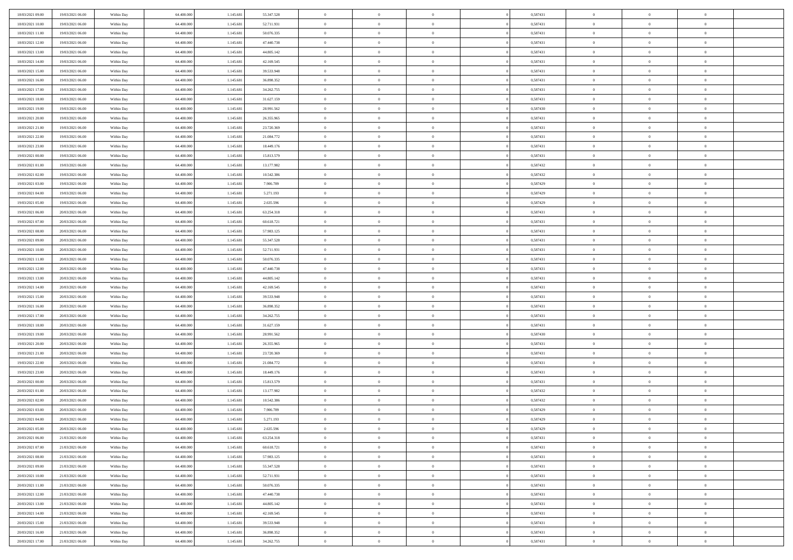| 18/03/2021 09:00 | 19/03/2021 06:00 | Within Day               | 64.400.000 | 1.145.681 | 55.347.528 | $\bf{0}$       | $\overline{0}$ | $\overline{0}$ |          | 0,587431 | $\bf{0}$       | $\overline{0}$ | $\,0\,$        |  |
|------------------|------------------|--------------------------|------------|-----------|------------|----------------|----------------|----------------|----------|----------|----------------|----------------|----------------|--|
| 18/03/2021 10:00 | 19/03/2021 06:00 | Within Day               | 64,400,000 | 1.145.681 | 52.711.931 | $\overline{0}$ | $\overline{0}$ | $\overline{0}$ |          | 0,587431 | $\overline{0}$ | $\overline{0}$ | $\theta$       |  |
| 18/03/2021 11:00 | 19/03/2021 06:00 | Within Dav               | 64.400.000 | 1.145.681 | 50.076.335 | $\mathbf{0}$   | $\overline{0}$ | $\overline{0}$ |          | 0,587431 | $\mathbf{0}$   | $\overline{0}$ | $\overline{0}$ |  |
| 18/03/2021 12:00 | 19/03/2021 06:00 | Within Day               | 64.400.000 | 1.145.681 | 47.440.738 | $\bf{0}$       | $\overline{0}$ | $\bf{0}$       |          | 0,587431 | $\bf{0}$       | $\overline{0}$ | $\bf{0}$       |  |
| 18/03/2021 13:00 | 19/03/2021 06:00 | Within Day               | 64,400,000 | 1.145.681 | 44.805.142 | $\bf{0}$       | $\overline{0}$ | $\overline{0}$ |          | 0,587431 | $\bf{0}$       | $\bf{0}$       | $\,0\,$        |  |
| 18/03/2021 14:00 | 19/03/2021 06:00 | Within Dav               | 64.400.000 | 1.145.681 | 42.169.545 | $\mathbf{0}$   | $\overline{0}$ | $\overline{0}$ |          | 0,587431 | $\mathbf{0}$   | $\overline{0}$ | $\overline{0}$ |  |
| 18/03/2021 15:00 | 19/03/2021 06:00 | Within Day               | 64.400.000 | 1.145.681 | 39.533.948 | $\bf{0}$       | $\overline{0}$ | $\overline{0}$ |          | 0,587431 | $\bf{0}$       | $\overline{0}$ | $\,0\,$        |  |
| 18/03/2021 16:00 | 19/03/2021 06:00 | Within Day               | 64.400.000 | 1.145.681 | 36.898.352 | $\overline{0}$ | $\overline{0}$ | $\overline{0}$ |          | 0,587431 | $\,$ 0 $\,$    | $\overline{0}$ | $\theta$       |  |
| 18/03/2021 17:00 | 19/03/2021 06:00 | Within Dav               | 64.400.000 | 1.145.681 | 34.262.755 | $\mathbf{0}$   | $\overline{0}$ | $\overline{0}$ |          | 0,587431 | $\mathbf{0}$   | $\overline{0}$ | $\overline{0}$ |  |
| 18/03/2021 18:00 | 19/03/2021 06:00 | Within Day               | 64.400.000 | 1.145.681 | 31.627.159 | $\bf{0}$       | $\overline{0}$ | $\overline{0}$ |          | 0,587431 | $\bf{0}$       | $\overline{0}$ | $\,0\,$        |  |
| 18/03/2021 19:00 | 19/03/2021 06:00 |                          | 64,400,000 | 1.145.681 | 28.991.562 | $\overline{0}$ | $\overline{0}$ | $\overline{0}$ |          | 0,587430 | $\bf{0}$       | $\mathbf{0}$   | $\theta$       |  |
| 18/03/2021 20:00 | 19/03/2021 06:00 | Within Day<br>Within Dav | 64.400.000 | 1.145.681 | 26.355.965 | $\mathbf{0}$   | $\overline{0}$ | $\overline{0}$ |          | 0,587431 | $\mathbf{0}$   | $\overline{0}$ | $\overline{0}$ |  |
| 18/03/2021 21:00 | 19/03/2021 06:00 |                          | 64.400.000 | 1.145.681 | 23.720.369 | $\bf{0}$       | $\overline{0}$ | $\bf{0}$       |          | 0,587431 | $\bf{0}$       | $\overline{0}$ | $\overline{0}$ |  |
|                  |                  | Within Day               |            |           |            | $\bf{0}$       | $\overline{0}$ | $\overline{0}$ |          | 0,587431 | $\bf{0}$       | $\theta$       | $\,0\,$        |  |
| 18/03/2021 22:00 | 19/03/2021 06:00 | Within Day               | 64.400.000 | 1.145.681 | 21.084.772 | $\overline{0}$ |                |                |          |          | $\mathbf{0}$   |                | $\overline{0}$ |  |
| 18/03/2021 23:00 | 19/03/2021 06:00 | Within Dav               | 64.400.000 | 1.145.681 | 18.449.176 |                | $\overline{0}$ | $\overline{0}$ |          | 0,587431 |                | $\overline{0}$ |                |  |
| 19/03/2021 00:00 | 19/03/2021 06:00 | Within Day               | 64.400.000 | 1.145.681 | 15.813.579 | $\bf{0}$       | $\bf{0}$       | $\overline{0}$ |          | 0,587431 | $\bf{0}$       | $\overline{0}$ | $\bf{0}$       |  |
| 19/03/2021 01:00 | 19/03/2021 06:00 | Within Day               | 64,400,000 | 1.145.681 | 13.177.982 | $\overline{0}$ | $\overline{0}$ | $\overline{0}$ |          | 0,587432 | $\bf{0}$       | $\overline{0}$ | $\theta$       |  |
| 19/03/2021 02:00 | 19/03/2021 06:00 | Within Day               | 64.400.000 | 1.145.681 | 10.542.386 | $\mathbf{0}$   | $\overline{0}$ | $\overline{0}$ |          | 0,587432 | $\mathbf{0}$   | $\overline{0}$ | $\overline{0}$ |  |
| 19/03/2021 03:00 | 19/03/2021 06:00 | Within Day               | 64.400.000 | 1.145.681 | 7.906.789  | $\bf{0}$       | $\bf{0}$       | $\overline{0}$ |          | 0,587429 | $\bf{0}$       | $\overline{0}$ | $\,0\,$        |  |
| 19/03/2021 04:00 | 19/03/2021 06:00 | Within Day               | 64.400.000 | 1.145.681 | 5.271.193  | $\overline{0}$ | $\overline{0}$ | $\overline{0}$ |          | 0,587429 | $\bf{0}$       | $\overline{0}$ | $\overline{0}$ |  |
| 19/03/2021 05:00 | 19/03/2021 06:00 | Within Dav               | 64.400.000 | 1.145.681 | 2.635.596  | $\mathbf{0}$   | $\overline{0}$ | $\overline{0}$ |          | 0,587429 | $\mathbf{0}$   | $\overline{0}$ | $\overline{0}$ |  |
| 19/03/2021 06:00 | 20/03/2021 06:00 | Within Day               | 64.400.000 | 1.145.681 | 63.254.318 | $\bf{0}$       | $\overline{0}$ | $\bf{0}$       |          | 0,587431 | $\bf{0}$       | $\overline{0}$ | $\bf{0}$       |  |
| 19/03/2021 07:00 | 20/03/2021 06:00 | Within Day               | 64,400,000 | 1.145.681 | 60.618.721 | $\bf{0}$       | $\bf{0}$       | $\overline{0}$ |          | 0,587431 | $\bf{0}$       | $\overline{0}$ | $\,0\,$        |  |
| 19/03/2021 08:00 | 20/03/2021 06:00 | Within Dav               | 64.400.000 | 1.145.681 | 57.983.125 | $\mathbf{0}$   | $\overline{0}$ | $\overline{0}$ |          | 0,587431 | $\mathbf{0}$   | $\overline{0}$ | $\theta$       |  |
| 19/03/2021 09:00 | 20/03/2021 06:00 | Within Day               | 64.400.000 | 1.145.681 | 55.347.528 | $\bf{0}$       | $\bf{0}$       | $\overline{0}$ |          | 0,587431 | $\bf{0}$       | $\overline{0}$ | $\,0\,$        |  |
| 19/03/2021 10:00 | 20/03/2021 06:00 | Within Day               | 64.400.000 | 1.145.681 | 52.711.931 | $\overline{0}$ | $\overline{0}$ | $\overline{0}$ |          | 0,587431 | $\bf{0}$       | $\overline{0}$ | $\overline{0}$ |  |
| 19/03/2021 11:00 | 20/03/2021 06:00 | Within Dav               | 64.400.000 | 1.145.681 | 50.076.335 | $\mathbf{0}$   | $\overline{0}$ | $\overline{0}$ |          | 0,587431 | $\mathbf{0}$   | $\overline{0}$ | $\overline{0}$ |  |
| 19/03/2021 12:00 | 20/03/2021 06:00 | Within Day               | 64.400.000 | 1.145.681 | 47.440.738 | $\bf{0}$       | $\bf{0}$       | $\overline{0}$ |          | 0,587431 | $\bf{0}$       | $\overline{0}$ | $\,0\,$        |  |
| 19/03/2021 13:00 | 20/03/2021 06:00 | Within Day               | 64,400,000 | 1.145.681 | 44.805.142 | $\bf{0}$       | $\bf{0}$       | $\overline{0}$ |          | 0,587431 | $\bf{0}$       | $\overline{0}$ | $\overline{0}$ |  |
| 19/03/2021 14:00 | 20/03/2021 06:00 | Within Dav               | 64.400.000 | 1.145.681 | 42.169.545 | $\mathbf{0}$   | $\overline{0}$ | $\overline{0}$ |          | 0,587431 | $\mathbf{0}$   | $\overline{0}$ | $\overline{0}$ |  |
| 19/03/2021 15:00 | 20/03/2021 06:00 | Within Day               | 64.400.000 | 1.145.681 | 39.533.948 | $\bf{0}$       | $\overline{0}$ | $\overline{0}$ |          | 0,587431 | $\,$ 0         | $\overline{0}$ | $\theta$       |  |
| 19/03/2021 16:00 | 20/03/2021 06:00 | Within Day               | 64.400.000 | 1.145.681 | 36.898.352 | $\bf{0}$       | $\bf{0}$       | $\overline{0}$ |          | 0,587431 | $\bf{0}$       | $\mathbf{0}$   | $\overline{0}$ |  |
| 19/03/2021 17:00 | 20/03/2021 06:00 | Within Dav               | 64.400.000 | 1.145.681 | 34.262.755 | $\mathbf{0}$   | $\overline{0}$ | $\overline{0}$ |          | 0,587431 | $\mathbf{0}$   | $\overline{0}$ | $\overline{0}$ |  |
| 19/03/2021 18:00 | 20/03/2021 06:00 | Within Day               | 64.400.000 | 1.145.681 | 31.627.159 | $\bf{0}$       | $\overline{0}$ | $\overline{0}$ |          | 0,587431 | $\,$ 0         | $\overline{0}$ | $\theta$       |  |
| 19/03/2021 19:00 | 20/03/2021 06:00 | Within Day               | 64,400,000 | 1.145.681 | 28.991.562 | $\overline{0}$ | $\overline{0}$ | $\overline{0}$ |          | 0,587430 | $\bf{0}$       | $\overline{0}$ | $\overline{0}$ |  |
| 19/03/2021 20:00 | 20/03/2021 06:00 | Within Day               | 64.400.000 | 1.145.681 | 26.355.965 | $\mathbf{0}$   | $\overline{0}$ | $\overline{0}$ |          | 0,587431 | $\mathbf{0}$   | $\overline{0}$ | $\overline{0}$ |  |
| 19/03/2021 21:00 | 20/03/2021 06:00 | Within Day               | 64.400.000 | 1.145.681 | 23.720.369 | $\bf{0}$       | $\overline{0}$ | $\overline{0}$ |          | 0,587431 | $\,$ 0         | $\overline{0}$ | $\theta$       |  |
| 19/03/2021 22.00 | 20/03/2021 06:00 | Within Day               | 64.400.000 | 1.145.681 | 21.084.772 | $\bf{0}$       | $\overline{0}$ | $\overline{0}$ |          | 0,587431 | $\bf{0}$       | $\mathbf{0}$   | $\overline{0}$ |  |
| 19/03/2021 23:00 | 20/03/2021 06:00 | Within Dav               | 64.400.000 | 1.145.681 | 18.449.176 | $\mathbf{0}$   | $\overline{0}$ | $\overline{0}$ |          | 0,587431 | $\mathbf{0}$   | $\overline{0}$ | $\overline{0}$ |  |
| 20/03/2021 00:00 | 20/03/2021 06:00 | Within Day               | 64.400.000 | 1.145.681 | 15.813.579 | $\bf{0}$       | $\overline{0}$ | $\overline{0}$ |          | 0,587431 | $\,$ 0         | $\overline{0}$ | $\theta$       |  |
| 20/03/2021 01:00 | 20/03/2021 06:00 | Within Day               | 64,400,000 | 1.145.681 | 13.177.982 | $\bf{0}$       | $\overline{0}$ | $\overline{0}$ |          | 0,587432 | $\bf{0}$       | $\overline{0}$ | $\overline{0}$ |  |
| 20/03/2021 02:00 | 20/03/2021 06:00 | Within Dav               | 64.400.000 | 1.145.681 | 10.542.386 | $\mathbf{0}$   | $\overline{0}$ | $\overline{0}$ |          | 0,587432 | $\mathbf{0}$   | $\overline{0}$ | $\overline{0}$ |  |
| 20/03/2021 03:00 | 20/03/2021 06:00 | Within Day               | 64.400.000 | 1.145.681 | 7.906.789  | $\bf{0}$       | $\overline{0}$ | $\overline{0}$ |          | 0,587429 | $\,$ 0         | $\overline{0}$ | $\theta$       |  |
| 20/03/2021 04:00 | 20/03/2021 06:00 | Within Day               | 64,400,000 | 1.145.681 | 5.271.193  | $\bf{0}$       | $\overline{0}$ | $\overline{0}$ |          | 0,587429 | $\bf{0}$       | $\overline{0}$ | $\overline{0}$ |  |
| 20/03/2021 05:00 | 20/03/2021 06:00 | Within Day               | 64.400.000 | 1.145.681 | 2.635.596  | $\bf{0}$       | $\overline{0}$ |                |          | 0,587429 | $\overline{0}$ | $\theta$       | $\theta$       |  |
| 20/03/2021 06:00 | 21/03/2021 06:00 | Within Day               | 64.400.000 | 1.145.681 | 63.254.318 | $\,0\,$        | $\overline{0}$ | $\overline{0}$ |          | 0,587431 | $\,$ 0 $\,$    | $\bf{0}$       | $\theta$       |  |
| 20/03/2021 07:00 | 21/03/2021 06:00 | Within Day               | 64.400.000 | 1.145.681 | 60.618.721 | $\overline{0}$ | $\overline{0}$ | $\overline{0}$ |          | 0,587431 | $\overline{0}$ | $\overline{0}$ | $\overline{0}$ |  |
| 20/03/2021 08:00 | 21/03/2021 06:00 | Within Day               | 64.400.000 | 1.145.681 | 57.983.125 | $\bf{0}$       | $\overline{0}$ | $\overline{0}$ |          | 0,587431 | $\overline{0}$ | $\bf{0}$       | $\mathbf{0}$   |  |
| 20/03/2021 09:00 | 21/03/2021 06:00 | Within Day               | 64.400.000 | 1.145.681 | 55.347.528 | $\bf{0}$       | $\overline{0}$ | $\overline{0}$ | $\theta$ | 0,587431 | $\,$ 0 $\,$    | $\bf{0}$       | $\,$ 0 $\,$    |  |
| 20/03/2021 10:00 | 21/03/2021 06:00 | Within Day               | 64.400.000 | 1.145.681 | 52.711.931 | $\bf{0}$       | $\overline{0}$ | $\overline{0}$ |          | 0,587431 | $\,$ 0 $\,$    | $\overline{0}$ | $\overline{0}$ |  |
| 20/03/2021 11:00 | 21/03/2021 06:00 | Within Day               | 64.400.000 | 1.145.681 | 50.076.335 | $\bf{0}$       | $\overline{0}$ | $\overline{0}$ |          | 0,587431 | $\mathbf{0}$   | $\overline{0}$ | $\overline{0}$ |  |
| 20/03/2021 12:00 | 21/03/2021 06:00 | Within Day               | 64.400.000 | 1.145.681 | 47.440.738 | $\,0\,$        | $\overline{0}$ | $\overline{0}$ | $\theta$ | 0,587431 | $\,$ 0 $\,$    | $\overline{0}$ | $\overline{0}$ |  |
| 20/03/2021 13:00 | 21/03/2021 06:00 | Within Day               | 64.400.000 | 1.145.681 | 44.805.142 | $\bf{0}$       | $\overline{0}$ | $\overline{0}$ |          | 0,587431 | $\overline{0}$ | $\overline{0}$ | $\overline{0}$ |  |
| 20/03/2021 14:00 | 21/03/2021 06:00 | Within Day               | 64.400.000 | 1.145.681 | 42.169.545 | $\bf{0}$       | $\overline{0}$ | $\overline{0}$ |          | 0,587431 | $\mathbf{0}$   | $\overline{0}$ | $\overline{0}$ |  |
| 20/03/2021 15:00 | 21/03/2021 06:00 | Within Day               | 64.400.000 | 1.145.681 | 39.533.948 | $\,0\,$        | $\overline{0}$ | $\overline{0}$ |          | 0,587431 | $\,$ 0 $\,$    | $\overline{0}$ | $\overline{0}$ |  |
| 20/03/2021 16:00 | 21/03/2021 06:00 | Within Day               | 64.400.000 | 1.145.681 | 36.898.352 | $\bf{0}$       | $\overline{0}$ | $\overline{0}$ |          | 0,587431 | $\mathbf{0}$   | $\mathbf{0}$   | $\overline{0}$ |  |
| 20/03/2021 17:00 | 21/03/2021 06:00 | Within Day               | 64.400.000 | 1.145.681 | 34.262.755 | $\overline{0}$ | $\overline{0}$ | $\overline{0}$ |          | 0,587431 | $\mathbf{0}$   | $\overline{0}$ | $\overline{0}$ |  |
|                  |                  |                          |            |           |            |                |                |                |          |          |                |                |                |  |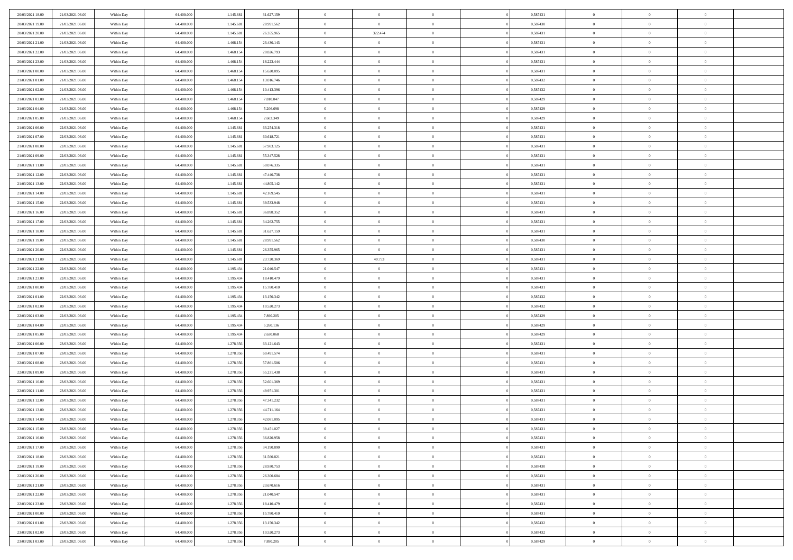| 20/03/2021 18:00                     | 21/03/2021 06:00                     | Within Day               | 64.400.000               | 1.145.681              | 31.627.159               | $\,$ 0         | $\overline{0}$ | $\overline{0}$ |          | 0,587431 | $\bf{0}$       | $\overline{0}$ | $\,0\,$                          |  |
|--------------------------------------|--------------------------------------|--------------------------|--------------------------|------------------------|--------------------------|----------------|----------------|----------------|----------|----------|----------------|----------------|----------------------------------|--|
| 20/03/2021 19:00                     | 21/03/2021 06:00                     | Within Day               | 64,400,000               | 1.145.681              | 28.991.562               | $\overline{0}$ | $\overline{0}$ | $\overline{0}$ |          | 0.587430 | $\theta$       | $\overline{0}$ | $\theta$                         |  |
| 20/03/2021 20:00                     | 21/03/2021 06:00                     | Within Dav               | 64.400.000               | 1.145.681              | 26.355.965               | $\mathbf{0}$   | 322.474        | $\overline{0}$ |          | 0,587431 | $\mathbf{0}$   | $\overline{0}$ | $\overline{0}$                   |  |
| 20/03/2021 21:00                     | 21/03/2021 06:00                     | Within Day               | 64.400.000               | 1.468.154              | 23.430.143               | $\bf{0}$       | $\overline{0}$ | $\bf{0}$       |          | 0,587431 | $\bf{0}$       | $\overline{0}$ | $\bf{0}$                         |  |
| 20/03/2021 22:00                     | 21/03/2021 06:00                     | Within Day               | 64,400,000               | 1.468.154              | 20.826.793               | $\bf{0}$       | $\bf{0}$       | $\overline{0}$ |          | 0,587431 | $\bf{0}$       | $\bf{0}$       | $\,0\,$                          |  |
| 20/03/2021 23:00                     | 21/03/2021 06:00                     | Within Dav               | 64.400.000               | 1.468.154              | 18.223.444               | $\mathbf{0}$   | $\overline{0}$ | $\overline{0}$ |          | 0,587431 | $\mathbf{0}$   | $\overline{0}$ | $\overline{0}$                   |  |
| 21/03/2021 00:00                     | 21/03/2021 06:00                     | Within Day               | 64.400.000               | 1.468.154              | 15.620.095               | $\bf{0}$       | $\bf{0}$       | $\overline{0}$ |          | 0,587431 | $\bf{0}$       | $\overline{0}$ | $\,0\,$                          |  |
| 21/03/2021 01:00                     | 21/03/2021 06:00                     | Within Day               | 64.400.000               | 1.468.154              | 13.016.746               | $\overline{0}$ | $\overline{0}$ | $\overline{0}$ |          | 0,587432 | $\,$ 0 $\,$    | $\overline{0}$ | $\theta$                         |  |
| 21/03/2021 02:00                     | 21/03/2021 06:00                     | Within Dav               | 64.400.000               | 1.468.154              | 10.413.396               | $\mathbf{0}$   | $\overline{0}$ | $\overline{0}$ |          | 0,587432 | $\mathbf{0}$   | $\overline{0}$ | $\overline{0}$                   |  |
| 21/03/2021 03:00                     | 21/03/2021 06:00                     | Within Day               | 64.400.000               | 1.468.154              | 7.810.047                | $\bf{0}$       | $\bf{0}$       | $\overline{0}$ |          | 0,587429 | $\bf{0}$       | $\overline{0}$ | $\,0\,$                          |  |
| 21/03/2021 04:00                     | 21/03/2021 06:00                     | Within Day               | 64,400,000               | 1.468.154              | 5.206.698                | $\bf{0}$       | $\overline{0}$ | $\overline{0}$ |          | 0,587429 | $\bf{0}$       | $\overline{0}$ | $\theta$                         |  |
| 21/03/2021 05:00                     | 21/03/2021 06:00                     | Within Dav               | 64.400.000               | 1.468.154              | 2.603.349                | $\mathbf{0}$   | $\overline{0}$ | $\overline{0}$ |          | 0,587429 | $\mathbf{0}$   | $\overline{0}$ | $\overline{0}$                   |  |
| 21/03/2021 06:00                     | 22/03/2021 06:00                     | Within Day               | 64.400.000               | 1.145.681              | 63.254.318               | $\bf{0}$       | $\overline{0}$ | $\bf{0}$       |          | 0,587431 | $\bf{0}$       | $\overline{0}$ | $\overline{0}$                   |  |
| 21/03/2021 07:00                     | 22/03/2021 06:00                     | Within Day               | 64.400.000               | 1.145.681              | 60.618.721               | $\bf{0}$       | $\overline{0}$ | $\overline{0}$ |          | 0,587431 | $\bf{0}$       | $\mathbf{0}$   | $\,0\,$                          |  |
| 21/03/2021 08:00                     | 22/03/2021 06:00                     | Within Dav               | 64.400.000               | 1.145.681              | 57.983.125               | $\overline{0}$ | $\overline{0}$ | $\overline{0}$ |          | 0,587431 | $\mathbf{0}$   | $\overline{0}$ | $\overline{0}$                   |  |
| 21/03/2021 09:00                     | 22/03/2021 06:00                     | Within Day               | 64.400.000               | 1.145.681              | 55.347.528               | $\bf{0}$       | $\bf{0}$       | $\overline{0}$ |          | 0,587431 | $\bf{0}$       | $\overline{0}$ | $\bf{0}$                         |  |
| 21/03/2021 11:00                     | 22/03/2021 06:00                     |                          | 64,400,000               | 1.145.681              | 50.076.335               | $\bf{0}$       | $\overline{0}$ | $\overline{0}$ |          | 0,587431 | $\bf{0}$       | $\overline{0}$ | $\theta$                         |  |
| 21/03/2021 12:00                     | 22/03/2021 06:00                     | Within Day<br>Within Day | 64.400.000               | 1.145.681              | 47.440.738               | $\mathbf{0}$   | $\overline{0}$ | $\overline{0}$ |          | 0,587431 | $\mathbf{0}$   | $\overline{0}$ | $\overline{0}$                   |  |
|                                      | 22/03/2021 06:00                     |                          | 64.400.000               | 1.145.681              | 44.805.142               | $\bf{0}$       | $\bf{0}$       | $\overline{0}$ |          | 0,587431 | $\bf{0}$       | $\overline{0}$ | $\,0\,$                          |  |
| 21/03/2021 13:00                     |                                      | Within Day               |                          |                        |                          | $\bf{0}$       | $\overline{0}$ | $\overline{0}$ |          | 0,587431 | $\bf{0}$       | $\overline{0}$ |                                  |  |
| 21/03/2021 14:00<br>21/03/2021 15:00 | 22/03/2021 06:00<br>22/03/2021 06:00 | Within Day<br>Within Dav | 64.400.000<br>64.400.000 | 1.145.681<br>1.145.681 | 42.169.545<br>39.533.948 | $\mathbf{0}$   | $\overline{0}$ |                |          | 0,587431 | $\mathbf{0}$   | $\overline{0}$ | $\overline{0}$<br>$\overline{0}$ |  |
|                                      | 22/03/2021 06:00                     |                          |                          |                        |                          |                |                | $\overline{0}$ |          |          |                |                |                                  |  |
| 21/03/2021 16:00                     |                                      | Within Day               | 64.400.000               | 1.145.681              | 36.898.352               | $\bf{0}$       | $\overline{0}$ | $\bf{0}$       |          | 0,587431 | $\bf{0}$       | $\overline{0}$ | $\bf{0}$                         |  |
| 21/03/2021 17:00                     | 22/03/2021 06:00                     | Within Day               | 64,400,000               | 1.145.681              | 34.262.755               | $\bf{0}$       | $\bf{0}$       | $\overline{0}$ |          | 0,587431 | $\bf{0}$       | $\overline{0}$ | $\,0\,$                          |  |
| 21/03/2021 18:00                     | 22/03/2021 06:00                     | Within Dav               | 64.400.000               | 1.145.681              | 31.627.159               | $\mathbf{0}$   | $\overline{0}$ | $\overline{0}$ |          | 0,587431 | $\mathbf{0}$   | $\overline{0}$ | $\overline{0}$                   |  |
| 21/03/2021 19:00                     | 22/03/2021 06:00                     | Within Day               | 64.400.000               | 1.145.681              | 28.991.562               | $\bf{0}$       | $\bf{0}$       | $\overline{0}$ |          | 0,587430 | $\bf{0}$       | $\overline{0}$ | $\,0\,$                          |  |
| 21/03/2021 20:00                     | 22/03/2021 06:00                     | Within Day               | 64.400.000               | 1.145.681              | 26.355.965               | $\bf{0}$       | $\overline{0}$ | $\overline{0}$ |          | 0,587431 | $\bf{0}$       | $\overline{0}$ | $\overline{0}$                   |  |
| 21/03/2021 21:00                     | 22/03/2021 06:00                     | Within Dav               | 64.400.000               | 1.145.681              | 23.720.369               | $\mathbf{0}$   | 49.753         | $\overline{0}$ |          | 0,587431 | $\mathbf{0}$   | $\overline{0}$ | $\overline{0}$                   |  |
| 21/03/2021 22:00                     | 22/03/2021 06:00                     | Within Day               | 64.400.000               | 1.195.434              | 21.040.547               | $\bf{0}$       | $\bf{0}$       | $\overline{0}$ |          | 0,587431 | $\bf{0}$       | $\overline{0}$ | $\,0\,$                          |  |
| 21/03/2021 23:00                     | 22/03/2021 06:00                     | Within Day               | 64,400,000               | 1.195.434              | 18.410.479               | $\bf{0}$       | $\overline{0}$ | $\overline{0}$ |          | 0,587431 | $\bf{0}$       | $\overline{0}$ | $\overline{0}$                   |  |
| 22/03/2021 00:00                     | 22/03/2021 06:00                     | Within Dav               | 64.400.000               | 1.195.434              | 15.780.410               | $\mathbf{0}$   | $\overline{0}$ | $\overline{0}$ |          | 0,587431 | $\mathbf{0}$   | $\overline{0}$ | $\overline{0}$                   |  |
| 22/03/2021 01:00                     | 22/03/2021 06:00                     | Within Day               | 64.400.000               | 1.195.434              | 13.150.342               | $\bf{0}$       | $\overline{0}$ | $\overline{0}$ |          | 0,587432 | $\,$ 0         | $\overline{0}$ | $\theta$                         |  |
| 22/03/2021 02:00                     | 22/03/2021 06:00                     | Within Day               | 64.400.000               | 1.195.434              | 10.520.273               | $\bf{0}$       | $\overline{0}$ | $\overline{0}$ |          | 0,587432 | $\bf{0}$       | $\overline{0}$ | $\overline{0}$                   |  |
| 22/03/2021 03:00                     | 22/03/2021 06:00                     | Within Dav               | 64.400.000               | 1.195.434              | 7.890.205                | $\mathbf{0}$   | $\overline{0}$ | $\overline{0}$ |          | 0,587429 | $\mathbf{0}$   | $\overline{0}$ | $\overline{0}$                   |  |
| 22/03/2021 04:00                     | 22/03/2021 06:00                     | Within Day               | 64.400.000               | 1.195.434              | 5.260.136                | $\bf{0}$       | $\overline{0}$ | $\overline{0}$ |          | 0,587429 | $\,$ 0         | $\overline{0}$ | $\theta$                         |  |
| 22/03/2021 05:00                     | 22/03/2021 06:00                     | Within Day               | 64,400,000               | 1.195.434              | 2.630.068                | $\bf{0}$       | $\overline{0}$ | $\overline{0}$ |          | 0,587429 | $\bf{0}$       | $\overline{0}$ | $\overline{0}$                   |  |
| 22/03/2021 06:00                     | 23/03/2021 06:00                     | Within Day               | 64.400.000               | 1.278.356              | 63.121.643               | $\mathbf{0}$   | $\overline{0}$ | $\overline{0}$ |          | 0,587431 | $\mathbf{0}$   | $\overline{0}$ | $\overline{0}$                   |  |
| 22/03/2021 07:00                     | 23/03/2021 06:00                     | Within Day               | 64.400.000               | 1.278.356              | 60.491.574               | $\bf{0}$       | $\overline{0}$ | $\overline{0}$ |          | 0,587431 | $\,$ 0         | $\overline{0}$ | $\theta$                         |  |
| 22/03/2021 08:00                     | 23/03/2021 06:00                     | Within Day               | 64.400.000               | 1.278.356              | 57.861.506               | $\bf{0}$       | $\overline{0}$ | $\overline{0}$ |          | 0,587431 | $\bf{0}$       | $\overline{0}$ | $\overline{0}$                   |  |
| 22/03/2021 09:00                     | 23/03/2021 06:00                     | Within Dav               | 64.400.000               | 1.278.356              | 55.231.438               | $\mathbf{0}$   | $\overline{0}$ | $\overline{0}$ |          | 0,587431 | $\mathbf{0}$   | $\overline{0}$ | $\overline{0}$                   |  |
| 22/03/2021 10:00                     | 23/03/2021 06:00                     | Within Day               | 64.400.000               | 1.278.356              | 52.601.369               | $\,0\,$        | $\overline{0}$ | $\overline{0}$ |          | 0,587431 | $\,$ 0         | $\overline{0}$ | $\theta$                         |  |
| 22/03/2021 11:00                     | 23/03/2021 06:00                     | Within Day               | 64,400,000               | 1.278.356              | 49.971.301               | $\bf{0}$       | $\overline{0}$ | $\overline{0}$ |          | 0,587431 | $\bf{0}$       | $\overline{0}$ | $\overline{0}$                   |  |
| 22/03/2021 12:00                     | 23/03/2021 06:00                     | Within Dav               | 64.400.000               | 1.278.356              | 47.341.232               | $\mathbf{0}$   | $\overline{0}$ | $\overline{0}$ |          | 0,587431 | $\mathbf{0}$   | $\overline{0}$ | $\overline{0}$                   |  |
| 22/03/2021 13:00                     | 23/03/2021 06:00                     | Within Day               | 64.400.000               | 1.278.356              | 44.711.164               | $\bf{0}$       | $\overline{0}$ | $\overline{0}$ |          | 0,587431 | $\,$ 0         | $\overline{0}$ | $\theta$                         |  |
| 22/03/2021 14:00                     | 23/03/2021 06:00                     | Within Day               | 64,400,000               | 1.278.356              | 42.081.095               | $\bf{0}$       | $\overline{0}$ | $\overline{0}$ |          | 0,587431 | $\,$ 0 $\,$    | $\overline{0}$ | $\overline{0}$                   |  |
| 22/03/2021 15:00                     | 23/03/2021 06:00                     | Within Day               | 64.400.000               | 1.278.356              | 39.451.027               | $\bf{0}$       | $\overline{0}$ |                |          | 0,587431 | $\overline{0}$ | $\theta$       | $\theta$                         |  |
| 22/03/2021 16:00                     | 23/03/2021 06:00                     | Within Day               | 64.400.000               | 1.278.356              | 36.820.958               | $\,0\,$        | $\overline{0}$ | $\overline{0}$ |          | 0,587431 | $\,$ 0 $\,$    | $\bf{0}$       | $\theta$                         |  |
| 22/03/2021 17:00                     | 23/03/2021 06:00                     | Within Day               | 64.400.000               | 1.278.356              | 34.190.890               | $\overline{0}$ | $\overline{0}$ | $\overline{0}$ |          | 0,587431 | $\overline{0}$ | $\overline{0}$ | $\overline{0}$                   |  |
| 22/03/2021 18:00                     | 23/03/2021 06:00                     | Within Day               | 64.400.000               | 1.278.356              | 31.560.821               | $\bf{0}$       | $\overline{0}$ | $\overline{0}$ |          | 0,587431 | $\overline{0}$ | $\bf{0}$       | $\mathbf{0}$                     |  |
| 22/03/2021 19:00                     | 23/03/2021 06:00                     | Within Day               | 64.400.000               | 1.278.356              | 28.930.753               | $\bf{0}$       | $\overline{0}$ | $\overline{0}$ | $\theta$ | 0,587430 | $\,$ 0 $\,$    | $\bf{0}$       | $\,$ 0 $\,$                      |  |
| 22/03/2021 20:00                     | 23/03/2021 06:00                     | Within Day               | 64.400.000               | 1.278.356              | 26.300.684               | $\bf{0}$       | $\overline{0}$ | $\overline{0}$ |          | 0,587431 | $\,$ 0 $\,$    | $\overline{0}$ | $\overline{0}$                   |  |
| 22/03/2021 21:00                     | 23/03/2021 06:00                     | Within Day               | 64.400.000               | 1.278.356              | 23.670.616               | $\bf{0}$       | $\overline{0}$ | $\overline{0}$ |          | 0,587431 | $\mathbf{0}$   | $\overline{0}$ | $\overline{0}$                   |  |
| 22/03/2021 22:00                     | 23/03/2021 06:00                     | Within Day               | 64.400.000               | 1.278.356              | 21.040.547               | $\,0\,$        | $\overline{0}$ | $\overline{0}$ | $\theta$ | 0,587431 | $\,$ 0 $\,$    | $\overline{0}$ | $\overline{0}$                   |  |
| 22/03/2021 23:00                     | 23/03/2021 06:00                     | Within Day               | 64.400.000               | 1.278.356              | 18.410.479               | $\bf{0}$       | $\overline{0}$ | $\overline{0}$ |          | 0,587431 | $\overline{0}$ | $\overline{0}$ | $\overline{0}$                   |  |
| 23/03/2021 00:00                     | 23/03/2021 06:00                     | Within Day               | 64.400.000               | 1.278.356              | 15.780.410               | $\bf{0}$       | $\overline{0}$ | $\overline{0}$ |          | 0,587431 | $\mathbf{0}$   | $\overline{0}$ | $\overline{0}$                   |  |
| 23/03/2021 01:00                     | 23/03/2021 06:00                     | Within Day               | 64.400.000               | 1.278.356              | 13.150.342               | $\,0\,$        | $\overline{0}$ | $\overline{0}$ |          | 0,587432 | $\,$ 0 $\,$    | $\mathbf{0}$   | $\,$ 0 $\,$                      |  |
| 23/03/2021 02:00                     | 23/03/2021 06:00                     | Within Day               | 64.400.000               | 1.278.356              | 10.520.273               | $\bf{0}$       | $\overline{0}$ | $\overline{0}$ |          | 0,587432 | $\bf{0}$       | $\mathbf{0}$   | $\overline{0}$                   |  |
| 23/03/2021 03:00                     | 23/03/2021 06:00                     | Within Day               | 64.400.000               | 1.278.356              | 7.890.205                | $\bf{0}$       | $\overline{0}$ | $\overline{0}$ |          | 0,587429 | $\mathbf{0}$   | $\overline{0}$ | $\overline{0}$                   |  |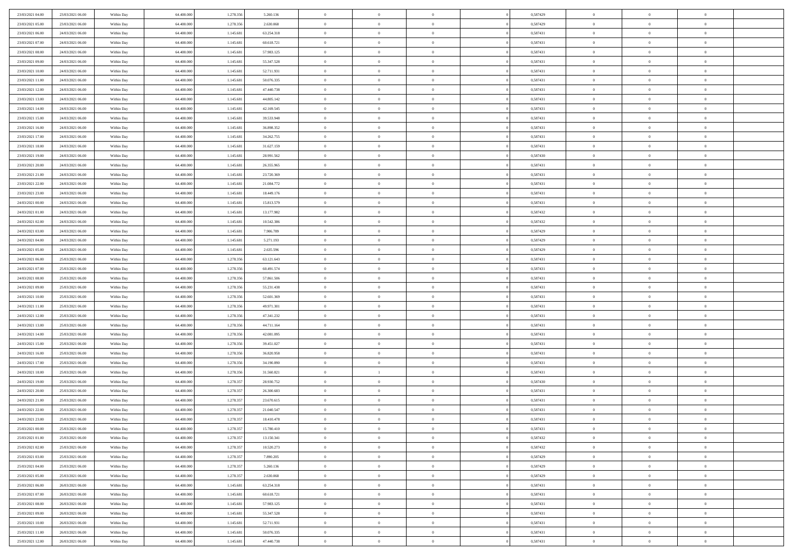| 23/03/2021 04:00 | 23/03/2021 06:00 | Within Day | 64,400,000 | 1.278.356 | 5.260.136  | $\overline{0}$ | $\overline{0}$ | $\Omega$       | 0,587429 | $\bf{0}$       | $\mathbf{0}$   | $\bf{0}$       |  |
|------------------|------------------|------------|------------|-----------|------------|----------------|----------------|----------------|----------|----------------|----------------|----------------|--|
| 23/03/2021 05:00 | 23/03/2021 06:00 | Within Day | 64.400.000 | 1.278.356 | 2.630.068  | $\mathbf{0}$   | $\overline{0}$ | $\overline{0}$ | 0,587429 | $\overline{0}$ | $\overline{0}$ | $\overline{0}$ |  |
| 23/03/2021 06:00 | 24/03/2021 06:00 | Within Day | 64.400.000 | 1.145.681 | 63.254.318 | $\,$ 0         | $\overline{0}$ | $\bf{0}$       | 0,587431 | $\,$ 0         | $\overline{0}$ | $\,$ 0 $\,$    |  |
| 23/03/2021 07:00 | 24/03/2021 06:00 | Within Day | 64,400,000 | 1.145.681 | 60.618.721 | $\bf{0}$       | $\overline{0}$ | $\Omega$       | 0.587431 | $\bf{0}$       | $\mathbf{0}$   | $\theta$       |  |
| 23/03/2021 08:00 | 24/03/2021 06:00 | Within Day | 64.400.000 | 1.145.681 | 57.983.125 | $\bf{0}$       | $\overline{0}$ | $\overline{0}$ | 0,587431 | $\mathbf{0}$   | $\overline{0}$ | $\overline{0}$ |  |
| 23/03/2021 09:00 | 24/03/2021 06:00 | Within Day | 64.400.000 | 1.145.681 | 55.347.528 | $\bf{0}$       | $\overline{0}$ | $\bf{0}$       | 0,587431 | $\,$ 0         | $\overline{0}$ | $\,$ 0 $\,$    |  |
| 23/03/2021 10:00 | 24/03/2021 06:00 | Within Day | 64,400,000 | 1.145.681 | 52.711.931 | $\bf{0}$       | $\overline{0}$ | $\overline{0}$ | 0,587431 | $\bf{0}$       | $\overline{0}$ | $\theta$       |  |
| 23/03/2021 11:00 | 24/03/2021 06:00 | Within Day | 64.400.000 | 1.145.681 | 50.076.335 | $\overline{0}$ | $\overline{0}$ | $\overline{0}$ | 0,587431 | $\mathbf{0}$   | $\overline{0}$ | $\overline{0}$ |  |
| 23/03/2021 12:00 | 24/03/2021 06:00 | Within Day | 64.400.000 | 1.145.681 | 47.440.738 | $\bf{0}$       | $\overline{0}$ | $\bf{0}$       | 0,587431 | $\,$ 0         | $\overline{0}$ | $\,$ 0 $\,$    |  |
| 23/03/2021 13:00 | 24/03/2021 06:00 | Within Day | 64,400,000 | 1.145.681 | 44.805.142 | $\bf{0}$       | $\overline{0}$ | $\Omega$       | 0.587431 | $\theta$       | $\mathbf{0}$   | $\theta$       |  |
| 23/03/2021 14:00 | 24/03/2021 06:00 | Within Day | 64.400.000 | 1.145.681 | 42.169.545 | $\overline{0}$ | $\overline{0}$ | $\overline{0}$ | 0,587431 | $\mathbf{0}$   | $\overline{0}$ | $\overline{0}$ |  |
| 23/03/2021 15:00 | 24/03/2021 06:00 | Within Day | 64.400.000 | 1.145.681 | 39.533.948 | $\bf{0}$       | $\overline{0}$ | $\bf{0}$       | 0,587431 | $\,$ 0         | $\overline{0}$ | $\,$ 0 $\,$    |  |
| 23/03/2021 16:00 | 24/03/2021 06:00 | Within Day | 64,400,000 | 1.145.681 | 36.898.352 | $\bf{0}$       | $\overline{0}$ | $\Omega$       | 0.587431 | $\overline{0}$ | $\mathbf{0}$   | $\theta$       |  |
| 23/03/2021 17:00 | 24/03/2021 06:00 | Within Day | 64.400.000 | 1.145.681 | 34.262.755 | $\overline{0}$ | $\overline{0}$ | $\overline{0}$ | 0,587431 | $\mathbf{0}$   | $\overline{0}$ | $\overline{0}$ |  |
| 23/03/2021 18:00 | 24/03/2021 06:00 | Within Day | 64.400.000 | 1.145.681 | 31.627.159 | $\bf{0}$       | $\overline{0}$ | $\bf{0}$       | 0,587431 | $\,$ 0         | $\overline{0}$ | $\,$ 0 $\,$    |  |
| 23/03/2021 19:00 | 24/03/2021 06:00 | Within Day | 64,400,000 | 1.145.681 | 28.991.562 | $\bf{0}$       | $\overline{0}$ | $\overline{0}$ | 0.587430 | $\bf{0}$       | $\mathbf{0}$   | $\bf{0}$       |  |
| 23/03/2021 20:00 | 24/03/2021 06:00 | Within Day | 64.400.000 | 1.145.681 | 26.355.965 | $\overline{0}$ | $\overline{0}$ | $\overline{0}$ | 0,587431 | $\mathbf{0}$   | $\overline{0}$ | $\overline{0}$ |  |
| 23/03/2021 21:00 | 24/03/2021 06:00 | Within Day | 64.400.000 | 1.145.681 | 23.720.369 | $\bf{0}$       | $\overline{0}$ | $\bf{0}$       | 0,587431 | $\,$ 0         | $\overline{0}$ | $\,$ 0 $\,$    |  |
| 23/03/2021 22.00 | 24/03/2021 06:00 | Within Day | 64,400,000 | 1.145.681 | 21.084.772 | $\bf{0}$       | $\overline{0}$ | $\Omega$       | 0.587431 | $\theta$       | $\mathbf{0}$   | $\theta$       |  |
| 23/03/2021 23:00 | 24/03/2021 06:00 | Within Day | 64.400.000 | 1.145.681 | 18.449.176 | $\overline{0}$ | $\overline{0}$ | $\overline{0}$ | 0,587431 | $\mathbf{0}$   | $\overline{0}$ | $\overline{0}$ |  |
| 24/03/2021 00:00 | 24/03/2021 06:00 | Within Day | 64.400.000 | 1.145.681 | 15.813.579 | $\bf{0}$       | $\overline{0}$ | $\bf{0}$       | 0,587431 | $\,$ 0         | $\overline{0}$ | $\,$ 0 $\,$    |  |
| 24/03/2021 01:00 | 24/03/2021 06:00 | Within Day | 64,400,000 | 1.145.681 | 13.177.982 | $\bf{0}$       | $\overline{0}$ | $\Omega$       | 0.587432 | $\bf{0}$       | $\mathbf{0}$   | $\theta$       |  |
| 24/03/2021 02:00 | 24/03/2021 06:00 | Within Day | 64.400.000 | 1.145.681 | 10.542.386 | $\overline{0}$ | $\overline{0}$ | $\overline{0}$ | 0,587432 | $\mathbf{0}$   | $\overline{0}$ | $\overline{0}$ |  |
| 24/03/2021 03:00 | 24/03/2021 06:00 | Within Day | 64.400.000 | 1.145.681 | 7.906.789  | $\bf{0}$       | $\overline{0}$ | $\bf{0}$       | 0,587429 | $\,$ 0         | $\overline{0}$ | $\,$ 0 $\,$    |  |
| 24/03/2021 04:00 | 24/03/2021 06:00 | Within Day | 64,400,000 | 1.145.681 | 5.271.193  | $\bf{0}$       | $\overline{0}$ | $\overline{0}$ | 0,587429 | $\bf{0}$       | $\overline{0}$ | $\bf{0}$       |  |
| 24/03/2021 05:00 | 24/03/2021 06:00 | Within Day | 64.400.000 | 1.145.681 | 2.635.596  | $\overline{0}$ | $\overline{0}$ | $\overline{0}$ | 0,587429 | $\mathbf{0}$   | $\overline{0}$ | $\overline{0}$ |  |
| 24/03/2021 06:00 | 25/03/2021 06:00 | Within Day | 64.400.000 | 1.278.356 | 63.121.643 | $\bf{0}$       | $\overline{0}$ | $\bf{0}$       | 0,587431 | $\,$ 0         | $\overline{0}$ | $\,$ 0 $\,$    |  |
| 24/03/2021 07:00 | 25/03/2021 06:00 | Within Day | 64,400,000 | 1.278.356 | 60.491.574 | $\bf{0}$       | $\overline{0}$ | $\Omega$       | 0.587431 | $\theta$       | $\mathbf{0}$   | $\theta$       |  |
| 24/03/2021 08:00 | 25/03/2021 06:00 | Within Day | 64.400.000 | 1.278.356 | 57.861.506 | $\overline{0}$ | $\overline{0}$ | $\overline{0}$ | 0,587431 | $\mathbf{0}$   | $\overline{0}$ | $\overline{0}$ |  |
| 24/03/2021 09:00 | 25/03/2021 06:00 | Within Day | 64.400.000 | 1.278.356 | 55.231.438 | $\bf{0}$       | $\overline{0}$ | $\bf{0}$       | 0,587431 | $\,$ 0         | $\overline{0}$ | $\,$ 0 $\,$    |  |
| 24/03/2021 10:00 | 25/03/2021 06:00 | Within Day | 64.400.000 | 1.278.356 | 52.601.369 | $\bf{0}$       | $\overline{0}$ | $\overline{0}$ | 0,587431 | $\bf{0}$       | $\overline{0}$ | $\,0\,$        |  |
| 24/03/2021 11:00 | 25/03/2021 06:00 | Within Day | 64.400.000 | 1.278.356 | 49.971.301 | $\overline{0}$ | $\overline{0}$ | $\overline{0}$ | 0,587431 | $\mathbf{0}$   | $\overline{0}$ | $\overline{0}$ |  |
| 24/03/2021 12:00 | 25/03/2021 06:00 | Within Day | 64.400.000 | 1.278.356 | 47.341.232 | $\bf{0}$       | $\overline{0}$ | $\bf{0}$       | 0,587431 | $\,$ 0         | $\overline{0}$ | $\,$ 0 $\,$    |  |
| 24/03/2021 13:00 | 25/03/2021 06:00 | Within Day | 64.400.000 | 1.278.356 | 44.711.164 | $\bf{0}$       | $\overline{0}$ | $\bf{0}$       | 0,587431 | $\bf{0}$       | $\overline{0}$ | $\,0\,$        |  |
| 24/03/2021 14:00 | 25/03/2021 06:00 | Within Day | 64.400.000 | 1.278.356 | 42.081.095 | $\overline{0}$ | $\overline{0}$ | $\overline{0}$ | 0,587431 | $\overline{0}$ | $\overline{0}$ | $\overline{0}$ |  |
| 24/03/2021 15:00 | 25/03/2021 06:00 | Within Day | 64.400.000 | 1.278.356 | 39.451.027 | $\bf{0}$       | $\overline{0}$ | $\bf{0}$       | 0,587431 | $\,$ 0         | $\overline{0}$ | $\,$ 0 $\,$    |  |
| 24/03/2021 16:00 | 25/03/2021 06:00 | Within Day | 64.400.000 | 1.278.356 | 36.820.958 | $\bf{0}$       | $\overline{0}$ | $\overline{0}$ | 0,587431 | $\bf{0}$       | $\overline{0}$ | $\,0\,$        |  |
| 24/03/2021 17:00 | 25/03/2021 06:00 | Within Day | 64.400.000 | 1.278.356 | 34.190.890 | $\overline{0}$ | $\overline{0}$ | $\overline{0}$ | 0,587431 | $\mathbf{0}$   | $\overline{0}$ | $\overline{0}$ |  |
| 24/03/2021 18:00 | 25/03/2021 06:00 | Within Day | 64.400.000 | 1.278.356 | 31.560.821 | $\bf{0}$       | $\mathbf{1}$   | $\bf{0}$       | 0,587431 | $\,$ 0         | $\overline{0}$ | $\,$ 0 $\,$    |  |
| 24/03/2021 19:00 | 25/03/2021 06:00 | Within Day | 64.400.000 | 1.278.357 | 28.930.752 | $\bf{0}$       | $\overline{0}$ | $\overline{0}$ | 0,587430 | $\bf{0}$       | $\overline{0}$ | $\,0\,$        |  |
| 24/03/2021 20:00 | 25/03/2021 06:00 | Within Day | 64.400.000 | 1.278.357 | 26.300.683 | $\overline{0}$ | $\overline{0}$ | $\overline{0}$ | 0,587431 | $\overline{0}$ | $\overline{0}$ | $\overline{0}$ |  |
| 24/03/2021 21:00 | 25/03/2021 06:00 | Within Day | 64.400.000 | 1.278.357 | 23.670.615 | $\bf{0}$       | $\overline{0}$ | $\bf{0}$       | 0,587431 | $\,$ 0         | $\overline{0}$ | $\,$ 0 $\,$    |  |
| 24/03/2021 22.00 | 25/03/2021 06:00 | Within Day | 64.400.000 | 1.278.357 | 21.040.547 | $\bf{0}$       | $\overline{0}$ | $\bf{0}$       | 0,587431 | $\bf{0}$       | $\overline{0}$ | $\,0\,$        |  |
| 24/03/2021 23:00 | 25/03/2021 06:00 | Within Day | 64.400.000 | 1.278.357 | 18.410.478 | $\mathbf{0}$   | $\overline{0}$ | $\overline{0}$ | 0,587431 | $\overline{0}$ | $\overline{0}$ | $\overline{0}$ |  |
| 25/03/2021 00:00 | 25/03/2021 06:00 | Within Day | 64.400.000 | 1.278.357 | 15.780.410 | $\bf{0}$       | $\overline{0}$ | $\overline{0}$ | 0,587431 | $\overline{0}$ | $\overline{0}$ | $\theta$       |  |
| 25/03/2021 01:00 | 25/03/2021 06:00 | Within Day | 64.400.000 | 1.278.357 | 13.150.341 | $\bf{0}$       | $\bf{0}$       | $\bf{0}$       | 0,587432 | $\bf{0}$       | $\overline{0}$ | $\,0\,$        |  |
| 25/03/2021 02:00 | 25/03/2021 06:00 | Within Day | 64.400.000 | 1.278.357 | 10.520.273 | $\overline{0}$ | $\overline{0}$ | $\overline{0}$ | 0,587432 | $\overline{0}$ | $\bf{0}$       | $\overline{0}$ |  |
| 25/03/2021 03:00 | 25/03/2021 06:00 | Within Day | 64.400.000 | 1.278.357 | 7.890.205  | $\,$ 0 $\,$    | $\overline{0}$ | $\overline{0}$ | 0,587429 | $\mathbf{0}$   | $\,$ 0 $\,$    | $\,$ 0 $\,$    |  |
| 25/03/2021 04:00 | 25/03/2021 06:00 | Within Day | 64.400.000 | 1.278.357 | 5.260.136  | $\bf{0}$       | $\bf{0}$       | $\overline{0}$ | 0,587429 | $\bf{0}$       | $\overline{0}$ | $\bf{0}$       |  |
| 25/03/2021 05:00 | 25/03/2021 06:00 | Within Day | 64.400.000 | 1.278.357 | 2.630.068  | $\bf{0}$       | $\overline{0}$ | $\overline{0}$ | 0,587429 | $\overline{0}$ | $\overline{0}$ | $\overline{0}$ |  |
| 25/03/2021 06:00 | 26/03/2021 06:00 | Within Day | 64.400.000 | 1.145.681 | 63.254.318 | $\,$ 0 $\,$    | $\overline{0}$ | $\overline{0}$ | 0,587431 | $\,$ 0 $\,$    | $\overline{0}$ | $\,$ 0 $\,$    |  |
| 25/03/2021 07:00 | 26/03/2021 06:00 | Within Day | 64.400.000 | 1.145.681 | 60.618.721 | $\bf{0}$       | $\overline{0}$ | $\overline{0}$ | 0,587431 | $\bf{0}$       | $\overline{0}$ | $\overline{0}$ |  |
| 25/03/2021 08:00 | 26/03/2021 06:00 | Within Day | 64.400.000 | 1.145.681 | 57.983.125 | $\overline{0}$ | $\overline{0}$ | $\overline{0}$ | 0,587431 | $\overline{0}$ | $\bf{0}$       | $\overline{0}$ |  |
| 25/03/2021 09:00 | 26/03/2021 06:00 | Within Day | 64.400.000 | 1.145.681 | 55.347.528 | $\,$ 0 $\,$    | $\overline{0}$ | $\overline{0}$ | 0,587431 | $\,$ 0 $\,$    | $\,$ 0 $\,$    | $\,$ 0 $\,$    |  |
| 25/03/2021 10:00 | 26/03/2021 06:00 | Within Day | 64.400.000 | 1.145.681 | 52.711.931 | $\bf{0}$       | $\bf{0}$       | $\overline{0}$ | 0,587431 | $\mathbf{0}$   | $\overline{0}$ | $\bf{0}$       |  |
| 25/03/2021 11:00 | 26/03/2021 06:00 | Within Day | 64.400.000 | 1.145.681 | 50.076.335 | $\bf{0}$       | $\overline{0}$ | $\overline{0}$ | 0,587431 | $\mathbf{0}$   | $\bf{0}$       | $\overline{0}$ |  |
| 25/03/2021 12:00 | 26/03/2021 06:00 | Within Day | 64.400.000 | 1.145.681 | 47.440.738 | $\,0\,$        | $\overline{0}$ | $\overline{0}$ | 0,587431 | $\,$ 0         | $\overline{0}$ | $\,$ 0 $\,$    |  |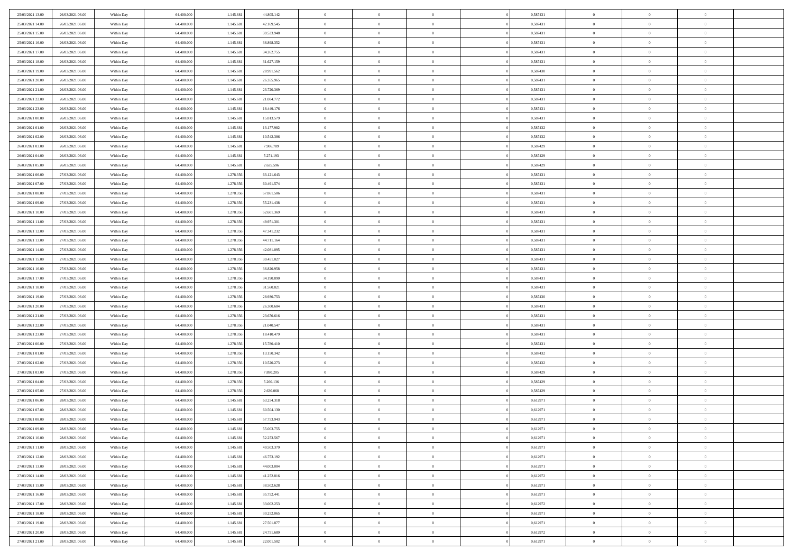| 25/03/2021 13:00                     | 26/03/2021 06:00                     | Within Day               | 64.400.000               | 1.145.681              | 44.805.142               | $\,$ 0                   | $\bf{0}$                         | $\overline{0}$             |          | 0,587431             | $\bf{0}$           | $\overline{0}$                   | $\,0\,$                    |  |
|--------------------------------------|--------------------------------------|--------------------------|--------------------------|------------------------|--------------------------|--------------------------|----------------------------------|----------------------------|----------|----------------------|--------------------|----------------------------------|----------------------------|--|
| 25/03/2021 14:00                     | 26/03/2021 06:00                     | Within Day               | 64,400,000               | 1.145.681              | 42.169.545               | $\overline{0}$           | $\overline{0}$                   | $\overline{0}$             |          | 0,587431             | $\overline{0}$     | $\overline{0}$                   | $\theta$                   |  |
| 25/03/2021 15:00                     | 26/03/2021 06:00                     | Within Dav               | 64.400.000               | 1.145.681              | 39.533.948               | $\mathbf{0}$             | $\overline{0}$                   | $\overline{0}$             |          | 0,587431             | $\mathbf{0}$       | $\overline{0}$                   | $\overline{0}$             |  |
| 25/03/2021 16:00                     | 26/03/2021 06:00                     | Within Day               | 64.400.000               | 1.145.681              | 36.898.352               | $\bf{0}$                 | $\overline{0}$                   | $\bf{0}$                   |          | 0,587431             | $\bf{0}$           | $\overline{0}$                   | $\bf{0}$                   |  |
| 25/03/2021 17:00                     | 26/03/2021 06:00                     | Within Day               | 64,400,000               | 1.145.681              | 34.262.755               | $\bf{0}$                 | $\bf{0}$                         | $\overline{0}$             |          | 0,587431             | $\bf{0}$           | $\bf{0}$                         | $\,0\,$                    |  |
| 25/03/2021 18:00                     | 26/03/2021 06:00                     | Within Dav               | 64.400.000               | 1.145.681              | 31.627.159               | $\mathbf{0}$             | $\overline{0}$                   | $\overline{0}$             |          | 0,587431             | $\mathbf{0}$       | $\overline{0}$                   | $\overline{0}$             |  |
| 25/03/2021 19:00                     | 26/03/2021 06:00                     | Within Day               | 64.400.000               | 1.145.681              | 28.991.562               | $\bf{0}$                 | $\bf{0}$                         | $\overline{0}$             |          | 0,587430             | $\bf{0}$           | $\overline{0}$                   | $\,0\,$                    |  |
| 25/03/2021 20:00                     | 26/03/2021 06:00                     | Within Day               | 64.400.000               | 1.145.681              | 26.355.965               | $\overline{0}$           | $\overline{0}$                   | $\overline{0}$             |          | 0,587431             | $\,$ 0 $\,$        | $\overline{0}$                   | $\theta$                   |  |
| 25/03/2021 21:00                     | 26/03/2021 06:00                     | Within Dav               | 64.400.000               | 1.145.681              | 23.720.369               | $\mathbf{0}$             | $\overline{0}$                   | $\overline{0}$             |          | 0,587431             | $\mathbf{0}$       | $\overline{0}$                   | $\overline{0}$             |  |
| 25/03/2021 22:00                     | 26/03/2021 06:00                     | Within Day               | 64.400.000               | 1.145.681              | 21.084.772               | $\bf{0}$                 | $\bf{0}$                         | $\overline{0}$             |          | 0,587431             | $\bf{0}$           | $\overline{0}$                   | $\,0\,$                    |  |
| 25/03/2021 23.00                     | 26/03/2021 06:00                     | Within Day               | 64,400,000               | 1.145.681              | 18.449.176               | $\bf{0}$                 | $\overline{0}$                   | $\overline{0}$             |          | 0,587431             | $\bf{0}$           | $\overline{0}$                   | $\theta$                   |  |
| 26/03/2021 00:00                     | 26/03/2021 06:00                     | Within Dav               | 64.400.000               | 1.145.681              | 15.813.579               | $\mathbf{0}$             | $\overline{0}$                   | $\overline{0}$             |          | 0,587431             | $\mathbf{0}$       | $\overline{0}$                   | $\overline{0}$             |  |
| 26/03/2021 01:00                     | 26/03/2021 06:00                     | Within Day               | 64.400.000               | 1.145.681              | 13.177.982               | $\bf{0}$                 | $\overline{0}$                   | $\bf{0}$                   |          | 0,587432             | $\bf{0}$           | $\overline{0}$                   | $\overline{0}$             |  |
| 26/03/2021 02:00                     | 26/03/2021 06:00                     | Within Day               | 64.400.000               | 1.145.681              | 10.542.386               | $\bf{0}$                 | $\overline{0}$                   | $\overline{0}$             |          | 0,587432             | $\bf{0}$           | $\overline{0}$                   | $\,0\,$                    |  |
| 26/03/2021 03:00                     | 26/03/2021 06:00                     | Within Dav               | 64.400.000               | 1.145.681              | 7.906.789                | $\overline{0}$           | $\overline{0}$                   | $\overline{0}$             |          | 0,587429             | $\mathbf{0}$       | $\overline{0}$                   | $\overline{0}$             |  |
| 26/03/2021 04:00                     | 26/03/2021 06:00                     | Within Day               | 64.400.000               | 1.145.681              | 5.271.193                | $\bf{0}$                 | $\bf{0}$                         | $\overline{0}$             |          | 0,587429             | $\bf{0}$           | $\overline{0}$                   | $\bf{0}$                   |  |
| 26/03/2021 05:00                     | 26/03/2021 06:00                     | Within Day               | 64,400,000               | 1.145.681              | 2.635.596                | $\bf{0}$                 | $\overline{0}$                   | $\overline{0}$             |          | 0,587429             | $\bf{0}$           | $\overline{0}$                   | $\theta$                   |  |
| 26/03/2021 06:00                     | 27/03/2021 06:00                     | Within Day               | 64.400.000               | 1.278.356              | 63.121.643               | $\mathbf{0}$             | $\overline{0}$                   | $\overline{0}$             |          | 0,587431             | $\mathbf{0}$       | $\overline{0}$                   | $\overline{0}$             |  |
| 26/03/2021 07:00                     | 27/03/2021 06:00                     | Within Day               | 64.400.000               | 1.278.356              | 60.491.574               | $\bf{0}$                 | $\overline{0}$                   | $\overline{0}$             |          | 0,587431             | $\bf{0}$           | $\overline{0}$                   | $\,0\,$                    |  |
| 26/03/2021 08:00                     | 27/03/2021 06:00                     | Within Day               | 64.400.000               | 1.278.356              | 57.861.506               | $\bf{0}$                 | $\overline{0}$                   | $\overline{0}$             |          | 0,587431             | $\bf{0}$           | $\overline{0}$                   | $\overline{0}$             |  |
| 26/03/2021 09:00                     | 27/03/2021 06:00                     | Within Dav               | 64.400.000               | 1.278.356              | 55.231.438               | $\mathbf{0}$             | $\overline{0}$                   | $\overline{0}$             |          | 0,587431             | $\mathbf{0}$       | $\overline{0}$                   | $\overline{0}$             |  |
| 26/03/2021 10:00                     | 27/03/2021 06:00                     | Within Day               | 64.400.000               | 1.278.356              | 52.601.369               | $\bf{0}$                 | $\overline{0}$                   | $\overline{0}$             |          | 0,587431             | $\bf{0}$           | $\overline{0}$                   | $\bf{0}$                   |  |
| 26/03/2021 11:00                     | 27/03/2021 06:00                     | Within Day               | 64,400,000               | 1.278.356              | 49.971.301               | $\bf{0}$                 | $\overline{0}$                   | $\overline{0}$             |          | 0,587431             | $\bf{0}$           | $\overline{0}$                   | $\,0\,$                    |  |
| 26/03/2021 12:00                     | 27/03/2021 06:00                     | Within Dav               | 64.400.000               | 1.278.356              | 47.341.232               | $\mathbf{0}$             | $\overline{0}$                   | $\overline{0}$             |          | 0,587431             | $\mathbf{0}$       | $\overline{0}$                   | $\overline{0}$             |  |
| 26/03/2021 13:00                     | 27/03/2021 06:00                     | Within Day               | 64.400.000               | 1.278.356              | 44.711.164               | $\bf{0}$                 | $\overline{0}$                   | $\overline{0}$             |          | 0,587431             | $\bf{0}$           | $\overline{0}$                   | $\,0\,$                    |  |
| 26/03/2021 14:00                     | 27/03/2021 06:00                     | Within Day               | 64.400.000               | 1.278.356              | 42.081.095               | $\bf{0}$                 | $\overline{0}$                   | $\overline{0}$             |          | 0,587431             | $\bf{0}$           | $\mathbf{0}$                     | $\overline{0}$             |  |
| 26/03/2021 15:00                     | 27/03/2021 06:00                     | Within Dav               | 64.400.000               | 1.278.356              | 39.451.027               | $\mathbf{0}$             | $\overline{0}$                   | $\overline{0}$             |          | 0,587431             | $\mathbf{0}$       | $\overline{0}$                   | $\overline{0}$             |  |
| 26/03/2021 16:00                     | 27/03/2021 06:00                     | Within Day               | 64.400.000               | 1.278.356              | 36.820.958               | $\bf{0}$                 | $\overline{0}$                   | $\overline{0}$             |          | 0,587431             | $\bf{0}$           | $\overline{0}$                   | $\,0\,$                    |  |
| 26/03/2021 17:00                     | 27/03/2021 06:00                     | Within Day               | 64,400,000               | 1.278.356              | 34.190.890               | $\bf{0}$                 | $\overline{0}$                   | $\overline{0}$             |          | 0,587431             | $\bf{0}$           | $\overline{0}$                   | $\overline{0}$             |  |
| 26/03/2021 18:00                     | 27/03/2021 06:00                     | Within Dav               | 64.400.000               | 1.278.356              | 31.560.821               | $\mathbf{0}$             | $\overline{0}$                   | $\overline{0}$             |          | 0,587431             | $\mathbf{0}$       | $\overline{0}$                   | $\overline{0}$             |  |
| 26/03/2021 19:00                     | 27/03/2021 06:00                     | Within Day               | 64.400.000               | 1.278.356              | 28.930.753               | $\bf{0}$                 | $\overline{0}$                   | $\theta$                   |          | 0,587430             | $\,$ 0             | $\overline{0}$                   | $\theta$                   |  |
| 26/03/2021 20:00                     | 27/03/2021 06:00                     | Within Day               | 64.400.000               | 1.278.356              | 26.300.684               | $\bf{0}$                 | $\overline{0}$                   | $\overline{0}$             |          | 0,587431             | $\bf{0}$           | $\overline{0}$                   | $\overline{0}$             |  |
| 26/03/2021 21:00                     | 27/03/2021 06:00                     | Within Dav               | 64.400.000               | 1.278.356              | 23.670.616               | $\mathbf{0}$             | $\overline{0}$                   | $\overline{0}$             |          | 0,587431             | $\mathbf{0}$       | $\overline{0}$                   | $\overline{0}$             |  |
| 26/03/2021 22:00                     | 27/03/2021 06:00                     | Within Day               | 64.400.000               | 1.278.356              | 21.040.547               | $\bf{0}$                 | $\overline{0}$                   | $\theta$                   |          | 0,587431             | $\,$ 0             | $\overline{0}$                   | $\theta$                   |  |
| 26/03/2021 23:00                     | 27/03/2021 06:00                     | Within Day               | 64,400,000               | 1.278.356              | 18.410.479               | $\bf{0}$                 | $\overline{0}$                   | $\overline{0}$             |          | 0,587431             | $\bf{0}$           | $\overline{0}$                   | $\overline{0}$             |  |
| 27/03/2021 00:00                     | 27/03/2021 06:00                     | Within Day               | 64.400.000               | 1.278.356              | 15.780.410               | $\mathbf{0}$<br>$\bf{0}$ | $\overline{0}$                   | $\overline{0}$             |          | 0,587431             | $\mathbf{0}$       | $\overline{0}$<br>$\overline{0}$ | $\overline{0}$<br>$\theta$ |  |
| 27/03/2021 01:00<br>27/03/2021 02:00 | 27/03/2021 06:00<br>27/03/2021 06:00 | Within Day               | 64.400.000<br>64.400.000 | 1.278.356<br>1.278.356 | 13.150.342<br>10.520.273 | $\bf{0}$                 | $\overline{0}$<br>$\overline{0}$ | $\theta$<br>$\overline{0}$ |          | 0,587432<br>0,587432 | $\,$ 0<br>$\bf{0}$ | $\overline{0}$                   | $\overline{0}$             |  |
| 27/03/2021 03:00                     | 27/03/2021 06:00                     | Within Day<br>Within Dav | 64.400.000               | 1.278.356              | 7.890.205                | $\mathbf{0}$             | $\overline{0}$                   | $\overline{0}$             |          | 0,587429             | $\mathbf{0}$       | $\overline{0}$                   | $\overline{0}$             |  |
| 27/03/2021 04:00                     | 27/03/2021 06:00                     | Within Day               | 64.400.000               | 1.278.356              | 5.260.136                | $\,0\,$                  | $\overline{0}$                   | $\theta$                   |          | 0,587429             | $\,$ 0             | $\overline{0}$                   | $\theta$                   |  |
| 27/03/2021 05:00                     | 27/03/2021 06:00                     | Within Day               | 64,400,000               | 1.278.356              | 2.630.068                | $\bf{0}$                 | $\overline{0}$                   | $\overline{0}$             |          | 0,587429             | $\bf{0}$           | $\overline{0}$                   | $\overline{0}$             |  |
| 27/03/2021 06:00                     | 28/03/2021 06:00                     | Within Dav               | 64.400.000               | 1.145.681              | 63.254.318               | $\mathbf{0}$             | $\overline{0}$                   | $\overline{0}$             |          | 0,612971             | $\mathbf{0}$       | $\overline{0}$                   | $\overline{0}$             |  |
| 27/03/2021 07:00                     | 28/03/2021 06:00                     | Within Day               | 64.400.000               | 1.145.681              | 60.504.130               | $\bf{0}$                 | $\overline{0}$                   | $\theta$                   |          | 0,612971             | $\,$ 0             | $\overline{0}$                   | $\theta$                   |  |
| 27/03/2021 08:00                     | 28/03/2021 06:00                     | Within Day               | 64.400.000               | 1.145.681              | 57.753.943               | $\bf{0}$                 | $\overline{0}$                   | $\overline{0}$             |          | 0,612971             | $\,$ 0 $\,$        | $\overline{0}$                   | $\overline{0}$             |  |
| 27/03/2021 09:00                     | 28/03/2021 06:00                     | Within Day               | 64.400.000               | 1.145.681              | 55.003.755               | $\bf{0}$                 | $\overline{0}$                   |                            |          | 0,612971             | $\overline{0}$     | $\theta$                         | $\theta$                   |  |
| 27/03/2021 10:00                     | 28/03/2021 06:00                     | Within Day               | 64.400.000               | 1.145.681              | 52.253.567               | $\,0\,$                  | $\overline{0}$                   | $\theta$                   |          | 0,612971             | $\,$ 0 $\,$        | $\bf{0}$                         | $\theta$                   |  |
| 27/03/2021 11:00                     | 28/03/2021 06:00                     | Within Day               | 64.400.000               | 1.145.681              | 49.503.379               | $\overline{0}$           | $\overline{0}$                   | $\overline{0}$             |          | 0,612971             | $\overline{0}$     | $\overline{0}$                   | $\overline{0}$             |  |
| 27/03/2021 12:00                     | 28/03/2021 06:00                     | Within Day               | 64.400.000               | 1.145.681              | 46.753.192               | $\bf{0}$                 | $\overline{0}$                   | $\overline{0}$             |          | 0,612971             | $\overline{0}$     | $\bf{0}$                         | $\mathbf{0}$               |  |
| 27/03/2021 13:00                     | 28/03/2021 06:00                     | Within Day               | 64.400.000               | 1.145.681              | 44.003.004               | $\bf{0}$                 | $\overline{0}$                   | $\overline{0}$             | $\theta$ | 0,612971             | $\,$ 0 $\,$        | $\bf{0}$                         | $\,$ 0 $\,$                |  |
| 27/03/2021 14:00                     | 28/03/2021 06:00                     | Within Day               | 64.400.000               | 1.145.681              | 41.252.816               | $\bf{0}$                 | $\overline{0}$                   | $\overline{0}$             |          | 0,612972             | $\,$ 0 $\,$        | $\overline{0}$                   | $\overline{0}$             |  |
| 27/03/2021 15:00                     | 28/03/2021 06:00                     | Within Day               | 64.400.000               | 1.145.681              | 38.502.628               | $\bf{0}$                 | $\overline{0}$                   | $\overline{0}$             |          | 0,612971             | $\mathbf{0}$       | $\overline{0}$                   | $\overline{0}$             |  |
| 27/03/2021 16:00                     | 28/03/2021 06:00                     | Within Day               | 64.400.000               | 1.145.681              | 35.752.441               | $\,0\,$                  | $\overline{0}$                   | $\overline{0}$             | $\theta$ | 0,612971             | $\,$ 0 $\,$        | $\overline{0}$                   | $\,$ 0 $\,$                |  |
| 27/03/2021 17:00                     | 28/03/2021 06:00                     | Within Day               | 64.400.000               | 1.145.681              | 33.002.253               | $\bf{0}$                 | $\overline{0}$                   | $\overline{0}$             |          | 0,612972             | $\overline{0}$     | $\overline{0}$                   | $\overline{0}$             |  |
| 27/03/2021 18:00                     | 28/03/2021 06:00                     | Within Day               | 64.400.000               | 1.145.681              | 30.252.065               | $\bf{0}$                 | $\overline{0}$                   | $\overline{0}$             |          | 0,612971             | $\mathbf{0}$       | $\bf{0}$                         | $\overline{0}$             |  |
| 27/03/2021 19:00                     | 28/03/2021 06:00                     | Within Day               | 64.400.000               | 1.145.681              | 27.501.877               | $\,0\,$                  | $\overline{0}$                   | $\overline{0}$             |          | 0,612971             | $\,$ 0 $\,$        | $\mathbf{0}$                     | $\,$ 0 $\,$                |  |
| 27/03/2021 20:00                     | 28/03/2021 06:00                     | Within Day               | 64.400.000               | 1.145.681              | 24.751.689               | $\bf{0}$                 | $\overline{0}$                   | $\overline{0}$             |          | 0,612972             | $\bf{0}$           | $\mathbf{0}$                     | $\overline{0}$             |  |
| 27/03/2021 21:00                     | 28/03/2021 06:00                     | Within Day               | 64.400.000               | 1.145.681              | 22.001.502               | $\overline{0}$           | $\overline{0}$                   | $\overline{0}$             |          | 0,612971             | $\mathbf{0}$       | $\overline{0}$                   | $\overline{0}$             |  |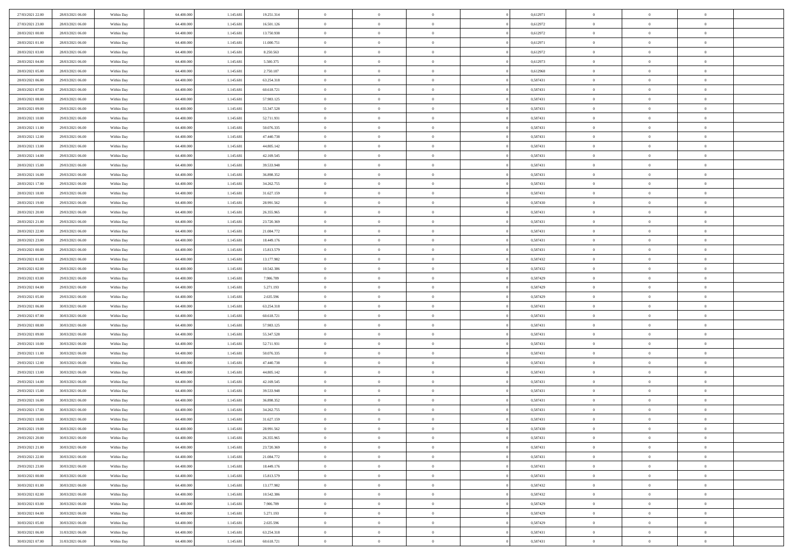| 27/03/2021 22.00 | 28/03/2021 06:00 | Within Day | 64.400.000 | 1.145.681 | 19.251.314 | $\overline{0}$ | $\overline{0}$ | $\Omega$       | 0,612971 | $\bf{0}$       | $\mathbf{0}$   | $\bf{0}$       |  |
|------------------|------------------|------------|------------|-----------|------------|----------------|----------------|----------------|----------|----------------|----------------|----------------|--|
| 27/03/2021 23:00 | 28/03/2021 06:00 | Within Day | 64.400.000 | 1.145.681 | 16.501.126 | $\mathbf{0}$   | $\overline{0}$ | $\overline{0}$ | 0,612972 | $\overline{0}$ | $\overline{0}$ | $\overline{0}$ |  |
| 28/03/2021 00:00 | 28/03/2021 06:00 | Within Day | 64.400.000 | 1.145.681 | 13.750.938 | $\,$ 0         | $\overline{0}$ | $\bf{0}$       | 0,612972 | $\,$ 0         | $\overline{0}$ | $\,$ 0 $\,$    |  |
| 28/03/2021 01:00 | 28/03/2021 06:00 | Within Day | 64,400,000 | 1.145.681 | 11.000.751 | $\bf{0}$       | $\overline{0}$ | $\Omega$       | 0,612971 | $\bf{0}$       | $\mathbf{0}$   | $\theta$       |  |
| 28/03/2021 03:00 | 28/03/2021 06:00 | Within Day | 64.400.000 | 1.145.681 | 8.250.563  | $\bf{0}$       | $\overline{0}$ | $\overline{0}$ | 0,612972 | $\mathbf{0}$   | $\overline{0}$ | $\overline{0}$ |  |
| 28/03/2021 04:00 | 28/03/2021 06:00 | Within Day | 64.400.000 | 1.145.681 | 5.500.375  | $\bf{0}$       | $\overline{0}$ | $\bf{0}$       | 0,612973 | $\,$ 0         | $\overline{0}$ | $\,$ 0 $\,$    |  |
| 28/03/2021 05:00 | 28/03/2021 06:00 | Within Day | 64,400,000 | 1.145.681 | 2.750.187  | $\bf{0}$       | $\overline{0}$ | $\overline{0}$ | 0,612968 | $\bf{0}$       | $\overline{0}$ | $\theta$       |  |
| 28/03/2021 06:00 | 29/03/2021 06:00 | Within Day | 64.400.000 | 1.145.681 | 63.254.318 | $\overline{0}$ | $\overline{0}$ | $\overline{0}$ | 0,587431 | $\mathbf{0}$   | $\overline{0}$ | $\overline{0}$ |  |
| 28/03/2021 07:00 | 29/03/2021 06:00 | Within Day | 64.400.000 | 1.145.681 | 60.618.721 | $\bf{0}$       | $\overline{0}$ | $\bf{0}$       | 0,587431 | $\,$ 0         | $\overline{0}$ | $\,$ 0 $\,$    |  |
| 28/03/2021 08:00 | 29/03/2021 06:00 | Within Day | 64,400,000 | 1.145.681 | 57.983.125 | $\bf{0}$       | $\overline{0}$ | $\Omega$       | 0.587431 | $\theta$       | $\mathbf{0}$   | $\theta$       |  |
| 28/03/2021 09:00 | 29/03/2021 06:00 | Within Day | 64.400.000 | 1.145.681 | 55.347.528 | $\overline{0}$ | $\overline{0}$ | $\overline{0}$ | 0,587431 | $\mathbf{0}$   | $\overline{0}$ | $\overline{0}$ |  |
| 28/03/2021 10:00 | 29/03/2021 06:00 | Within Day | 64.400.000 | 1.145.681 | 52.711.931 | $\bf{0}$       | $\overline{0}$ | $\bf{0}$       | 0,587431 | $\,$ 0         | $\overline{0}$ | $\,$ 0 $\,$    |  |
| 28/03/2021 11:00 | 29/03/2021 06:00 | Within Day | 64,400,000 | 1.145.681 | 50.076.335 | $\bf{0}$       | $\overline{0}$ | $\Omega$       | 0.587431 | $\overline{0}$ | $\mathbf{0}$   | $\theta$       |  |
| 28/03/2021 12:00 | 29/03/2021 06:00 | Within Day | 64.400.000 | 1.145.681 | 47.440.738 | $\overline{0}$ | $\overline{0}$ | $\overline{0}$ | 0,587431 | $\mathbf{0}$   | $\overline{0}$ | $\overline{0}$ |  |
| 28/03/2021 13:00 | 29/03/2021 06:00 | Within Day | 64.400.000 | 1.145.681 | 44.805.142 | $\bf{0}$       | $\overline{0}$ | $\bf{0}$       | 0,587431 | $\,$ 0         | $\overline{0}$ | $\,$ 0 $\,$    |  |
| 28/03/2021 14:00 | 29/03/2021 06:00 | Within Day | 64,400,000 | 1.145.681 | 42.169.545 | $\bf{0}$       | $\overline{0}$ | $\overline{0}$ | 0.587431 | $\bf{0}$       | $\mathbf{0}$   | $\bf{0}$       |  |
| 28/03/2021 15:00 | 29/03/2021 06:00 | Within Day | 64.400.000 | 1.145.681 | 39.533.948 | $\overline{0}$ | $\overline{0}$ | $\overline{0}$ | 0,587431 | $\mathbf{0}$   | $\overline{0}$ | $\overline{0}$ |  |
| 28/03/2021 16:00 | 29/03/2021 06:00 | Within Day | 64.400.000 | 1.145.681 | 36.898.352 | $\bf{0}$       | $\overline{0}$ | $\bf{0}$       | 0,587431 | $\,$ 0         | $\overline{0}$ | $\,$ 0 $\,$    |  |
| 28/03/2021 17:00 | 29/03/2021 06:00 | Within Day | 64,400,000 | 1.145.681 | 34.262.755 | $\bf{0}$       | $\overline{0}$ | $\Omega$       | 0.587431 | $\theta$       | $\mathbf{0}$   | $\theta$       |  |
| 28/03/2021 18:00 | 29/03/2021 06:00 | Within Day | 64.400.000 | 1.145.681 | 31.627.159 | $\overline{0}$ | $\overline{0}$ | $\overline{0}$ | 0,587431 | $\mathbf{0}$   | $\overline{0}$ | $\overline{0}$ |  |
| 28/03/2021 19:00 | 29/03/2021 06:00 | Within Day | 64.400.000 | 1.145.681 | 28.991.562 | $\bf{0}$       | $\overline{0}$ | $\bf{0}$       | 0,587430 | $\,$ 0         | $\overline{0}$ | $\,$ 0 $\,$    |  |
| 28/03/2021 20:00 | 29/03/2021 06:00 | Within Day | 64,400,000 | 1.145.681 | 26.355.965 | $\bf{0}$       | $\overline{0}$ | $\Omega$       | 0.587431 | $\bf{0}$       | $\mathbf{0}$   | $\theta$       |  |
| 28/03/2021 21:00 | 29/03/2021 06:00 | Within Day | 64.400.000 | 1.145.681 | 23.720.369 | $\overline{0}$ | $\overline{0}$ | $\overline{0}$ | 0,587431 | $\mathbf{0}$   | $\overline{0}$ | $\overline{0}$ |  |
| 28/03/2021 22:00 | 29/03/2021 06:00 | Within Day | 64.400.000 | 1.145.681 | 21.084.772 | $\bf{0}$       | $\overline{0}$ | $\bf{0}$       | 0,587431 | $\,$ 0         | $\overline{0}$ | $\,$ 0 $\,$    |  |
| 28/03/2021 23:00 | 29/03/2021 06:00 | Within Day | 64,400,000 | 1.145.681 | 18.449.176 | $\bf{0}$       | $\overline{0}$ | $\overline{0}$ | 0,587431 | $\bf{0}$       | $\overline{0}$ | $\bf{0}$       |  |
| 29/03/2021 00:00 | 29/03/2021 06:00 | Within Day | 64.400.000 | 1.145.681 | 15.813.579 | $\overline{0}$ | $\overline{0}$ | $\overline{0}$ | 0,587431 | $\mathbf{0}$   | $\overline{0}$ | $\overline{0}$ |  |
| 29/03/2021 01:00 | 29/03/2021 06:00 | Within Day | 64.400.000 | 1.145.681 | 13.177.982 | $\bf{0}$       | $\overline{0}$ | $\bf{0}$       | 0,587432 | $\,$ 0         | $\overline{0}$ | $\,$ 0 $\,$    |  |
| 29/03/2021 02:00 | 29/03/2021 06:00 | Within Day | 64,400,000 | 1.145.681 | 10.542.386 | $\bf{0}$       | $\overline{0}$ | $\Omega$       | 0.587432 | $\theta$       | $\mathbf{0}$   | $\theta$       |  |
| 29/03/2021 03:00 | 29/03/2021 06:00 | Within Day | 64.400.000 | 1.145.681 | 7.906.789  | $\overline{0}$ | $\overline{0}$ | $\overline{0}$ | 0,587429 | $\mathbf{0}$   | $\overline{0}$ | $\overline{0}$ |  |
| 29/03/2021 04:00 | 29/03/2021 06:00 | Within Day | 64.400.000 | 1.145.681 | 5.271.193  | $\bf{0}$       | $\overline{0}$ | $\bf{0}$       | 0,587429 | $\,$ 0         | $\overline{0}$ | $\,$ 0 $\,$    |  |
| 29/03/2021 05:00 | 29/03/2021 06:00 | Within Day | 64.400.000 | 1.145.681 | 2.635.596  | $\,$ 0         | $\bf{0}$       | $\overline{0}$ | 0,587429 | $\bf{0}$       | $\overline{0}$ | $\,0\,$        |  |
| 29/03/2021 06:00 | 30/03/2021 06:00 | Within Day | 64.400.000 | 1.145.681 | 63.254.318 | $\overline{0}$ | $\overline{0}$ | $\overline{0}$ | 0,587431 | $\mathbf{0}$   | $\overline{0}$ | $\overline{0}$ |  |
| 29/03/2021 07:00 | 30/03/2021 06:00 | Within Day | 64.400.000 | 1.145.681 | 60.618.721 | $\bf{0}$       | $\overline{0}$ | $\bf{0}$       | 0,587431 | $\,$ 0         | $\overline{0}$ | $\,$ 0 $\,$    |  |
| 29/03/2021 08:00 | 30/03/2021 06:00 | Within Day | 64.400.000 | 1.145.681 | 57.983.125 | $\bf{0}$       | $\overline{0}$ | $\bf{0}$       | 0,587431 | $\bf{0}$       | $\overline{0}$ | $\,0\,$        |  |
| 29/03/2021 09:00 | 30/03/2021 06:00 | Within Day | 64.400.000 | 1.145.681 | 55.347.528 | $\overline{0}$ | $\overline{0}$ | $\overline{0}$ | 0,587431 | $\overline{0}$ | $\overline{0}$ | $\overline{0}$ |  |
| 29/03/2021 10:00 | 30/03/2021 06:00 | Within Day | 64.400.000 | 1.145.681 | 52.711.931 | $\bf{0}$       | $\overline{0}$ | $\bf{0}$       | 0,587431 | $\,$ 0         | $\overline{0}$ | $\,$ 0 $\,$    |  |
| 29/03/2021 11:00 | 30/03/2021 06:00 | Within Day | 64.400.000 | 1.145.681 | 50.076.335 | $\bf{0}$       | $\bf{0}$       | $\overline{0}$ | 0,587431 | $\bf{0}$       | $\overline{0}$ | $\,0\,$        |  |
| 29/03/2021 12:00 | 30/03/2021 06:00 | Within Day | 64.400.000 | 1.145.681 | 47.440.738 | $\overline{0}$ | $\overline{0}$ | $\overline{0}$ | 0,587431 | $\mathbf{0}$   | $\overline{0}$ | $\overline{0}$ |  |
| 29/03/2021 13:00 | 30/03/2021 06:00 | Within Day | 64.400.000 | 1.145.681 | 44.805.142 | $\bf{0}$       | $\overline{0}$ | $\bf{0}$       | 0,587431 | $\,$ 0         | $\overline{0}$ | $\,$ 0 $\,$    |  |
| 29/03/2021 14:00 | 30/03/2021 06:00 | Within Day | 64.400.000 | 1.145.681 | 42.169.545 | $\bf{0}$       | $\bf{0}$       | $\overline{0}$ | 0,587431 | $\bf{0}$       | $\overline{0}$ | $\,0\,$        |  |
| 29/03/2021 15:00 | 30/03/2021 06:00 | Within Day | 64.400.000 | 1.145.681 | 39.533.948 | $\overline{0}$ | $\overline{0}$ | $\overline{0}$ | 0,587431 | $\overline{0}$ | $\overline{0}$ | $\overline{0}$ |  |
| 29/03/2021 16:00 | 30/03/2021 06:00 | Within Day | 64.400.000 | 1.145.681 | 36.898.352 | $\bf{0}$       | $\overline{0}$ | $\bf{0}$       | 0,587431 | $\,$ 0         | $\overline{0}$ | $\,$ 0 $\,$    |  |
| 29/03/2021 17:00 | 30/03/2021 06:00 | Within Day | 64.400.000 | 1.145.681 | 34.262.755 | $\bf{0}$       | $\bf{0}$       | $\bf{0}$       | 0,587431 | $\bf{0}$       | $\overline{0}$ | $\,0\,$        |  |
| 29/03/2021 18:00 | 30/03/2021 06:00 | Within Dav | 64.400.000 | 1.145.681 | 31.627.159 | $\mathbf{0}$   | $\overline{0}$ | $\overline{0}$ | 0,587431 | $\overline{0}$ | $\overline{0}$ | $\overline{0}$ |  |
| 29/03/2021 19:00 | 30/03/2021 06:00 | Within Day | 64.400.000 | 1.145.681 | 28.991.562 | $\bf{0}$       | $\overline{0}$ | $\overline{0}$ | 0,587430 | $\overline{0}$ | $\overline{0}$ | $\theta$       |  |
| 29/03/2021 20:00 | 30/03/2021 06:00 | Within Day | 64.400.000 | 1.145.681 | 26.355.965 | $\bf{0}$       | $\bf{0}$       | $\bf{0}$       | 0,587431 | $\bf{0}$       | $\overline{0}$ | $\,0\,$        |  |
| 29/03/2021 21:00 | 30/03/2021 06:00 | Within Day | 64.400.000 | 1.145.681 | 23.720.369 | $\overline{0}$ | $\overline{0}$ | $\overline{0}$ | 0,587431 | $\overline{0}$ | $\bf{0}$       | $\overline{0}$ |  |
| 29/03/2021 22:00 | 30/03/2021 06:00 | Within Day | 64.400.000 | 1.145.681 | 21.084.772 | $\,$ 0 $\,$    | $\overline{0}$ | $\overline{0}$ | 0,587431 | $\mathbf{0}$   | $\,$ 0 $\,$    | $\,$ 0 $\,$    |  |
| 29/03/2021 23:00 | 30/03/2021 06:00 | Within Day | 64.400.000 | 1.145.681 | 18.449.176 | $\bf{0}$       | $\bf{0}$       | $\overline{0}$ | 0,587431 | $\bf{0}$       | $\overline{0}$ | $\bf{0}$       |  |
| 30/03/2021 00:00 | 30/03/2021 06:00 | Within Day | 64.400.000 | 1.145.681 | 15.813.579 | $\bf{0}$       | $\overline{0}$ | $\overline{0}$ | 0,587431 | $\overline{0}$ | $\overline{0}$ | $\overline{0}$ |  |
| 30/03/2021 01:00 | 30/03/2021 06:00 | Within Day | 64.400.000 | 1.145.681 | 13.177.982 | $\,$ 0 $\,$    | $\overline{0}$ | $\overline{0}$ | 0,587432 | $\,$ 0 $\,$    | $\overline{0}$ | $\,$ 0 $\,$    |  |
| 30/03/2021 02:00 | 30/03/2021 06:00 | Within Day | 64.400.000 | 1.145.681 | 10.542.386 | $\bf{0}$       | $\overline{0}$ | $\overline{0}$ | 0,587432 | $\bf{0}$       | $\overline{0}$ | $\overline{0}$ |  |
| 30/03/2021 03:00 | 30/03/2021 06:00 | Within Day | 64.400.000 | 1.145.681 | 7.906.789  | $\overline{0}$ | $\overline{0}$ | $\overline{0}$ | 0,587429 | $\overline{0}$ | $\bf{0}$       | $\overline{0}$ |  |
| 30/03/2021 04:00 | 30/03/2021 06:00 | Within Day | 64.400.000 | 1.145.681 | 5.271.193  | $\,$ 0 $\,$    | $\overline{0}$ | $\overline{0}$ | 0,587429 | $\,$ 0 $\,$    | $\,$ 0 $\,$    | $\,$ 0 $\,$    |  |
| 30/03/2021 05:00 | 30/03/2021 06:00 | Within Day | 64.400.000 | 1.145.681 | 2.635.596  | $\bf{0}$       | $\bf{0}$       | $\overline{0}$ | 0,587429 | $\mathbf{0}$   | $\overline{0}$ | $\bf{0}$       |  |
| 30/03/2021 06:00 | 31/03/2021 06:00 | Within Day | 64.400.000 | 1.145.681 | 63.254.318 | $\bf{0}$       | $\overline{0}$ | $\overline{0}$ | 0,587431 | $\mathbf{0}$   | $\bf{0}$       | $\overline{0}$ |  |
| 30/03/2021 07:00 | 31/03/2021 06:00 | Within Day | 64.400.000 | 1.145.681 | 60.618.721 | $\,0\,$        | $\overline{0}$ | $\overline{0}$ | 0,587431 | $\,$ 0         | $\overline{0}$ | $\,$ 0 $\,$    |  |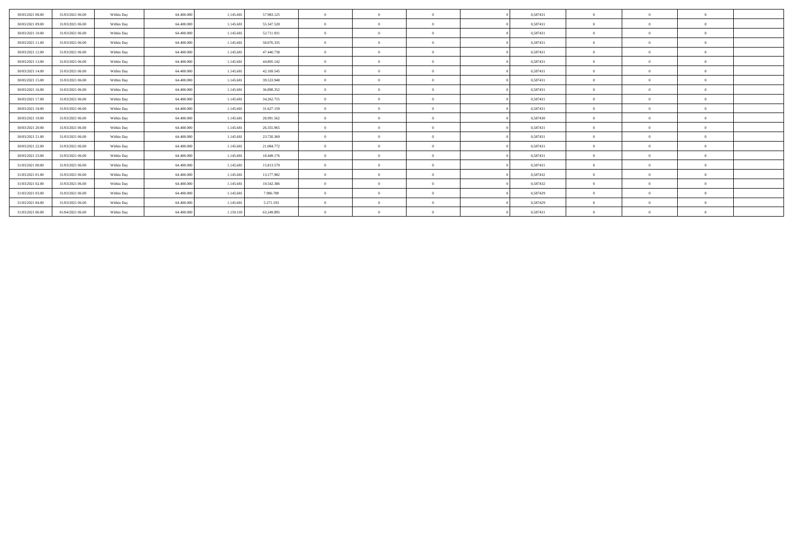| 30/03/2021 08:00 | 31/03/2021 06:00 | Within Day | 64.400.000 | 1.145.681 | 57.983.125 | $\Omega$       | $\overline{0}$ | $\Omega$       | 0,587431 | $\Omega$     | $\Omega$ | $\Omega$ |  |
|------------------|------------------|------------|------------|-----------|------------|----------------|----------------|----------------|----------|--------------|----------|----------|--|
| 30/03/2021 09:00 | 31/03/2021 06:00 | Within Day | 64.400.000 | 1.145.681 | 55.347.528 | $\theta$       | $\overline{0}$ | $\overline{0}$ | 0,587431 | $\mathbf{0}$ |          | $\Omega$ |  |
| 30/03/2021 10:00 | 31/03/2021 06:00 | Within Day | 64.400.000 | 1.145.681 | 52.711.931 | $\mathbf{a}$   | $^{\circ}$     |                | 0,587431 | $\Omega$     |          |          |  |
| 30/03/2021 11:00 | 31/03/2021 06:00 | Within Day | 64.400.000 | 1.145.681 | 50.076.335 | $\theta$       | $\Omega$       | $\Omega$       | 0,587431 | $\Omega$     |          | $\Omega$ |  |
| 30/03/2021 12:00 | 31/03/2021 06:00 | Within Day | 64,400,000 | 1.145.681 | 47.440.738 | $\theta$       | $\Omega$       | $\Omega$       | 0,587431 | $\Omega$     |          | $\Omega$ |  |
| 30/03/2021 13:00 | 31/03/2021 06:00 | Within Day | 64.400.000 | 1.145.681 | 44.805.142 | $\mathbf{0}$   | $\Omega$       | $\Omega$       | 0,587431 | $\mathbf{0}$ |          | $\Omega$ |  |
| 30/03/2021 14:00 | 31/03/2021 06:00 | Within Day | 64.400.000 | 1.145.681 | 42.169.545 | $\overline{0}$ | $\overline{0}$ | $\Omega$       | 0,587431 | $\Omega$     | $\Omega$ | $\Omega$ |  |
| 30/03/2021 15:00 | 31/03/2021 06:00 | Within Day | 64.400.000 | 1.145.681 | 39.533.948 | $\theta$       | $\Omega$       | $\overline{0}$ | 0,587431 | $\mathbf{0}$ |          | $\Omega$ |  |
| 30/03/2021 16:00 | 31/03/2021 06:00 | Within Day | 64.400.000 | 1.145.681 | 36.898.352 | $\theta$       | $^{\circ}$     | $\Omega$       | 0,587431 | $\Omega$     |          |          |  |
| 30/03/2021 17:00 | 31/03/2021 06:00 | Within Day | 64.400.000 | 1.145.681 | 34.262.755 | $\theta$       | $\Omega$       | $\Omega$       | 0,587431 | $\Omega$     |          | $\Omega$ |  |
| 30/03/2021 18:00 | 31/03/2021 06:00 | Within Day | 64,400,000 | 1.145.681 | 31.627.159 | $\theta$       | $\Omega$       | $\Omega$       | 0,587431 | $\Omega$     |          | $\Omega$ |  |
| 30/03/2021 19:00 | 31/03/2021 06:00 | Within Day | 64.400.000 | 1.145.681 | 28.991.562 | $\theta$       | $\Omega$       | $\Omega$       | 0,587430 | $\mathbf{0}$ |          | $\Omega$ |  |
| 30/03/2021 20:00 | 31/03/2021 06:00 | Within Day | 64.400.000 | 1.145.681 | 26.355.965 | $\overline{0}$ | $\overline{0}$ | $\Omega$       | 0,587431 | $\Omega$     | $\Omega$ | $\theta$ |  |
| 30/03/2021 21:00 | 31/03/2021 06:00 | Within Day | 64.400.000 | 1.145.681 | 23.720.369 | $\theta$       | $\Omega$       | $\overline{0}$ | 0,587431 | $\bf{0}$     |          | $\Omega$ |  |
| 30/03/2021 22:00 | 31/03/2021 06:00 | Within Day | 64.400.000 | 1.145.681 | 21.084.772 | $\theta$       | $^{\circ}$     | $\Omega$       | 0,587431 | $\Omega$     |          |          |  |
| 30/03/2021 23:00 | 31/03/2021 06:00 | Within Day | 64.400.000 | 1.145.681 | 18.449.176 | $\theta$       | $\Omega$       | $\Omega$       | 0,587431 | $\Omega$     |          | $\Omega$ |  |
| 31/03/2021 00:00 | 31/03/2021 06:00 | Within Day | 64,400,000 | 1.145.681 | 15.813.579 | $\theta$       | $\Omega$       | $\Omega$       | 0,587431 | $\Omega$     |          | $\Omega$ |  |
| 31/03/2021 01:00 | 31/03/2021 06:00 | Within Day | 64.400.000 | 1.145.681 | 13.177.982 | $\theta$       | $\Omega$       | $\Omega$       | 0,587432 | $\Omega$     |          | $\Omega$ |  |
| 31/03/2021 02:00 | 31/03/2021 06:00 | Within Day | 64.400.000 | 1.145.681 | 10.542.386 | $\overline{0}$ | $\overline{0}$ | $\Omega$       | 0,587432 | $\Omega$     | $\Omega$ | $\theta$ |  |
| 31/03/2021 03:00 | 31/03/2021 06:00 | Within Day | 64.400.000 | 1.145.681 | 7.906.789  | $^{\circ}$     | $^{\circ}$     | $\theta$       | 0,587429 | $\bf{0}$     |          | $\Omega$ |  |
| 31/03/2021 04:00 | 31/03/2021 06:00 | Within Day | 64.400.000 | 1.145.681 | 5.271.193  | $^{\circ}$     |                |                | 0,587429 | $\Omega$     |          |          |  |
| 31/03/2021 06:00 | 01/04/2021 06:00 | Within Day | 64.400.000 | 1.150.103 | 63.249.895 |                | $^{\circ}$     |                | 0,587431 |              |          |          |  |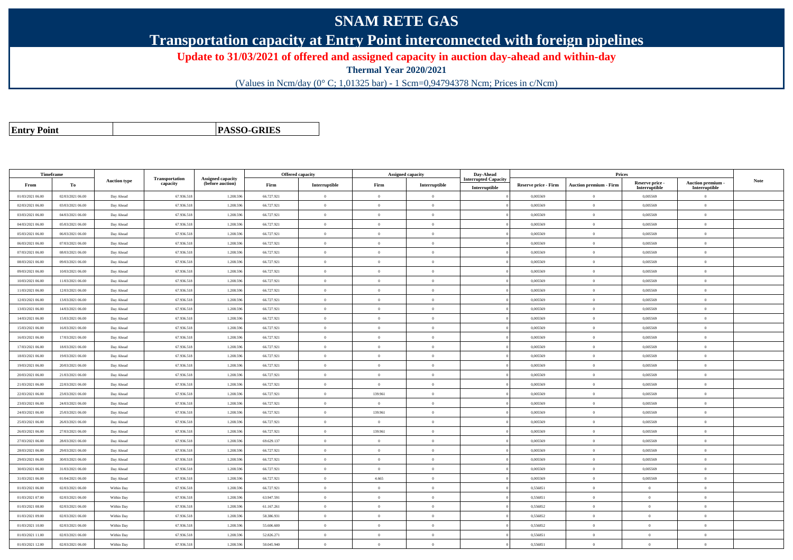## **SNAM RETE GAS**

**Transportation capacity at Entry Point interconnected with foreign pipelines**

**Update to 31/03/2021 of offered and assigned capacity in auction day-ahead and within-day**

**Thermal Year 2020/2021**

(Values in Ncm/day (0° C; 1,01325 bar) - 1 Scm=0,94794378 Ncm; Prices in c/Ncm)

**Entry Point**

**PASSO-GRIES**

| Timeframe        |                  |                     |                            |                                       |            | <b>Offered capacity</b> | <b>Assigned capacity</b> |                | Day-Ahead                                    |                             | <b>Prices</b>                 |                                  |                                    |             |
|------------------|------------------|---------------------|----------------------------|---------------------------------------|------------|-------------------------|--------------------------|----------------|----------------------------------------------|-----------------------------|-------------------------------|----------------------------------|------------------------------------|-------------|
| From             | То               | <b>Auction type</b> | Transportation<br>capacity | Assigned capacity<br>(before auction) | Firm       | Interruptible           | Firm                     | Interruptible  | <b>Interrupted Capacity</b><br>Interruptible | <b>Reserve price - Firm</b> | <b>Auction premium - Firm</b> | Reserve price -<br>Interruptible | Auction premium -<br>Interruptible | <b>Note</b> |
| 01/03/2021 06:00 | 02/03/2021 06:00 | Day Ahead           | 67.936.518                 | 1.208.59                              | 66.727.921 | $\bf{0}$                | $\overline{0}$           | $\theta$       |                                              | 0,005569                    | $\theta$                      | 0,005569                         | $\overline{0}$                     |             |
| 02/03/2021 06:00 | 03/03/2021 06:00 | Day Ahead           | 67.936.518                 | 1.208.596                             | 66.727.921 | $\Omega$                | $\theta$                 | $\theta$       |                                              | 0.005569                    | $\theta$                      | 0.005569                         | $\theta$                           |             |
| 03/03/2021 06:00 | 04/03/2021 06:00 | Day Ahead           | 67.936.518                 | 1.208.596                             | 66.727.921 | $\overline{0}$          | $\Omega$                 | $\theta$       |                                              | 0.005569                    | $\overline{0}$                | 0.005569                         | $\overline{0}$                     |             |
| 04/03/2021 06:00 | 05/03/2021 06:00 | Day Ahead           | 67.936.518                 | 1.208.59                              | 66.727.921 | $\overline{0}$          | $\overline{0}$           | $\Omega$       |                                              | 0,005569                    | $\overline{0}$                | 0,005569                         | $\theta$                           |             |
| 05/03/2021 06:00 | 06/03/2021 06:00 | Day Ahead           | 67.936.518                 | 1.208.59                              | 66.727.921 |                         | $\overline{0}$           | $\Omega$       |                                              | 0,005569                    | $\theta$                      | 0,005569                         | $\Omega$                           |             |
| 06/03/2021 06:00 | 07/03/2021 06:00 | Day Ahead           | 67.936.518                 | 1.208.596                             | 66.727.921 | $\overline{0}$          | $\theta$                 | $\mathbf{0}$   |                                              | 0.005569                    | $\overline{0}$                | 0.005569                         | $\overline{0}$                     |             |
| 07/03/2021 06:00 | 08/03/2021 06:00 | Day Ahead           | 67.936.518                 | 1.208.596                             | 66.727.921 | $\mathbf{a}$            | $\Omega$                 | $\Omega$       |                                              | 0.005569                    | $\overline{0}$                | 0,005569                         | $\theta$                           |             |
| 08/03/2021 06:00 | 09/03/2021 06:00 | Day Ahead           | 67.936.518                 | 1.208.59                              | 66.727.921 | $\overline{0}$          | $\overline{0}$           | $\mathbf{0}$   |                                              | 0,005569                    | $\overline{0}$                | 0,005569                         | $\overline{0}$                     |             |
| 09/03/2021 06:00 | 10/03/2021 06:00 | Day Ahead           | 67.936.518                 | 1.208.596                             | 66.727.921 | $\theta$                | $\overline{0}$           | $\mathbf{0}$   |                                              | 0,005569                    | $\overline{0}$                | 0,005569                         | $\overline{0}$                     |             |
| 10/03/2021 06:00 | 11/03/2021 06:00 | Day Ahead           | 67.936.518                 | 1.208.59                              | 66.727.921 | $\theta$                | $\overline{0}$           | $\theta$       |                                              | 0.005569                    | $\theta$                      | 0,005569                         | $\theta$                           |             |
| 11/03/2021 06:00 | 12/03/2021 06:00 | Day Ahead           | 67.936.518                 | 1.208.59                              | 66.727.921 | $\Omega$                | $\overline{0}$           | $\overline{0}$ |                                              | 0,005569                    | $\theta$                      | 0,005569                         | $\Omega$                           |             |
| 12/03/2021 06:00 | 13/03/2021 06:00 | Day Ahead           | 67.936.518                 | 1.208.596                             | 66.727.921 | $\theta$                | $\overline{0}$           | $\theta$       |                                              | 0,005569                    | $\theta$                      | 0,005569                         | $\overline{0}$                     |             |
| 13/03/2021 06:00 | 14/03/2021 06:00 | Day Ahead           | 67.936.518                 | 1.208.596                             | 66.727.921 | $\Omega$                | $\theta$                 | $\theta$       |                                              | 0.005569                    | $\Omega$                      | 0.005569                         | $\theta$                           |             |
| 14/03/2021 06:00 | 15/03/2021 06:00 | Day Ahead           | 67.936.518                 | 1.208.59                              | 66.727.921 | $\theta$                | $\Omega$                 | $\Omega$       |                                              | 0,005569                    | $\theta$                      | 0,005569                         | $\Omega$                           |             |
| 15/03/2021 06:00 | 16/03/2021 06:00 | Day Ahead           | 67.936.518                 | 1.208.59                              | 66.727.921 | $\theta$                | $\overline{0}$           | $\theta$       |                                              | 0,005569                    | $\overline{0}$                | 0,005569                         | $\overline{0}$                     |             |
| 16/03/2021 06:00 | 17/03/2021 06:00 | Day Ahead           | 67.936.518                 | 1.208.59                              | 66.727.921 | $\theta$                | $\overline{0}$           | $\theta$       |                                              | 0,005569                    | $\theta$                      | 0,005569                         | $\Omega$                           |             |
| 17/03/2021 06:00 | 18/03/2021 06:00 | Day Ahead           | 67.936.518                 | 1.208.59                              | 66.727.921 | $\theta$                | $\overline{0}$           | $\overline{0}$ |                                              | 0.005569                    | $\overline{0}$                | 0.005569                         | $\overline{0}$                     |             |
| 18/03/2021 06:00 | 19/03/2021 06:00 | Day Ahead           | 67.936.518                 | 1.208.596                             | 66.727.921 | $\theta$                | $\overline{0}$           | $\overline{0}$ |                                              | 0,005569                    | $\theta$                      | 0,005569                         | $\overline{0}$                     |             |
| 19/03/2021 06:00 | 20/03/2021 06:00 | Day Ahead           | 67.936.51                  | 1.208.59                              | 66.727.921 | $\theta$                | $\theta$                 | $\mathbf{0}$   |                                              | 0,005569                    | $\overline{0}$                | 0,005569                         | $\overline{0}$                     |             |
| 20/03/2021 06:00 | 21/03/2021 06:00 | Day Ahead           | 67.936.518                 | 1.208.596                             | 66.727.921 | $\theta$                | $\theta$                 | $\Omega$       |                                              | 0.005569                    | $\overline{0}$                | 0.005569                         | $\overline{0}$                     |             |
| 21/03/2021 06:00 | 22/03/2021 06:00 | Day Ahead           | 67.936.518                 | 1.208.59                              | 66.727.921 | $\overline{0}$          | $\overline{0}$           | $\theta$       |                                              | 0,005569                    | $\overline{0}$                | 0,005569                         | $\overline{0}$                     |             |
| 22/03/2021 06:00 | 23/03/2021 06:00 | Day Ahead           | 67.936.518                 | 1.208.59                              | 66.727.921 | $\theta$                | 139.961                  | $\overline{0}$ |                                              | 0,005569                    | $\theta$                      | 0,005569                         | $\Omega$                           |             |
| 23/03/2021 06:00 | 24/03/2021 06:00 | Day Ahead           | 67.936.518                 | 1.208.596                             | 66.727.921 | $\theta$                | $\overline{0}$           | $\overline{0}$ |                                              | 0,005569                    | $\theta$                      | 0,005569                         | $\overline{0}$                     |             |
| 24/03/2021 06:00 | 25/03/2021 06:00 | Day Ahead           | 67.936.518                 | 1.208.596                             | 66.727.921 | $\theta$                | 139,961                  | $\Omega$       |                                              | 0.005569                    | $\theta$                      | 0.005569                         | $\Omega$                           |             |
| 25/03/2021 06:00 | 26/03/2021 06:00 | Day Ahead           | 67.936.518                 | 1.208.59                              | 66.727.921 | $\theta$                | $\Omega$                 | $\Omega$       |                                              | 0.005569                    | $\theta$                      | 0,005569                         | $\Omega$                           |             |
| 26/03/2021 06:00 | 27/03/2021 06:00 | Day Ahead           | 67.936.518                 | 1.208.59                              | 66.727.921 | $\theta$                | 139.961                  | $\theta$       |                                              | 0,005569                    | $\overline{0}$                | 0,005569                         | $\overline{0}$                     |             |
| 27/03/2021 06:00 | 28/03/2021 06:00 | Day Ahead           | 67.936.518                 | 1.208.596                             | 69.629.137 | $\theta$                | $\theta$                 | $\Omega$       |                                              | 0.005569                    | $\theta$                      | 0.005569                         | $\theta$                           |             |
| 28/03/2021 06:00 | 29/03/2021 06:00 | Day Ahead           | 67.936.518                 | 1.208.59                              | 66.727.921 | $\theta$                | $\theta$                 | $\overline{0}$ |                                              | 0,005569                    | $\bf{0}$                      | 0,005569                         | $\theta$                           |             |
| 29/03/2021 06:00 | 30/03/2021 06:00 | Day Ahead           | 67.936.518                 | 1.208.596                             | 66.727.921 | $\theta$                | $\overline{0}$           | $\overline{0}$ |                                              | 0,005569                    | $\theta$                      | 0,005569                         | $\overline{0}$                     |             |
| 30/03/2021 06:00 | 31/03/2021 06:00 | Day Ahead           | 67.936.518                 | 1.208.59                              | 66.727.921 |                         | $\overline{0}$           | $\theta$       |                                              | 0,005569                    | $\theta$                      | 0,005569                         | $\theta$                           |             |
| 31/03/2021 06:00 | 01/04/2021 06:00 | Day Ahead           | 67.936.518                 | 1.208.596                             | 66.727.921 | $\theta$                | 4.665                    | $\Omega$       |                                              | 0.005569                    | $\overline{0}$                | 0.005569                         | $\overline{0}$                     |             |
| 01/03/2021 06:00 | 02/03/2021 06:00 | Within Day          | 67.936.518                 | 1.208.596                             | 66.727.921 | $\overline{0}$          | $\bf{0}$                 | $\overline{0}$ |                                              | 0,556851                    | $\overline{0}$                | $\overline{0}$                   | $\overline{0}$                     |             |
| 01/03/2021 07:00 | 02/03/2021 06:00 | Within Day          | 67.936.518                 | 1.208.59                              | 63.947.591 | $\theta$                | $\overline{0}$           | $\theta$       |                                              | 0,556851                    | $\theta$                      | $\theta$                         | $\Omega$                           |             |
| 01/03/2021 08:00 | 02/03/2021 06:00 | Within Day          | 67.936.518                 | 1.208.596                             | 61.167.261 | $\theta$                | $\overline{0}$           | $\overline{0}$ |                                              | 0,556852                    | $\overline{0}$                | $\bf{0}$                         | $\overline{0}$                     |             |
| 01/03/2021 09:00 | 02/03/2021 06:00 | Within Day          | 67.936.518                 | 1.208.596                             | 58.386.931 | $\theta$                | $\theta$                 | $\theta$       |                                              | 0.556852                    | $\theta$                      | $\theta$                         | $\theta$                           |             |
| 01/03/2021 10:00 | 02/03/2021 06:00 | Within Day          | 67.936.518                 | 1.208.59                              | 55.606.600 | $\theta$                | $\overline{0}$           | $\theta$       |                                              | 0,556852                    | $\overline{0}$                | $\bf{0}$                         | $\Omega$                           |             |
| 01/03/2021 11:00 | 02/03/2021 06:00 | Within Day          | 67.936.518                 | 1.208.59                              | 52.826.271 | $\overline{0}$          | $\overline{0}$           | $\mathbf{0}$   |                                              | 0,556851                    | $\overline{0}$                | $\bf{0}$                         | $\overline{0}$                     |             |
| 01/03/2021 12:00 | 02/03/2021 06:00 | Within Day          | 67.936.518                 | 1.208.596                             | 50,045,940 | $\theta$                | $\Omega$                 | $\Omega$       |                                              | 0.556851                    | $\theta$                      | $\theta$                         | $\overline{0}$                     |             |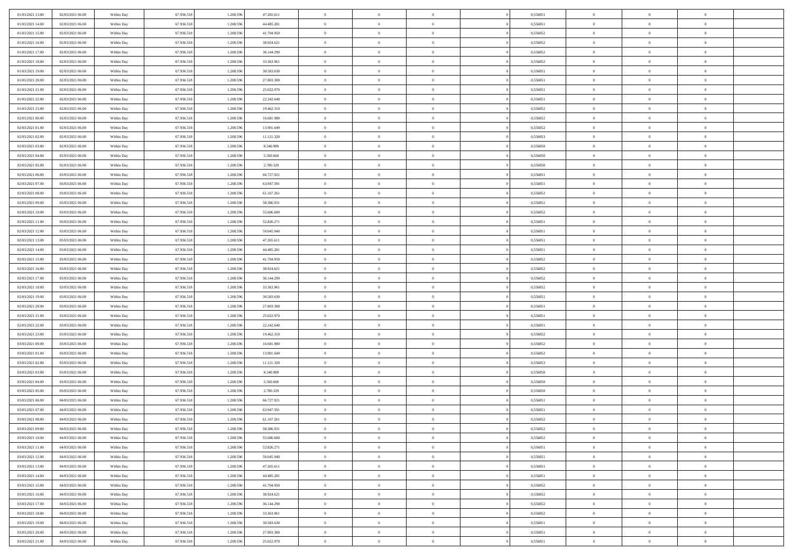| 01/03/2021 13:00 | 02/03/2021 06:00 | Within Day               | 67.936.518 | 1.208.596 | 47.265.611 | $\,0\,$                | $\overline{0}$ | $\bf{0}$       |                | 0,556851 | $\,$ 0 $\,$    | $\overline{0}$ | $\bf{0}$       |  |
|------------------|------------------|--------------------------|------------|-----------|------------|------------------------|----------------|----------------|----------------|----------|----------------|----------------|----------------|--|
| 01/03/2021 14:00 | 02/03/2021 06:00 | Within Day               | 67.936.518 | 1.208.59  | 44.485.281 | $\overline{0}$         | $\overline{0}$ | $\overline{0}$ |                | 0.556851 | $\theta$       | $\overline{0}$ | $\overline{0}$ |  |
| 01/03/2021 15:00 | 02/03/2021 06:00 | Within Day               | 67.936.518 | 1.208.596 | 41.704.950 | $\mathbf{0}$           | $\overline{0}$ | $\overline{0}$ |                | 0,556852 | $\theta$       | $\overline{0}$ | $\overline{0}$ |  |
| 01/03/2021 16:00 | 02/03/2021 06:00 | Within Day               | 67.936.518 | 1.208.596 | 38.924.621 | $\bf{0}$               | $\overline{0}$ | $\bf{0}$       |                | 0,556852 | $\bf{0}$       | $\overline{0}$ | $\bf{0}$       |  |
| 01/03/2021 17:00 | 02/03/2021 06:00 |                          | 67.936.518 | 1.208.596 | 36.144.290 | $\bf{0}$               | $\overline{0}$ | $\overline{0}$ |                | 0,556852 | $\bf{0}$       | $\bf{0}$       | $\bf{0}$       |  |
| 01/03/2021 18:00 | 02/03/2021 06:00 | Within Day<br>Within Day | 67.936.518 | 1.208.596 | 33.363.961 | $\mathbf{0}$           | $\overline{0}$ | $\overline{0}$ |                | 0,556852 | $\theta$       |                | $\theta$       |  |
|                  |                  |                          |            |           |            |                        |                |                |                |          |                | $\overline{0}$ |                |  |
| 01/03/2021 19:00 | 02/03/2021 06:00 | Within Day               | 67.936.518 | 1.208.596 | 30.583.630 | $\mathbf{0}$           | $\overline{0}$ | $\overline{0}$ |                | 0,556851 | $\bf{0}$       | $\overline{0}$ | $\theta$       |  |
| 01/03/2021 20:00 | 02/03/2021 06:00 | Within Day               | 67.936.518 | 1.208.59  | 27.803.300 | $\overline{0}$         | $\mathbf{0}$   | $\overline{0}$ |                | 0.556851 | $\,0\,$        | $\overline{0}$ | $\theta$       |  |
| 01/03/2021 21:00 | 02/03/2021 06:00 | Within Day               | 67.936.518 | 1.208.596 | 25.022.970 | $\mathbf{0}$           | $\overline{0}$ | $\overline{0}$ |                | 0,556851 | $\theta$       | $\overline{0}$ | $\overline{0}$ |  |
| 01/03/2021 22.00 | 02/03/2021 06:00 | Within Day               | 67.936.518 | 1.208.596 | 22.242.640 | $\bf{0}$               | $\overline{0}$ | $\bf{0}$       |                | 0,556851 | $\bf{0}$       | $\overline{0}$ | $\bf{0}$       |  |
| 01/03/2021 23:00 | 02/03/2021 06:00 | Within Day               | 67.936.518 | 1.208.596 | 19.462.310 | $\bf{0}$               | $\overline{0}$ | $\overline{0}$ |                | 0,556852 | $\bf{0}$       | $\theta$       | $\theta$       |  |
| 02/03/2021 00:00 | 02/03/2021 06:00 | Within Day               | 67.936.518 | 1.208.596 | 16.681.980 | $\mathbf{0}$           | $\overline{0}$ | $\overline{0}$ |                | 0,556852 | $\theta$       | $\overline{0}$ | $\overline{0}$ |  |
| 02/03/2021 01:00 | 02/03/2021 06:00 | Within Day               | 67.936.518 | 1.208.596 | 13.901.649 | $\,0\,$                | $\overline{0}$ | $\bf{0}$       |                | 0,556852 | $\bf{0}$       | $\overline{0}$ | $\bf{0}$       |  |
| 02/03/2021 02:00 | 02/03/2021 06:00 | Within Day               | 67.936.518 | 1.208.596 | 11.121.320 | $\bf{0}$               | $\overline{0}$ | $\overline{0}$ |                | 0,556853 | $\,0\,$        | $\overline{0}$ | $\theta$       |  |
| 02/03/2021 03:00 | 02/03/2021 06:00 | Within Day               | 67.936.518 | 1.208.596 | 8.340.989  | $\mathbf{0}$           | $\overline{0}$ | $\overline{0}$ |                | 0,556850 | $\theta$       | $\overline{0}$ | $\overline{0}$ |  |
| 02/03/2021 04:00 | 02/03/2021 06:00 | Within Day               | 67.936.518 | 1.208.596 | 5.560.660  | $\,0\,$                | $\overline{0}$ | $\overline{0}$ |                | 0,556850 | $\bf{0}$       | $\overline{0}$ | $\bf{0}$       |  |
| 02/03/2021 05:00 | 02/03/2021 06:00 | Within Day               | 67.936.518 | 1.208.596 | 2.780.329  | $\bf{0}$               | $\overline{0}$ | $\overline{0}$ |                | 0,556850 | $\bf{0}$       | $\overline{0}$ | $\overline{0}$ |  |
| 02/03/2021 06:00 | 03/03/2021 06:00 | Within Day               | 67.936.518 | 1.208.596 | 66.727.921 | $\mathbf{0}$           | $\overline{0}$ | $\overline{0}$ |                | 0,556851 | $\theta$       | $\overline{0}$ | $\overline{0}$ |  |
| 02/03/2021 07:00 | 03/03/2021 06:00 | Within Day               | 67.936.518 | 1.208.596 | 63.947.591 | $\bf{0}$               | $\overline{0}$ | $\bf{0}$       |                | 0,556851 | $\bf{0}$       | $\overline{0}$ | $\bf{0}$       |  |
| 02/03/2021 08:00 | 03/03/2021 06:00 | Within Day               | 67.936.518 | 1.208.596 | 61.167.261 | $\bf{0}$               | $\overline{0}$ | $\overline{0}$ |                | 0,556852 | $\bf{0}$       | $\overline{0}$ | $\bf{0}$       |  |
| 02/03/2021 09:00 | 03/03/2021 06:00 | Within Day               | 67.936.518 | 1.208.596 | 58.386.931 | $\mathbf{0}$           | $\overline{0}$ | $\overline{0}$ |                | 0,556852 | $\theta$       | $\overline{0}$ | $\overline{0}$ |  |
| 02/03/2021 10:00 | 03/03/2021 06:00 | Within Day               | 67.936.518 | 1.208.596 | 55.606.600 | $\mathbf{0}$           | $\overline{0}$ | $\overline{0}$ |                | 0,556852 | $\bf{0}$       | $\overline{0}$ | $\theta$       |  |
| 02/03/2021 11:00 | 03/03/2021 06:00 | Within Day               | 67.936.518 | 1.208.59  | 52.826.271 | $\overline{0}$         | $\overline{0}$ | $\overline{0}$ |                | 0.556851 | $\,$ 0 $\,$    | $\overline{0}$ | $\overline{0}$ |  |
| 02/03/2021 12:00 | 03/03/2021 06:00 | Within Day               | 67.936.518 | 1.208.596 | 50.045.940 | $\mathbf{0}$           | $\overline{0}$ | $\overline{0}$ |                | 0,556851 | $\theta$       | $\overline{0}$ | $\overline{0}$ |  |
| 02/03/2021 13:00 | 03/03/2021 06:00 | Within Day               | 67.936.518 | 1.208.596 | 47.265.611 | $\bf{0}$               | $\overline{0}$ | $\overline{0}$ |                | 0,556851 | $\bf{0}$       | $\overline{0}$ | $\bf{0}$       |  |
| 02/03/2021 14:00 | 03/03/2021 06:00 | Within Day               | 67.936.518 | 1.208.596 | 44.485.281 | $\bf{0}$               | $\overline{0}$ | $\overline{0}$ |                | 0,556851 | $\bf{0}$       | $\overline{0}$ | $\bf{0}$       |  |
| 02/03/2021 15:00 | 03/03/2021 06:00 | Within Day               | 67.936.518 | 1.208.596 | 41.704.950 | $\mathbf{0}$           | $\overline{0}$ | $\overline{0}$ |                | 0,556852 | $\theta$       | $\overline{0}$ | $\overline{0}$ |  |
| 02/03/2021 16:00 | 03/03/2021 06:00 | Within Day               | 67.936.518 | 1.208.596 | 38.924.621 | $\,0\,$                | $\overline{0}$ | $\bf{0}$       |                | 0,556852 | $\bf{0}$       | $\overline{0}$ | $\bf{0}$       |  |
| 02/03/2021 17:00 | 03/03/2021 06:00 | Within Day               | 67.936.518 | 1.208.596 | 36.144.290 | $\overline{0}$         | $\overline{0}$ | $\overline{0}$ |                | 0.556852 | $\,$ 0 $\,$    | $\overline{0}$ | $\overline{0}$ |  |
| 02/03/2021 18:00 | 03/03/2021 06:00 | Within Day               | 67.936.518 | 1.208.596 | 33.363.961 | $\mathbf{0}$           | $\overline{0}$ | $\overline{0}$ |                | 0,556852 | $\theta$       | $\overline{0}$ | $\overline{0}$ |  |
| 02/03/2021 19:00 | 03/03/2021 06:00 |                          | 67.936.518 | 1.208.596 | 30.583.630 | $\mathbf{0}$           | $\overline{0}$ | $\overline{0}$ |                | 0,556851 | $\,$ 0 $\,$    | $\overline{0}$ | $\theta$       |  |
| 02/03/2021 20:00 | 03/03/2021 06:00 | Within Day               | 67.936.518 | 1.208.596 | 27.803.300 | $\bf{0}$               | $\overline{0}$ | $\overline{0}$ |                | 0,556851 | $\bf{0}$       | $\overline{0}$ | $\bf{0}$       |  |
| 02/03/2021 21:00 | 03/03/2021 06:00 | Within Day               | 67.936.518 | 1.208.596 | 25.022.970 | $\mathbf{0}$           | $\overline{0}$ | $\overline{0}$ |                | 0,556851 | $\theta$       | $\overline{0}$ | $\overline{0}$ |  |
|                  |                  | Within Day               |            |           |            |                        |                |                |                |          |                |                |                |  |
| 02/03/2021 22:00 | 03/03/2021 06:00 | Within Day               | 67.936.518 | 1.208.596 | 22.242.640 | $\mathbf{0}$           | $\overline{0}$ | $\overline{0}$ |                | 0,556851 | $\,$ 0 $\,$    | $\overline{0}$ | $\theta$       |  |
| 02/03/2021 23:00 | 03/03/2021 06:00 | Within Day               | 67.936.518 | 1.208.596 | 19.462.310 | $\overline{0}$         | $\overline{0}$ | $\overline{0}$ |                | 0,556852 | $\bf{0}$       | $\overline{0}$ | $\bf{0}$       |  |
| 03/03/2021 00:00 | 03/03/2021 06:00 | Within Day               | 67.936.518 | 1.208.596 | 16.681.980 | $\mathbf{0}$           | $\overline{0}$ | $\overline{0}$ |                | 0,556852 | $\theta$       | $\overline{0}$ | $\overline{0}$ |  |
| 03/03/2021 01:00 | 03/03/2021 06:00 | Within Day               | 67.936.518 | 1.208.596 | 13.901.649 | $\mathbf{0}$           | $\overline{0}$ | $\theta$       |                | 0,556852 | $\,$ 0 $\,$    | $\overline{0}$ | $\theta$       |  |
| 03/03/2021 02:00 | 03/03/2021 06:00 | Within Day               | 67.936.518 | 1.208.59  | 11.121.320 | $\bf{0}$               | $\overline{0}$ | $\overline{0}$ |                | 0.556853 | $\bf{0}$       | $\overline{0}$ | $\overline{0}$ |  |
| 03/03/2021 03:00 | 03/03/2021 06:00 | Within Day               | 67.936.518 | 1.208.596 | 8.340.989  | $\mathbf{0}$           | $\overline{0}$ | $\overline{0}$ |                | 0,556850 | $\theta$       | $\overline{0}$ | $\overline{0}$ |  |
| 03/03/2021 04:00 | 03/03/2021 06:00 | Within Day               | 67.936.518 | 1.208.596 | 5.560.660  | $\mathbf{0}$           | $\overline{0}$ | $\bf{0}$       |                | 0,556850 | $\,$ 0 $\,$    | $\overline{0}$ | $\theta$       |  |
| 03/03/2021 05:00 | 03/03/2021 06:00 | Within Day               | 67.936.518 | 1.208.596 | 2.780.329  | $\bf{0}$               | $\overline{0}$ | $\overline{0}$ |                | 0,556850 | $\bf{0}$       | $\overline{0}$ | $\bf{0}$       |  |
| 03/03/2021 06:00 | 04/03/2021 06:00 | Within Day               | 67.936.518 | 1.208.596 | 66.727.921 | $\mathbf{0}$           | $\overline{0}$ | $\overline{0}$ |                | 0,556851 | $\theta$       | $\overline{0}$ | $\overline{0}$ |  |
| 03/03/2021 07:00 | 04/03/2021 06:00 | Within Day               | 67.936.518 | 1.208.596 | 63.947.591 | $\mathbf{0}$           | $\overline{0}$ | $\overline{0}$ |                | 0,556851 | $\,$ 0 $\,$    | $\overline{0}$ | $\theta$       |  |
| 03/03/2021 08:00 | 04/03/2021 06:00 | Within Day               | 67.936.518 | 1.208.596 | 61.167.261 | $\bf{0}$               | $\overline{0}$ | $\overline{0}$ |                | 0,556852 | $\,$ 0 $\,$    | $\overline{0}$ | $\bf{0}$       |  |
| 03/03/2021 09:00 | 04/03/2021 06:00 | Within Day               | 67.936.518 | 1.208.596 | 58.386.931 | $\bf{0}$               | $\overline{0}$ | $\overline{0}$ |                | 0,556852 | $\overline{0}$ | $^{\circ}$     | $\theta$       |  |
| 03/03/2021 10:00 | 04/03/2021 06:00 | Within Day               | 67.936.518 | 1.208.596 | 55.606.600 | $\,$ 0 $\,$            | $\overline{0}$ | $\overline{0}$ |                | 0,556852 | $\,$ 0 $\,$    | $\bf{0}$       | $\theta$       |  |
| 03/03/2021 11:00 | 04/03/2021 06:00 | Within Day               | 67.936.518 | 1.208.59  | 52.826.271 | $\mathbf{0}$           | $\overline{0}$ | $\overline{0}$ |                | 0,556851 | $\,$ 0 $\,$    | $\overline{0}$ | $\overline{0}$ |  |
| 03/03/2021 12:00 | 04/03/2021 06:00 | Within Day               | 67.936.518 | 1.208.596 | 50.045.940 | $\mathbf{0}$           | $\overline{0}$ | $\overline{0}$ |                | 0,556851 | $\mathbf{0}$   | $\overline{0}$ | $\overline{0}$ |  |
| 03/03/2021 13:00 | 04/03/2021 06:00 | Within Day               | 67.936.518 | 1.208.596 | 47.265.611 | $\,$ 0                 | $\overline{0}$ | $\bf{0}$       | $\overline{0}$ | 0,556851 | $\,$ 0 $\,$    | $\bf{0}$       | $\theta$       |  |
| 03/03/2021 14:00 | 04/03/2021 06:00 | Within Day               | 67.936.518 | 1.208.596 | 44.485.281 | $\hspace{0.1mm}\bm{0}$ | $\overline{0}$ | $\overline{0}$ |                | 0,556851 | $\,$ 0 $\,$    | $\overline{0}$ | $\overline{0}$ |  |
| 03/03/2021 15:00 | 04/03/2021 06:00 | Within Day               | 67.936.518 | 1.208.596 | 41.704.950 | $\mathbf{0}$           | $\overline{0}$ | $\overline{0}$ |                | 0,556852 | $\overline{0}$ | $\overline{0}$ | $\overline{0}$ |  |
| 03/03/2021 16:00 | 04/03/2021 06:00 | Within Day               | 67.936.518 | 1.208.596 | 38.924.621 | $\,$ 0 $\,$            | $\overline{0}$ | $\overline{0}$ |                | 0,556852 | $\,$ 0 $\,$    | $\overline{0}$ | $\overline{0}$ |  |
| 03/03/2021 17:00 | 04/03/2021 06:00 | Within Day               | 67.936.518 | 1.208.59  | 36.144.290 | $\overline{0}$         | $\overline{0}$ | $\overline{0}$ |                | 0.556852 | $\overline{0}$ | $\overline{0}$ | $\bf{0}$       |  |
| 03/03/2021 18:00 | 04/03/2021 06:00 | Within Day               | 67.936.518 | 1.208.596 | 33.363.961 | $\mathbf{0}$           | $\overline{0}$ | $\overline{0}$ |                | 0,556852 | $\mathbf{0}$   | $\overline{0}$ | $\overline{0}$ |  |
| 03/03/2021 19:00 | 04/03/2021 06:00 | Within Day               | 67.936.518 | 1.208.596 | 30.583.630 | $\,$ 0 $\,$            | $\overline{0}$ | $\bf{0}$       |                | 0,556851 | $\,$ 0 $\,$    | $\bf{0}$       | $\,$ 0 $\,$    |  |
| 03/03/2021 20:00 | 04/03/2021 06:00 | Within Day               | 67.936.518 | 1.208.596 | 27.803.300 | $\bf{0}$               | $\overline{0}$ | $\overline{0}$ |                | 0,556851 | $\,$ 0 $\,$    | $\mathbf{0}$   | $\bf{0}$       |  |
| 03/03/2021 21:00 | 04/03/2021 06:00 | Within Day               | 67.936.518 | 1.208.596 | 25.022.970 | $\overline{0}$         | $\overline{0}$ | $\overline{0}$ |                | 0,556851 | $\mathbf{0}$   | $\overline{0}$ | $\overline{0}$ |  |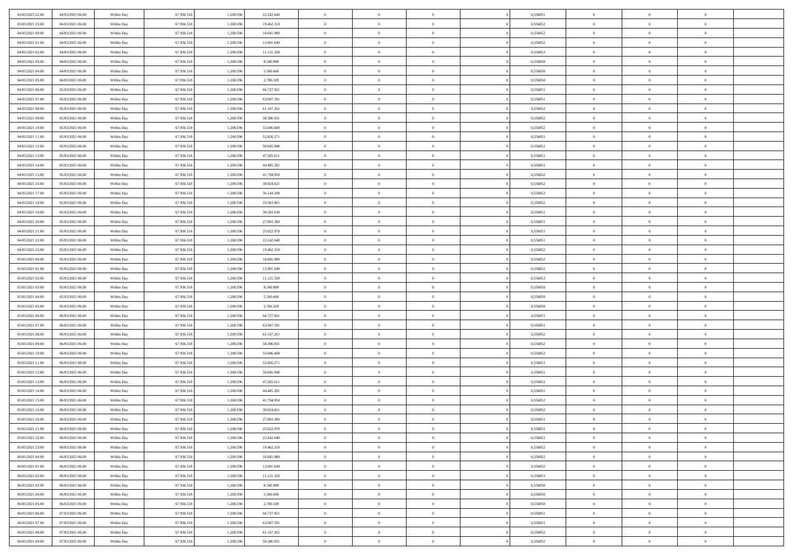| 03/03/2021 22:00                     | 04/03/2021 06:00                     | Within Day | 67.936.518               | 1.208.596              | 22.242.640               | $\overline{0}$           | $\overline{0}$             | $\Omega$       | 0,556851             | $\bf{0}$                 | $\mathbf{0}$   | $\bf{0}$                  |  |
|--------------------------------------|--------------------------------------|------------|--------------------------|------------------------|--------------------------|--------------------------|----------------------------|----------------|----------------------|--------------------------|----------------|---------------------------|--|
| 03/03/2021 23:00                     | 04/03/2021 06:00                     | Within Day | 67.936.518               | 1.208.596              | 19.462.310               | $\mathbf{0}$             | $\overline{0}$             | $\overline{0}$ | 0,556852             | $\overline{0}$           | $\overline{0}$ | $\theta$                  |  |
| 04/03/2021 00:00                     | 04/03/2021 06:00                     | Within Day | 67.936.518               | 1.208.596              | 16.681.980               | $\,$ 0                   | $\overline{0}$             | $\bf{0}$       | 0,556852             | $\,$ 0                   | $\overline{0}$ | $\,$ 0 $\,$               |  |
| 04/03/2021 01:00                     | 04/03/2021 06:00                     | Within Day | 67.936.518               | 1.208.596              | 13.901.649               | $\bf{0}$                 | $\overline{0}$             | $\Omega$       | 0.556852             | $\bf{0}$                 | $\mathbf{0}$   | $\theta$                  |  |
| 04/03/2021 02:00                     | 04/03/2021 06:00                     | Within Dav | 67.936.518               | 1.208.596              | 11.121.320               | $\bf{0}$                 | $\overline{0}$             | $\overline{0}$ | 0,556853             | $\mathbf{0}$             | $\overline{0}$ | $\overline{0}$            |  |
| 04/03/2021 03:00                     | 04/03/2021 06:00                     | Within Day | 67.936.518               | 1.208.596              | 8.340.989                | $\bf{0}$                 | $\overline{0}$             | $\bf{0}$       | 0,556850             | $\,$ 0                   | $\overline{0}$ | $\,$ 0 $\,$               |  |
| 04/03/2021 04:00                     | 04/03/2021 06:00                     | Within Day | 67.936.518               | 1.208.596              | 5.560.660                | $\bf{0}$                 | $\overline{0}$             | $\Omega$       | 0.556850             | $\theta$                 | $\mathbf{0}$   | $\theta$                  |  |
| 04/03/2021 05:00                     | 04/03/2021 06:00                     | Within Dav | 67.936.518               | 1.208.596              | 2.780.329                | $\overline{0}$           | $\overline{0}$             | $\overline{0}$ | 0,556850             | $\mathbf{0}$             | $\overline{0}$ | $\overline{0}$            |  |
|                                      |                                      |            |                          |                        |                          |                          |                            |                |                      |                          |                |                           |  |
| 04/03/2021 06:00                     | 05/03/2021 06:00                     | Within Day | 67.936.518               | 1.208.596              | 66.727.921               | $\bf{0}$                 | $\overline{0}$             | $\bf{0}$       | 0,556851             | $\,$ 0                   | $\overline{0}$ | $\,$ 0 $\,$               |  |
| 04/03/2021 07:00                     | 05/03/2021 06:00                     | Within Day | 67.936.518               | 1.208.596              | 63.947.591               | $\bf{0}$                 | $\overline{0}$             | $\Omega$       | 0.556851             | $\bf{0}$                 | $\mathbf{0}$   | $\theta$                  |  |
| 04/03/2021 08:00                     | 05/03/2021 06:00                     | Within Day | 67.936.518               | 1.208.596              | 61.167.261               | $\overline{0}$           | $\overline{0}$             | $\overline{0}$ | 0,556852             | $\overline{0}$           | $\overline{0}$ | $\overline{0}$            |  |
| 04/03/2021 09:00                     | 05/03/2021 06:00                     | Within Day | 67.936.518               | 1.208.596              | 58.386.931               | $\,$ 0                   | $\overline{0}$             | $\bf{0}$       | 0,556852             | $\,$ 0                   | $\overline{0}$ | $\,$ 0 $\,$               |  |
| 04/03/2021 10:00                     | 05/03/2021 06:00                     | Within Day | 67.936.518               | 1.208.596              | 55,606,600               | $\bf{0}$                 | $\overline{0}$             | $\Omega$       | 0.556852             | $\overline{0}$           | $\mathbf{0}$   | $\theta$                  |  |
| 04/03/2021 11:00                     | 05/03/2021 06:00                     | Within Dav | 67.936.518               | 1.208.596              | 52.826.271               | $\overline{0}$           | $\overline{0}$             | $\overline{0}$ | 0,556851             | $\mathbf{0}$             | $\overline{0}$ | $\overline{0}$            |  |
| 04/03/2021 12:00                     | 05/03/2021 06:00                     | Within Day | 67.936.518               | 1.208.596              | 50.045.940               | $\bf{0}$                 | $\overline{0}$             | $\bf{0}$       | 0,556851             | $\,$ 0                   | $\overline{0}$ | $\,$ 0 $\,$               |  |
| 04/03/2021 13:00                     | 05/03/2021 06:00                     | Within Day | 67.936.518               | 1.208.596              | 47.265.611               | $\bf{0}$                 | $\overline{0}$             | $\overline{0}$ | 0.556851             | $\bf{0}$                 | $\mathbf{0}$   | $\bf{0}$                  |  |
| 04/03/2021 14:00                     | 05/03/2021 06:00                     | Within Day | 67.936.518               | 1.208.596              | 44.485.281               | $\overline{0}$           | $\overline{0}$             | $\overline{0}$ | 0,556851             | $\overline{0}$           | $\overline{0}$ | $\overline{0}$            |  |
| 04/03/2021 15:00                     | 05/03/2021 06:00                     | Within Day | 67.936.518               | 1.208.596              | 41.704.950               | $\bf{0}$                 | $\overline{0}$             | $\bf{0}$       | 0,556852             | $\,$ 0                   | $\overline{0}$ | $\,$ 0 $\,$               |  |
| 04/03/2021 16:00                     | 05/03/2021 06:00                     | Within Day | 67.936.518               | 1.208.596              | 38.924.621               | $\bf{0}$                 | $\overline{0}$             | $\Omega$       | 0.556852             | $\overline{0}$           | $\mathbf{0}$   | $\theta$                  |  |
| 04/03/2021 17:00                     | 05/03/2021 06:00                     | Within Day | 67.936.518               | 1.208.596              | 36.144.290               | $\overline{0}$           | $\overline{0}$             | $\overline{0}$ | 0,556852             | $\overline{0}$           | $\overline{0}$ | $\overline{0}$            |  |
| 04/03/2021 18:00                     | 05/03/2021 06:00                     | Within Day | 67.936.518               | 1.208.596              | 33.363.961               | $\bf{0}$                 | $\overline{0}$             | $\bf{0}$       | 0,556852             | $\,$ 0                   | $\overline{0}$ | $\,$ 0 $\,$               |  |
| 04/03/2021 19:00                     | 05/03/2021 06:00                     | Within Day | 67.936.518               | 1.208.596              | 30,583,630               | $\bf{0}$                 | $\overline{0}$             | $\Omega$       | 0.556851             | $\overline{0}$           | $\theta$       | $\theta$                  |  |
| 04/03/2021 20:00                     | 05/03/2021 06:00                     | Within Dav | 67.936.518               | 1.208.596              | 27.803.300               | $\overline{0}$           | $\overline{0}$             | $\overline{0}$ | 0,556851             | $\mathbf{0}$             | $\overline{0}$ | $\overline{0}$            |  |
| 04/03/2021 21:00                     | 05/03/2021 06:00                     | Within Day | 67.936.518               | 1.208.596              | 25.022.970               | $\bf{0}$                 | $\overline{0}$             | $\bf{0}$       | 0,556851             | $\,$ 0                   | $\overline{0}$ | $\,$ 0 $\,$               |  |
| 04/03/2021 22.00                     | 05/03/2021 06:00                     | Within Day | 67.936.518               | 1.208.596              | 22.242.640               | $\bf{0}$                 | $\overline{0}$             | $\overline{0}$ | 0.556851             | $\bf{0}$                 | $\overline{0}$ | $\bf{0}$                  |  |
| 04/03/2021 23:00                     | 05/03/2021 06:00                     | Within Day | 67.936.518               | 1.208.596              | 19.462.310               | $\overline{0}$           | $\overline{0}$             | $\overline{0}$ | 0,556852             | $\overline{0}$           | $\overline{0}$ | $\overline{0}$            |  |
| 05/03/2021 00:00                     | 05/03/2021 06:00                     | Within Day | 67.936.518               | 1.208.596              | 16.681.980               | $\bf{0}$                 | $\overline{0}$             | $\bf{0}$       | 0,556852             | $\,$ 0                   | $\overline{0}$ | $\,$ 0 $\,$               |  |
| 05/03/2021 01:00                     | 05/03/2021 06:00                     | Within Day | 67.936.518               | 1.208.596              | 13.901.649               | $\bf{0}$                 | $\overline{0}$             | $\Omega$       | 0.556852             | $\theta$                 | $\mathbf{0}$   | $\theta$                  |  |
| 05/03/2021 02:00                     | 05/03/2021 06:00                     | Within Day | 67.936.518               | 1.208.596              | 11.121.320               | $\overline{0}$           | $\overline{0}$             | $\overline{0}$ | 0,556853             | $\mathbf{0}$             | $\overline{0}$ | $\overline{0}$            |  |
| 05/03/2021 03:00                     | 05/03/2021 06:00                     | Within Day | 67.936.518               | 1.208.596              | 8.340.989                | $\bf{0}$                 | $\overline{0}$             | $\bf{0}$       | 0,556850             | $\,$ 0                   | $\overline{0}$ | $\,$ 0 $\,$               |  |
| 05/03/2021 04:00                     | 05/03/2021 06:00                     | Within Day | 67.936.518               | 1.208.596              | 5.560.660                | $\,$ 0                   | $\bf{0}$                   | $\overline{0}$ | 0,556850             | $\bf{0}$                 | $\overline{0}$ | $\,0\,$                   |  |
| 05/03/2021 05:00                     | 05/03/2021 06:00                     | Within Dav | 67.936.518               | 1.208.596              | 2.780.329                | $\overline{0}$           | $\overline{0}$             | $\overline{0}$ | 0,556850             | $\mathbf{0}$             | $\overline{0}$ | $\overline{0}$            |  |
| 05/03/2021 06:00                     | 06/03/2021 06:00                     | Within Day | 67.936.518               | 1.208.596              | 66.727.921               | $\bf{0}$                 | $\overline{0}$             | $\bf{0}$       | 0,556851             | $\,$ 0                   | $\overline{0}$ | $\,$ 0 $\,$               |  |
| 05/03/2021 07:00                     | 06/03/2021 06:00                     | Within Day | 67.936.518               | 1.208.596              | 63.947.591               | $\bf{0}$                 | $\bf{0}$                   | $\bf{0}$       | 0,556851             | $\bf{0}$                 | $\overline{0}$ | $\,0\,$                   |  |
| 05/03/2021 08:00                     | 06/03/2021 06:00                     | Within Day | 67.936.518               | 1.208.596              | 61.167.261               | $\overline{0}$           | $\overline{0}$             | $\overline{0}$ | 0,556852             | $\overline{0}$           | $\overline{0}$ | $\overline{0}$            |  |
| 05/03/2021 09:00                     | 06/03/2021 06:00                     | Within Day | 67.936.518               | 1.208.596              | 58.386.931               | $\bf{0}$                 | $\overline{0}$             | $\bf{0}$       | 0,556852             | $\,$ 0                   | $\overline{0}$ | $\,$ 0 $\,$               |  |
|                                      |                                      |            |                          |                        |                          |                          |                            | $\overline{0}$ |                      |                          | $\overline{0}$ |                           |  |
| 05/03/2021 10:00<br>05/03/2021 11:00 | 06/03/2021 06:00<br>06/03/2021 06:00 | Within Day | 67.936.518<br>67.936.518 | 1.208.596<br>1.208.596 | 55.606.600<br>52.826.271 | $\,$ 0<br>$\overline{0}$ | $\bf{0}$<br>$\overline{0}$ | $\overline{0}$ | 0,556852<br>0,556851 | $\bf{0}$<br>$\mathbf{0}$ | $\overline{0}$ | $\,0\,$<br>$\overline{0}$ |  |
|                                      |                                      | Within Day |                          |                        |                          |                          |                            |                |                      |                          |                |                           |  |
| 05/03/2021 12:00                     | 06/03/2021 06:00                     | Within Day | 67.936.518               | 1.208.596              | 50.045.940               | $\bf{0}$                 | $\overline{0}$             | $\bf{0}$       | 0,556851             | $\,$ 0                   | $\overline{0}$ | $\,$ 0 $\,$               |  |
| 05/03/2021 13:00                     | 06/03/2021 06:00                     | Within Day | 67.936.518               | 1.208.596              | 47.265.611               | $\bf{0}$                 | $\bf{0}$                   | $\overline{0}$ | 0,556851             | $\bf{0}$                 | $\overline{0}$ | $\,0\,$                   |  |
| 05/03/2021 14:00                     | 06/03/2021 06:00                     | Within Dav | 67.936.518               | 1.208.596              | 44.485.281               | $\overline{0}$           | $\overline{0}$             | $\overline{0}$ | 0,556851             | $\overline{0}$           | $\overline{0}$ | $\overline{0}$            |  |
| 05/03/2021 15:00                     | 06/03/2021 06:00                     | Within Day | 67.936.518               | 1.208.596              | 41.704.950               | $\bf{0}$                 | $\overline{0}$             | $\bf{0}$       | 0,556852             | $\,$ 0                   | $\overline{0}$ | $\,$ 0 $\,$               |  |
| 05/03/2021 16:00                     | 06/03/2021 06:00                     | Within Day | 67.936.518               | 1.208.596              | 38.924.621               | $\bf{0}$                 | $\bf{0}$                   | $\bf{0}$       | 0,556852             | $\bf{0}$                 | $\overline{0}$ | $\,0\,$                   |  |
| 05/03/2021 20:00                     | 06/03/2021 06:00                     | Within Day | 67.936.518               | 1.208.596              | 27.803.300               | $\mathbf{0}$             | $\overline{0}$             | $\overline{0}$ | 0,556851             | $\overline{0}$           | $\overline{0}$ | $\overline{0}$            |  |
| 05/03/2021 21:00                     | 06/03/2021 06:00                     | Within Day | 67.936.518               | 1.208.596              | 25.022.970               | $\bf{0}$                 | $\overline{0}$             | $\theta$       | 0,556851             | $\overline{0}$           | $\theta$       | $\theta$                  |  |
| 05/03/2021 22.00                     | 06/03/2021 06:00                     | Within Day | 67.936.518               | 1.208.596              | 22.242.640               | $\bf{0}$                 | $\bf{0}$                   | $\bf{0}$       | 0,556851             | $\bf{0}$                 | $\overline{0}$ | $\,0\,$                   |  |
| 05/03/2021 23:00                     | 06/03/2021 06:00                     | Within Day | 67.936.518               | 1.208.596              | 19.462.310               | $\overline{0}$           | $\overline{0}$             | $\overline{0}$ | 0,556852             | $\overline{0}$           | $\bf{0}$       | $\overline{0}$            |  |
| 06/03/2021 00:00                     | 06/03/2021 06:00                     | Within Day | 67.936.518               | 1.208.596              | 16.681.980               | $\,$ 0 $\,$              | $\overline{0}$             | $\overline{0}$ | 0,556852             | $\mathbf{0}$             | $\,$ 0 $\,$    | $\,$ 0 $\,$               |  |
| 06/03/2021 01:00                     | 06/03/2021 06:00                     | Within Day | 67.936.518               | 1.208.596              | 13.901.649               | $\bf{0}$                 | $\bf{0}$                   | $\overline{0}$ | 0,556852             | $\bf{0}$                 | $\overline{0}$ | $\bf{0}$                  |  |
| 06/03/2021 02:00                     | 06/03/2021 06:00                     | Within Day | 67.936.518               | 1.208.596              | 11.121.320               | $\bf{0}$                 | $\overline{0}$             | $\overline{0}$ | 0,556853             | $\mathbf{0}$             | $\overline{0}$ | $\overline{0}$            |  |
| 06/03/2021 03:00                     | 06/03/2021 06:00                     | Within Day | 67.936.518               | 1.208.596              | 8.340.989                | $\,$ 0 $\,$              | $\overline{0}$             | $\overline{0}$ | 0,556850             | $\,$ 0 $\,$              | $\overline{0}$ | $\,$ 0 $\,$               |  |
| 06/03/2021 04:00                     | 06/03/2021 06:00                     | Within Day | 67.936.518               | 1.208.596              | 5.560.660                | $\bf{0}$                 | $\overline{0}$             | $\overline{0}$ | 0,556850             | $\bf{0}$                 | $\overline{0}$ | $\overline{0}$            |  |
| 06/03/2021 05:00                     | 06/03/2021 06:00                     | Within Day | 67.936.518               | 1.208.596              | 2.780.329                | $\overline{0}$           | $\overline{0}$             | $\overline{0}$ | 0,556850             | $\overline{0}$           | $\bf{0}$       | $\overline{0}$            |  |
| 06/03/2021 06:00                     | 07/03/2021 06:00                     | Within Day | 67.936.518               | 1.208.596              | 66.727.921               | $\,$ 0 $\,$              | $\overline{0}$             | $\overline{0}$ | 0,556851             | $\,$ 0 $\,$              | $\,$ 0 $\,$    | $\,$ 0 $\,$               |  |
| 06/03/2021 07:00                     | 07/03/2021 06:00                     | Within Day | 67.936.518               | 1.208.596              | 63.947.591               | $\bf{0}$                 | $\bf{0}$                   | $\overline{0}$ | 0,556851             | $\mathbf{0}$             | $\overline{0}$ | $\bf{0}$                  |  |
| 06/03/2021 08:00                     | 07/03/2021 06:00                     | Within Day | 67.936.518               | 1.208.596              | 61.167.261               | $\bf{0}$                 | $\overline{0}$             | $\overline{0}$ | 0,556852             | $\mathbf{0}$             | $\bf{0}$       | $\overline{0}$            |  |
| 06/03/2021 09:00                     | 07/03/2021 06:00                     | Within Day | 67.936.518               | 1.208.596              | 58.386.931               | $\,0\,$                  | $\overline{0}$             | $\overline{0}$ | 0,556852             | $\,$ 0                   | $\overline{0}$ | $\,$ 0 $\,$               |  |
|                                      |                                      |            |                          |                        |                          |                          |                            |                |                      |                          |                |                           |  |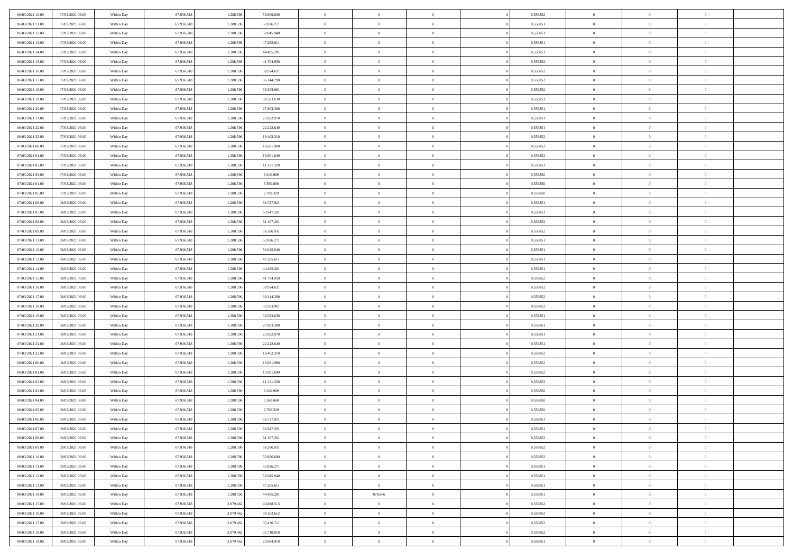| 06/03/2021 10:00 | 07/03/2021 06:00 | Within Day | 67.936.518 | 1.208.596 | 55.606.600 | $\overline{0}$ | $\overline{0}$ | $\Omega$       | 0,556852 | $\bf{0}$       | $\mathbf{0}$   | $\bf{0}$       |  |
|------------------|------------------|------------|------------|-----------|------------|----------------|----------------|----------------|----------|----------------|----------------|----------------|--|
| 06/03/2021 11:00 | 07/03/2021 06:00 | Within Day | 67.936.518 | 1.208.596 | 52.826.271 | $\mathbf{0}$   | $\overline{0}$ | $\overline{0}$ | 0,556851 | $\overline{0}$ | $\overline{0}$ | $\theta$       |  |
| 06/03/2021 12:00 | 07/03/2021 06:00 | Within Day | 67.936.518 | 1.208.596 | 50.045.940 | $\,$ 0         | $\overline{0}$ | $\bf{0}$       | 0,556851 | $\,$ 0         | $\overline{0}$ | $\,$ 0 $\,$    |  |
| 06/03/2021 13:00 | 07/03/2021 06:00 | Within Day | 67.936.518 | 1.208.596 | 47.265.611 | $\bf{0}$       | $\overline{0}$ | $\Omega$       | 0.556851 | $\bf{0}$       | $\mathbf{0}$   | $\theta$       |  |
| 06/03/2021 14:00 | 07/03/2021 06:00 | Within Dav | 67.936.518 | 1.208.596 | 44.485.281 | $\bf{0}$       | $\overline{0}$ | $\overline{0}$ | 0,556851 | $\mathbf{0}$   | $\overline{0}$ | $\overline{0}$ |  |
| 06/03/2021 15:00 | 07/03/2021 06:00 | Within Day | 67.936.518 | 1.208.596 | 41.704.950 | $\bf{0}$       | $\overline{0}$ | $\bf{0}$       | 0,556852 | $\,$ 0         | $\overline{0}$ | $\,$ 0 $\,$    |  |
| 06/03/2021 16:00 | 07/03/2021 06:00 | Within Day | 67.936.518 | 1.208.596 | 38.924.621 | $\bf{0}$       | $\overline{0}$ | $\Omega$       | 0.556852 | $\bf{0}$       | $\mathbf{0}$   | $\theta$       |  |
| 06/03/2021 17:00 | 07/03/2021 06:00 | Within Day | 67.936.518 | 1.208.596 | 36.144.290 | $\overline{0}$ | $\overline{0}$ | $\overline{0}$ | 0,556852 | $\mathbf{0}$   | $\overline{0}$ | $\overline{0}$ |  |
| 06/03/2021 18:00 | 07/03/2021 06:00 | Within Day | 67.936.518 | 1.208.596 | 33.363.961 | $\bf{0}$       | $\overline{0}$ | $\bf{0}$       | 0,556852 | $\,$ 0         | $\overline{0}$ | $\,$ 0 $\,$    |  |
| 06/03/2021 19:00 | 07/03/2021 06:00 | Within Day | 67.936.518 | 1.208.596 | 30,583,630 | $\bf{0}$       | $\overline{0}$ | $\Omega$       | 0.556851 | $\bf{0}$       | $\mathbf{0}$   | $\theta$       |  |
| 06/03/2021 20:00 | 07/03/2021 06:00 | Within Day | 67.936.518 | 1.208.596 | 27.803.300 | $\overline{0}$ | $\overline{0}$ | $\overline{0}$ | 0,556851 | $\overline{0}$ | $\overline{0}$ | $\overline{0}$ |  |
| 06/03/2021 21:00 | 07/03/2021 06:00 | Within Day | 67.936.518 | 1.208.596 | 25.022.970 | $\,$ 0         | $\overline{0}$ | $\bf{0}$       | 0,556851 | $\,$ 0         | $\overline{0}$ | $\,$ 0 $\,$    |  |
| 06/03/2021 22.00 | 07/03/2021 06:00 | Within Day | 67.936.518 | 1.208.596 | 22.242.640 | $\bf{0}$       | $\overline{0}$ | $\Omega$       | 0.556851 | $\overline{0}$ | $\mathbf{0}$   | $\theta$       |  |
| 06/03/2021 23:00 | 07/03/2021 06:00 | Within Dav | 67.936.518 | 1.208.596 | 19.462.310 | $\overline{0}$ | $\overline{0}$ | $\overline{0}$ | 0,556852 | $\mathbf{0}$   | $\overline{0}$ | $\overline{0}$ |  |
| 07/03/2021 00:00 | 07/03/2021 06:00 | Within Day | 67.936.518 | 1.208.596 | 16.681.980 | $\bf{0}$       | $\overline{0}$ | $\bf{0}$       | 0,556852 | $\,$ 0         | $\overline{0}$ | $\,$ 0 $\,$    |  |
| 07/03/2021 01:00 | 07/03/2021 06:00 | Within Day | 67.936.518 | 1.208.596 | 13.901.649 | $\bf{0}$       | $\overline{0}$ | $\overline{0}$ | 0.556852 | $\bf{0}$       | $\mathbf{0}$   | $\bf{0}$       |  |
| 07/03/2021 02:00 | 07/03/2021 06:00 | Within Day | 67.936.518 | 1.208.596 | 11.121.320 | $\overline{0}$ | $\overline{0}$ | $\overline{0}$ | 0,556853 | $\mathbf{0}$   | $\overline{0}$ | $\overline{0}$ |  |
| 07/03/2021 03:00 | 07/03/2021 06:00 | Within Day | 67.936.518 | 1.208.596 | 8.340.989  | $\bf{0}$       | $\overline{0}$ | $\bf{0}$       | 0,556850 | $\,$ 0         | $\overline{0}$ | $\,$ 0 $\,$    |  |
| 07/03/2021 04:00 | 07/03/2021 06:00 | Within Day | 67.936.518 | 1.208.596 | 5.560.660  | $\bf{0}$       | $\overline{0}$ | $\Omega$       | 0.556850 | $\overline{0}$ | $\mathbf{0}$   | $\theta$       |  |
| 07/03/2021 05:00 | 07/03/2021 06:00 | Within Day | 67.936.518 | 1.208.596 | 2.780.329  | $\overline{0}$ | $\overline{0}$ | $\overline{0}$ | 0,556850 | $\overline{0}$ | $\overline{0}$ | $\overline{0}$ |  |
| 07/03/2021 06:00 | 08/03/2021 06:00 | Within Day | 67.936.518 | 1.208.596 | 66.727.921 | $\bf{0}$       | $\overline{0}$ | $\bf{0}$       | 0,556851 | $\,$ 0         | $\overline{0}$ | $\,$ 0 $\,$    |  |
| 07/03/2021 07:00 | 08/03/2021 06:00 | Within Day | 67.936.518 | 1.208.596 | 63.947.591 | $\bf{0}$       | $\overline{0}$ | $\Omega$       | 0.556851 | $\overline{0}$ | $\theta$       | $\theta$       |  |
| 07/03/2021 08:00 | 08/03/2021 06:00 | Within Dav | 67.936.518 | 1.208.596 | 61.167.261 | $\overline{0}$ | $\overline{0}$ | $\overline{0}$ | 0,556852 | $\mathbf{0}$   | $\overline{0}$ | $\overline{0}$ |  |
| 07/03/2021 09:00 | 08/03/2021 06:00 | Within Day | 67.936.518 | 1.208.596 | 58.386.931 | $\bf{0}$       | $\overline{0}$ | $\bf{0}$       | 0,556852 | $\,$ 0         | $\overline{0}$ | $\,$ 0 $\,$    |  |
| 07/03/2021 11:00 | 08/03/2021 06:00 | Within Day | 67.936.518 | 1.208.596 | 52.826.271 | $\bf{0}$       | $\overline{0}$ | $\overline{0}$ | 0.556851 | $\bf{0}$       | $\overline{0}$ | $\theta$       |  |
| 07/03/2021 12:00 | 08/03/2021 06:00 | Within Day | 67.936.518 | 1.208.596 | 50.045.940 | $\overline{0}$ | $\overline{0}$ | $\overline{0}$ | 0,556851 | $\overline{0}$ | $\overline{0}$ | $\overline{0}$ |  |
| 07/03/2021 13:00 | 08/03/2021 06:00 | Within Day | 67.936.518 | 1.208.596 | 47.265.611 | $\bf{0}$       | $\overline{0}$ | $\bf{0}$       | 0,556851 | $\,$ 0         | $\overline{0}$ | $\,$ 0 $\,$    |  |
| 07/03/2021 14:00 | 08/03/2021 06:00 | Within Day | 67.936.518 | 1.208.596 | 44.485.281 | $\bf{0}$       | $\overline{0}$ | $\Omega$       | 0.556851 | $\bf{0}$       | $\mathbf{0}$   | $\theta$       |  |
| 07/03/2021 15:00 | 08/03/2021 06:00 | Within Day | 67.936.518 | 1.208.596 | 41.704.950 | $\overline{0}$ | $\overline{0}$ | $\overline{0}$ | 0,556852 | $\mathbf{0}$   | $\overline{0}$ | $\overline{0}$ |  |
| 07/03/2021 16:00 | 08/03/2021 06:00 | Within Day | 67.936.518 | 1.208.596 | 38.924.621 | $\bf{0}$       | $\overline{0}$ | $\bf{0}$       | 0,556852 | $\,$ 0         | $\overline{0}$ | $\,$ 0 $\,$    |  |
| 07/03/2021 17:00 | 08/03/2021 06:00 | Within Day | 67.936.518 | 1.208.596 | 36.144.290 | $\,$ 0         | $\bf{0}$       | $\overline{0}$ | 0,556852 | $\bf{0}$       | $\overline{0}$ | $\,0\,$        |  |
| 07/03/2021 18:00 | 08/03/2021 06:00 | Within Dav | 67.936.518 | 1.208.596 | 33.363.961 | $\overline{0}$ | $\overline{0}$ | $\overline{0}$ | 0,556852 | $\mathbf{0}$   | $\overline{0}$ | $\overline{0}$ |  |
| 07/03/2021 19:00 | 08/03/2021 06:00 | Within Day | 67.936.518 | 1.208.596 | 30.583.630 | $\bf{0}$       | $\overline{0}$ | $\bf{0}$       | 0,556851 | $\,$ 0         | $\overline{0}$ | $\,$ 0 $\,$    |  |
| 07/03/2021 20:00 | 08/03/2021 06:00 | Within Day | 67.936.518 | 1.208.596 | 27.803.300 | $\bf{0}$       | $\bf{0}$       | $\bf{0}$       | 0,556851 | $\bf{0}$       | $\overline{0}$ | $\,0\,$        |  |
| 07/03/2021 21:00 | 08/03/2021 06:00 | Within Day | 67.936.518 | 1.208.596 | 25.022.970 | $\overline{0}$ | $\overline{0}$ | $\overline{0}$ | 0,556851 | $\overline{0}$ | $\overline{0}$ | $\overline{0}$ |  |
| 07/03/2021 22.00 | 08/03/2021 06:00 | Within Day | 67.936.518 | 1.208.596 | 22.242.640 | $\bf{0}$       | $\overline{0}$ | $\bf{0}$       | 0,556851 | $\,$ 0         | $\overline{0}$ | $\,$ 0 $\,$    |  |
| 07/03/2021 23.00 | 08/03/2021 06:00 | Within Day | 67.936.518 | 1.208.596 | 19.462.310 | $\,$ 0         | $\bf{0}$       | $\overline{0}$ | 0,556852 | $\bf{0}$       | $\overline{0}$ | $\,0\,$        |  |
| 08/03/2021 00:00 | 08/03/2021 06:00 | Within Day | 67.936.518 | 1.208.596 | 16.681.980 | $\overline{0}$ | $\overline{0}$ | $\overline{0}$ | 0,556852 | $\mathbf{0}$   | $\overline{0}$ | $\overline{0}$ |  |
| 08/03/2021 01:00 | 08/03/2021 06:00 | Within Day | 67.936.518 | 1.208.596 | 13.901.649 | $\bf{0}$       | $\overline{0}$ | $\bf{0}$       | 0,556852 | $\,$ 0         | $\overline{0}$ | $\,$ 0 $\,$    |  |
| 08/03/2021 02:00 | 08/03/2021 06:00 | Within Day | 67.936.518 | 1.208.596 | 11.121.320 | $\bf{0}$       | $\bf{0}$       | $\overline{0}$ | 0,556853 | $\bf{0}$       | $\overline{0}$ | $\,0\,$        |  |
| 08/03/2021 03:00 | 08/03/2021 06:00 | Within Dav | 67.936.518 | 1.208.596 | 8.340.989  | $\overline{0}$ | $\overline{0}$ | $\overline{0}$ | 0,556850 | $\overline{0}$ | $\overline{0}$ | $\overline{0}$ |  |
| 08/03/2021 04:00 | 08/03/2021 06:00 | Within Day | 67.936.518 | 1.208.596 | 5.560.660  | $\bf{0}$       | $\overline{0}$ | $\bf{0}$       | 0,556850 | $\,$ 0         | $\overline{0}$ | $\,$ 0 $\,$    |  |
| 08/03/2021 05:00 | 08/03/2021 06:00 | Within Day | 67.936.518 | 1.208.596 | 2.780.329  | $\bf{0}$       | $\bf{0}$       | $\bf{0}$       | 0,556850 | $\bf{0}$       | $\overline{0}$ | $\,0\,$        |  |
| 08/03/2021 06:00 | 09/03/2021 06:00 | Within Day | 67.936.518 | 1.208.596 | 66.727.921 | $\mathbf{0}$   | $\overline{0}$ | $\overline{0}$ | 0,556851 | $\overline{0}$ | $\overline{0}$ | $\overline{0}$ |  |
| 08/03/2021 07:00 | 09/03/2021 06:00 | Within Day | 67.936.518 | 1.208.596 | 63.947.591 | $\bf{0}$       | $\overline{0}$ | $\theta$       | 0,556851 | $\overline{0}$ | $\theta$       | $\theta$       |  |
| 08/03/2021 08:00 | 09/03/2021 06:00 | Within Day | 67.936.518 | 1.208.596 | 61.167.261 | $\bf{0}$       | $\bf{0}$       | $\bf{0}$       | 0,556852 | $\bf{0}$       | $\overline{0}$ | $\,0\,$        |  |
| 08/03/2021 09:00 | 09/03/2021 06:00 | Within Day | 67.936.518 | 1.208.596 | 58.386.931 | $\overline{0}$ | $\overline{0}$ | $\overline{0}$ | 0,556852 | $\overline{0}$ | $\bf{0}$       | $\overline{0}$ |  |
| 08/03/2021 10:00 | 09/03/2021 06:00 | Within Day | 67.936.518 | 1.208.596 | 55.606.600 | $\,$ 0 $\,$    | $\overline{0}$ | $\overline{0}$ | 0,556852 | $\,$ 0 $\,$    | $\overline{0}$ | $\,$ 0 $\,$    |  |
| 08/03/2021 11:00 | 09/03/2021 06:00 | Within Day | 67.936.518 | 1.208.596 | 52.826.271 | $\bf{0}$       | $\bf{0}$       | $\overline{0}$ | 0,556851 | $\bf{0}$       | $\overline{0}$ | $\bf{0}$       |  |
| 08/03/2021 12:00 | 09/03/2021 06:00 | Within Day | 67.936.518 | 1.208.596 | 50.045.940 | $\bf{0}$       | $\overline{0}$ | $\overline{0}$ | 0,556851 | $\mathbf{0}$   | $\overline{0}$ | $\overline{0}$ |  |
| 08/03/2021 13:00 | 09/03/2021 06:00 | Within Day | 67.936.518 | 1.208.596 | 47.265.611 | $\,$ 0 $\,$    | $\overline{0}$ | $\overline{0}$ | 0,556851 | $\,$ 0 $\,$    | $\overline{0}$ | $\,$ 0 $\,$    |  |
| 08/03/2021 14:00 | 09/03/2021 06:00 | Within Day | 67.936.518 | 1.208.596 | 44.485.281 | $\bf{0}$       | 870.866        | $\overline{0}$ | 0,556851 | $\bf{0}$       | $\overline{0}$ | $\overline{0}$ |  |
| 08/03/2021 15:00 | 09/03/2021 06:00 | Within Day | 67.936.518 | 2.079.462 | 40.888.513 | $\overline{0}$ | $\overline{0}$ | $\overline{0}$ | 0,556852 | $\overline{0}$ | $\bf{0}$       | $\overline{0}$ |  |
| 08/03/2021 16:00 | 09/03/2021 06:00 | Within Day | 67.936.518 | 2.079.462 | 38.162.612 | $\,$ 0 $\,$    | $\overline{0}$ | $\overline{0}$ | 0,556852 | $\,$ 0 $\,$    | $\overline{0}$ | $\,$ 0 $\,$    |  |
| 08/03/2021 17:00 | 09/03/2021 06:00 | Within Day | 67.936.518 | 2.079.462 | 35.436.711 | $\bf{0}$       | $\bf{0}$       | $\overline{0}$ | 0,556852 | $\mathbf{0}$   | $\overline{0}$ | $\bf{0}$       |  |
| 08/03/2021 18:00 | 09/03/2021 06:00 | Within Day | 67.936.518 | 2.079.462 | 32.710.810 | $\bf{0}$       | $\overline{0}$ | $\overline{0}$ | 0,556852 | $\overline{0}$ | $\bf{0}$       | $\overline{0}$ |  |
| 08/03/2021 19:00 | 09/03/2021 06:00 | Within Day | 67.936.518 | 2.079.462 | 29.984.910 | $\,0\,$        | $\overline{0}$ | $\overline{0}$ | 0,556851 | $\,$ 0         | $\overline{0}$ | $\,$ 0 $\,$    |  |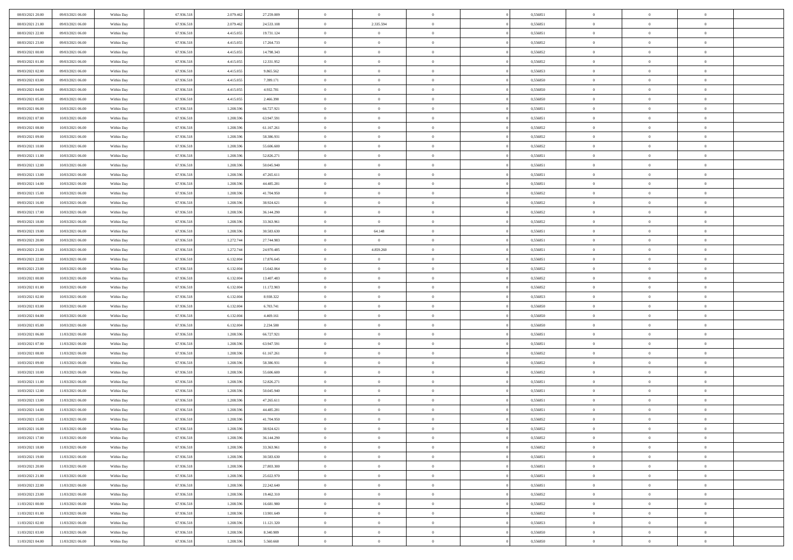| 08/03/2021 20:00 | 09/03/2021 06:00 | Within Day | 67.936.518 | 2.079.462 | 27.259.009 | $\overline{0}$ | $\bf{0}$       | $\Omega$       | 0,556851 | $\bf{0}$       | $\mathbf{0}$   | $\theta$       |  |
|------------------|------------------|------------|------------|-----------|------------|----------------|----------------|----------------|----------|----------------|----------------|----------------|--|
| 08/03/2021 21:00 | 09/03/2021 06:00 | Within Day | 67.936.518 | 2.079.462 | 24.533.108 | $\overline{0}$ | 2.335.594      | $\overline{0}$ | 0,556851 | $\overline{0}$ | $\overline{0}$ | $\theta$       |  |
| 08/03/2021 22:00 | 09/03/2021 06:00 | Within Day | 67.936.518 | 4.415.055 | 19.731.124 | $\,$ 0         | $\overline{0}$ | $\bf{0}$       | 0,556851 | $\,$ 0         | $\overline{0}$ | $\,$ 0 $\,$    |  |
| 08/03/2021 23:00 | 09/03/2021 06:00 | Within Day | 67.936.518 | 4.415.055 | 17.264.733 | $\bf{0}$       | $\overline{0}$ | $\Omega$       | 0.556852 | $\bf{0}$       | $\mathbf{0}$   | $\theta$       |  |
| 09/03/2021 00:00 | 09/03/2021 06:00 | Within Day | 67.936.518 | 4.415.055 | 14.798.343 | $\bf{0}$       | $\overline{0}$ | $\overline{0}$ | 0,556852 | $\mathbf{0}$   | $\overline{0}$ | $\overline{0}$ |  |
| 09/03/2021 01:00 | 09/03/2021 06:00 | Within Day | 67.936.518 | 4.415.055 | 12.331.952 | $\bf{0}$       | $\overline{0}$ | $\bf{0}$       | 0,556852 | $\,$ 0         | $\overline{0}$ | $\,$ 0 $\,$    |  |
| 09/03/2021 02:00 | 09/03/2021 06:00 | Within Day | 67.936.518 | 4.415.055 | 9.865.562  | $\bf{0}$       | $\overline{0}$ | $\Omega$       | 0.556853 | $\theta$       | $\mathbf{0}$   | $\theta$       |  |
| 09/03/2021 03:00 | 09/03/2021 06:00 | Within Day | 67.936.518 | 4.415.055 | 7.399.171  | $\overline{0}$ | $\overline{0}$ | $\overline{0}$ | 0,556850 | $\mathbf{0}$   | $\overline{0}$ | $\overline{0}$ |  |
| 09/03/2021 04:00 | 09/03/2021 06:00 | Within Day | 67.936.518 | 4.415.055 | 4.932.781  | $\bf{0}$       | $\overline{0}$ | $\bf{0}$       | 0,556850 | $\,$ 0         | $\overline{0}$ | $\,$ 0 $\,$    |  |
| 09/03/2021 05:00 | 09/03/2021 06:00 | Within Day | 67.936.518 | 4.415.055 | 2.466.390  | $\bf{0}$       | $\overline{0}$ | $\Omega$       | 0.556850 | $\theta$       | $\mathbf{0}$   | $\theta$       |  |
| 09/03/2021 06:00 | 10/03/2021 06:00 | Within Day | 67.936.518 | 1.208.596 | 66.727.921 | $\overline{0}$ | $\overline{0}$ | $\overline{0}$ | 0,556851 | $\overline{0}$ | $\overline{0}$ | $\overline{0}$ |  |
| 09/03/2021 07:00 | 10/03/2021 06:00 | Within Day | 67.936.518 | 1.208.596 | 63.947.591 | $\bf{0}$       | $\overline{0}$ | $\bf{0}$       | 0,556851 | $\,$ 0         | $\overline{0}$ | $\,$ 0 $\,$    |  |
| 09/03/2021 08:00 | 10/03/2021 06:00 | Within Day | 67.936.518 | 1.208.596 | 61.167.261 | $\bf{0}$       | $\overline{0}$ | $\Omega$       | 0.556852 | $\overline{0}$ | $\mathbf{0}$   | $\theta$       |  |
| 09/03/2021 09:00 | 10/03/2021 06:00 | Within Day | 67.936.518 | 1.208.596 | 58.386.931 | $\overline{0}$ | $\overline{0}$ | $\overline{0}$ | 0,556852 | $\mathbf{0}$   | $\overline{0}$ | $\overline{0}$ |  |
| 09/03/2021 10:00 | 10/03/2021 06:00 | Within Day | 67.936.518 | 1.208.596 | 55.606.600 | $\bf{0}$       | $\overline{0}$ | $\bf{0}$       | 0,556852 | $\,$ 0         | $\overline{0}$ | $\,$ 0 $\,$    |  |
| 09/03/2021 11:00 | 10/03/2021 06:00 | Within Day | 67.936.518 | 1.208.596 | 52.826.271 | $\bf{0}$       | $\overline{0}$ | $\overline{0}$ | 0.556851 | $\bf{0}$       | $\mathbf{0}$   | $\bf{0}$       |  |
| 09/03/2021 12:00 | 10/03/2021 06:00 | Within Day | 67.936.518 | 1.208.596 | 50.045.940 | $\overline{0}$ | $\overline{0}$ | $\overline{0}$ | 0,556851 | $\mathbf{0}$   | $\overline{0}$ | $\overline{0}$ |  |
| 09/03/2021 13:00 | 10/03/2021 06:00 | Within Day | 67.936.518 | 1.208.596 | 47.265.611 | $\bf{0}$       | $\overline{0}$ | $\bf{0}$       | 0,556851 | $\,$ 0         | $\overline{0}$ | $\,$ 0 $\,$    |  |
| 09/03/2021 14:00 | 10/03/2021 06:00 | Within Day | 67.936.518 | 1.208.596 | 44.485.281 | $\bf{0}$       | $\overline{0}$ | $\Omega$       | 0.556851 | $\theta$       | $\mathbf{0}$   | $\theta$       |  |
| 09/03/2021 15:00 | 10/03/2021 06:00 | Within Day | 67.936.518 | 1.208.596 | 41.704.950 | $\overline{0}$ | $\overline{0}$ | $\overline{0}$ | 0,556852 | $\mathbf{0}$   | $\overline{0}$ | $\overline{0}$ |  |
| 09/03/2021 16:00 | 10/03/2021 06:00 | Within Day | 67.936.518 | 1.208.596 | 38.924.621 | $\bf{0}$       | $\overline{0}$ | $\bf{0}$       | 0,556852 | $\,$ 0         | $\overline{0}$ | $\,$ 0 $\,$    |  |
| 09/03/2021 17:00 | 10/03/2021 06:00 | Within Day | 67.936.518 | 1.208.596 | 36.144.290 | $\bf{0}$       | $\overline{0}$ | $\Omega$       | 0.556852 | $\bf{0}$       | $\theta$       | $\theta$       |  |
| 09/03/2021 18:00 | 10/03/2021 06:00 | Within Dav | 67.936.518 | 1.208.596 | 33.363.961 | $\overline{0}$ | $\overline{0}$ | $\overline{0}$ | 0,556852 | $\mathbf{0}$   | $\overline{0}$ | $\overline{0}$ |  |
| 09/03/2021 19:00 | 10/03/2021 06:00 | Within Day | 67.936.518 | 1.208.596 | 30.583.630 | $\bf{0}$       | 64.148         | $\bf{0}$       | 0,556851 | $\,$ 0         | $\overline{0}$ | $\,$ 0 $\,$    |  |
| 09/03/2021 20:00 | 10/03/2021 06:00 | Within Day | 67.936.518 | 1.272.744 | 27.744.983 | $\bf{0}$       | $\overline{0}$ | $\overline{0}$ | 0.556851 | $\bf{0}$       | $\overline{0}$ | $\bf{0}$       |  |
| 09/03/2021 21:00 | 10/03/2021 06:00 | Within Day | 67.936.518 | 1.272.744 | 24.970.485 | $\overline{0}$ | 4.859.260      | $\overline{0}$ | 0,556851 | $\mathbf{0}$   | $\overline{0}$ | $\overline{0}$ |  |
| 09/03/2021 22.00 | 10/03/2021 06:00 | Within Day | 67.936.518 | 6.132.004 | 17.876.645 | $\bf{0}$       | $\overline{0}$ | $\bf{0}$       | 0,556851 | $\,$ 0         | $\overline{0}$ | $\,$ 0 $\,$    |  |
| 09/03/2021 23:00 | 10/03/2021 06:00 | Within Day | 67.936.518 | 6.132.004 | 15.642.064 | $\bf{0}$       | $\overline{0}$ | $\Omega$       | 0.556852 | $\theta$       | $\mathbf{0}$   | $\theta$       |  |
| 10/03/2021 00:00 | 10/03/2021 06:00 | Within Day | 67.936.518 | 6.132.004 | 13.407.483 | $\overline{0}$ | $\overline{0}$ | $\overline{0}$ | 0,556852 | $\mathbf{0}$   | $\overline{0}$ | $\overline{0}$ |  |
| 10/03/2021 01:00 | 10/03/2021 06:00 | Within Day | 67.936.518 | 6.132.004 | 11.172.903 | $\bf{0}$       | $\overline{0}$ | $\bf{0}$       | 0,556852 | $\,$ 0         | $\overline{0}$ | $\,$ 0 $\,$    |  |
| 10/03/2021 02:00 | 10/03/2021 06:00 | Within Day | 67.936.518 | 6.132.004 | 8.938.322  | $\bf{0}$       | $\overline{0}$ | $\overline{0}$ | 0,556853 | $\bf{0}$       | $\overline{0}$ | $\,0\,$        |  |
| 10/03/2021 03:00 | 10/03/2021 06:00 | Within Dav | 67.936.518 | 6.132.004 | 6.703.741  | $\overline{0}$ | $\overline{0}$ | $\overline{0}$ | 0,556850 | $\mathbf{0}$   | $\overline{0}$ | $\overline{0}$ |  |
| 10/03/2021 04:00 | 10/03/2021 06:00 | Within Day | 67.936.518 | 6.132.004 | 4.469.161  | $\bf{0}$       | $\overline{0}$ | $\bf{0}$       | 0,556850 | $\,$ 0         | $\overline{0}$ | $\,$ 0 $\,$    |  |
| 10/03/2021 05:00 | 10/03/2021 06:00 | Within Day | 67.936.518 | 6.132.004 | 2.234.580  | $\bf{0}$       | $\overline{0}$ | $\bf{0}$       | 0,556850 | $\bf{0}$       | $\overline{0}$ | $\,0\,$        |  |
| 10/03/2021 06:00 | 11/03/2021 06:00 | Within Day | 67.936.518 | 1.208.596 | 66.727.921 | $\overline{0}$ | $\overline{0}$ | $\overline{0}$ | 0,556851 | $\overline{0}$ | $\overline{0}$ | $\overline{0}$ |  |
| 10/03/2021 07:00 | 11/03/2021 06:00 | Within Day | 67.936.518 | 1.208.596 | 63.947.591 | $\bf{0}$       | $\overline{0}$ | $\bf{0}$       | 0,556851 | $\,$ 0         | $\overline{0}$ | $\,$ 0 $\,$    |  |
| 10/03/2021 08:00 | 11/03/2021 06:00 | Within Day | 67.936.518 | 1.208.596 | 61.167.261 | $\bf{0}$       | $\overline{0}$ | $\overline{0}$ | 0,556852 | $\bf{0}$       | $\overline{0}$ | $\,0\,$        |  |
| 10/03/2021 09:00 | 11/03/2021 06:00 | Within Day | 67.936.518 | 1.208.596 | 58.386.931 | $\overline{0}$ | $\overline{0}$ | $\overline{0}$ | 0,556852 | $\mathbf{0}$   | $\overline{0}$ | $\overline{0}$ |  |
| 10/03/2021 10:00 | 11/03/2021 06:00 | Within Day | 67.936.518 | 1.208.596 | 55.606.600 | $\bf{0}$       | $\overline{0}$ | $\bf{0}$       | 0,556852 | $\,$ 0         | $\overline{0}$ | $\,$ 0 $\,$    |  |
| 10/03/2021 11:00 | 11/03/2021 06:00 | Within Day | 67.936.518 | 1.208.596 | 52.826.271 | $\bf{0}$       | $\overline{0}$ | $\overline{0}$ | 0,556851 | $\bf{0}$       | $\overline{0}$ | $\,0\,$        |  |
| 10/03/2021 12:00 | 11/03/2021 06:00 | Within Dav | 67.936.518 | 1.208.596 | 50.045.940 | $\overline{0}$ | $\overline{0}$ | $\overline{0}$ | 0,556851 | $\overline{0}$ | $\overline{0}$ | $\overline{0}$ |  |
| 10/03/2021 13:00 | 11/03/2021 06:00 | Within Day | 67.936.518 | 1.208.596 | 47.265.611 | $\bf{0}$       | $\overline{0}$ | $\bf{0}$       | 0,556851 | $\,$ 0         | $\overline{0}$ | $\,$ 0 $\,$    |  |
| 10/03/2021 14:00 | 11/03/2021 06:00 | Within Day | 67.936.518 | 1.208.596 | 44.485.281 | $\bf{0}$       | $\overline{0}$ | $\bf{0}$       | 0,556851 | $\bf{0}$       | $\overline{0}$ | $\,0\,$        |  |
| 10/03/2021 15:00 | 11/03/2021 06:00 | Within Day | 67.936.518 | 1.208.596 | 41.704.950 | $\mathbf{0}$   | $\overline{0}$ | $\overline{0}$ | 0,556852 | $\overline{0}$ | $\overline{0}$ | $\overline{0}$ |  |
| 10/03/2021 16:00 | 11/03/2021 06:00 | Within Day | 67.936.518 | 1.208.596 | 38.924.621 | $\bf{0}$       | $\overline{0}$ | $\theta$       | 0,556852 | $\overline{0}$ | $\theta$       | $\theta$       |  |
| 10/03/2021 17:00 | 11/03/2021 06:00 | Within Day | 67.936.518 | 1.208.596 | 36.144.290 | $\bf{0}$       | $\overline{0}$ | $\bf{0}$       | 0,556852 | $\bf{0}$       | $\overline{0}$ | $\bf{0}$       |  |
| 10/03/2021 18:00 | 11/03/2021 06:00 | Within Day | 67.936.518 | 1.208.596 | 33.363.961 | $\overline{0}$ | $\overline{0}$ | $\overline{0}$ | 0,556852 | $\overline{0}$ | $\bf{0}$       | $\overline{0}$ |  |
| 10/03/2021 19:00 | 11/03/2021 06:00 | Within Day | 67.936.518 | 1.208.596 | 30.583.630 | $\,$ 0 $\,$    | $\overline{0}$ | $\overline{0}$ | 0,556851 | $\mathbf{0}$   | $\,$ 0 $\,$    | $\,$ 0 $\,$    |  |
| 10/03/2021 20:00 | 11/03/2021 06:00 | Within Day | 67.936.518 | 1.208.596 | 27.803.300 | $\bf{0}$       | $\overline{0}$ | $\overline{0}$ | 0,556851 | $\bf{0}$       | $\overline{0}$ | $\bf{0}$       |  |
| 10/03/2021 21:00 | 11/03/2021 06:00 | Within Day | 67.936.518 | 1.208.596 | 25.022.970 | $\bf{0}$       | $\overline{0}$ | $\overline{0}$ | 0,556851 | $\overline{0}$ | $\bf{0}$       | $\overline{0}$ |  |
| 10/03/2021 22:00 | 11/03/2021 06:00 | Within Day | 67.936.518 | 1.208.596 | 22.242.640 | $\,$ 0 $\,$    | $\overline{0}$ | $\overline{0}$ | 0,556851 | $\,$ 0 $\,$    | $\overline{0}$ | $\,$ 0 $\,$    |  |
| 10/03/2021 23:00 | 11/03/2021 06:00 | Within Day | 67.936.518 | 1.208.596 | 19.462.310 | $\overline{0}$ | $\overline{0}$ | $\overline{0}$ | 0,556852 | $\bf{0}$       | $\overline{0}$ | $\overline{0}$ |  |
| 11/03/2021 00:00 | 11/03/2021 06:00 | Within Day | 67.936.518 | 1.208.596 | 16.681.980 | $\overline{0}$ | $\overline{0}$ | $\overline{0}$ | 0,556852 | $\overline{0}$ | $\bf{0}$       | $\overline{0}$ |  |
| 11/03/2021 01:00 | 11/03/2021 06:00 | Within Day | 67.936.518 | 1.208.596 | 13.901.649 | $\,$ 0 $\,$    | $\overline{0}$ | $\overline{0}$ | 0,556852 | $\mathbf{0}$   | $\,$ 0 $\,$    | $\,$ 0 $\,$    |  |
| 11/03/2021 02:00 | 11/03/2021 06:00 | Within Day | 67.936.518 | 1.208.596 | 11.121.320 | $\bf{0}$       | $\overline{0}$ | $\overline{0}$ | 0,556853 | $\bf{0}$       | $\overline{0}$ | $\bf{0}$       |  |
| 11/03/2021 03:00 | 11/03/2021 06:00 | Within Day | 67.936.518 | 1.208.596 | 8.340.989  | $\overline{0}$ | $\overline{0}$ | $\overline{0}$ | 0,556850 | $\mathbf{0}$   | $\bf{0}$       | $\overline{0}$ |  |
| 11/03/2021 04:00 | 11/03/2021 06:00 | Within Day | 67.936.518 | 1.208.596 | 5.560.660  | $\,0\,$        | $\overline{0}$ | $\overline{0}$ | 0,556850 | $\,$ 0         | $\overline{0}$ | $\,$ 0 $\,$    |  |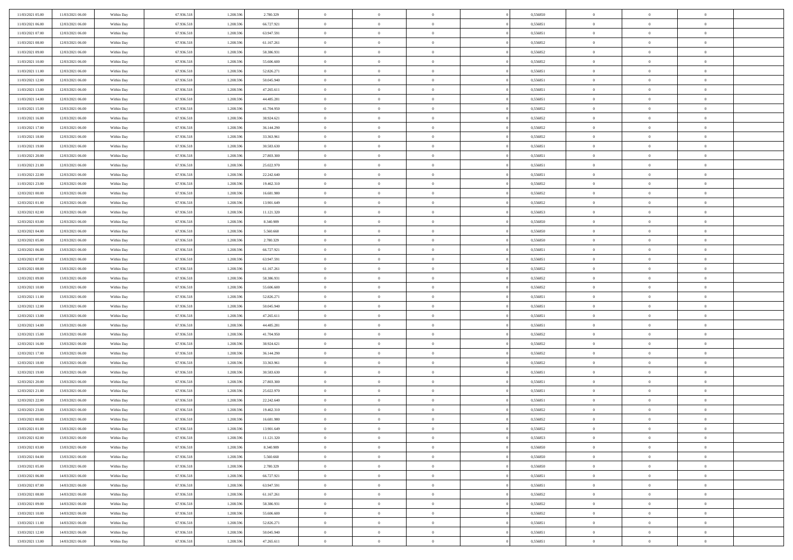| 11/03/2021 05:00 | 11/03/2021 06:00 | Within Day | 67.936.518 | 1.208.59  | 2.780.329  | $\bf{0}$       | $\overline{0}$ | $\overline{0}$ | 0,556850 | $\mathbf{0}$   | $\overline{0}$ | $\bf{0}$       |  |
|------------------|------------------|------------|------------|-----------|------------|----------------|----------------|----------------|----------|----------------|----------------|----------------|--|
| 11/03/2021 06:00 | 12/03/2021 06:00 | Within Day | 67.936.518 | 1.208.59  | 66.727.921 | $\overline{0}$ | $\overline{0}$ | $\overline{0}$ | 0,556851 | $\mathbf{0}$   | $\bf{0}$       | $\theta$       |  |
| 11/03/2021 07:00 | 12/03/2021 06:00 | Within Day | 67.936.518 | 1.208.59  | 63.947.591 | $\overline{0}$ | $\overline{0}$ | $\overline{0}$ | 0,556851 | $\,$ 0 $\,$    | $\overline{0}$ | $\,0\,$        |  |
| 11/03/2021 08:00 | 12/03/2021 06:00 | Within Day | 67.936.518 | 1.208.59  | 61.167.261 | $\overline{0}$ | $\overline{0}$ | $\Omega$       | 0.556852 | $\overline{0}$ | $\theta$       | $\overline{0}$ |  |
| 11/03/2021 09:00 | 12/03/2021 06:00 | Within Day | 67.936.518 | 1.208.596 | 58.386.931 | $\mathbf{0}$   | $\overline{0}$ | $\overline{0}$ | 0,556852 | $\mathbf{0}$   | $\bf{0}$       | $\overline{0}$ |  |
| 11/03/2021 10:00 | 12/03/2021 06:00 | Within Day | 67.936.518 | 1.208.596 | 55.606.600 | $\,$ 0         | $\overline{0}$ | $\overline{0}$ | 0,556852 | $\,$ 0 $\,$    | $\overline{0}$ | $\,0\,$        |  |
| 11/03/2021 11:00 | 12/03/2021 06:00 | Within Day | 67.936.518 | 1.208.59  | 52.826.271 | $\bf{0}$       | $\overline{0}$ | $\Omega$       | 0.556851 | $\bf{0}$       | $\theta$       | $\overline{0}$ |  |
| 11/03/2021 12:00 | 12/03/2021 06:00 | Within Day | 67.936.518 | 1.208.596 | 50.045.940 | $\overline{0}$ | $\overline{0}$ | $\overline{0}$ | 0,556851 | $\mathbf{0}$   | $\bf{0}$       | $\theta$       |  |
| 11/03/2021 13:00 | 12/03/2021 06:00 | Within Day | 67.936.518 | 1.208.596 | 47.265.611 | $\,$ 0         | $\overline{0}$ | $\overline{0}$ | 0,556851 | $\,$ 0 $\,$    | $\overline{0}$ | $\,0\,$        |  |
| 11/03/2021 14:00 | 12/03/2021 06:00 | Within Day | 67.936.518 | 1.208.596 | 44.485.281 | $\overline{0}$ | $\overline{0}$ | $\Omega$       | 0.556851 | $\overline{0}$ | $\theta$       | $\overline{0}$ |  |
| 11/03/2021 15:00 | 12/03/2021 06:00 | Within Day | 67.936.518 | 1.208.596 | 41.704.950 | $\mathbf{0}$   | $\overline{0}$ | $\overline{0}$ | 0,556852 | $\mathbf{0}$   | $\bf{0}$       | $\theta$       |  |
| 11/03/2021 16:00 | 12/03/2021 06:00 | Within Day | 67.936.518 | 1.208.596 | 38.924.621 | $\overline{0}$ | $\overline{0}$ | $\overline{0}$ | 0,556852 | $\,$ 0 $\,$    | $\overline{0}$ | $\,0\,$        |  |
| 11/03/2021 17:00 | 12/03/2021 06:00 | Within Day | 67.936.518 | 1.208.59  | 36.144.290 | $\overline{0}$ | $\overline{0}$ | $\Omega$       | 0.556852 | $\overline{0}$ | $\theta$       | $\overline{0}$ |  |
| 11/03/2021 18:00 | 12/03/2021 06:00 | Within Day | 67.936.518 | 1.208.596 | 33.363.961 | $\mathbf{0}$   | $\overline{0}$ | $\overline{0}$ | 0,556852 | $\mathbf{0}$   | $\bf{0}$       | $\theta$       |  |
| 11/03/2021 19:00 | 12/03/2021 06:00 | Within Day | 67.936.518 | 1.208.596 | 30.583.630 | $\,$ 0         | $\overline{0}$ | $\overline{0}$ | 0,556851 | $\,$ 0 $\,$    | $\overline{0}$ | $\,0\,$        |  |
| 11/03/2021 20:00 | 12/03/2021 06:00 | Within Day | 67.936.518 | 1.208.59  | 27.803.300 | $\bf{0}$       | $\overline{0}$ | $\Omega$       | 0.556851 | $\bf{0}$       | $\theta$       | $\overline{0}$ |  |
| 11/03/2021 21:00 | 12/03/2021 06:00 | Within Day | 67.936.518 | 1.208.596 | 25.022.970 | $\mathbf{0}$   | $\overline{0}$ | $\overline{0}$ | 0,556851 | $\mathbf{0}$   | $\bf{0}$       | $\theta$       |  |
| 11/03/2021 22:00 | 12/03/2021 06:00 | Within Day | 67.936.518 | 1.208.596 | 22.242.640 | $\overline{0}$ | $\overline{0}$ | $\overline{0}$ | 0,556851 | $\,$ 0 $\,$    | $\overline{0}$ | $\,0\,$        |  |
| 11/03/2021 23.00 | 12/03/2021 06:00 | Within Day | 67.936.518 | 1.208.59  | 19.462.310 | $\overline{0}$ | $\overline{0}$ | $\Omega$       | 0.556852 | $\overline{0}$ | $\theta$       | $\overline{0}$ |  |
| 12/03/2021 00:00 | 12/03/2021 06:00 | Within Day | 67.936.518 | 1.208.596 | 16.681.980 | $\overline{0}$ | $\overline{0}$ | $\overline{0}$ | 0,556852 | $\mathbf{0}$   | $\bf{0}$       | $\theta$       |  |
| 12/03/2021 01:00 | 12/03/2021 06:00 | Within Day | 67.936.518 | 1.208.596 | 13.901.649 | $\,$ 0         | $\overline{0}$ | $\overline{0}$ | 0,556852 | $\,$ 0 $\,$    | $\overline{0}$ | $\,$ 0 $\,$    |  |
| 12/03/2021 02:00 | 12/03/2021 06:00 | Within Day | 67.936.518 | 1.208.59  | 11.121.320 | $\overline{0}$ | $\overline{0}$ | $\Omega$       | 0.556853 | $\overline{0}$ | $\theta$       | $\overline{0}$ |  |
| 12/03/2021 03:00 | 12/03/2021 06:00 | Within Day | 67.936.518 | 1.208.596 | 8.340.989  | $\mathbf{0}$   | $\overline{0}$ | $\overline{0}$ | 0,556850 | $\mathbf{0}$   | $\bf{0}$       | $\theta$       |  |
| 12/03/2021 04:00 | 12/03/2021 06:00 | Within Day | 67.936.518 | 1.208.596 | 5.560.660  | $\,$ 0         | $\overline{0}$ | $\overline{0}$ | 0,556850 | $\,$ 0 $\,$    | $\overline{0}$ | $\,$ 0 $\,$    |  |
| 12/03/2021 05:00 | 12/03/2021 06:00 | Within Day | 67.936.518 | 1.208.59  | 2.780.329  | $\bf{0}$       | $\overline{0}$ | $\Omega$       | 0.556850 | $\bf{0}$       | $\overline{0}$ | $\bf{0}$       |  |
| 12/03/2021 06:00 | 13/03/2021 06:00 | Within Day | 67.936.518 | 1.208.596 | 66.727.921 | $\overline{0}$ | $\overline{0}$ | $\overline{0}$ | 0,556851 | $\mathbf{0}$   | $\bf{0}$       | $\theta$       |  |
| 12/03/2021 07:00 | 13/03/2021 06:00 | Within Day | 67.936.518 | 1.208.596 | 63.947.591 | $\,$ 0         | $\overline{0}$ | $\overline{0}$ | 0,556851 | $\,$ 0 $\,$    | $\overline{0}$ | $\,$ 0 $\,$    |  |
| 12/03/2021 08:00 | 13/03/2021 06:00 | Within Day | 67.936.518 | 1.208.59  | 61.167.261 | $\overline{0}$ | $\overline{0}$ | $\Omega$       | 0.556852 | $\overline{0}$ | $\theta$       | $\overline{0}$ |  |
| 12/03/2021 09:00 | 13/03/2021 06:00 | Within Day | 67.936.518 | 1.208.596 | 58.386.931 | $\mathbf{0}$   | $\overline{0}$ | $\overline{0}$ | 0,556852 | $\mathbf{0}$   | $\bf{0}$       | $\overline{0}$ |  |
| 12/03/2021 10:00 | 13/03/2021 06:00 | Within Day | 67.936.518 | 1.208.59  | 55.606.600 | $\overline{0}$ | $\overline{0}$ | $\overline{0}$ | 0,556852 | $\,$ 0 $\,$    | $\overline{0}$ | $\,$ 0 $\,$    |  |
| 12/03/2021 11:00 | 13/03/2021 06:00 | Within Day | 67.936.518 | 1.208.59  | 52.826.271 | $\bf{0}$       | $\overline{0}$ | $\Omega$       | 0,556851 | $\bf{0}$       | $\overline{0}$ | $\bf{0}$       |  |
| 12/03/2021 12:00 | 13/03/2021 06:00 | Within Day | 67.936.518 | 1.208.596 | 50.045.940 | $\mathbf{0}$   | $\overline{0}$ | $\overline{0}$ | 0,556851 | $\mathbf{0}$   | $\bf{0}$       | $\theta$       |  |
| 12/03/2021 13:00 | 13/03/2021 06:00 | Within Day | 67.936.518 | 1.208.596 | 47.265.611 | $\,$ 0         | $\overline{0}$ | $\overline{0}$ | 0,556851 | $\,$ 0 $\,$    | $\overline{0}$ | $\,$ 0 $\,$    |  |
| 12/03/2021 14:00 | 13/03/2021 06:00 | Within Day | 67.936.518 | 1.208.59  | 44.485.281 | $\bf{0}$       | $\overline{0}$ | $\overline{0}$ | 0,556851 | $\mathbf{0}$   | $\overline{0}$ | $\bf{0}$       |  |
| 12/03/2021 15:00 | 13/03/2021 06:00 | Within Day | 67.936.518 | 1.208.596 | 41.704.950 | $\mathbf{0}$   | $\overline{0}$ | $\overline{0}$ | 0,556852 | $\overline{0}$ | $\bf{0}$       | $\theta$       |  |
| 12/03/2021 16:00 | 13/03/2021 06:00 | Within Day | 67.936.518 | 1.208.596 | 38.924.621 | $\overline{0}$ | $\overline{0}$ | $\overline{0}$ | 0,556852 | $\,$ 0 $\,$    | $\overline{0}$ | $\,$ 0 $\,$    |  |
| 12/03/2021 17:00 | 13/03/2021 06:00 | Within Day | 67.936.518 | 1.208.59  | 36.144.290 | $\bf{0}$       | $\overline{0}$ | $\Omega$       | 0,556852 | $\bf{0}$       | $\overline{0}$ | $\bf{0}$       |  |
| 12/03/2021 18:00 | 13/03/2021 06:00 | Within Day | 67.936.518 | 1.208.596 | 33.363.961 | $\mathbf{0}$   | $\overline{0}$ | $\overline{0}$ | 0,556852 | $\mathbf{0}$   | $\bf{0}$       | $\overline{0}$ |  |
| 12/03/2021 19:00 | 13/03/2021 06:00 | Within Day | 67.936.518 | 1.208.596 | 30.583.630 | $\,$ 0         | $\overline{0}$ | $\overline{0}$ | 0,556851 | $\,$ 0 $\,$    | $\overline{0}$ | $\,$ 0 $\,$    |  |
| 12/03/2021 20:00 | 13/03/2021 06:00 | Within Day | 67.936.518 | 1.208.59  | 27.803.300 | $\bf{0}$       | $\overline{0}$ | $\Omega$       | 0,556851 | $\bf{0}$       | $\overline{0}$ | $\bf{0}$       |  |
| 12/03/2021 21:00 | 13/03/2021 06:00 | Within Day | 67.936.518 | 1.208.596 | 25.022.970 | $\mathbf{0}$   | $\overline{0}$ | $\overline{0}$ | 0,556851 | $\overline{0}$ | $\overline{0}$ | $\theta$       |  |
| 12/03/2021 22:00 | 13/03/2021 06:00 | Within Day | 67.936.518 | 1.208.596 | 22.242.640 | $\,$ 0         | $\overline{0}$ | $\overline{0}$ | 0,556851 | $\,$ 0 $\,$    | $\overline{0}$ | $\,0\,$        |  |
| 12/03/2021 23:00 | 13/03/2021 06:00 | Within Day | 67.936.518 | 1.208.59  | 19.462.310 | $\bf{0}$       | $\overline{0}$ | $\overline{0}$ | 0,556852 | $\bf{0}$       | $\overline{0}$ | $\bf{0}$       |  |
| 13/03/2021 00:00 | 13/03/2021 06:00 | Within Day | 67.936.518 | 1.208.596 | 16.681.980 | $\mathbf{0}$   | $\overline{0}$ | $\overline{0}$ | 0,556852 | $\overline{0}$ | $\bf{0}$       | $\theta$       |  |
| 13/03/2021 01:00 | 13/03/2021 06:00 | Within Day | 67.936.518 | 1.208.596 | 13.901.649 | $\theta$       | $\overline{0}$ | $\theta$       | 0,556852 | $\overline{0}$ | $\overline{0}$ | $\overline{0}$ |  |
| 13/03/2021 02:00 | 13/03/2021 06:00 | Within Day | 67.936.518 | 1.208.596 | 11.121.320 | $\bf{0}$       | $\overline{0}$ | $\overline{0}$ | 0,556853 | $\mathbf{0}$   | $\overline{0}$ | $\bf{0}$       |  |
| 13/03/2021 03:00 | 13/03/2021 06:00 | Within Day | 67.936.518 | 1.208.596 | 8.340.989  | $\overline{0}$ | $\overline{0}$ | $\overline{0}$ | 0,556850 | $\,$ 0 $\,$    | $\overline{0}$ | $\overline{0}$ |  |
| 13/03/2021 04:00 | 13/03/2021 06:00 | Within Day | 67.936.518 | 1.208.596 | 5.560.660  | $\,$ 0 $\,$    | $\overline{0}$ | $\overline{0}$ | 0,556850 | $\,$ 0 $\,$    | $\,$ 0 $\,$    | $\theta$       |  |
| 13/03/2021 05:00 | 13/03/2021 06:00 | Within Day | 67.936.518 | 1.208.596 | 2.780.329  | $\mathbf{0}$   | $\overline{0}$ | $\overline{0}$ | 0,556850 | $\mathbf{0}$   | $\overline{0}$ | $\overline{0}$ |  |
| 13/03/2021 06:00 | 14/03/2021 06:00 | Within Day | 67.936.518 | 1.208.596 | 66.727.921 | $\mathbf{0}$   | $\overline{0}$ | $\overline{0}$ | 0,556851 | $\,$ 0 $\,$    | $\bf{0}$       | $\overline{0}$ |  |
| 13/03/2021 07:00 | 14/03/2021 06:00 | Within Day | 67.936.518 | 1.208.596 | 63.947.591 | $\,$ 0 $\,$    | $\overline{0}$ | $\overline{0}$ | 0,556851 | $\,$ 0 $\,$    | $\overline{0}$ | $\theta$       |  |
| 13/03/2021 08:00 | 14/03/2021 06:00 | Within Day | 67.936.518 | 1.208.596 | 61.167.261 | $\mathbf{0}$   | $\overline{0}$ | $\overline{0}$ | 0,556852 | $\mathbf{0}$   | $\overline{0}$ | $\overline{0}$ |  |
| 13/03/2021 09:00 | 14/03/2021 06:00 | Within Day | 67.936.518 | 1.208.596 | 58.386.931 | $\,$ 0 $\,$    | $\overline{0}$ | $\overline{0}$ | 0,556852 | $\,$ 0 $\,$    | $\bf{0}$       | $\overline{0}$ |  |
| 13/03/2021 10:00 | 14/03/2021 06:00 | Within Day | 67.936.518 | 1.208.596 | 55.606.600 | $\,$ 0 $\,$    | $\overline{0}$ | $\overline{0}$ | 0,556852 | $\,$ 0 $\,$    | $\,$ 0         | $\theta$       |  |
| 13/03/2021 11:00 | 14/03/2021 06:00 | Within Day | 67.936.518 | 1.208.596 | 52.826.271 | $\bf{0}$       | $\overline{0}$ | $\overline{0}$ | 0,556851 | $\mathbf{0}$   | $\overline{0}$ | $\overline{0}$ |  |
| 13/03/2021 12:00 | 14/03/2021 06:00 | Within Day | 67.936.518 | 1.208.596 | 50.045.940 | $\mathbf{0}$   | $\overline{0}$ | $\overline{0}$ | 0,556851 | $\mathbf{0}$   | $\bf{0}$       | $\overline{0}$ |  |
| 13/03/2021 13:00 | 14/03/2021 06:00 | Within Day | 67.936.518 | 1.208.596 | 47.265.611 | $\,$ 0         | $\overline{0}$ | $\overline{0}$ | 0,556851 | $\,$ 0 $\,$    | $\overline{0}$ | $\theta$       |  |
|                  |                  |            |            |           |            |                |                |                |          |                |                |                |  |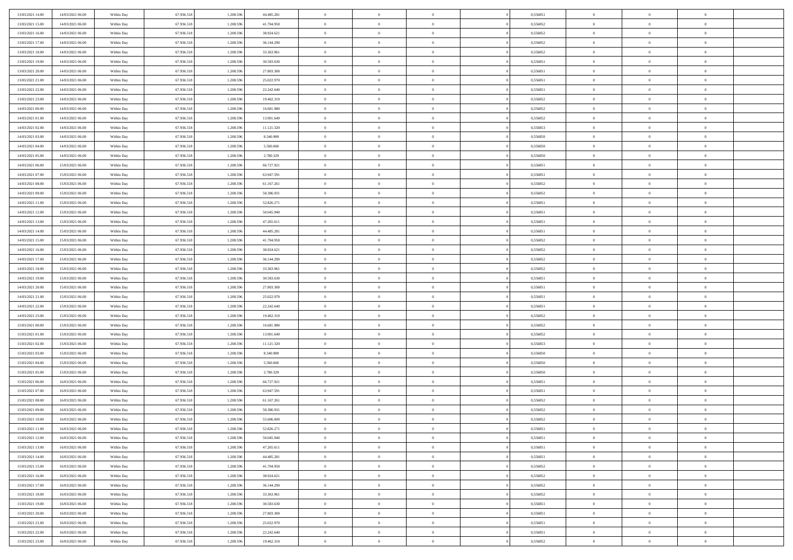| 13/03/2021 14:00 | 14/03/2021 06:00 | Within Day               | 67.936.518 | 1.208.596 | 44.485.281 | $\,$ 0         | $\bf{0}$       | $\theta$       |          | 0,556851 | $\bf{0}$       | $\overline{0}$ | $\,0\,$        |  |
|------------------|------------------|--------------------------|------------|-----------|------------|----------------|----------------|----------------|----------|----------|----------------|----------------|----------------|--|
| 13/03/2021 15:00 | 14/03/2021 06:00 | Within Day               | 67.936.518 | 1.208.596 | 41.704.950 | $\overline{0}$ | $\overline{0}$ | $\overline{0}$ |          | 0.556852 | $\overline{0}$ | $\overline{0}$ | $\theta$       |  |
| 13/03/2021 16:00 | 14/03/2021 06:00 | Within Dav               | 67.936.518 | 1.208.596 | 38.924.621 | $\mathbf{0}$   | $\overline{0}$ | $\overline{0}$ |          | 0,556852 | $\mathbf{0}$   | $\overline{0}$ | $\overline{0}$ |  |
| 13/03/2021 17:00 | 14/03/2021 06:00 | Within Day               | 67.936.518 | 1.208.596 | 36.144.290 | $\bf{0}$       | $\overline{0}$ | $\bf{0}$       |          | 0,556852 | $\bf{0}$       | $\overline{0}$ | $\bf{0}$       |  |
| 13/03/2021 18:00 | 14/03/2021 06:00 | Within Day               | 67.936.518 | 1.208.596 | 33.363.961 | $\bf{0}$       | $\bf{0}$       | $\overline{0}$ |          | 0,556852 | $\bf{0}$       | $\bf{0}$       | $\,0\,$        |  |
| 13/03/2021 19:00 | 14/03/2021 06:00 | Within Dav               | 67.936.518 | 1.208.596 | 30.583.630 | $\mathbf{0}$   | $\overline{0}$ | $\overline{0}$ |          | 0,556851 | $\mathbf{0}$   | $\overline{0}$ | $\overline{0}$ |  |
| 13/03/2021 20:00 | 14/03/2021 06:00 | Within Day               | 67.936.518 | 1.208.596 | 27.803.300 | $\bf{0}$       | $\bf{0}$       | $\overline{0}$ |          | 0,556851 | $\bf{0}$       | $\overline{0}$ | $\,0\,$        |  |
| 13/03/2021 21:00 | 14/03/2021 06:00 | Within Day               | 67.936.518 | 1.208.596 | 25.022.970 | $\overline{0}$ | $\overline{0}$ | $\overline{0}$ |          | 0,556851 | $\,$ 0 $\,$    | $\overline{0}$ | $\overline{0}$ |  |
| 13/03/2021 22:00 | 14/03/2021 06:00 | Within Day               | 67.936.518 | 1.208.596 | 22.242.640 | $\mathbf{0}$   | $\overline{0}$ | $\overline{0}$ |          | 0,556851 | $\mathbf{0}$   | $\overline{0}$ | $\overline{0}$ |  |
| 13/03/2021 23:00 | 14/03/2021 06:00 | Within Day               | 67.936.518 | 1.208.596 | 19.462.310 | $\bf{0}$       | $\bf{0}$       | $\overline{0}$ |          | 0,556852 | $\bf{0}$       | $\overline{0}$ | $\,0\,$        |  |
| 14/03/2021 00:00 | 14/03/2021 06:00 | Within Day               | 67.936.518 | 1.208.596 | 16.681.980 | $\overline{0}$ | $\overline{0}$ | $\overline{0}$ |          | 0.556852 | $\bf{0}$       | $\overline{0}$ | $\theta$       |  |
| 14/03/2021 01:00 | 14/03/2021 06:00 | Within Dav               | 67.936.518 | 1.208.596 | 13.901.649 | $\mathbf{0}$   | $\overline{0}$ | $\overline{0}$ |          | 0,556852 | $\mathbf{0}$   | $\overline{0}$ | $\overline{0}$ |  |
| 14/03/2021 02:00 | 14/03/2021 06:00 | Within Day               | 67.936.518 | 1.208.596 | 11.121.320 | $\bf{0}$       | $\overline{0}$ | $\bf{0}$       |          | 0,556853 | $\bf{0}$       | $\overline{0}$ | $\overline{0}$ |  |
| 14/03/2021 03:00 | 14/03/2021 06:00 | Within Day               | 67.936.518 | 1.208.596 | 8.340.989  | $\bf{0}$       | $\overline{0}$ | $\overline{0}$ |          | 0,556850 | $\bf{0}$       | $\mathbf{0}$   | $\,0\,$        |  |
| 14/03/2021 04:00 | 14/03/2021 06:00 | Within Dav               | 67.936.518 | 1.208.596 | 5.560.660  | $\overline{0}$ | $\overline{0}$ | $\overline{0}$ |          | 0,556850 | $\mathbf{0}$   | $\overline{0}$ | $\overline{0}$ |  |
| 14/03/2021 05:00 | 14/03/2021 06:00 | Within Day               | 67.936.518 | 1.208.596 | 2.780.329  | $\bf{0}$       | $\bf{0}$       | $\overline{0}$ |          | 0,556850 | $\bf{0}$       | $\overline{0}$ | $\bf{0}$       |  |
| 14/03/2021 06:00 | 15/03/2021 06:00 |                          | 67.936.518 | 1.208.596 | 66.727.921 | $\overline{0}$ | $\overline{0}$ | $\overline{0}$ |          | 0.556851 | $\,$ 0 $\,$    | $\overline{0}$ | $\theta$       |  |
| 14/03/2021 07:00 | 15/03/2021 06:00 | Within Day<br>Within Day | 67.936.518 | 1.208.596 | 63.947.591 | $\mathbf{0}$   | $\overline{0}$ | $\overline{0}$ |          | 0,556851 | $\mathbf{0}$   | $\overline{0}$ | $\overline{0}$ |  |
| 14/03/2021 08:00 | 15/03/2021 06:00 | Within Day               | 67.936.518 | 1.208.596 | 61.167.261 | $\bf{0}$       | $\bf{0}$       | $\overline{0}$ |          | 0,556852 | $\bf{0}$       | $\overline{0}$ | $\,0\,$        |  |
| 14/03/2021 09:00 | 15/03/2021 06:00 |                          | 67.936.518 | 1.208.596 | 58.386.931 | $\overline{0}$ | $\overline{0}$ | $\overline{0}$ |          | 0,556852 | $\bf{0}$       | $\overline{0}$ | $\overline{0}$ |  |
| 14/03/2021 11:00 | 15/03/2021 06:00 | Within Day<br>Within Dav | 67.936.518 | 1.208.596 | 52.826.271 | $\mathbf{0}$   | $\overline{0}$ | $\overline{0}$ |          | 0,556851 | $\mathbf{0}$   | $\overline{0}$ | $\overline{0}$ |  |
|                  |                  |                          |            |           |            | $\bf{0}$       |                |                |          |          | $\bf{0}$       |                | $\bf{0}$       |  |
| 14/03/2021 12:00 | 15/03/2021 06:00 | Within Day               | 67.936.518 | 1.208.596 | 50.045.940 |                | $\overline{0}$ | $\bf{0}$       |          | 0,556851 |                | $\overline{0}$ |                |  |
| 14/03/2021 13:00 | 15/03/2021 06:00 | Within Day               | 67.936.518 | 1.208.596 | 47.265.611 | $\bf{0}$       | $\bf{0}$       | $\overline{0}$ |          | 0,556851 | $\bf{0}$       | $\overline{0}$ | $\,0\,$        |  |
| 14/03/2021 14:00 | 15/03/2021 06:00 | Within Dav               | 67.936.518 | 1.208.596 | 44.485.281 | $\mathbf{0}$   | $\overline{0}$ | $\overline{0}$ |          | 0,556851 | $\mathbf{0}$   | $\overline{0}$ | $\overline{0}$ |  |
| 14/03/2021 15:00 | 15/03/2021 06:00 | Within Day               | 67.936.518 | 1.208.596 | 41.704.950 | $\bf{0}$       | $\bf{0}$       | $\overline{0}$ |          | 0,556852 | $\bf{0}$       | $\overline{0}$ | $\,0\,$        |  |
| 14/03/2021 16:00 | 15/03/2021 06:00 | Within Day               | 67.936.518 | 1.208.596 | 38.924.621 | $\overline{0}$ | $\overline{0}$ | $\overline{0}$ |          | 0,556852 | $\bf{0}$       | $\overline{0}$ | $\overline{0}$ |  |
| 14/03/2021 17:00 | 15/03/2021 06:00 | Within Day               | 67.936.518 | 1.208.596 | 36.144.290 | $\mathbf{0}$   | $\overline{0}$ | $\overline{0}$ |          | 0,556852 | $\mathbf{0}$   | $\overline{0}$ | $\overline{0}$ |  |
| 14/03/2021 18:00 | 15/03/2021 06:00 | Within Day               | 67.936.518 | 1.208.596 | 33.363.961 | $\bf{0}$       | $\bf{0}$       | $\overline{0}$ |          | 0,556852 | $\bf{0}$       | $\overline{0}$ | $\,0\,$        |  |
| 14/03/2021 19:00 | 15/03/2021 06:00 | Within Day               | 67.936.518 | 1.208.596 | 30.583.630 | $\bf{0}$       | $\bf{0}$       | $\overline{0}$ |          | 0,556851 | $\bf{0}$       | $\overline{0}$ | $\overline{0}$ |  |
| 14/03/2021 20:00 | 15/03/2021 06:00 | Within Dav               | 67.936.518 | 1.208.596 | 27.803.300 | $\mathbf{0}$   | $\overline{0}$ | $\overline{0}$ |          | 0,556851 | $\mathbf{0}$   | $\overline{0}$ | $\overline{0}$ |  |
| 14/03/2021 21:00 | 15/03/2021 06:00 | Within Day               | 67.936.518 | 1.208.596 | 25.022.970 | $\bf{0}$       | $\overline{0}$ | $\theta$       |          | 0,556851 | $\,$ 0         | $\overline{0}$ | $\theta$       |  |
| 14/03/2021 22:00 | 15/03/2021 06:00 | Within Day               | 67.936.518 | 1.208.596 | 22.242.640 | $\bf{0}$       | $\bf{0}$       | $\overline{0}$ |          | 0,556851 | $\bf{0}$       | $\overline{0}$ | $\bf{0}$       |  |
| 14/03/2021 23:00 | 15/03/2021 06:00 | Within Dav               | 67.936.518 | 1.208.596 | 19.462.310 | $\mathbf{0}$   | $\overline{0}$ | $\overline{0}$ |          | 0,556852 | $\mathbf{0}$   | $\overline{0}$ | $\overline{0}$ |  |
| 15/03/2021 00:00 | 15/03/2021 06:00 | Within Day               | 67.936.518 | 1.208.596 | 16.681.980 | $\bf{0}$       | $\overline{0}$ | $\theta$       |          | 0,556852 | $\,$ 0         | $\overline{0}$ | $\theta$       |  |
| 15/03/2021 01:00 | 15/03/2021 06:00 | Within Day               | 67.936.518 | 1.208.596 | 13.901.649 | $\bf{0}$       | $\overline{0}$ | $\overline{0}$ |          | 0.556852 | $\bf{0}$       | $\overline{0}$ | $\overline{0}$ |  |
| 15/03/2021 02:00 | 15/03/2021 06:00 | Within Day               | 67.936.518 | 1.208.596 | 11.121.320 | $\mathbf{0}$   | $\overline{0}$ | $\overline{0}$ |          | 0,556853 | $\mathbf{0}$   | $\overline{0}$ | $\overline{0}$ |  |
| 15/03/2021 03:00 | 15/03/2021 06:00 | Within Day               | 67.936.518 | 1.208.596 | 8.340.989  | $\bf{0}$       | $\overline{0}$ | $\theta$       |          | 0,556850 | $\,$ 0         | $\overline{0}$ | $\theta$       |  |
| 15/03/2021 04:00 | 15/03/2021 06:00 | Within Day               | 67.936.518 | 1.208.596 | 5.560.660  | $\bf{0}$       | $\overline{0}$ | $\overline{0}$ |          | 0,556850 | $\bf{0}$       | $\overline{0}$ | $\overline{0}$ |  |
| 15/03/2021 05:00 | 15/03/2021 06:00 | Within Dav               | 67.936.518 | 1.208.596 | 2.780.329  | $\mathbf{0}$   | $\overline{0}$ | $\overline{0}$ |          | 0,556850 | $\mathbf{0}$   | $\overline{0}$ | $\overline{0}$ |  |
| 15/03/2021 06:00 | 16/03/2021 06:00 | Within Day               | 67.936.518 | 1.208.596 | 66.727.921 | $\,0\,$        | $\overline{0}$ | $\theta$       |          | 0,556851 | $\,$ 0         | $\overline{0}$ | $\theta$       |  |
| 15/03/2021 07:00 | 16/03/2021 06:00 | Within Day               | 67.936.518 | 1.208.596 | 63.947.591 | $\bf{0}$       | $\overline{0}$ | $\overline{0}$ |          | 0,556851 | $\bf{0}$       | $\overline{0}$ | $\overline{0}$ |  |
| 15/03/2021 08:00 | 16/03/2021 06:00 | Within Dav               | 67.936.518 | 1.208.596 | 61.167.261 | $\mathbf{0}$   | $\overline{0}$ | $\overline{0}$ |          | 0,556852 | $\mathbf{0}$   | $\overline{0}$ | $\overline{0}$ |  |
| 15/03/2021 09:00 | 16/03/2021 06:00 | Within Day               | 67.936.518 | 1.208.596 | 58.386.931 | $\bf{0}$       | $\overline{0}$ | $\theta$       |          | 0,556852 | $\,$ 0         | $\overline{0}$ | $\theta$       |  |
| 15/03/2021 10:00 | 16/03/2021 06:00 | Within Day               | 67.936.518 | 1.208.596 | 55,606,600 | $\bf{0}$       | $\overline{0}$ | $\overline{0}$ |          | 0,556852 | $\,$ 0 $\,$    | $\overline{0}$ | $\overline{0}$ |  |
| 15/03/2021 11:00 | 16/03/2021 06:00 | Within Day               | 67.936.518 | 1.208.596 | 52.826.271 | $\bf{0}$       | $\overline{0}$ |                |          | 0,556851 | $\overline{0}$ | $\theta$       | $\theta$       |  |
| 15/03/2021 12:00 | 16/03/2021 06:00 | Within Day               | 67.936.518 | 1.208.596 | 50.045.940 | $\,0\,$        | $\overline{0}$ | $\theta$       |          | 0,556851 | $\,$ 0 $\,$    | $\bf{0}$       | $\theta$       |  |
| 15/03/2021 13:00 | 16/03/2021 06:00 | Within Day               | 67.936.518 | 1.208.596 | 47.265.611 | $\overline{0}$ | $\overline{0}$ | $\overline{0}$ |          | 0,556851 | $\overline{0}$ | $\overline{0}$ | $\overline{0}$ |  |
| 15/03/2021 14:00 | 16/03/2021 06:00 | Within Day               | 67.936.518 | 1.208.596 | 44.485.281 | $\bf{0}$       | $\overline{0}$ | $\overline{0}$ |          | 0,556851 | $\overline{0}$ | $\bf{0}$       | $\mathbf{0}$   |  |
| 15/03/2021 15:00 | 16/03/2021 06:00 | Within Day               | 67.936.518 | 1.208.596 | 41.704.950 | $\bf{0}$       | $\overline{0}$ | $\overline{0}$ | $\theta$ | 0,556852 | $\,$ 0 $\,$    | $\bf{0}$       | $\,$ 0 $\,$    |  |
| 15/03/2021 16:00 | 16/03/2021 06:00 | Within Day               | 67.936.518 | 1.208.596 | 38.924.621 | $\bf{0}$       | $\overline{0}$ | $\overline{0}$ |          | 0,556852 | $\,$ 0 $\,$    | $\overline{0}$ | $\overline{0}$ |  |
| 15/03/2021 17:00 | 16/03/2021 06:00 | Within Day               | 67.936.518 | 1.208.596 | 36.144.290 | $\bf{0}$       | $\overline{0}$ | $\overline{0}$ |          | 0,556852 | $\mathbf{0}$   | $\overline{0}$ | $\overline{0}$ |  |
| 15/03/2021 18:00 | 16/03/2021 06:00 | Within Day               | 67.936.518 | 1.208.596 | 33.363.961 | $\,0\,$        | $\overline{0}$ | $\overline{0}$ | $\theta$ | 0,556852 | $\,$ 0 $\,$    | $\overline{0}$ | $\,$ 0 $\,$    |  |
| 15/03/2021 19:00 | 16/03/2021 06:00 | Within Day               | 67.936.518 | 1.208.596 | 30.583.630 | $\bf{0}$       | $\overline{0}$ | $\overline{0}$ |          | 0,556851 | $\overline{0}$ | $\overline{0}$ | $\overline{0}$ |  |
| 15/03/2021 20:00 | 16/03/2021 06:00 | Within Day               | 67.936.518 | 1.208.596 | 27.803.300 | $\bf{0}$       | $\overline{0}$ | $\overline{0}$ |          | 0,556851 | $\mathbf{0}$   | $\overline{0}$ | $\overline{0}$ |  |
| 15/03/2021 21:00 | 16/03/2021 06:00 | Within Day               | 67.936.518 | 1.208.596 | 25.022.970 | $\,0\,$        | $\overline{0}$ | $\overline{0}$ |          | 0,556851 | $\,$ 0 $\,$    | $\overline{0}$ | $\,$ 0 $\,$    |  |
| 15/03/2021 22.00 | 16/03/2021 06:00 | Within Day               | 67.936.518 | 1.208.596 | 22.242.640 | $\bf{0}$       | $\overline{0}$ | $\overline{0}$ |          | 0,556851 | $\bf{0}$       | $\mathbf{0}$   | $\overline{0}$ |  |
| 15/03/2021 23:00 | 16/03/2021 06:00 | Within Day               | 67.936.518 | 1.208.596 | 19.462.310 | $\overline{0}$ | $\overline{0}$ | $\overline{0}$ |          | 0,556852 | $\mathbf{0}$   | $\overline{0}$ | $\overline{0}$ |  |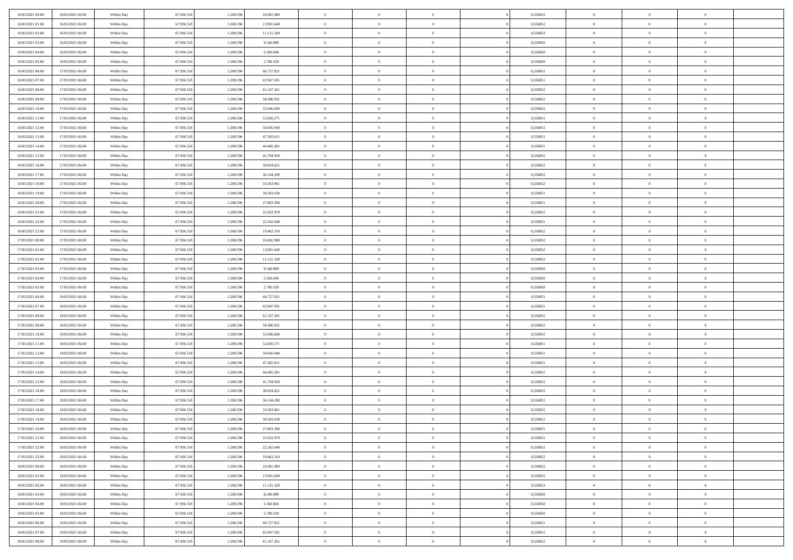| 16/03/2021 00:00 | 16/03/2021 06:00 | Within Day | 67.936.518 | 1.208.596 | 16.681.980 | $\overline{0}$ | $\overline{0}$ | $\Omega$       | 0,556852 | $\bf{0}$       | $\mathbf{0}$   | $\bf{0}$       |  |
|------------------|------------------|------------|------------|-----------|------------|----------------|----------------|----------------|----------|----------------|----------------|----------------|--|
| 16/03/2021 01:00 | 16/03/2021 06:00 | Within Day | 67.936.518 | 1.208.596 | 13.901.649 | $\mathbf{0}$   | $\overline{0}$ | $\overline{0}$ | 0,556852 | $\overline{0}$ | $\overline{0}$ | $\theta$       |  |
| 16/03/2021 02:00 | 16/03/2021 06:00 | Within Day | 67.936.518 | 1.208.596 | 11.121.320 | $\,$ 0         | $\overline{0}$ | $\bf{0}$       | 0,556853 | $\,$ 0         | $\overline{0}$ | $\,$ 0 $\,$    |  |
| 16/03/2021 03:00 | 16/03/2021 06:00 | Within Day | 67.936.518 | 1.208.596 | 8.340.989  | $\bf{0}$       | $\overline{0}$ | $\Omega$       | 0.556850 | $\bf{0}$       | $\mathbf{0}$   | $\theta$       |  |
| 16/03/2021 04:00 | 16/03/2021 06:00 | Within Dav | 67.936.518 | 1.208.596 | 5.560.660  | $\bf{0}$       | $\overline{0}$ | $\overline{0}$ | 0,556850 | $\mathbf{0}$   | $\overline{0}$ | $\overline{0}$ |  |
| 16/03/2021 05:00 | 16/03/2021 06:00 | Within Day | 67.936.518 | 1.208.596 | 2.780.329  | $\bf{0}$       | $\overline{0}$ | $\bf{0}$       | 0,556850 | $\,$ 0         | $\overline{0}$ | $\,$ 0 $\,$    |  |
| 16/03/2021 06:00 | 17/03/2021 06:00 | Within Day | 67.936.518 | 1.208.596 | 66.727.921 | $\bf{0}$       | $\overline{0}$ | $\Omega$       | 0.556851 | $\theta$       | $\mathbf{0}$   | $\theta$       |  |
| 16/03/2021 07:00 | 17/03/2021 06:00 | Within Day | 67.936.518 | 1.208.596 | 63.947.591 | $\overline{0}$ | $\overline{0}$ | $\overline{0}$ | 0,556851 | $\mathbf{0}$   | $\overline{0}$ | $\overline{0}$ |  |
| 16/03/2021 08:00 | 17/03/2021 06:00 | Within Day | 67.936.518 | 1.208.596 | 61.167.261 | $\bf{0}$       | $\overline{0}$ | $\bf{0}$       | 0,556852 | $\,$ 0         | $\overline{0}$ | $\,$ 0 $\,$    |  |
| 16/03/2021 09:00 | 17/03/2021 06:00 | Within Day | 67.936.518 | 1.208.596 | 58,386,931 | $\bf{0}$       | $\overline{0}$ | $\Omega$       | 0.556852 | $\bf{0}$       | $\mathbf{0}$   | $\theta$       |  |
| 16/03/2021 10:00 | 17/03/2021 06:00 | Within Day | 67.936.518 | 1.208.596 | 55.606.600 | $\overline{0}$ | $\overline{0}$ | $\overline{0}$ | 0,556852 | $\overline{0}$ | $\overline{0}$ | $\overline{0}$ |  |
| 16/03/2021 11:00 | 17/03/2021 06:00 | Within Day | 67.936.518 | 1.208.596 | 52.826.271 | $\,$ 0         | $\overline{0}$ | $\bf{0}$       | 0,556851 | $\,$ 0         | $\overline{0}$ | $\,$ 0 $\,$    |  |
| 16/03/2021 12:00 | 17/03/2021 06:00 | Within Day | 67.936.518 | 1.208.596 | 50.045.940 | $\bf{0}$       | $\overline{0}$ | $\Omega$       | 0.556851 | $\overline{0}$ | $\mathbf{0}$   | $\theta$       |  |
| 16/03/2021 13:00 | 17/03/2021 06:00 | Within Dav | 67.936.518 | 1.208.596 | 47.265.611 | $\overline{0}$ | $\overline{0}$ | $\overline{0}$ | 0,556851 | $\mathbf{0}$   | $\overline{0}$ | $\overline{0}$ |  |
| 16/03/2021 14:00 | 17/03/2021 06:00 | Within Day | 67.936.518 | 1.208.596 | 44.485.281 | $\bf{0}$       | $\overline{0}$ | $\bf{0}$       | 0,556851 | $\,$ 0         | $\overline{0}$ | $\,$ 0 $\,$    |  |
| 16/03/2021 15:00 | 17/03/2021 06:00 | Within Day | 67.936.518 | 1.208.596 | 41.704.950 | $\bf{0}$       | $\overline{0}$ | $\overline{0}$ | 0.556852 | $\bf{0}$       | $\mathbf{0}$   | $\bf{0}$       |  |
| 16/03/2021 16:00 | 17/03/2021 06:00 | Within Day | 67.936.518 | 1.208.596 | 38.924.621 | $\overline{0}$ | $\overline{0}$ | $\overline{0}$ | 0,556852 | $\mathbf{0}$   | $\overline{0}$ | $\overline{0}$ |  |
| 16/03/2021 17:00 | 17/03/2021 06:00 | Within Day | 67.936.518 | 1.208.596 | 36.144.290 | $\bf{0}$       | $\overline{0}$ | $\bf{0}$       | 0,556852 | $\,$ 0         | $\overline{0}$ | $\,$ 0 $\,$    |  |
| 16/03/2021 18:00 | 17/03/2021 06:00 | Within Day | 67.936.518 | 1.208.596 | 33,363,961 | $\bf{0}$       | $\overline{0}$ | $\Omega$       | 0.556852 | $\theta$       | $\mathbf{0}$   | $\theta$       |  |
| 16/03/2021 19:00 | 17/03/2021 06:00 | Within Day | 67.936.518 | 1.208.596 | 30.583.630 | $\overline{0}$ | $\overline{0}$ | $\overline{0}$ | 0,556851 | $\mathbf{0}$   | $\overline{0}$ | $\overline{0}$ |  |
| 16/03/2021 20:00 | 17/03/2021 06:00 | Within Day | 67.936.518 | 1.208.596 | 27.803.300 | $\bf{0}$       | $\overline{0}$ | $\bf{0}$       | 0,556851 | $\,$ 0         | $\overline{0}$ | $\,$ 0 $\,$    |  |
| 16/03/2021 21:00 | 17/03/2021 06:00 | Within Day | 67.936.518 | 1.208.596 | 25.022.970 | $\bf{0}$       | $\overline{0}$ | $\Omega$       | 0.556851 | $\bf{0}$       | $\theta$       | $\theta$       |  |
| 16/03/2021 22:00 | 17/03/2021 06:00 | Within Dav | 67.936.518 | 1.208.596 | 22.242.640 | $\overline{0}$ | $\overline{0}$ | $\overline{0}$ | 0,556851 | $\mathbf{0}$   | $\overline{0}$ | $\overline{0}$ |  |
| 16/03/2021 23:00 | 17/03/2021 06:00 | Within Day | 67.936.518 | 1.208.596 | 19.462.310 | $\bf{0}$       | $\overline{0}$ | $\bf{0}$       | 0,556852 | $\,$ 0         | $\overline{0}$ | $\,$ 0 $\,$    |  |
| 17/03/2021 00:00 | 17/03/2021 06:00 | Within Day | 67.936.518 | 1.208.596 | 16.681.980 | $\bf{0}$       | $\overline{0}$ | $\overline{0}$ | 0.556852 | $\bf{0}$       | $\overline{0}$ | $\bf{0}$       |  |
| 17/03/2021 01:00 | 17/03/2021 06:00 | Within Day | 67.936.518 | 1.208.596 | 13.901.649 | $\overline{0}$ | $\overline{0}$ | $\overline{0}$ | 0,556852 | $\mathbf{0}$   | $\overline{0}$ | $\overline{0}$ |  |
| 17/03/2021 02:00 | 17/03/2021 06:00 | Within Day | 67.936.518 | 1.208.596 | 11.121.320 | $\bf{0}$       | $\overline{0}$ | $\bf{0}$       | 0,556853 | $\,$ 0         | $\overline{0}$ | $\,$ 0 $\,$    |  |
| 17/03/2021 03:00 | 17/03/2021 06:00 | Within Day | 67.936.518 | 1.208.596 | 8.340.989  | $\bf{0}$       | $\overline{0}$ | $\Omega$       | 0.556850 | $\bf{0}$       | $\mathbf{0}$   | $\theta$       |  |
| 17/03/2021 04:00 | 17/03/2021 06:00 | Within Day | 67.936.518 | 1.208.596 | 5.560.660  | $\overline{0}$ | $\overline{0}$ | $\overline{0}$ | 0,556850 | $\mathbf{0}$   | $\overline{0}$ | $\overline{0}$ |  |
| 17/03/2021 05:00 | 17/03/2021 06:00 | Within Day | 67.936.518 | 1.208.596 | 2.780.329  | $\bf{0}$       | $\overline{0}$ | $\bf{0}$       | 0,556850 | $\,$ 0         | $\overline{0}$ | $\,$ 0 $\,$    |  |
| 17/03/2021 06:00 | 18/03/2021 06:00 | Within Day | 67.936.518 | 1.208.596 | 66.727.921 | $\,$ 0         | $\bf{0}$       | $\overline{0}$ | 0,556851 | $\bf{0}$       | $\overline{0}$ | $\,0\,$        |  |
| 17/03/2021 07:00 | 18/03/2021 06:00 | Within Dav | 67.936.518 | 1.208.596 | 63.947.591 | $\overline{0}$ | $\overline{0}$ | $\overline{0}$ | 0,556851 | $\mathbf{0}$   | $\overline{0}$ | $\overline{0}$ |  |
| 17/03/2021 08:00 | 18/03/2021 06:00 | Within Day | 67.936.518 | 1.208.596 | 61.167.261 | $\bf{0}$       | $\overline{0}$ | $\bf{0}$       | 0,556852 | $\,$ 0         | $\overline{0}$ | $\,$ 0 $\,$    |  |
| 17/03/2021 09:00 | 18/03/2021 06:00 | Within Day | 67.936.518 | 1.208.596 | 58.386.931 | $\bf{0}$       | $\overline{0}$ | $\bf{0}$       | 0,556852 | $\bf{0}$       | $\overline{0}$ | $\,0\,$        |  |
| 17/03/2021 10:00 | 18/03/2021 06:00 | Within Day | 67.936.518 | 1.208.596 | 55.606.600 | $\overline{0}$ | $\overline{0}$ | $\overline{0}$ | 0,556852 | $\overline{0}$ | $\overline{0}$ | $\overline{0}$ |  |
| 17/03/2021 11:00 | 18/03/2021 06:00 | Within Day | 67.936.518 | 1.208.596 | 52.826.271 | $\bf{0}$       | $\overline{0}$ | $\bf{0}$       | 0,556851 | $\,$ 0         | $\overline{0}$ | $\,$ 0 $\,$    |  |
| 17/03/2021 12:00 | 18/03/2021 06:00 | Within Day | 67.936.518 | 1.208.596 | 50.045.940 | $\bf{0}$       | $\overline{0}$ | $\overline{0}$ | 0,556851 | $\bf{0}$       | $\overline{0}$ | $\,0\,$        |  |
| 17/03/2021 13:00 | 18/03/2021 06:00 | Within Day | 67.936.518 | 1.208.596 | 47.265.611 | $\overline{0}$ | $\overline{0}$ | $\overline{0}$ | 0,556851 | $\mathbf{0}$   | $\overline{0}$ | $\overline{0}$ |  |
| 17/03/2021 14:00 | 18/03/2021 06:00 | Within Day | 67.936.518 | 1.208.596 | 44.485.281 | $\bf{0}$       | $\overline{0}$ | $\bf{0}$       | 0,556851 | $\,$ 0         | $\overline{0}$ | $\,$ 0 $\,$    |  |
| 17/03/2021 15:00 | 18/03/2021 06:00 | Within Day | 67.936.518 | 1.208.596 | 41.704.950 | $\bf{0}$       | $\overline{0}$ | $\overline{0}$ | 0,556852 | $\bf{0}$       | $\overline{0}$ | $\,0\,$        |  |
| 17/03/2021 16:00 | 18/03/2021 06:00 | Within Dav | 67.936.518 | 1.208.596 | 38.924.621 | $\overline{0}$ | $\overline{0}$ | $\overline{0}$ | 0,556852 | $\overline{0}$ | $\overline{0}$ | $\overline{0}$ |  |
| 17/03/2021 17:00 | 18/03/2021 06:00 | Within Day | 67.936.518 | 1.208.596 | 36.144.290 | $\bf{0}$       | $\overline{0}$ | $\bf{0}$       | 0,556852 | $\,$ 0         | $\overline{0}$ | $\,$ 0 $\,$    |  |
| 17/03/2021 18:00 | 18/03/2021 06:00 | Within Day | 67.936.518 | 1.208.596 | 33.363.961 | $\bf{0}$       | $\overline{0}$ | $\bf{0}$       | 0,556852 | $\bf{0}$       | $\overline{0}$ | $\,0\,$        |  |
| 17/03/2021 19:00 | 18/03/2021 06:00 | Within Day | 67.936.518 | 1.208.596 | 30.583.630 | $\mathbf{0}$   | $\overline{0}$ | $\overline{0}$ | 0,556851 | $\overline{0}$ | $\overline{0}$ | $\overline{0}$ |  |
| 17/03/2021 20:00 | 18/03/2021 06:00 | Within Day | 67.936.518 | 1.208.596 | 27.803.300 | $\bf{0}$       | $\overline{0}$ | $\theta$       | 0,556851 | $\overline{0}$ | $\theta$       | $\theta$       |  |
| 17/03/2021 21:00 | 18/03/2021 06:00 | Within Day | 67.936.518 | 1.208.596 | 25.022.970 | $\bf{0}$       | $\overline{0}$ | $\bf{0}$       | 0,556851 | $\bf{0}$       | $\overline{0}$ | $\bf{0}$       |  |
| 17/03/2021 22:00 | 18/03/2021 06:00 | Within Day | 67.936.518 | 1.208.596 | 22.242.640 | $\overline{0}$ | $\overline{0}$ | $\overline{0}$ | 0,556851 | $\overline{0}$ | $\bf{0}$       | $\overline{0}$ |  |
| 17/03/2021 23:00 | 18/03/2021 06:00 | Within Day | 67.936.518 | 1.208.596 | 19.462.310 | $\,$ 0 $\,$    | $\overline{0}$ | $\overline{0}$ | 0,556852 | $\mathbf{0}$   | $\,$ 0 $\,$    | $\,$ 0 $\,$    |  |
| 18/03/2021 00:00 | 18/03/2021 06:00 | Within Day | 67.936.518 | 1.208.596 | 16.681.980 | $\bf{0}$       | $\overline{0}$ | $\overline{0}$ | 0,556852 | $\bf{0}$       | $\overline{0}$ | $\bf{0}$       |  |
| 18/03/2021 01:00 | 18/03/2021 06:00 | Within Day | 67.936.518 | 1.208.596 | 13.901.649 | $\bf{0}$       | $\overline{0}$ | $\overline{0}$ | 0,556852 | $\mathbf{0}$   | $\overline{0}$ | $\overline{0}$ |  |
| 18/03/2021 02:00 | 18/03/2021 06:00 | Within Day | 67.936.518 | 1.208.596 | 11.121.320 | $\,$ 0 $\,$    | $\overline{0}$ | $\overline{0}$ | 0,556853 | $\,$ 0 $\,$    | $\overline{0}$ | $\,$ 0 $\,$    |  |
| 18/03/2021 03:00 | 18/03/2021 06:00 | Within Day | 67.936.518 | 1.208.596 | 8.340.989  | $\overline{0}$ | $\overline{0}$ | $\overline{0}$ | 0,556850 | $\bf{0}$       | $\overline{0}$ | $\overline{0}$ |  |
| 18/03/2021 04:00 | 18/03/2021 06:00 | Within Day | 67.936.518 | 1.208.596 | 5.560.660  | $\overline{0}$ | $\overline{0}$ | $\overline{0}$ | 0,556850 | $\overline{0}$ | $\bf{0}$       | $\overline{0}$ |  |
| 18/03/2021 05:00 | 18/03/2021 06:00 | Within Day | 67.936.518 | 1.208.596 | 2.780.329  | $\,$ 0 $\,$    | $\overline{0}$ | $\overline{0}$ | 0,556850 | $\,$ 0 $\,$    | $\,$ 0 $\,$    | $\,$ 0 $\,$    |  |
| 18/03/2021 06:00 | 19/03/2021 06:00 | Within Day | 67.936.518 | 1.208.596 | 66.727.921 | $\bf{0}$       | $\overline{0}$ | $\overline{0}$ | 0,556851 | $\bf{0}$       | $\overline{0}$ | $\bf{0}$       |  |
| 18/03/2021 07:00 | 19/03/2021 06:00 | Within Day | 67.936.518 | 1.208.596 | 63.947.591 | $\bf{0}$       | $\overline{0}$ | $\overline{0}$ | 0,556851 | $\mathbf{0}$   | $\bf{0}$       | $\overline{0}$ |  |
| 18/03/2021 08:00 | 19/03/2021 06:00 | Within Day | 67.936.518 | 1.208.596 | 61.167.261 | $\,0\,$        | $\overline{0}$ | $\overline{0}$ | 0,556852 | $\,$ 0         | $\overline{0}$ | $\,$ 0 $\,$    |  |
|                  |                  |            |            |           |            |                |                |                |          |                |                |                |  |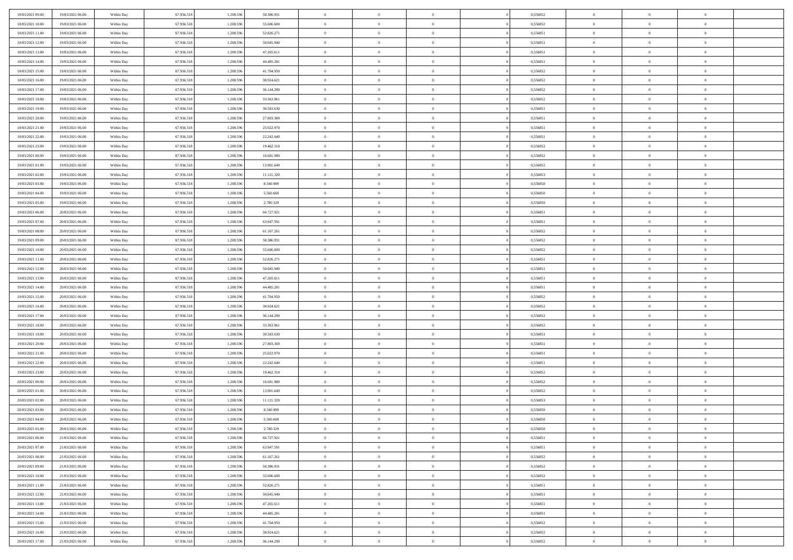| 18/03/2021 09:00 | 19/03/2021 06:00 | Within Day | 67.936.518 | 1.208.596 | 58.386.931 | $\overline{0}$ | $\overline{0}$ | $\Omega$       | 0,556852 | $\bf{0}$       | $\mathbf{0}$   | $\bf{0}$       |  |
|------------------|------------------|------------|------------|-----------|------------|----------------|----------------|----------------|----------|----------------|----------------|----------------|--|
| 18/03/2021 10:00 | 19/03/2021 06:00 | Within Day | 67.936.518 | 1.208.596 | 55.606.600 | $\mathbf{0}$   | $\overline{0}$ | $\overline{0}$ | 0,556852 | $\overline{0}$ | $\overline{0}$ | $\theta$       |  |
| 18/03/2021 11:00 | 19/03/2021 06:00 | Within Day | 67.936.518 | 1.208.596 | 52.826.271 | $\,$ 0         | $\overline{0}$ | $\bf{0}$       | 0,556851 | $\,$ 0         | $\overline{0}$ | $\,$ 0 $\,$    |  |
| 18/03/2021 12:00 | 19/03/2021 06:00 | Within Day | 67.936.518 | 1.208.596 | 50.045.940 | $\bf{0}$       | $\overline{0}$ | $\Omega$       | 0.556851 | $\bf{0}$       | $\mathbf{0}$   | $\theta$       |  |
| 18/03/2021 13:00 | 19/03/2021 06:00 | Within Day | 67.936.518 | 1.208.596 | 47.265.611 | $\bf{0}$       | $\overline{0}$ | $\overline{0}$ | 0,556851 | $\mathbf{0}$   | $\overline{0}$ | $\overline{0}$ |  |
| 18/03/2021 14:00 | 19/03/2021 06:00 | Within Day | 67.936.518 | 1.208.596 | 44.485.281 | $\bf{0}$       | $\overline{0}$ | $\bf{0}$       | 0,556851 | $\,$ 0         | $\overline{0}$ | $\,$ 0 $\,$    |  |
| 18/03/2021 15:00 | 19/03/2021 06:00 | Within Day | 67.936.518 | 1.208.596 | 41.704.950 | $\bf{0}$       | $\overline{0}$ | $\Omega$       | 0.556852 | $\theta$       | $\mathbf{0}$   | $\theta$       |  |
| 18/03/2021 16:00 | 19/03/2021 06:00 | Within Day | 67.936.518 | 1.208.596 | 38.924.621 | $\overline{0}$ | $\overline{0}$ | $\overline{0}$ | 0,556852 | $\mathbf{0}$   | $\overline{0}$ | $\overline{0}$ |  |
| 18/03/2021 17:00 | 19/03/2021 06:00 | Within Day | 67.936.518 | 1.208.596 | 36.144.290 | $\bf{0}$       | $\overline{0}$ | $\bf{0}$       | 0,556852 | $\,$ 0         | $\overline{0}$ | $\,$ 0 $\,$    |  |
| 18/03/2021 18:00 | 19/03/2021 06:00 | Within Day | 67.936.518 | 1.208.596 | 33,363,961 | $\bf{0}$       | $\overline{0}$ | $\Omega$       | 0.556852 | $\theta$       | $\mathbf{0}$   | $\theta$       |  |
| 18/03/2021 19:00 | 19/03/2021 06:00 | Within Day | 67.936.518 | 1.208.596 | 30.583.630 | $\overline{0}$ | $\overline{0}$ | $\overline{0}$ | 0,556851 | $\mathbf{0}$   | $\overline{0}$ | $\overline{0}$ |  |
| 18/03/2021 20:00 | 19/03/2021 06:00 | Within Day | 67.936.518 | 1.208.596 | 27.803.300 | $\bf{0}$       | $\overline{0}$ | $\bf{0}$       | 0,556851 | $\,$ 0         | $\overline{0}$ | $\,$ 0 $\,$    |  |
| 18/03/2021 21:00 | 19/03/2021 06:00 | Within Day | 67.936.518 | 1.208.596 | 25.022.970 | $\bf{0}$       | $\overline{0}$ | $\Omega$       | 0.556851 | $\overline{0}$ | $\mathbf{0}$   | $\theta$       |  |
| 18/03/2021 22:00 | 19/03/2021 06:00 | Within Day | 67.936.518 | 1.208.596 | 22.242.640 | $\overline{0}$ | $\overline{0}$ | $\overline{0}$ | 0,556851 | $\mathbf{0}$   | $\overline{0}$ | $\overline{0}$ |  |
| 18/03/2021 23:00 | 19/03/2021 06:00 | Within Day | 67.936.518 | 1.208.596 | 19.462.310 | $\bf{0}$       | $\overline{0}$ | $\bf{0}$       | 0,556852 | $\,$ 0         | $\overline{0}$ | $\,$ 0 $\,$    |  |
| 19/03/2021 00:00 | 19/03/2021 06:00 | Within Day | 67.936.518 | 1.208.596 | 16.681.980 | $\bf{0}$       | $\overline{0}$ | $\overline{0}$ | 0.556852 | $\bf{0}$       | $\mathbf{0}$   | $\bf{0}$       |  |
| 19/03/2021 01:00 | 19/03/2021 06:00 | Within Day | 67.936.518 | 1.208.596 | 13.901.649 | $\overline{0}$ | $\overline{0}$ | $\overline{0}$ | 0,556852 | $\mathbf{0}$   | $\overline{0}$ | $\overline{0}$ |  |
| 19/03/2021 02:00 | 19/03/2021 06:00 | Within Day | 67.936.518 | 1.208.596 | 11.121.320 | $\bf{0}$       | $\overline{0}$ | $\bf{0}$       | 0,556853 | $\,$ 0         | $\overline{0}$ | $\,$ 0 $\,$    |  |
| 19/03/2021 03:00 | 19/03/2021 06:00 | Within Day | 67.936.518 | 1.208.596 | 8.340.989  | $\bf{0}$       | $\overline{0}$ | $\Omega$       | 0.556850 | $\theta$       | $\mathbf{0}$   | $\theta$       |  |
| 19/03/2021 04:00 | 19/03/2021 06:00 | Within Day | 67.936.518 | 1.208.596 | 5.560.660  | $\overline{0}$ | $\overline{0}$ | $\overline{0}$ | 0,556850 | $\mathbf{0}$   | $\overline{0}$ | $\overline{0}$ |  |
| 19/03/2021 05:00 | 19/03/2021 06:00 | Within Day | 67.936.518 | 1.208.596 | 2.780.329  | $\bf{0}$       | $\overline{0}$ | $\bf{0}$       | 0,556850 | $\,$ 0         | $\overline{0}$ | $\,$ 0 $\,$    |  |
| 19/03/2021 06:00 | 20/03/2021 06:00 | Within Day | 67.936.518 | 1.208.596 | 66.727.921 | $\bf{0}$       | $\overline{0}$ | $\Omega$       | 0.556851 | $\bf{0}$       | $\mathbf{0}$   | $\theta$       |  |
| 19/03/2021 07:00 | 20/03/2021 06:00 | Within Day | 67.936.518 | 1.208.596 | 63.947.591 | $\overline{0}$ | $\overline{0}$ | $\overline{0}$ | 0,556851 | $\mathbf{0}$   | $\overline{0}$ | $\overline{0}$ |  |
| 19/03/2021 08:00 | 20/03/2021 06:00 | Within Day | 67.936.518 | 1.208.596 | 61.167.261 | $\bf{0}$       | $\overline{0}$ | $\bf{0}$       | 0,556852 | $\,$ 0         | $\overline{0}$ | $\,$ 0 $\,$    |  |
| 19/03/2021 09:00 | 20/03/2021 06:00 | Within Day | 67.936.518 | 1.208.596 | 58.386.931 | $\bf{0}$       | $\overline{0}$ | $\overline{0}$ | 0.556852 | $\bf{0}$       | $\overline{0}$ | $\bf{0}$       |  |
| 19/03/2021 10:00 | 20/03/2021 06:00 | Within Day | 67.936.518 | 1.208.596 | 55.606.600 | $\overline{0}$ | $\overline{0}$ | $\overline{0}$ | 0,556852 | $\mathbf{0}$   | $\overline{0}$ | $\overline{0}$ |  |
| 19/03/2021 11:00 | 20/03/2021 06:00 | Within Day | 67.936.518 | 1.208.596 | 52.826.271 | $\bf{0}$       | $\overline{0}$ | $\bf{0}$       | 0,556851 | $\,$ 0         | $\overline{0}$ | $\,$ 0 $\,$    |  |
| 19/03/2021 12:00 | 20/03/2021 06:00 | Within Day | 67.936.518 | 1.208.596 | 50.045.940 | $\bf{0}$       | $\overline{0}$ | $\Omega$       | 0.556851 | $\theta$       | $\mathbf{0}$   | $\theta$       |  |
| 19/03/2021 13:00 | 20/03/2021 06:00 | Within Day | 67.936.518 | 1.208.596 | 47.265.611 | $\overline{0}$ | $\overline{0}$ | $\overline{0}$ | 0,556851 | $\mathbf{0}$   | $\overline{0}$ | $\overline{0}$ |  |
| 19/03/2021 14:00 | 20/03/2021 06:00 | Within Day | 67.936.518 | 1.208.596 | 44.485.281 | $\bf{0}$       | $\overline{0}$ | $\bf{0}$       | 0,556851 | $\,$ 0         | $\overline{0}$ | $\,$ 0 $\,$    |  |
| 19/03/2021 15:00 | 20/03/2021 06:00 | Within Day | 67.936.518 | 1.208.596 | 41.704.950 | $\bf{0}$       | $\bf{0}$       | $\overline{0}$ | 0,556852 | $\bf{0}$       | $\overline{0}$ | $\,0\,$        |  |
| 19/03/2021 16:00 | 20/03/2021 06:00 | Within Dav | 67.936.518 | 1.208.596 | 38.924.621 | $\overline{0}$ | $\overline{0}$ | $\overline{0}$ | 0,556852 | $\mathbf{0}$   | $\overline{0}$ | $\overline{0}$ |  |
| 19/03/2021 17:00 | 20/03/2021 06:00 | Within Day | 67.936.518 | 1.208.596 | 36.144.290 | $\bf{0}$       | $\overline{0}$ | $\bf{0}$       | 0,556852 | $\,$ 0         | $\overline{0}$ | $\,$ 0 $\,$    |  |
| 19/03/2021 18:00 | 20/03/2021 06:00 | Within Day | 67.936.518 | 1.208.596 | 33.363.961 | $\bf{0}$       | $\overline{0}$ | $\bf{0}$       | 0,556852 | $\bf{0}$       | $\overline{0}$ | $\,0\,$        |  |
| 19/03/2021 19:00 | 20/03/2021 06:00 | Within Day | 67.936.518 | 1.208.596 | 30.583.630 | $\overline{0}$ | $\overline{0}$ | $\overline{0}$ | 0,556851 | $\overline{0}$ | $\overline{0}$ | $\overline{0}$ |  |
| 19/03/2021 20:00 | 20/03/2021 06:00 | Within Day | 67.936.518 | 1.208.596 | 27.803.300 | $\bf{0}$       | $\overline{0}$ | $\bf{0}$       | 0,556851 | $\,$ 0         | $\overline{0}$ | $\,$ 0 $\,$    |  |
| 19/03/2021 21:00 | 20/03/2021 06:00 | Within Day | 67.936.518 | 1.208.596 | 25.022.970 | $\bf{0}$       | $\overline{0}$ | $\overline{0}$ | 0,556851 | $\bf{0}$       | $\overline{0}$ | $\,0\,$        |  |
| 19/03/2021 22:00 | 20/03/2021 06:00 | Within Day | 67.936.518 | 1.208.596 | 22.242.640 | $\overline{0}$ | $\overline{0}$ | $\overline{0}$ | 0,556851 | $\mathbf{0}$   | $\overline{0}$ | $\overline{0}$ |  |
| 19/03/2021 23:00 | 20/03/2021 06:00 | Within Day | 67.936.518 | 1.208.596 | 19.462.310 | $\bf{0}$       | $\overline{0}$ | $\bf{0}$       | 0,556852 | $\,$ 0         | $\overline{0}$ | $\,$ 0 $\,$    |  |
| 20/03/2021 00:00 | 20/03/2021 06:00 | Within Day | 67.936.518 | 1.208.596 | 16.681.980 | $\bf{0}$       | $\overline{0}$ | $\overline{0}$ | 0,556852 | $\bf{0}$       | $\overline{0}$ | $\,0\,$        |  |
| 20/03/2021 01:00 | 20/03/2021 06:00 | Within Day | 67.936.518 | 1.208.596 | 13.901.649 | $\overline{0}$ | $\overline{0}$ | $\overline{0}$ | 0,556852 | $\overline{0}$ | $\overline{0}$ | $\overline{0}$ |  |
| 20/03/2021 02:00 | 20/03/2021 06:00 | Within Day | 67.936.518 | 1.208.596 | 11.121.320 | $\bf{0}$       | $\overline{0}$ | $\bf{0}$       | 0,556853 | $\,$ 0         | $\overline{0}$ | $\,$ 0 $\,$    |  |
| 20/03/2021 03:00 | 20/03/2021 06:00 | Within Day | 67.936.518 | 1.208.596 | 8.340.989  | $\bf{0}$       | $\overline{0}$ | $\bf{0}$       | 0,556850 | $\bf{0}$       | $\overline{0}$ | $\,0\,$        |  |
| 20/03/2021 04:00 | 20/03/2021 06:00 | Within Dav | 67.936.518 | 1.208.596 | 5.560.660  | $\mathbf{0}$   | $\overline{0}$ | $\overline{0}$ | 0,556850 | $\overline{0}$ | $\overline{0}$ | $\overline{0}$ |  |
| 20/03/2021 05:00 | 20/03/2021 06:00 | Within Day | 67.936.518 | 1.208.596 | 2.780.329  | $\bf{0}$       | $\overline{0}$ | $\theta$       | 0,556850 | $\overline{0}$ | $\overline{0}$ | $\theta$       |  |
| 20/03/2021 06:00 | 21/03/2021 06:00 | Within Day | 67.936.518 | 1.208.596 | 66.727.921 | $\bf{0}$       | $\overline{0}$ | $\bf{0}$       | 0,556851 | $\bf{0}$       | $\overline{0}$ | $\bf{0}$       |  |
| 20/03/2021 07:00 | 21/03/2021 06:00 | Within Day | 67.936.518 | 1.208.596 | 63.947.591 | $\overline{0}$ | $\overline{0}$ | $\overline{0}$ | 0,556851 | $\overline{0}$ | $\bf{0}$       | $\overline{0}$ |  |
| 20/03/2021 08:00 | 21/03/2021 06:00 | Within Day | 67.936.518 | 1.208.596 | 61.167.261 | $\,$ 0 $\,$    | $\overline{0}$ | $\overline{0}$ | 0,556852 | $\mathbf{0}$   | $\,$ 0 $\,$    | $\,$ 0 $\,$    |  |
| 20/03/2021 09:00 | 21/03/2021 06:00 | Within Day | 67.936.518 | 1.208.596 | 58.386.931 | $\bf{0}$       | $\overline{0}$ | $\overline{0}$ | 0,556852 | $\bf{0}$       | $\overline{0}$ | $\bf{0}$       |  |
| 20/03/2021 10:00 | 21/03/2021 06:00 | Within Day | 67.936.518 | 1.208.596 | 55.606.600 | $\bf{0}$       | $\overline{0}$ | $\overline{0}$ | 0,556852 | $\mathbf{0}$   | $\bf{0}$       | $\overline{0}$ |  |
| 20/03/2021 11:00 | 21/03/2021 06:00 | Within Day | 67.936.518 | 1.208.596 | 52.826.271 | $\,$ 0 $\,$    | $\overline{0}$ | $\overline{0}$ | 0,556851 | $\,$ 0 $\,$    | $\overline{0}$ | $\,$ 0 $\,$    |  |
| 20/03/2021 12:00 | 21/03/2021 06:00 | Within Day | 67.936.518 | 1.208.596 | 50.045.940 | $\overline{0}$ | $\overline{0}$ | $\overline{0}$ | 0,556851 | $\bf{0}$       | $\overline{0}$ | $\overline{0}$ |  |
| 20/03/2021 13:00 | 21/03/2021 06:00 | Within Day | 67.936.518 | 1.208.596 | 47.265.611 | $\overline{0}$ | $\overline{0}$ | $\overline{0}$ | 0,556851 | $\overline{0}$ | $\bf{0}$       | $\overline{0}$ |  |
| 20/03/2021 14:00 | 21/03/2021 06:00 | Within Day | 67.936.518 | 1.208.596 | 44.485.281 | $\,$ 0 $\,$    | $\overline{0}$ | $\overline{0}$ | 0,556851 | $\mathbf{0}$   | $\,$ 0 $\,$    | $\,$ 0 $\,$    |  |
| 20/03/2021 15:00 | 21/03/2021 06:00 | Within Day | 67.936.518 | 1.208.596 | 41.704.950 | $\bf{0}$       | $\overline{0}$ | $\overline{0}$ | 0,556852 | $\mathbf{0}$   | $\overline{0}$ | $\bf{0}$       |  |
| 20/03/2021 16:00 | 21/03/2021 06:00 | Within Day | 67.936.518 | 1.208.596 | 38.924.621 | $\bf{0}$       | $\overline{0}$ | $\overline{0}$ | 0,556852 | $\mathbf{0}$   | $\bf{0}$       | $\overline{0}$ |  |
| 20/03/2021 17:00 | 21/03/2021 06:00 | Within Day | 67.936.518 | 1.208.596 | 36.144.290 | $\,0\,$        | $\overline{0}$ | $\overline{0}$ | 0,556852 | $\,$ 0         | $\overline{0}$ | $\,$ 0 $\,$    |  |
|                  |                  |            |            |           |            |                |                |                |          |                |                |                |  |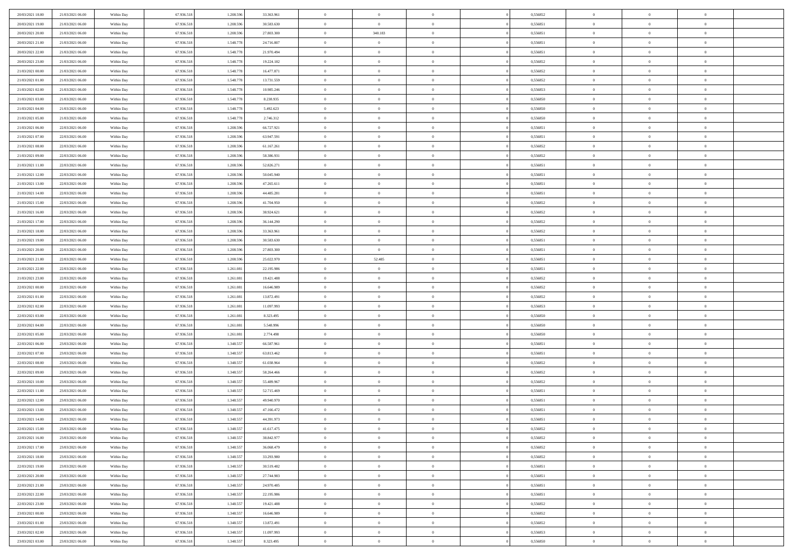| 20/03/2021 18:00                     | 21/03/2021 06:00 | Within Day               | 67.936.518 | 1.208.59  | 33.363.961 | $\bf{0}$                  | $\overline{0}$ | $\overline{0}$ | 0,556852 | $\bf{0}$       | $\bf{0}$                         | $\theta$             |  |
|--------------------------------------|------------------|--------------------------|------------|-----------|------------|---------------------------|----------------|----------------|----------|----------------|----------------------------------|----------------------|--|
| 20/03/2021 19:00                     | 21/03/2021 06:00 | Within Day               | 67.936.518 | 1.208.596 | 30.583.630 | $\overline{0}$            | $\overline{0}$ | $\overline{0}$ | 0,556851 | $\theta$       | $\overline{0}$                   | $\theta$             |  |
| 20/03/2021 20:00                     | 21/03/2021 06:00 | Within Day               | 67.936.518 | 1.208.596 | 27.803.300 | $\,$ 0 $\,$               | 340.183        | $\bf{0}$       | 0,556851 | $\,$ 0 $\,$    | $\overline{0}$                   | $\,$ 0 $\,$          |  |
| 20/03/2021 21:00                     | 21/03/2021 06:00 | Within Day               | 67.936.518 | 1.548.778 | 24.716.807 | $\bf{0}$                  | $\mathbf{0}$   | $\overline{0}$ | 0,556851 | $\theta$       | $\mathbf{0}$                     | $\theta$             |  |
| 20/03/2021 22:00                     | 21/03/2021 06:00 | Within Day               | 67.936.518 | 1.548.778 | 21.970.494 | $\bf{0}$                  | $\overline{0}$ | $\overline{0}$ | 0,556851 | $\overline{0}$ | $\overline{0}$                   | $\overline{0}$       |  |
| 20/03/2021 23:00                     | 21/03/2021 06:00 | Within Day               | 67.936.518 | 1.548.778 | 19.224.182 | $\,$ 0 $\,$               | $\overline{0}$ | $\bf{0}$       | 0,556852 | $\,$ 0 $\,$    | $\overline{0}$                   | $\,$ 0 $\,$          |  |
| 21/03/2021 00:00                     | 21/03/2021 06:00 | Within Day               | 67.936.518 | 1.548.778 | 16.477.871 | $\bf{0}$                  | $\overline{0}$ | $\overline{0}$ | 0.556852 | $\bf{0}$       | $\overline{0}$                   | $\theta$             |  |
| 21/03/2021 01:00                     | 21/03/2021 06:00 |                          | 67.936.518 | 1.548.778 | 13.731.559 | $\overline{0}$            | $\overline{0}$ | $\overline{0}$ | 0,556852 | $\overline{0}$ | $\overline{0}$                   | $\overline{0}$       |  |
|                                      |                  | Within Day               |            |           |            |                           |                |                |          |                |                                  |                      |  |
| 21/03/2021 02:00                     | 21/03/2021 06:00 | Within Day               | 67.936.518 | 1.548.778 | 10.985.246 | $\,$ 0 $\,$               | $\overline{0}$ | $\bf{0}$       | 0,556853 | $\,$ 0 $\,$    | $\overline{0}$                   | $\bf{0}$             |  |
| 21/03/2021 03:00                     | 21/03/2021 06:00 | Within Day               | 67.936.518 | 1.548.778 | 8.238.935  | $\overline{0}$            | $\mathbf{0}$   | $\overline{0}$ | 0.556850 | $\theta$       | $\mathbf{0}$                     | $\theta$             |  |
| 21/03/2021 04:00                     | 21/03/2021 06:00 | Within Day               | 67.936.518 | 1.548.778 | 5.492.623  | $\mathbf{0}$              | $\overline{0}$ | $\overline{0}$ | 0,556850 | $\overline{0}$ | $\overline{0}$                   | $\overline{0}$       |  |
| 21/03/2021 05:00                     | 21/03/2021 06:00 | Within Day               | 67.936.518 | 1.548.778 | 2.746.312  | $\,$ 0 $\,$               | $\overline{0}$ | $\bf{0}$       | 0,556850 | $\,$ 0 $\,$    | $\overline{0}$                   | $\,$ 0 $\,$          |  |
| 21/03/2021 06:00                     | 22/03/2021 06:00 | Within Day               | 67.936.518 | 1.208.596 | 66.727.921 | $\bf{0}$                  | $\overline{0}$ | $\overline{0}$ | 0,556851 | $\bf{0}$       | $\overline{0}$                   | $\theta$             |  |
| 21/03/2021 07:00                     | 22/03/2021 06:00 | Within Day               | 67.936.518 | 1.208.596 | 63.947.591 | $\overline{0}$            | $\overline{0}$ | $\overline{0}$ | 0,556851 | $\overline{0}$ | $\overline{0}$                   | $\overline{0}$       |  |
| 21/03/2021 08:00                     | 22/03/2021 06:00 | Within Day               | 67.936.518 | 1.208.596 | 61.167.261 | $\,$ 0 $\,$               | $\overline{0}$ | $\bf{0}$       | 0,556852 | $\,$ 0 $\,$    | $\overline{0}$                   | $\,$ 0 $\,$          |  |
| 21/03/2021 09:00                     | 22/03/2021 06:00 | Within Day               | 67.936.518 | 1.208.59  | 58.386.931 | $\bf{0}$                  | $\mathbf{0}$   | $\overline{0}$ | 0.556852 | $\theta$       | $\mathbf{0}$                     | $\theta$             |  |
| 21/03/2021 11:00                     | 22/03/2021 06:00 | Within Day               | 67.936.518 | 1.208.596 | 52.826.271 | $\overline{0}$            | $\overline{0}$ | $\overline{0}$ | 0,556851 | $\mathbf{0}$   | $\overline{0}$                   | $\overline{0}$       |  |
| 21/03/2021 12:00                     | 22/03/2021 06:00 | Within Day               | 67.936.518 | 1.208.596 | 50.045.940 | $\,$ 0 $\,$               | $\overline{0}$ | $\bf{0}$       | 0,556851 | $\,$ 0 $\,$    | $\overline{0}$                   | $\,$ 0 $\,$          |  |
| 21/03/2021 13:00                     | 22/03/2021 06:00 | Within Day               | 67.936.518 | 1.208.596 | 47.265.611 | $\bf{0}$                  | $\Omega$       | $\overline{0}$ | 0,556851 | $\theta$       | $\mathbf{0}$                     | $\theta$             |  |
| 21/03/2021 14:00                     | 22/03/2021 06:00 | Within Day               | 67.936.518 | 1.208.596 | 44.485.281 | $\overline{0}$            | $\overline{0}$ | $\overline{0}$ | 0,556851 | $\mathbf{0}$   | $\overline{0}$                   | $\overline{0}$       |  |
| 21/03/2021 15:00                     | 22/03/2021 06:00 | Within Day               | 67.936.518 | 1.208.596 | 41.704.950 | $\,$ 0 $\,$               | $\overline{0}$ | $\bf{0}$       | 0,556852 | $\,$ 0 $\,$    | $\overline{0}$                   | $\,$ 0 $\,$          |  |
| 21/03/2021 16:00                     | 22/03/2021 06:00 | Within Day               | 67.936.518 | 1.208.596 | 38.924.621 | $\overline{0}$            | $\overline{0}$ | $\overline{0}$ | 0.556852 | $\bf{0}$       | $\overline{0}$                   | $\theta$             |  |
| 21/03/2021 17:00                     | 22/03/2021 06:00 | Within Day               | 67.936.518 | 1.208.596 | 36.144.290 | $\overline{0}$            | $\overline{0}$ | $\overline{0}$ | 0,556852 | $\mathbf{0}$   | $\overline{0}$                   | $\overline{0}$       |  |
| 21/03/2021 18:00                     | 22/03/2021 06:00 | Within Day               | 67.936.518 | 1.208.596 | 33.363.961 | $\,$ 0 $\,$               | $\overline{0}$ | $\bf{0}$       | 0,556852 | $\,$ 0 $\,$    | $\overline{0}$                   | $\bf{0}$             |  |
| 21/03/2021 19:00                     | 22/03/2021 06:00 | Within Day               | 67.936.518 | 1.208.59  | 30.583.630 | $\overline{0}$            | $\mathbf{0}$   | $\overline{0}$ | 0.556851 | $\theta$       | $\mathbf{0}$                     | $\theta$             |  |
| 21/03/2021 20:00                     | 22/03/2021 06:00 | Within Day               | 67.936.518 | 1.208.596 | 27.803.300 | $\overline{0}$            | $\overline{0}$ | $\overline{0}$ | 0,556851 | $\mathbf{0}$   | $\overline{0}$                   | $\overline{0}$       |  |
| 21/03/2021 21:00                     | 22/03/2021 06:00 | Within Day               | 67.936.518 | 1.208.596 | 25.022.970 | $\,$ 0 $\,$               | 52.485         | $\bf{0}$       | 0,556851 | $\,$ 0 $\,$    | $\overline{0}$                   | $\,$ 0 $\,$          |  |
| 21/03/2021 22:00                     | 22/03/2021 06:00 | Within Day               | 67.936.518 | 1.261.081 | 22.195.986 | $\bf{0}$                  | $\overline{0}$ | $\overline{0}$ | 0,556851 | $\bf{0}$       | $\overline{0}$                   | $\bf{0}$             |  |
| 21/03/2021 23:00                     | 22/03/2021 06:00 | Within Day               | 67.936.518 | 1.261.081 | 19.421.488 | $\overline{0}$            | $\overline{0}$ | $\overline{0}$ | 0,556852 | $\mathbf{0}$   | $\overline{0}$                   | $\overline{0}$       |  |
| 22/03/2021 00:00                     | 22/03/2021 06:00 | Within Day               | 67.936.518 | 1.261.081 | 16.646.989 | $\,$ 0 $\,$               | $\overline{0}$ | $\bf{0}$       | 0,556852 | $\,$ 0 $\,$    | $\overline{0}$                   | $\,$ 0 $\,$          |  |
|                                      | 22/03/2021 06:00 |                          | 67.936.518 | 1.261.081 | 13.872.491 | $\,0\,$                   | $\overline{0}$ | $\bf{0}$       | 0,556852 | $\,$ 0 $\,$    | $\overline{0}$                   | $\bf{0}$             |  |
| 22/03/2021 01:00<br>22/03/2021 02:00 | 22/03/2021 06:00 | Within Day<br>Within Day | 67.936.518 | 1.261.081 | 11.097.993 | $\overline{0}$            | $\overline{0}$ | $\overline{0}$ | 0,556853 | $\overline{0}$ | $\overline{0}$                   | $\overline{0}$       |  |
|                                      |                  |                          |            |           |            | $\,$ 0 $\,$               | $\overline{0}$ |                |          | $\,$ 0 $\,$    | $\overline{0}$                   | $\,$ 0 $\,$          |  |
| 22/03/2021 03:00                     | 22/03/2021 06:00 | Within Day               | 67.936.518 | 1.261.081 | 8.323.495  |                           |                | $\bf{0}$       | 0,556850 |                |                                  |                      |  |
| 22/03/2021 04:00                     | 22/03/2021 06:00 | Within Day               | 67.936.518 | 1.261.081 | 5.548.996  | $\,0\,$<br>$\overline{0}$ | $\overline{0}$ | $\bf{0}$       | 0,556850 | $\bf{0}$       | $\overline{0}$<br>$\overline{0}$ | $\bf{0}$<br>$\theta$ |  |
| 22/03/2021 05:00                     | 22/03/2021 06:00 | Within Day               | 67.936.518 | 1.261.081 | 2.774.498  |                           | $\overline{0}$ | $\overline{0}$ | 0,556850 | $\overline{0}$ |                                  |                      |  |
| 22/03/2021 06:00                     | 23/03/2021 06:00 | Within Day               | 67.936.518 | 1.348.557 | 66.587.961 | $\,$ 0 $\,$               | $\overline{0}$ | $\bf{0}$       | 0,556851 | $\,$ 0 $\,$    | $\overline{0}$                   | $\,$ 0 $\,$          |  |
| 22/03/2021 07:00                     | 23/03/2021 06:00 | Within Day               | 67.936.518 | 1.348.557 | 63.813.462 | $\bf{0}$                  | $\overline{0}$ | $\bf{0}$       | 0,556851 | $\bf{0}$       | $\overline{0}$                   | $\bf{0}$             |  |
| 22/03/2021 08:00                     | 23/03/2021 06:00 | Within Day               | 67.936.518 | 1.348.557 | 61.038.964 | $\overline{0}$            | $\overline{0}$ | $\overline{0}$ | 0,556852 | $\overline{0}$ | $\overline{0}$                   | $\overline{0}$       |  |
| 22/03/2021 09:00                     | 23/03/2021 06:00 | Within Day               | 67.936.518 | 1.348.557 | 58.264.466 | $\,$ 0 $\,$               | $\overline{0}$ | $\bf{0}$       | 0,556852 | $\,$ 0 $\,$    | $\overline{0}$                   | $\,$ 0 $\,$          |  |
| 22/03/2021 10:00                     | 23/03/2021 06:00 | Within Day               | 67.936.518 | 1.348.557 | 55.489.967 | $\mathbf{0}$              | $\overline{0}$ | $\bf{0}$       | 0,556852 | $\bf{0}$       | $\overline{0}$                   | $\bf{0}$             |  |
| 22/03/2021 11:00                     | 23/03/2021 06:00 | Within Day               | 67.936.518 | 1.348.557 | 52.715.469 | $\overline{0}$            | $\overline{0}$ | $\overline{0}$ | 0,556851 | $\overline{0}$ | $\overline{0}$                   | $\overline{0}$       |  |
| 22/03/2021 12:00                     | 23/03/2021 06:00 | Within Day               | 67.936.518 | 1.348.557 | 49.940.970 | $\,$ 0 $\,$               | $\overline{0}$ | $\bf{0}$       | 0,556851 | $\,$ 0 $\,$    | $\overline{0}$                   | $\,$ 0 $\,$          |  |
| 22/03/2021 13:00                     | 23/03/2021 06:00 | Within Day               | 67.936.518 | 1.348.557 | 47.166.472 | $\,0\,$                   | $\overline{0}$ | $\bf{0}$       | 0,556851 | $\bf{0}$       | $\overline{0}$                   | $\bf{0}$             |  |
| 22/03/2021 14:00                     | 23/03/2021 06:00 | Within Day               | 67.936.518 | 1.348.557 | 44.391.973 | $\mathbf{0}$              | $\overline{0}$ | $\overline{0}$ | 0,556851 | $\theta$       | $\overline{0}$                   | $\overline{0}$       |  |
| 22/03/2021 15:00                     | 23/03/2021 06:00 | Within Day               | 67.936.518 | 1.348.557 | 41.617.475 | $\mathbf{0}$              | $\overline{0}$ | $\theta$       | 0,556852 | $\overline{0}$ | $\overline{0}$                   | $\theta$             |  |
| 22/03/2021 16:00                     | 23/03/2021 06:00 | Within Day               | 67.936.518 | 1.348.557 | 38.842.977 | $\bf{0}$                  | $\overline{0}$ | $\bf{0}$       | 0,556852 | $\bf{0}$       | $\overline{0}$                   | $\bf{0}$             |  |
| 22/03/2021 17:00                     | 23/03/2021 06:00 | Within Day               | 67.936.518 | 1.348.557 | 36.068.479 | $\bf{0}$                  | $\overline{0}$ | $\overline{0}$ | 0,556852 | $\overline{0}$ | $\overline{0}$                   | $\overline{0}$       |  |
| 22/03/2021 18:00                     | 23/03/2021 06:00 | Within Day               | 67.936.518 | 1.348.557 | 33.293.980 | $\,$ 0                    | $\overline{0}$ | $\overline{0}$ | 0,556852 | $\,$ 0 $\,$    | $\overline{0}$                   | $\,$ 0 $\,$          |  |
| 22/03/2021 19:00                     | 23/03/2021 06:00 | Within Day               | 67.936.518 | 1.348.557 | 30.519.482 | $\bf{0}$                  | $\overline{0}$ | $\overline{0}$ | 0,556851 | $\mathbf{0}$   | $\overline{0}$                   | $\bf{0}$             |  |
| 22/03/2021 20:00                     | 23/03/2021 06:00 | Within Day               | 67.936.518 | 1.348.557 | 27.744.983 | $\bf{0}$                  | $\overline{0}$ | $\overline{0}$ | 0,556851 | $\mathbf{0}$   | $\overline{0}$                   | $\overline{0}$       |  |
| 22/03/2021 21:00                     | 23/03/2021 06:00 | Within Day               | 67.936.518 | 1.348.557 | 24.970.485 | $\,$ 0                    | $\overline{0}$ | $\overline{0}$ | 0,556851 | $\,$ 0 $\,$    | $\overline{0}$                   | $\,$ 0 $\,$          |  |
| 22/03/2021 22:00                     | 23/03/2021 06:00 | Within Day               | 67.936.518 | 1.348.557 | 22.195.986 | $\overline{0}$            | $\overline{0}$ | $\overline{0}$ | 0,556851 | $\overline{0}$ | $\overline{0}$                   | $\overline{0}$       |  |
| 22/03/2021 23:00                     | 23/03/2021 06:00 | Within Day               | 67.936.518 | 1.348.557 | 19.421.488 | $\mathbf{0}$              | $\overline{0}$ | $\overline{0}$ | 0,556852 | $\overline{0}$ | $\overline{0}$                   | $\overline{0}$       |  |
| 23/03/2021 00:00                     | 23/03/2021 06:00 | Within Day               | 67.936.518 | 1.348.557 | 16.646.989 | $\,$ 0                    | $\overline{0}$ | $\overline{0}$ | 0,556852 | $\,$ 0 $\,$    | $\bf{0}$                         | $\,$ 0 $\,$          |  |
| 23/03/2021 01:00                     | 23/03/2021 06:00 | Within Day               | 67.936.518 | 1.348.557 | 13.872.491 | $\bf{0}$                  | $\overline{0}$ | $\overline{0}$ | 0,556852 | $\mathbf{0}$   | $\overline{0}$                   | $\bf{0}$             |  |
| 23/03/2021 02:00                     | 23/03/2021 06:00 | Within Day               | 67.936.518 | 1.348.557 | 11.097.993 | $\mathbf{0}$              | $\overline{0}$ | $\overline{0}$ | 0,556853 | $\overline{0}$ | $\overline{0}$                   | $\overline{0}$       |  |
| 23/03/2021 03:00                     | 23/03/2021 06:00 | Within Day               | 67.936.518 | 1.348.557 | 8.323.495  | $\,$ 0                    | $\overline{0}$ | $\bf{0}$       | 0,556850 | $\,$ 0 $\,$    | $\overline{0}$                   | $\,$ 0 $\,$          |  |
|                                      |                  |                          |            |           |            |                           |                |                |          |                |                                  |                      |  |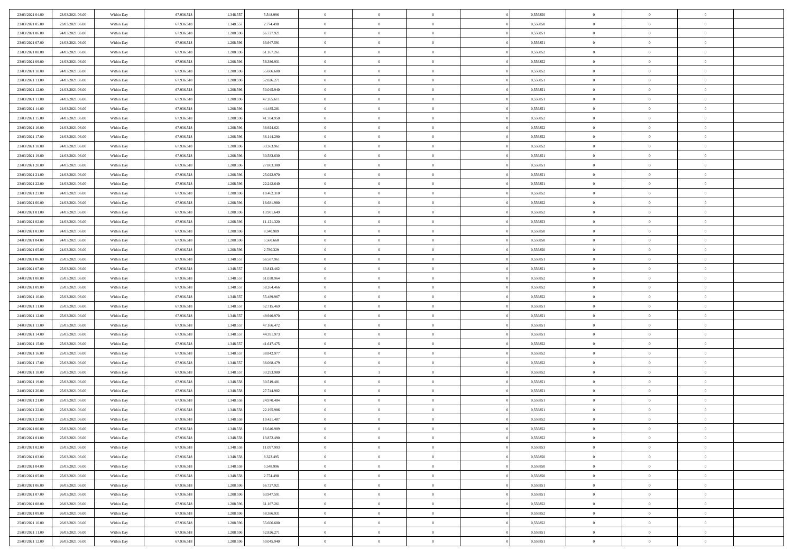| 23/03/2021 04:00 | 23/03/2021 06:00 | Within Day | 67.936.518 | 1.348.557 | 5.548.996  | $\,$ 0         | $\overline{0}$ | $\theta$       |          | 0,556850 | $\bf{0}$       | $\overline{0}$ | $\,0\,$        |  |
|------------------|------------------|------------|------------|-----------|------------|----------------|----------------|----------------|----------|----------|----------------|----------------|----------------|--|
| 23/03/2021 05:00 | 23/03/2021 06:00 | Within Day | 67.936.518 | 1.348.557 | 2.774.498  | $\overline{0}$ | $\overline{0}$ | $\overline{0}$ |          | 0.556850 | $\overline{0}$ | $\overline{0}$ | $\theta$       |  |
| 23/03/2021 06:00 | 24/03/2021 06:00 | Within Dav | 67.936.518 | 1.208.596 | 66.727.921 | $\mathbf{0}$   | $\overline{0}$ | $\overline{0}$ |          | 0,556851 | $\mathbf{0}$   | $\overline{0}$ | $\overline{0}$ |  |
| 23/03/2021 07:00 | 24/03/2021 06:00 | Within Day | 67.936.518 | 1.208.596 | 63.947.591 | $\bf{0}$       | $\overline{0}$ | $\bf{0}$       |          | 0,556851 | $\bf{0}$       | $\overline{0}$ | $\bf{0}$       |  |
| 23/03/2021 08:00 | 24/03/2021 06:00 | Within Day | 67.936.518 | 1.208.596 | 61.167.261 | $\bf{0}$       | $\overline{0}$ | $\overline{0}$ |          | 0,556852 | $\bf{0}$       | $\bf{0}$       | $\,0\,$        |  |
| 23/03/2021 09:00 | 24/03/2021 06:00 | Within Dav | 67.936.518 | 1.208.596 | 58.386.931 | $\mathbf{0}$   | $\overline{0}$ | $\overline{0}$ |          | 0,556852 | $\mathbf{0}$   | $\overline{0}$ | $\overline{0}$ |  |
|                  |                  |            |            |           |            |                |                |                |          |          |                |                |                |  |
| 23/03/2021 10:00 | 24/03/2021 06:00 | Within Day | 67.936.518 | 1.208.596 | 55.606.600 | $\bf{0}$       | $\overline{0}$ | $\overline{0}$ |          | 0,556852 | $\bf{0}$       | $\overline{0}$ | $\,0\,$        |  |
| 23/03/2021 11:00 | 24/03/2021 06:00 | Within Day | 67.936.518 | 1.208.596 | 52.826.271 | $\overline{0}$ | $\overline{0}$ | $\overline{0}$ |          | 0,556851 | $\,$ 0 $\,$    | $\overline{0}$ | $\theta$       |  |
| 23/03/2021 12:00 | 24/03/2021 06:00 | Within Day | 67.936.518 | 1.208.596 | 50.045.940 | $\mathbf{0}$   | $\overline{0}$ | $\overline{0}$ |          | 0,556851 | $\mathbf{0}$   | $\overline{0}$ | $\overline{0}$ |  |
| 23/03/2021 13:00 | 24/03/2021 06:00 | Within Day | 67.936.518 | 1.208.596 | 47.265.611 | $\bf{0}$       | $\overline{0}$ | $\overline{0}$ |          | 0,556851 | $\bf{0}$       | $\overline{0}$ | $\,0\,$        |  |
| 23/03/2021 14:00 | 24/03/2021 06:00 | Within Day | 67.936.518 | 1.208.596 | 44.485.281 | $\bf{0}$       | $\overline{0}$ | $\overline{0}$ |          | 0.556851 | $\bf{0}$       | $\overline{0}$ | $\theta$       |  |
| 23/03/2021 15:00 | 24/03/2021 06:00 | Within Dav | 67.936.518 | 1.208.596 | 41.704.950 | $\mathbf{0}$   | $\overline{0}$ | $\overline{0}$ |          | 0,556852 | $\mathbf{0}$   | $\overline{0}$ | $\overline{0}$ |  |
| 23/03/2021 16:00 | 24/03/2021 06:00 | Within Day | 67.936.518 | 1.208.596 | 38.924.621 | $\bf{0}$       | $\overline{0}$ | $\bf{0}$       |          | 0,556852 | $\bf{0}$       | $\overline{0}$ | $\bf{0}$       |  |
| 23/03/2021 17:00 | 24/03/2021 06:00 | Within Day | 67.936.518 | 1.208.596 | 36.144.290 | $\bf{0}$       | $\overline{0}$ | $\overline{0}$ |          | 0,556852 | $\bf{0}$       | $\mathbf{0}$   | $\,0\,$        |  |
| 23/03/2021 18:00 | 24/03/2021 06:00 | Within Dav | 67.936.518 | 1.208.596 | 33.363.961 | $\overline{0}$ | $\overline{0}$ | $\overline{0}$ |          | 0,556852 | $\mathbf{0}$   | $\overline{0}$ | $\overline{0}$ |  |
| 23/03/2021 19:00 | 24/03/2021 06:00 | Within Day | 67.936.518 | 1.208.596 | 30.583.630 | $\bf{0}$       | $\bf{0}$       | $\overline{0}$ |          | 0,556851 | $\bf{0}$       | $\overline{0}$ | $\bf{0}$       |  |
| 23/03/2021 20:00 | 24/03/2021 06:00 | Within Day | 67.936.518 | 1.208.596 | 27.803.300 | $\overline{0}$ | $\overline{0}$ | $\overline{0}$ |          | 0,556851 | $\bf{0}$       | $\overline{0}$ | $\theta$       |  |
| 23/03/2021 21:00 | 24/03/2021 06:00 | Within Day | 67.936.518 | 1.208.596 | 25.022.970 | $\mathbf{0}$   | $\overline{0}$ | $\overline{0}$ |          | 0,556851 | $\mathbf{0}$   | $\overline{0}$ | $\overline{0}$ |  |
| 23/03/2021 22:00 | 24/03/2021 06:00 | Within Day | 67.936.518 | 1.208.596 | 22.242.640 | $\bf{0}$       | $\bf{0}$       | $\overline{0}$ |          | 0,556851 | $\bf{0}$       | $\overline{0}$ | $\,0\,$        |  |
| 23/03/2021 23:00 | 24/03/2021 06:00 | Within Day | 67.936.518 | 1.208.596 | 19.462.310 | $\bf{0}$       | $\overline{0}$ | $\overline{0}$ |          | 0,556852 | $\bf{0}$       | $\overline{0}$ | $\overline{0}$ |  |
| 24/03/2021 00:00 | 24/03/2021 06:00 | Within Dav | 67.936.518 | 1.208.596 | 16.681.980 | $\mathbf{0}$   | $\overline{0}$ | $\overline{0}$ |          | 0,556852 | $\mathbf{0}$   | $\overline{0}$ | $\overline{0}$ |  |
| 24/03/2021 01:00 | 24/03/2021 06:00 | Within Day | 67.936.518 | 1.208.596 | 13.901.649 | $\bf{0}$       | $\overline{0}$ | $\bf{0}$       |          | 0,556852 | $\bf{0}$       | $\overline{0}$ | $\bf{0}$       |  |
| 24/03/2021 02:00 | 24/03/2021 06:00 | Within Day | 67.936.518 | 1.208.596 | 11.121.320 | $\bf{0}$       | $\bf{0}$       | $\overline{0}$ |          | 0,556853 | $\bf{0}$       | $\overline{0}$ | $\,0\,$        |  |
| 24/03/2021 03:00 | 24/03/2021 06:00 | Within Dav | 67.936.518 | 1.208.596 | 8.340.989  | $\mathbf{0}$   | $\overline{0}$ | $\overline{0}$ |          | 0,556850 | $\mathbf{0}$   | $\overline{0}$ | $\overline{0}$ |  |
| 24/03/2021 04:00 | 24/03/2021 06:00 | Within Day | 67.936.518 | 1.208.596 | 5.560.660  | $\bf{0}$       | $\bf{0}$       | $\overline{0}$ |          | 0,556850 | $\bf{0}$       | $\overline{0}$ | $\,0\,$        |  |
| 24/03/2021 05:00 | 24/03/2021 06:00 | Within Day | 67.936.518 | 1.208.596 | 2.780.329  | $\overline{0}$ | $\overline{0}$ | $\overline{0}$ |          | 0,556850 | $\bf{0}$       | $\overline{0}$ | $\overline{0}$ |  |
| 24/03/2021 06:00 | 25/03/2021 06:00 | Within Dav | 67.936.518 | 1.348.557 | 66.587.961 | $\mathbf{0}$   | $\overline{0}$ | $\overline{0}$ |          | 0,556851 | $\mathbf{0}$   | $\overline{0}$ | $\overline{0}$ |  |
| 24/03/2021 07:00 | 25/03/2021 06:00 |            | 67.936.518 | 1.348.557 | 63.813.462 | $\bf{0}$       | $\bf{0}$       | $\overline{0}$ |          | 0,556851 | $\bf{0}$       | $\overline{0}$ | $\,0\,$        |  |
|                  |                  | Within Day | 67.936.518 |           |            |                |                |                |          | 0.556852 |                |                |                |  |
| 24/03/2021 08:00 | 25/03/2021 06:00 | Within Day |            | 1.348.557 | 61.038.964 | $\bf{0}$       | $\bf{0}$       | $\overline{0}$ |          |          | $\bf{0}$       | $\overline{0}$ | $\overline{0}$ |  |
| 24/03/2021 09:00 | 25/03/2021 06:00 | Within Dav | 67.936.518 | 1.348.557 | 58.264.466 | $\mathbf{0}$   | $\overline{0}$ | $\overline{0}$ |          | 0,556852 | $\mathbf{0}$   | $\overline{0}$ | $\overline{0}$ |  |
| 24/03/2021 10:00 | 25/03/2021 06:00 | Within Day | 67.936.518 | 1.348.557 | 55.489.967 | $\bf{0}$       | $\overline{0}$ | $\overline{0}$ |          | 0,556852 | $\,$ 0         | $\overline{0}$ | $\theta$       |  |
| 24/03/2021 11:00 | 25/03/2021 06:00 | Within Day | 67.936.518 | 1.348.557 | 52.715.469 | $\bf{0}$       | $\bf{0}$       | $\overline{0}$ |          | 0,556851 | $\bf{0}$       | $\overline{0}$ | $\overline{0}$ |  |
| 24/03/2021 12:00 | 25/03/2021 06:00 | Within Dav | 67.936.518 | 1.348.557 | 49.940.970 | $\overline{0}$ | $\overline{0}$ | $\overline{0}$ |          | 0,556851 | $\mathbf{0}$   | $\overline{0}$ | $\overline{0}$ |  |
| 24/03/2021 13:00 | 25/03/2021 06:00 | Within Day | 67.936.518 | 1.348.557 | 47.166.472 | $\bf{0}$       | $\overline{0}$ | $\overline{0}$ |          | 0,556851 | $\,$ 0         | $\overline{0}$ | $\theta$       |  |
| 24/03/2021 14:00 | 25/03/2021 06:00 | Within Day | 67.936.518 | 1.348.557 | 44.391.973 | $\overline{0}$ | $\overline{0}$ | $\overline{0}$ |          | 0,556851 | $\bf{0}$       | $\overline{0}$ | $\overline{0}$ |  |
| 24/03/2021 15:00 | 25/03/2021 06:00 | Within Day | 67.936.518 | 1.348.557 | 41.617.475 | $\mathbf{0}$   | $\overline{0}$ | $\overline{0}$ |          | 0,556852 | $\mathbf{0}$   | $\overline{0}$ | $\overline{0}$ |  |
| 24/03/2021 16:00 | 25/03/2021 06:00 | Within Day | 67.936.518 | 1.348.557 | 38.842.977 | $\bf{0}$       | $\overline{0}$ | $\overline{0}$ |          | 0,556852 | $\,$ 0         | $\overline{0}$ | $\theta$       |  |
| 24/03/2021 17:00 | 25/03/2021 06:00 | Within Day | 67.936.518 | 1.348.557 | 36.068.479 | $\bf{0}$       | $\overline{0}$ | $\overline{0}$ |          | 0,556852 | $\bf{0}$       | $\overline{0}$ | $\overline{0}$ |  |
| 24/03/2021 18:00 | 25/03/2021 06:00 | Within Dav | 67.936.518 | 1.348.557 | 33.293.980 | $\mathbf{0}$   | $\mathbf{1}$   | $\overline{0}$ |          | 0,556852 | $\mathbf{0}$   | $\overline{0}$ | $\overline{0}$ |  |
| 24/03/2021 19:00 | 25/03/2021 06:00 | Within Day | 67.936.518 | 1.348.558 | 30.519.481 | $\,0\,$        | $\overline{0}$ | $\overline{0}$ |          | 0,556851 | $\,$ 0         | $\overline{0}$ | $\theta$       |  |
| 24/03/2021 20:00 | 25/03/2021 06:00 | Within Day | 67.936.518 | 1.348.558 | 27.744.982 | $\bf{0}$       | $\bf{0}$       | $\overline{0}$ |          | 0,556851 | $\bf{0}$       | $\overline{0}$ | $\overline{0}$ |  |
| 24/03/2021 21:00 | 25/03/2021 06:00 | Within Dav | 67.936.518 | 1.348.558 | 24.970.484 | $\mathbf{0}$   | $\overline{0}$ | $\overline{0}$ |          | 0,556851 | $\mathbf{0}$   | $\overline{0}$ | $\overline{0}$ |  |
| 24/03/2021 22:00 | 25/03/2021 06:00 | Within Day | 67.936.518 | 1.348.558 | 22.195.986 | $\bf{0}$       | $\overline{0}$ | $\overline{0}$ |          | 0,556851 | $\,$ 0         | $\overline{0}$ | $\theta$       |  |
| 24/03/2021 23.00 | 25/03/2021 06:00 | Within Day | 67.936.518 | 1.348.558 | 19.421.487 | $\bf{0}$       | $\overline{0}$ | $\overline{0}$ |          | 0,556852 | $\,$ 0 $\,$    | $\overline{0}$ | $\overline{0}$ |  |
| 25/03/2021 00:00 | 25/03/2021 06:00 | Within Day | 67.936.518 | 1.348.558 | 16.646.989 | $\bf{0}$       | $\overline{0}$ |                |          | 0,556852 | $\overline{0}$ | $\theta$       | $\theta$       |  |
| 25/03/2021 01:00 | 25/03/2021 06:00 | Within Day | 67.936.518 | 1.348.558 | 13.872.490 | $\,0\,$        | $\overline{0}$ | $\overline{0}$ |          | 0,556852 | $\,$ 0 $\,$    | $\bf{0}$       | $\theta$       |  |
| 25/03/2021 02:00 | 25/03/2021 06:00 | Within Day | 67.936.518 | 1.348.558 | 11.097.993 | $\overline{0}$ | $\overline{0}$ | $\overline{0}$ |          | 0,556853 | $\overline{0}$ | $\overline{0}$ | $\overline{0}$ |  |
| 25/03/2021 03:00 | 25/03/2021 06:00 | Within Day | 67.936.518 | 1.348.558 | 8.323.495  | $\bf{0}$       | $\overline{0}$ | $\overline{0}$ |          | 0,556850 | $\overline{0}$ | $\bf{0}$       | $\mathbf{0}$   |  |
| 25/03/2021 04:00 | 25/03/2021 06:00 | Within Day | 67.936.518 | 1.348.558 | 5.548.996  | $\bf{0}$       | $\overline{0}$ | $\overline{0}$ | $\theta$ | 0,556850 | $\,$ 0 $\,$    | $\bf{0}$       | $\,$ 0 $\,$    |  |
| 25/03/2021 05:00 | 25/03/2021 06:00 | Within Day | 67.936.518 | 1.348.558 | 2.774.498  | $\bf{0}$       | $\overline{0}$ | $\overline{0}$ |          | 0,556850 | $\,$ 0 $\,$    | $\overline{0}$ | $\overline{0}$ |  |
| 25/03/2021 06:00 | 26/03/2021 06:00 | Within Day | 67.936.518 | 1.208.596 | 66.727.921 | $\bf{0}$       | $\overline{0}$ | $\overline{0}$ |          | 0,556851 | $\mathbf{0}$   | $\overline{0}$ | $\overline{0}$ |  |
| 25/03/2021 07:00 | 26/03/2021 06:00 | Within Day | 67.936.518 | 1.208.596 | 63.947.591 | $\,0\,$        | $\overline{0}$ | $\overline{0}$ | $\theta$ | 0,556851 | $\,$ 0 $\,$    | $\overline{0}$ | $\overline{0}$ |  |
| 25/03/2021 08:00 | 26/03/2021 06:00 | Within Day | 67.936.518 | 1.208.596 | 61.167.261 | $\bf{0}$       | $\overline{0}$ | $\overline{0}$ |          | 0,556852 | $\overline{0}$ | $\overline{0}$ | $\overline{0}$ |  |
| 25/03/2021 09:00 | 26/03/2021 06:00 | Within Day | 67.936.518 | 1.208.596 | 58.386.931 | $\bf{0}$       | $\overline{0}$ | $\overline{0}$ |          | 0,556852 | $\mathbf{0}$   | $\overline{0}$ | $\overline{0}$ |  |
| 25/03/2021 10:00 | 26/03/2021 06:00 | Within Day | 67.936.518 | 1.208.596 | 55.606.600 | $\,0\,$        | $\overline{0}$ | $\overline{0}$ |          | 0,556852 | $\,$ 0 $\,$    | $\overline{0}$ | $\overline{0}$ |  |
| 25/03/2021 11:00 | 26/03/2021 06:00 | Within Day | 67.936.518 | 1.208.596 | 52.826.271 | $\bf{0}$       | $\overline{0}$ | $\overline{0}$ |          | 0,556851 | $\bf{0}$       | $\mathbf{0}$   | $\overline{0}$ |  |
| 25/03/2021 12:00 | 26/03/2021 06:00 | Within Day | 67.936.518 | 1.208.596 | 50.045.940 | $\bf{0}$       | $\overline{0}$ | $\overline{0}$ |          | 0,556851 | $\mathbf{0}$   | $\overline{0}$ | $\overline{0}$ |  |
|                  |                  |            |            |           |            |                |                |                |          |          |                |                |                |  |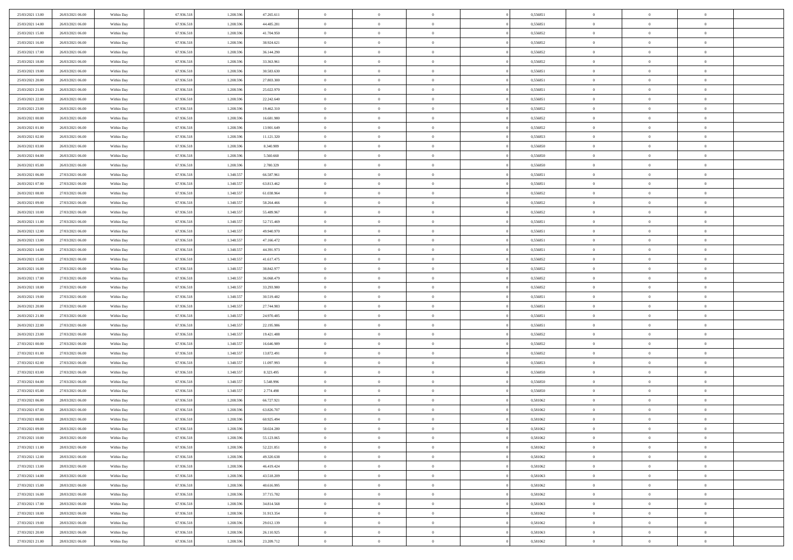| 25/03/2021 13:00 | 26/03/2021 06:00 | Within Day | 67.936.518 | 1.208.596 | 47.265.611 | $\overline{0}$ | $\overline{0}$ | $\Omega$       | 0,556851 | $\bf{0}$       | $\mathbf{0}$   | $\bf{0}$       |  |
|------------------|------------------|------------|------------|-----------|------------|----------------|----------------|----------------|----------|----------------|----------------|----------------|--|
| 25/03/2021 14:00 | 26/03/2021 06:00 | Within Dav | 67.936.518 | 1.208.596 | 44.485.281 | $\mathbf{0}$   | $\overline{0}$ | $\overline{0}$ | 0,556851 | $\overline{0}$ | $\overline{0}$ | $\overline{0}$ |  |
| 25/03/2021 15:00 | 26/03/2021 06:00 | Within Day | 67.936.518 | 1.208.596 | 41.704.950 | $\,$ 0         | $\overline{0}$ | $\bf{0}$       | 0,556852 | $\,$ 0         | $\overline{0}$ | $\,$ 0 $\,$    |  |
| 25/03/2021 16:00 | 26/03/2021 06:00 | Within Day | 67.936.518 | 1.208.596 | 38.924.621 | $\bf{0}$       | $\overline{0}$ | $\Omega$       | 0.556852 | $\bf{0}$       | $\mathbf{0}$   | $\theta$       |  |
| 25/03/2021 17:00 | 26/03/2021 06:00 | Within Day | 67.936.518 | 1.208.596 | 36.144.290 | $\bf{0}$       | $\overline{0}$ | $\overline{0}$ | 0,556852 | $\mathbf{0}$   | $\overline{0}$ | $\overline{0}$ |  |
| 25/03/2021 18:00 | 26/03/2021 06:00 | Within Day | 67.936.518 | 1.208.596 | 33.363.961 | $\bf{0}$       | $\overline{0}$ | $\bf{0}$       | 0,556852 | $\,$ 0         | $\overline{0}$ | $\,$ 0 $\,$    |  |
| 25/03/2021 19:00 | 26/03/2021 06:00 | Within Day | 67.936.518 | 1.208.596 | 30.583.630 | $\bf{0}$       | $\overline{0}$ | $\Omega$       | 0.556851 | $\bf{0}$       | $\overline{0}$ | $\theta$       |  |
| 25/03/2021 20:00 | 26/03/2021 06:00 | Within Day | 67.936.518 | 1.208.596 | 27.803.300 | $\overline{0}$ | $\overline{0}$ | $\overline{0}$ | 0,556851 | $\mathbf{0}$   | $\overline{0}$ | $\overline{0}$ |  |
| 25/03/2021 21:00 | 26/03/2021 06:00 | Within Day | 67.936.518 | 1.208.596 | 25.022.970 | $\bf{0}$       | $\overline{0}$ | $\bf{0}$       | 0,556851 | $\,$ 0         | $\overline{0}$ | $\,$ 0 $\,$    |  |
| 25/03/2021 22.00 | 26/03/2021 06:00 | Within Day | 67.936.518 | 1.208.596 | 22.242.640 | $\bf{0}$       | $\overline{0}$ | $\Omega$       | 0.556851 | $\theta$       | $\mathbf{0}$   | $\theta$       |  |
| 25/03/2021 23:00 | 26/03/2021 06:00 | Within Day | 67.936.518 | 1.208.596 | 19.462.310 | $\overline{0}$ | $\overline{0}$ | $\overline{0}$ | 0,556852 | $\mathbf{0}$   | $\overline{0}$ | $\overline{0}$ |  |
| 26/03/2021 00:00 | 26/03/2021 06:00 | Within Day | 67.936.518 | 1.208.596 | 16.681.980 | $\bf{0}$       | $\overline{0}$ | $\bf{0}$       | 0,556852 | $\,$ 0         | $\overline{0}$ | $\,$ 0 $\,$    |  |
| 26/03/2021 01:00 | 26/03/2021 06:00 | Within Day | 67.936.518 | 1.208.596 | 13.901.649 | $\bf{0}$       | $\overline{0}$ | $\Omega$       | 0.556852 | $\overline{0}$ | $\mathbf{0}$   | $\theta$       |  |
| 26/03/2021 02:00 | 26/03/2021 06:00 | Within Day | 67.936.518 | 1.208.596 | 11.121.320 | $\overline{0}$ | $\overline{0}$ | $\overline{0}$ | 0,556853 | $\mathbf{0}$   | $\overline{0}$ | $\overline{0}$ |  |
| 26/03/2021 03:00 | 26/03/2021 06:00 | Within Day | 67.936.518 | 1.208.596 | 8.340.989  | $\bf{0}$       | $\overline{0}$ | $\bf{0}$       | 0,556850 | $\,$ 0         | $\overline{0}$ | $\,$ 0 $\,$    |  |
| 26/03/2021 04:00 | 26/03/2021 06:00 | Within Day | 67.936.518 | 1.208.596 | 5.560.660  | $\bf{0}$       | $\overline{0}$ | $\overline{0}$ | 0.556850 | $\bf{0}$       | $\overline{0}$ | $\theta$       |  |
| 26/03/2021 05:00 | 26/03/2021 06:00 | Within Day | 67.936.518 | 1.208.596 | 2.780.329  | $\overline{0}$ | $\overline{0}$ | $\overline{0}$ | 0,556850 | $\mathbf{0}$   | $\overline{0}$ | $\overline{0}$ |  |
| 26/03/2021 06:00 | 27/03/2021 06:00 | Within Day | 67.936.518 | 1.348.557 | 66.587.961 | $\bf{0}$       | $\overline{0}$ | $\bf{0}$       | 0,556851 | $\,$ 0         | $\overline{0}$ | $\,$ 0 $\,$    |  |
| 26/03/2021 07:00 | 27/03/2021 06:00 | Within Day | 67.936.518 | 1.348.557 | 63.813.462 | $\bf{0}$       | $\overline{0}$ | $\Omega$       | 0.556851 | $\theta$       | $\mathbf{0}$   | $\theta$       |  |
| 26/03/2021 08:00 | 27/03/2021 06:00 | Within Day | 67.936.518 | 1.348.557 | 61.038.964 | $\overline{0}$ | $\overline{0}$ | $\overline{0}$ | 0,556852 | $\mathbf{0}$   | $\overline{0}$ | $\overline{0}$ |  |
| 26/03/2021 09:00 | 27/03/2021 06:00 | Within Day | 67.936.518 | 1.348.557 | 58.264.466 | $\bf{0}$       | $\overline{0}$ | $\bf{0}$       | 0,556852 | $\,$ 0         | $\overline{0}$ | $\,$ 0 $\,$    |  |
| 26/03/2021 10:00 | 27/03/2021 06:00 | Within Day | 67.936.518 | 1.348.557 | 55,489,967 | $\bf{0}$       | $\overline{0}$ | $\Omega$       | 0.556852 | $\bf{0}$       | $\mathbf{0}$   | $\theta$       |  |
| 26/03/2021 11:00 | 27/03/2021 06:00 | Within Day | 67.936.518 | 1.348.557 | 52.715.469 | $\overline{0}$ | $\overline{0}$ | $\overline{0}$ | 0,556851 | $\mathbf{0}$   | $\overline{0}$ | $\overline{0}$ |  |
| 26/03/2021 12:00 | 27/03/2021 06:00 | Within Day | 67.936.518 | 1.348.557 | 49.940.970 | $\bf{0}$       | $\overline{0}$ | $\bf{0}$       | 0,556851 | $\,$ 0         | $\overline{0}$ | $\,$ 0 $\,$    |  |
| 26/03/2021 13:00 | 27/03/2021 06:00 | Within Day | 67.936.518 | 1.348.557 | 47.166.472 | $\bf{0}$       | $\overline{0}$ | $\overline{0}$ | 0,556851 | $\bf{0}$       | $\overline{0}$ | $\bf{0}$       |  |
| 26/03/2021 14:00 | 27/03/2021 06:00 | Within Day | 67.936.518 | 1.348.557 | 44.391.973 | $\overline{0}$ | $\overline{0}$ | $\overline{0}$ | 0,556851 | $\mathbf{0}$   | $\overline{0}$ | $\overline{0}$ |  |
| 26/03/2021 15:00 | 27/03/2021 06:00 | Within Day | 67.936.518 | 1.348.557 | 41.617.475 | $\bf{0}$       | $\overline{0}$ | $\bf{0}$       | 0,556852 | $\,$ 0         | $\overline{0}$ | $\,$ 0 $\,$    |  |
| 26/03/2021 16:00 | 27/03/2021 06:00 | Within Day | 67.936.518 | 1.348.557 | 38.842.977 | $\bf{0}$       | $\overline{0}$ | $\Omega$       | 0.556852 | $\theta$       | $\mathbf{0}$   | $\theta$       |  |
| 26/03/2021 17:00 | 27/03/2021 06:00 | Within Day | 67.936.518 | 1.348.557 | 36.068.479 | $\overline{0}$ | $\overline{0}$ | $\overline{0}$ | 0,556852 | $\mathbf{0}$   | $\overline{0}$ | $\overline{0}$ |  |
| 26/03/2021 18:00 | 27/03/2021 06:00 | Within Day | 67.936.518 | 1.348.557 | 33.293.980 | $\bf{0}$       | $\overline{0}$ | $\bf{0}$       | 0,556852 | $\,$ 0         | $\overline{0}$ | $\,$ 0 $\,$    |  |
| 26/03/2021 19:00 | 27/03/2021 06:00 | Within Day | 67.936.518 | 1.348.557 | 30.519.482 | $\bf{0}$       | $\bf{0}$       | $\overline{0}$ | 0,556851 | $\bf{0}$       | $\overline{0}$ | $\,0\,$        |  |
| 26/03/2021 20:00 | 27/03/2021 06:00 | Within Day | 67.936.518 | 1.348.557 | 27.744.983 | $\overline{0}$ | $\overline{0}$ | $\overline{0}$ | 0,556851 | $\mathbf{0}$   | $\overline{0}$ | $\overline{0}$ |  |
| 26/03/2021 21:00 | 27/03/2021 06:00 | Within Day | 67.936.518 | 1.348.557 | 24.970.485 | $\bf{0}$       | $\overline{0}$ | $\bf{0}$       | 0,556851 | $\,$ 0         | $\overline{0}$ | $\,$ 0 $\,$    |  |
| 26/03/2021 22.00 | 27/03/2021 06:00 | Within Day | 67.936.518 | 1.348.557 | 22.195.986 | $\bf{0}$       | $\overline{0}$ | $\bf{0}$       | 0,556851 | $\bf{0}$       | $\overline{0}$ | $\,0\,$        |  |
| 26/03/2021 23:00 | 27/03/2021 06:00 | Within Day | 67.936.518 | 1.348.557 | 19.421.488 | $\overline{0}$ | $\overline{0}$ | $\overline{0}$ | 0,556852 | $\overline{0}$ | $\overline{0}$ | $\overline{0}$ |  |
| 27/03/2021 00:00 | 27/03/2021 06:00 | Within Day | 67.936.518 | 1.348.557 | 16.646.989 | $\bf{0}$       | $\overline{0}$ | $\bf{0}$       | 0,556852 | $\,$ 0         | $\overline{0}$ | $\,$ 0 $\,$    |  |
| 27/03/2021 01:00 | 27/03/2021 06:00 | Within Day | 67.936.518 | 1.348.557 | 13.872.491 | $\bf{0}$       | $\bf{0}$       | $\overline{0}$ | 0,556852 | $\bf{0}$       | $\overline{0}$ | $\,0\,$        |  |
| 27/03/2021 02:00 | 27/03/2021 06:00 | Within Day | 67.936.518 | 1.348.557 | 11.097.993 | $\overline{0}$ | $\overline{0}$ | $\overline{0}$ | 0,556853 | $\mathbf{0}$   | $\overline{0}$ | $\overline{0}$ |  |
| 27/03/2021 03:00 | 27/03/2021 06:00 | Within Day | 67.936.518 | 1.348.557 | 8.323.495  | $\bf{0}$       | $\overline{0}$ | $\bf{0}$       | 0,556850 | $\,$ 0         | $\overline{0}$ | $\,$ 0 $\,$    |  |
| 27/03/2021 04:00 | 27/03/2021 06:00 | Within Day | 67.936.518 | 1.348.557 | 5.548.996  | $\bf{0}$       | $\bf{0}$       | $\overline{0}$ | 0,556850 | $\bf{0}$       | $\overline{0}$ | $\,0\,$        |  |
| 27/03/2021 05:00 | 27/03/2021 06:00 | Within Day | 67.936.518 | 1.348.557 | 2.774.498  | $\overline{0}$ | $\overline{0}$ | $\overline{0}$ | 0,556850 | $\overline{0}$ | $\overline{0}$ | $\overline{0}$ |  |
| 27/03/2021 06:00 | 28/03/2021 06:00 | Within Day | 67.936.518 | 1.208.596 | 66.727.921 | $\bf{0}$       | $\overline{0}$ | $\bf{0}$       | 0,581062 | $\,$ 0         | $\overline{0}$ | $\,$ 0 $\,$    |  |
| 27/03/2021 07:00 | 28/03/2021 06:00 | Within Day | 67.936.518 | 1.208.596 | 63.826.707 | $\bf{0}$       | $\bf{0}$       | $\bf{0}$       | 0,581062 | $\bf{0}$       | $\overline{0}$ | $\,0\,$        |  |
| 27/03/2021 08:00 | 28/03/2021 06:00 | Within Dav | 67.936.518 | 1.208.596 | 60.925.494 | $\mathbf{0}$   | $\overline{0}$ | $\overline{0}$ | 0,581062 | $\overline{0}$ | $\overline{0}$ | $\overline{0}$ |  |
| 27/03/2021 09:00 | 28/03/2021 06:00 | Within Day | 67.936.518 | 1.208.596 | 58.024.280 | $\bf{0}$       | $\overline{0}$ | $\theta$       | 0,581062 | $\overline{0}$ | $\overline{0}$ | $\theta$       |  |
| 27/03/2021 10:00 | 28/03/2021 06:00 | Within Day | 67.936.518 | 1.208.596 | 55.123.065 | $\bf{0}$       | $\bf{0}$       | $\bf{0}$       | 0,581062 | $\bf{0}$       | $\overline{0}$ | $\bf{0}$       |  |
| 27/03/2021 11:00 | 28/03/2021 06:00 | Within Day | 67.936.518 | 1.208.596 | 52.221.851 | $\overline{0}$ | $\overline{0}$ | $\overline{0}$ | 0,581062 | $\overline{0}$ | $\bf{0}$       | $\overline{0}$ |  |
| 27/03/2021 12:00 | 28/03/2021 06:00 | Within Day | 67.936.518 | 1.208.596 | 49.320.638 | $\,$ 0 $\,$    | $\overline{0}$ | $\overline{0}$ | 0,581062 | $\mathbf{0}$   | $\,$ 0 $\,$    | $\,$ 0 $\,$    |  |
| 27/03/2021 13:00 | 28/03/2021 06:00 | Within Day | 67.936.518 | 1.208.596 | 46.419.424 | $\bf{0}$       | $\bf{0}$       | $\overline{0}$ | 0,581062 | $\bf{0}$       | $\overline{0}$ | $\bf{0}$       |  |
| 27/03/2021 14:00 | 28/03/2021 06:00 | Within Day | 67.936.518 | 1.208.596 | 43.518.209 | $\bf{0}$       | $\overline{0}$ | $\overline{0}$ | 0,581063 | $\mathbf{0}$   | $\overline{0}$ | $\overline{0}$ |  |
| 27/03/2021 15:00 | 28/03/2021 06:00 | Within Day | 67.936.518 | 1.208.596 | 40.616.995 | $\,$ 0 $\,$    | $\overline{0}$ | $\overline{0}$ | 0,581062 | $\,$ 0 $\,$    | $\overline{0}$ | $\,$ 0 $\,$    |  |
| 27/03/2021 16:00 | 28/03/2021 06:00 | Within Day | 67.936.518 | 1.208.596 | 37.715.782 | $\bf{0}$       | $\overline{0}$ | $\overline{0}$ | 0,581062 | $\bf{0}$       | $\overline{0}$ | $\overline{0}$ |  |
| 27/03/2021 17:00 | 28/03/2021 06:00 | Within Day | 67.936.518 | 1.208.596 | 34.814.568 | $\overline{0}$ | $\overline{0}$ | $\overline{0}$ | 0,581063 | $\overline{0}$ | $\bf{0}$       | $\overline{0}$ |  |
| 27/03/2021 18:00 | 28/03/2021 06:00 | Within Day | 67.936.518 | 1.208.596 | 31.913.354 | $\,$ 0 $\,$    | $\overline{0}$ | $\overline{0}$ | 0,581062 | $\,$ 0 $\,$    | $\,$ 0 $\,$    | $\,$ 0 $\,$    |  |
| 27/03/2021 19:00 | 28/03/2021 06:00 | Within Day | 67.936.518 | 1.208.596 | 29.012.139 | $\bf{0}$       | $\bf{0}$       | $\overline{0}$ | 0,581062 | $\mathbf{0}$   | $\overline{0}$ | $\bf{0}$       |  |
| 27/03/2021 20:00 | 28/03/2021 06:00 | Within Day | 67.936.518 | 1.208.596 | 26.110.925 | $\bf{0}$       | $\overline{0}$ | $\overline{0}$ | 0,581063 | $\mathbf{0}$   | $\bf{0}$       | $\overline{0}$ |  |
| 27/03/2021 21:00 | 28/03/2021 06:00 | Within Day | 67.936.518 | 1.208.596 | 23.209.712 | $\,0\,$        | $\overline{0}$ | $\overline{0}$ | 0,581062 | $\,$ 0         | $\overline{0}$ | $\,$ 0 $\,$    |  |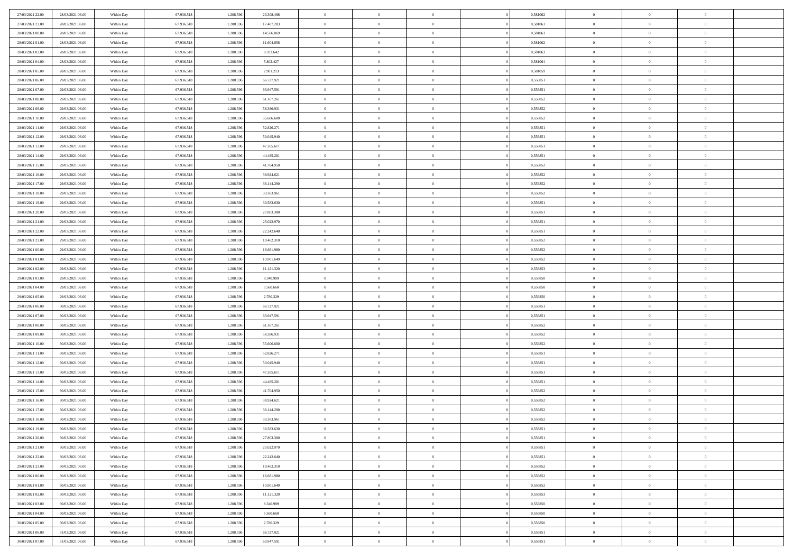| 27/03/2021 22:00                     | 28/03/2021 06:00 | Within Day               | 67.936.518 | 1.208.59  | 20.308.498 | $\bf{0}$                  | $\overline{0}$ | $\overline{0}$ | 0,581062 | $\bf{0}$             | $\overline{0}$                   | $\theta$             |  |
|--------------------------------------|------------------|--------------------------|------------|-----------|------------|---------------------------|----------------|----------------|----------|----------------------|----------------------------------|----------------------|--|
| 27/03/2021 23:00                     | 28/03/2021 06:00 | Within Day               | 67.936.518 | 1.208.596 | 17.407.283 | $\overline{0}$            | $\overline{0}$ | $\overline{0}$ | 0,581063 | $\theta$             | $\overline{0}$                   | $\theta$             |  |
| 28/03/2021 00:00                     | 28/03/2021 06:00 | Within Day               | 67.936.518 | 1.208.596 | 14.506.069 | $\,0\,$                   | $\overline{0}$ | $\bf{0}$       | 0,581063 | $\,$ 0 $\,$          | $\overline{0}$                   | $\,$ 0 $\,$          |  |
| 28/03/2021 01:00                     | 28/03/2021 06:00 | Within Day               | 67.936.518 | 1.208.596 | 11.604.856 | $\mathbf{0}$              | $\Omega$       | $\overline{0}$ | 0.581062 | $\theta$             | $\mathbf{0}$                     | $\theta$             |  |
| 28/03/2021 03:00                     | 28/03/2021 06:00 | Within Day               | 67.936.518 | 1.208.596 | 8.703.642  | $\bf{0}$                  | $\overline{0}$ | $\overline{0}$ | 0,581063 | $\mathbf{0}$         | $\overline{0}$                   | $\overline{0}$       |  |
| 28/03/2021 04:00                     | 28/03/2021 06:00 | Within Day               | 67.936.518 | 1.208.596 | 5.802.427  | $\,$ 0 $\,$               | $\overline{0}$ | $\bf{0}$       | 0,581064 | $\,$ 0 $\,$          | $\overline{0}$                   | $\,$ 0 $\,$          |  |
|                                      | 28/03/2021 06:00 |                          |            |           |            | $\bf{0}$                  | $\overline{0}$ | $\overline{0}$ | 0.581059 |                      | $\overline{0}$                   | $\theta$             |  |
| 28/03/2021 05:00                     |                  | Within Day               | 67.936.518 | 1.208.596 | 2.901.213  |                           |                |                |          | $\bf{0}$             |                                  |                      |  |
| 28/03/2021 06:00                     | 29/03/2021 06:00 | Within Day               | 67.936.518 | 1.208.596 | 66.727.921 | $\overline{0}$            | $\overline{0}$ | $\overline{0}$ | 0,556851 | $\mathbf{0}$         | $\overline{0}$                   | $\overline{0}$       |  |
| 28/03/2021 07:00                     | 29/03/2021 06:00 | Within Day               | 67.936.518 | 1.208.596 | 63.947.591 | $\,$ 0 $\,$               | $\overline{0}$ | $\bf{0}$       | 0,556851 | $\,$ 0 $\,$          | $\overline{0}$                   | $\bf{0}$             |  |
| 28/03/2021 08:00                     | 29/03/2021 06:00 | Within Day               | 67.936.518 | 1.208.59  | 61.167.261 | $\overline{0}$            | $\mathbf{0}$   | $\overline{0}$ | 0.556852 | $\theta$             | $\mathbf{0}$                     | $\theta$             |  |
| 28/03/2021 09:00                     | 29/03/2021 06:00 | Within Day               | 67.936.518 | 1.208.596 | 58.386.931 | $\overline{0}$            | $\overline{0}$ | $\overline{0}$ | 0,556852 | $\mathbf{0}$         | $\overline{0}$                   | $\overline{0}$       |  |
| 28/03/2021 10:00                     | 29/03/2021 06:00 | Within Day               | 67.936.518 | 1.208.596 | 55.606.600 | $\,$ 0 $\,$               | $\overline{0}$ | $\bf{0}$       | 0,556852 | $\,$ 0 $\,$          | $\overline{0}$                   | $\,$ 0 $\,$          |  |
| 28/03/2021 11:00                     | 29/03/2021 06:00 | Within Day               | 67.936.518 | 1.208.596 | 52.826.271 | $\mathbf{0}$              | $\overline{0}$ | $\overline{0}$ | 0,556851 | $\bf{0}$             | $\overline{0}$                   | $\theta$             |  |
| 28/03/2021 12:00                     | 29/03/2021 06:00 | Within Day               | 67.936.518 | 1.208.596 | 50.045.940 | $\overline{0}$            | $\overline{0}$ | $\overline{0}$ | 0,556851 | $\mathbf{0}$         | $\overline{0}$                   | $\overline{0}$       |  |
| 28/03/2021 13:00                     | 29/03/2021 06:00 | Within Day               | 67.936.518 | 1.208.596 | 47.265.611 | $\,$ 0 $\,$               | $\overline{0}$ | $\bf{0}$       | 0,556851 | $\,$ 0 $\,$          | $\overline{0}$                   | $\,$ 0 $\,$          |  |
| 28/03/2021 14:00                     | 29/03/2021 06:00 | Within Day               | 67.936.518 | 1.208.59  | 44.485.281 | $\mathbf{0}$              | $\mathbf{0}$   | $\overline{0}$ | 0.556851 | $\theta$             | $\mathbf{0}$                     | $\theta$             |  |
| 28/03/2021 15:00                     | 29/03/2021 06:00 | Within Day               | 67.936.518 | 1.208.596 | 41.704.950 | $\overline{0}$            | $\overline{0}$ | $\overline{0}$ | 0,556852 | $\mathbf{0}$         | $\overline{0}$                   | $\overline{0}$       |  |
| 28/03/2021 16:00                     | 29/03/2021 06:00 | Within Day               | 67.936.518 | 1.208.596 | 38.924.621 | $\,$ 0 $\,$               | $\overline{0}$ | $\bf{0}$       | 0,556852 | $\,$ 0 $\,$          | $\overline{0}$                   | $\,$ 0 $\,$          |  |
| 28/03/2021 17:00                     | 29/03/2021 06:00 | Within Day               | 67.936.518 | 1.208.596 | 36.144.290 | $\mathbf{0}$              | $\Omega$       | $\overline{0}$ | 0,556852 | $\theta$             | $\theta$                         | $\theta$             |  |
| 28/03/2021 18:00                     | 29/03/2021 06:00 | Within Day               | 67.936.518 | 1.208.596 | 33.363.961 | $\overline{0}$            | $\overline{0}$ | $\overline{0}$ | 0,556852 | $\mathbf{0}$         | $\overline{0}$                   | $\overline{0}$       |  |
| 28/03/2021 19:00                     | 29/03/2021 06:00 | Within Day               | 67.936.518 | 1.208.596 | 30.583.630 | $\,$ 0 $\,$               | $\overline{0}$ | $\bf{0}$       | 0,556851 | $\,$ 0 $\,$          | $\overline{0}$                   | $\,$ 0 $\,$          |  |
| 28/03/2021 20:00                     | 29/03/2021 06:00 | Within Day               | 67.936.518 | 1.208.596 | 27.803.300 | $\overline{0}$            | $\overline{0}$ | $\overline{0}$ | 0.556851 | $\bf{0}$             | $\overline{0}$                   | $\theta$             |  |
| 28/03/2021 21:00                     | 29/03/2021 06:00 | Within Day               | 67.936.518 | 1.208.596 | 25.022.970 | $\overline{0}$            | $\overline{0}$ | $\overline{0}$ | 0,556851 | $\mathbf{0}$         | $\overline{0}$                   | $\overline{0}$       |  |
| 28/03/2021 22:00                     | 29/03/2021 06:00 | Within Day               | 67.936.518 | 1.208.596 | 22.242.640 | $\,$ 0 $\,$               | $\overline{0}$ | $\bf{0}$       | 0,556851 | $\,$ 0 $\,$          | $\overline{0}$                   | $\bf{0}$             |  |
| 28/03/2021 23:00                     | 29/03/2021 06:00 | Within Day               | 67.936.518 | 1.208.59  | 19.462.310 | $\overline{0}$            | $\mathbf{0}$   | $\overline{0}$ | 0.556852 | $\theta$             | $\mathbf{0}$                     | $\theta$             |  |
| 29/03/2021 00:00                     | 29/03/2021 06:00 | Within Day               | 67.936.518 | 1.208.596 | 16.681.980 | $\overline{0}$            | $\overline{0}$ | $\overline{0}$ | 0,556852 | $\mathbf{0}$         | $\overline{0}$                   | $\overline{0}$       |  |
| 29/03/2021 01:00                     | 29/03/2021 06:00 | Within Day               | 67.936.518 | 1.208.596 | 13.901.649 | $\,$ 0 $\,$               | $\overline{0}$ | $\bf{0}$       | 0,556852 | $\,$ 0 $\,$          | $\overline{0}$                   | $\,$ 0 $\,$          |  |
| 29/03/2021 02:00                     | 29/03/2021 06:00 | Within Day               | 67.936.518 | 1.208.596 | 11.121.320 | $\bf{0}$                  | $\overline{0}$ | $\overline{0}$ | 0,556853 | $\bf{0}$             | $\overline{0}$                   | $\bf{0}$             |  |
| 29/03/2021 03:00                     | 29/03/2021 06:00 | Within Day               | 67.936.518 | 1.208.596 | 8.340.989  | $\overline{0}$            | $\overline{0}$ | $\overline{0}$ | 0,556850 | $\mathbf{0}$         | $\overline{0}$                   | $\overline{0}$       |  |
| 29/03/2021 04:00                     | 29/03/2021 06:00 | Within Day               | 67.936.518 | 1.208.596 | 5.560.660  | $\,$ 0 $\,$               | $\overline{0}$ | $\bf{0}$       | 0,556850 | $\,$ 0 $\,$          | $\overline{0}$                   | $\,$ 0 $\,$          |  |
|                                      | 29/03/2021 06:00 |                          | 67.936.518 | 1.208.596 | 2.780.329  | $\,0\,$                   | $\overline{0}$ | $\bf{0}$       | 0,556850 | $\,$ 0 $\,$          | $\overline{0}$                   | $\bf{0}$             |  |
| 29/03/2021 05:00<br>29/03/2021 06:00 | 30/03/2021 06:00 | Within Day<br>Within Day | 67.936.518 | 1.208.596 | 66.727.921 | $\overline{0}$            | $\overline{0}$ | $\overline{0}$ | 0,556851 | $\mathbf{0}$         | $\overline{0}$                   | $\overline{0}$       |  |
|                                      |                  |                          |            |           |            | $\,$ 0 $\,$               | $\overline{0}$ |                |          | $\,$ 0 $\,$          | $\overline{0}$                   | $\,$ 0 $\,$          |  |
| 29/03/2021 07:00                     | 30/03/2021 06:00 | Within Day               | 67.936.518 | 1.208.596 | 63.947.591 |                           |                | $\bf{0}$       | 0,556851 |                      |                                  |                      |  |
| 29/03/2021 08:00                     | 30/03/2021 06:00 | Within Day               | 67.936.518 | 1.208.596 | 61.167.261 | $\,0\,$<br>$\overline{0}$ | $\overline{0}$ | $\bf{0}$       | 0,556852 | $\bf{0}$<br>$\theta$ | $\overline{0}$<br>$\overline{0}$ | $\bf{0}$<br>$\theta$ |  |
| 29/03/2021 09:00                     | 30/03/2021 06:00 | Within Day               | 67.936.518 | 1.208.596 | 58.386.931 |                           | $\overline{0}$ | $\overline{0}$ | 0,556852 |                      |                                  |                      |  |
| 29/03/2021 10:00                     | 30/03/2021 06:00 | Within Day               | 67.936.518 | 1.208.596 | 55.606.600 | $\,$ 0 $\,$               | $\overline{0}$ | $\bf{0}$       | 0,556852 | $\,$ 0 $\,$          | $\overline{0}$                   | $\,$ 0 $\,$          |  |
| 29/03/2021 11:00                     | 30/03/2021 06:00 | Within Day               | 67.936.518 | 1.208.596 | 52.826.271 | $\bf{0}$                  | $\overline{0}$ | $\bf{0}$       | 0,556851 | $\bf{0}$             | $\overline{0}$                   | $\bf{0}$             |  |
| 29/03/2021 12:00                     | 30/03/2021 06:00 | Within Day               | 67.936.518 | 1.208.596 | 50.045.940 | $\overline{0}$            | $\overline{0}$ | $\overline{0}$ | 0,556851 | $\mathbf{0}$         | $\overline{0}$                   | $\overline{0}$       |  |
| 29/03/2021 13:00                     | 30/03/2021 06:00 | Within Day               | 67.936.518 | 1.208.596 | 47.265.611 | $\,$ 0 $\,$               | $\overline{0}$ | $\bf{0}$       | 0,556851 | $\,$ 0 $\,$          | $\overline{0}$                   | $\,$ 0 $\,$          |  |
| 29/03/2021 14:00                     | 30/03/2021 06:00 | Within Day               | 67.936.518 | 1.208.596 | 44.485.281 | $\,0\,$                   | $\overline{0}$ | $\bf{0}$       | 0,556851 | $\bf{0}$             | $\overline{0}$                   | $\bf{0}$             |  |
| 29/03/2021 15:00                     | 30/03/2021 06:00 | Within Day               | 67.936.518 | 1.208.596 | 41.704.950 | $\overline{0}$            | $\overline{0}$ | $\overline{0}$ | 0,556852 | $\mathbf{0}$         | $\overline{0}$                   | $\overline{0}$       |  |
| 29/03/2021 16:00                     | 30/03/2021 06:00 | Within Day               | 67.936.518 | 1.208.596 | 38.924.621 | $\,$ 0 $\,$               | $\overline{0}$ | $\bf{0}$       | 0,556852 | $\,$ 0 $\,$          | $\overline{0}$                   | $\,$ 0 $\,$          |  |
| 29/03/2021 17:00                     | 30/03/2021 06:00 | Within Day               | 67.936.518 | 1.208.59  | 36.144.290 | $\,0\,$                   | $\overline{0}$ | $\bf{0}$       | 0,556852 | $\bf{0}$             | $\overline{0}$                   | $\bf{0}$             |  |
| 29/03/2021 18:00                     | 30/03/2021 06:00 | Within Day               | 67.936.518 | 1.208.596 | 33.363.961 | $\mathbf{0}$              | $\overline{0}$ | $\overline{0}$ | 0,556852 | $\theta$             | $\overline{0}$                   | $\overline{0}$       |  |
| 29/03/2021 19:00                     | 30/03/2021 06:00 | Within Day               | 67.936.518 | 1.208.596 | 30.583.630 | $\mathbf{0}$              | $\overline{0}$ | $\theta$       | 0,556851 | $\overline{0}$       | $\overline{0}$                   | $\theta$             |  |
| 29/03/2021 20:00                     | 30/03/2021 06:00 | Within Day               | 67.936.518 | 1.208.596 | 27.803.300 | $\bf{0}$                  | $\overline{0}$ | $\overline{0}$ | 0,556851 | $\bf{0}$             | $\overline{0}$                   | $\bf{0}$             |  |
| 29/03/2021 21:00                     | 30/03/2021 06:00 | Within Day               | 67.936.518 | 1.208.596 | 25.022.970 | $\bf{0}$                  | $\overline{0}$ | $\overline{0}$ | 0,556851 | $\overline{0}$       | $\overline{0}$                   | $\overline{0}$       |  |
| 29/03/2021 22:00                     | 30/03/2021 06:00 | Within Day               | 67.936.518 | 1.208.596 | 22.242.640 | $\,$ 0                    | $\overline{0}$ | $\overline{0}$ | 0,556851 | $\,$ 0 $\,$          | $\overline{0}$                   | $\,$ 0 $\,$          |  |
| 29/03/2021 23:00                     | 30/03/2021 06:00 | Within Day               | 67.936.518 | 1.208.596 | 19.462.310 | $\bf{0}$                  | $\overline{0}$ | $\overline{0}$ | 0,556852 | $\mathbf{0}$         | $\overline{0}$                   | $\bf{0}$             |  |
| 30/03/2021 00:00                     | 30/03/2021 06:00 | Within Day               | 67.936.518 | 1.208.596 | 16.681.980 | $\bf{0}$                  | $\overline{0}$ | $\overline{0}$ | 0,556852 | $\mathbf{0}$         | $\overline{0}$                   | $\overline{0}$       |  |
| 30/03/2021 01:00                     | 30/03/2021 06:00 | Within Day               | 67.936.518 | 1.208.596 | 13.901.649 | $\,$ 0                    | $\overline{0}$ | $\overline{0}$ | 0,556852 | $\,$ 0 $\,$          | $\overline{0}$                   | $\,$ 0 $\,$          |  |
| 30/03/2021 02:00                     | 30/03/2021 06:00 | Within Day               | 67.936.518 | 1.208.596 | 11.121.320 | $\overline{0}$            | $\overline{0}$ | $\overline{0}$ | 0,556853 | $\overline{0}$       | $\overline{0}$                   | $\bf{0}$             |  |
| 30/03/2021 03:00                     | 30/03/2021 06:00 | Within Day               | 67.936.518 | 1.208.596 | 8.340.989  | $\mathbf{0}$              | $\overline{0}$ | $\overline{0}$ | 0,556850 | $\mathbf{0}$         | $\overline{0}$                   | $\overline{0}$       |  |
| 30/03/2021 04:00                     | 30/03/2021 06:00 | Within Day               | 67.936.518 | 1.208.596 | 5.560.660  | $\,$ 0                    | $\overline{0}$ | $\overline{0}$ | 0,556850 | $\,$ 0 $\,$          | $\bf{0}$                         | $\,$ 0 $\,$          |  |
| 30/03/2021 05:00                     | 30/03/2021 06:00 | Within Day               | 67.936.518 | 1.208.596 | 2.780.329  | $\bf{0}$                  | $\overline{0}$ | $\overline{0}$ | 0,556850 | $\mathbf{0}$         | $\overline{0}$                   | $\bf{0}$             |  |
| 30/03/2021 06:00                     | 31/03/2021 06:00 | Within Day               | 67.936.518 | 1.208.596 | 66.727.921 | $\mathbf{0}$              | $\overline{0}$ | $\overline{0}$ | 0,556851 | $\overline{0}$       | $\overline{0}$                   | $\overline{0}$       |  |
| 30/03/2021 07:00                     | 31/03/2021 06:00 | Within Day               | 67.936.518 | 1.208.596 | 63.947.591 | $\,$ 0 $\,$               | $\overline{0}$ | $\bf{0}$       | 0,556851 | $\,$ 0 $\,$          | $\overline{0}$                   | $\,$ 0 $\,$          |  |